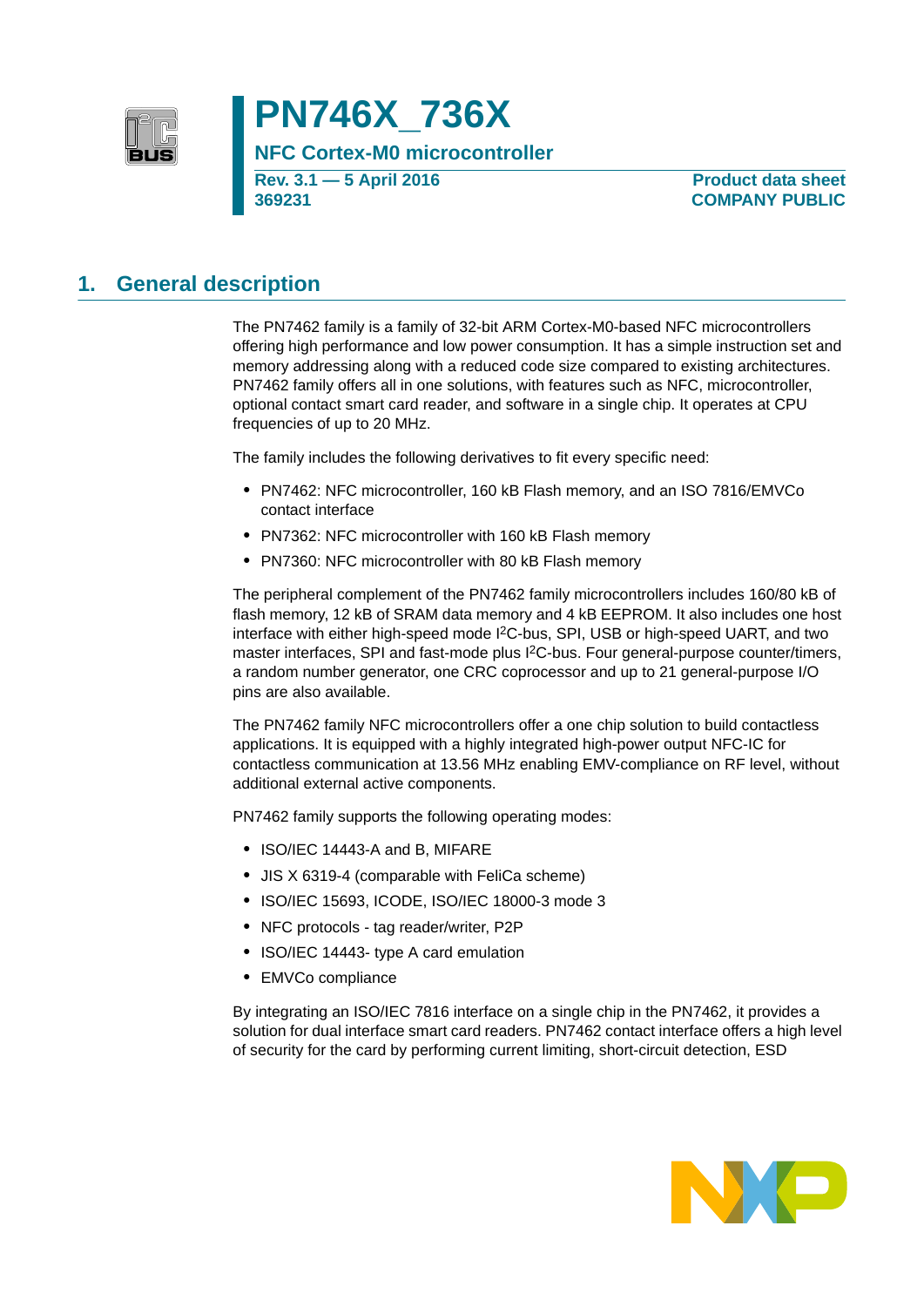

# **PN746X\_736X**

**NFC Cortex-M0 microcontroller**

**Rev. 3.1 — 5 April 2016 369231**

**Product data sheet COMPANY PUBLIC**

## **1. General description**

The PN7462 family is a family of 32-bit ARM Cortex-M0-based NFC microcontrollers offering high performance and low power consumption. It has a simple instruction set and memory addressing along with a reduced code size compared to existing architectures. PN7462 family offers all in one solutions, with features such as NFC, microcontroller, optional contact smart card reader, and software in a single chip. It operates at CPU frequencies of up to 20 MHz.

The family includes the following derivatives to fit every specific need:

- **•** PN7462: NFC microcontroller, 160 kB Flash memory, and an ISO 7816/EMVCo contact interface
- **•** PN7362: NFC microcontroller with 160 kB Flash memory
- **•** PN7360: NFC microcontroller with 80 kB Flash memory

The peripheral complement of the PN7462 family microcontrollers includes 160/80 kB of flash memory, 12 kB of SRAM data memory and 4 kB EEPROM. It also includes one host interface with either high-speed mode I<sup>2</sup>C-bus, SPI, USB or high-speed UART, and two master interfaces, SPI and fast-mode plus  $1<sup>2</sup>C-bus$ . Four general-purpose counter/timers, a random number generator, one CRC coprocessor and up to 21 general-purpose I/O pins are also available.

The PN7462 family NFC microcontrollers offer a one chip solution to build contactless applications. It is equipped with a highly integrated high-power output NFC-IC for contactless communication at 13.56 MHz enabling EMV-compliance on RF level, without additional external active components.

PN7462 family supports the following operating modes:

- **•** ISO/IEC 14443-A and B, MIFARE
- **•** JIS X 6319-4 (comparable with FeliCa scheme)
- **•** ISO/IEC 15693, ICODE, ISO/IEC 18000-3 mode 3
- **•** NFC protocols tag reader/writer, P2P
- **•** ISO/IEC 14443- type A card emulation
- **•** EMVCo compliance

By integrating an ISO/IEC 7816 interface on a single chip in the PN7462, it provides a solution for dual interface smart card readers. PN7462 contact interface offers a high level of security for the card by performing current limiting, short-circuit detection, ESD

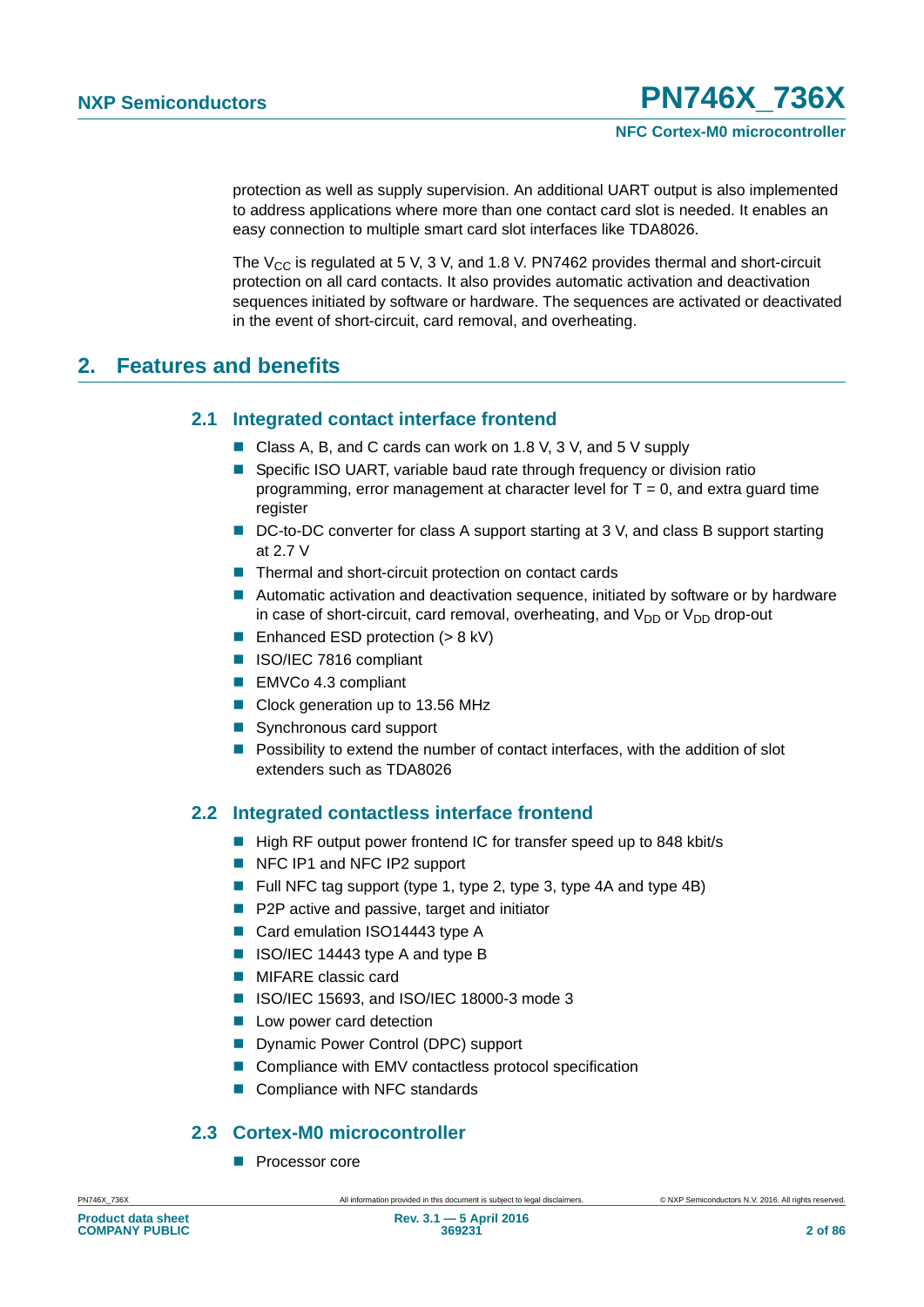protection as well as supply supervision. An additional UART output is also implemented to address applications where more than one contact card slot is needed. It enables an easy connection to multiple smart card slot interfaces like TDA8026.

The  $V_{CC}$  is regulated at 5 V, 3 V, and 1.8 V. PN7462 provides thermal and short-circuit protection on all card contacts. It also provides automatic activation and deactivation sequences initiated by software or hardware. The sequences are activated or deactivated in the event of short-circuit, card removal, and overheating.

## **2. Features and benefits**

### **2.1 Integrated contact interface frontend**

- Class A, B, and C cards can work on 1.8 V, 3 V, and 5 V supply
- Specific ISO UART, variable baud rate through frequency or division ratio programming, error management at character level for  $T = 0$ , and extra guard time register
- DC-to-DC converter for class A support starting at 3 V, and class B support starting at 2.7 V
- Thermal and short-circuit protection on contact cards
- Automatic activation and deactivation sequence, initiated by software or by hardware in case of short-circuit, card removal, overheating, and  $V_{DD}$  or  $V_{DD}$  drop-out
- Enhanced ESD protection  $(> 8 \text{ kV})$
- ISO/IEC 7816 compliant
- EMVCo 4.3 compliant
- Clock generation up to 13.56 MHz
- Synchronous card support
- **Possibility to extend the number of contact interfaces, with the addition of slot** extenders such as TDA8026

### **2.2 Integrated contactless interface frontend**

- High RF output power frontend IC for transfer speed up to 848 kbit/s
- NFC IP1 and NFC IP2 support
- Full NFC tag support (type 1, type 2, type 3, type 4A and type 4B)
- P2P active and passive, target and initiator
- Card emulation ISO14443 type A
- ISO/IEC 14443 type A and type B
- **MIFARE** classic card
- ISO/IEC 15693, and ISO/IEC 18000-3 mode 3
- **Low power card detection**
- Dynamic Power Control (DPC) support
- Compliance with EMV contactless protocol specification
- Compliance with NFC standards

### **2.3 Cortex-M0 microcontroller**

**Processor core**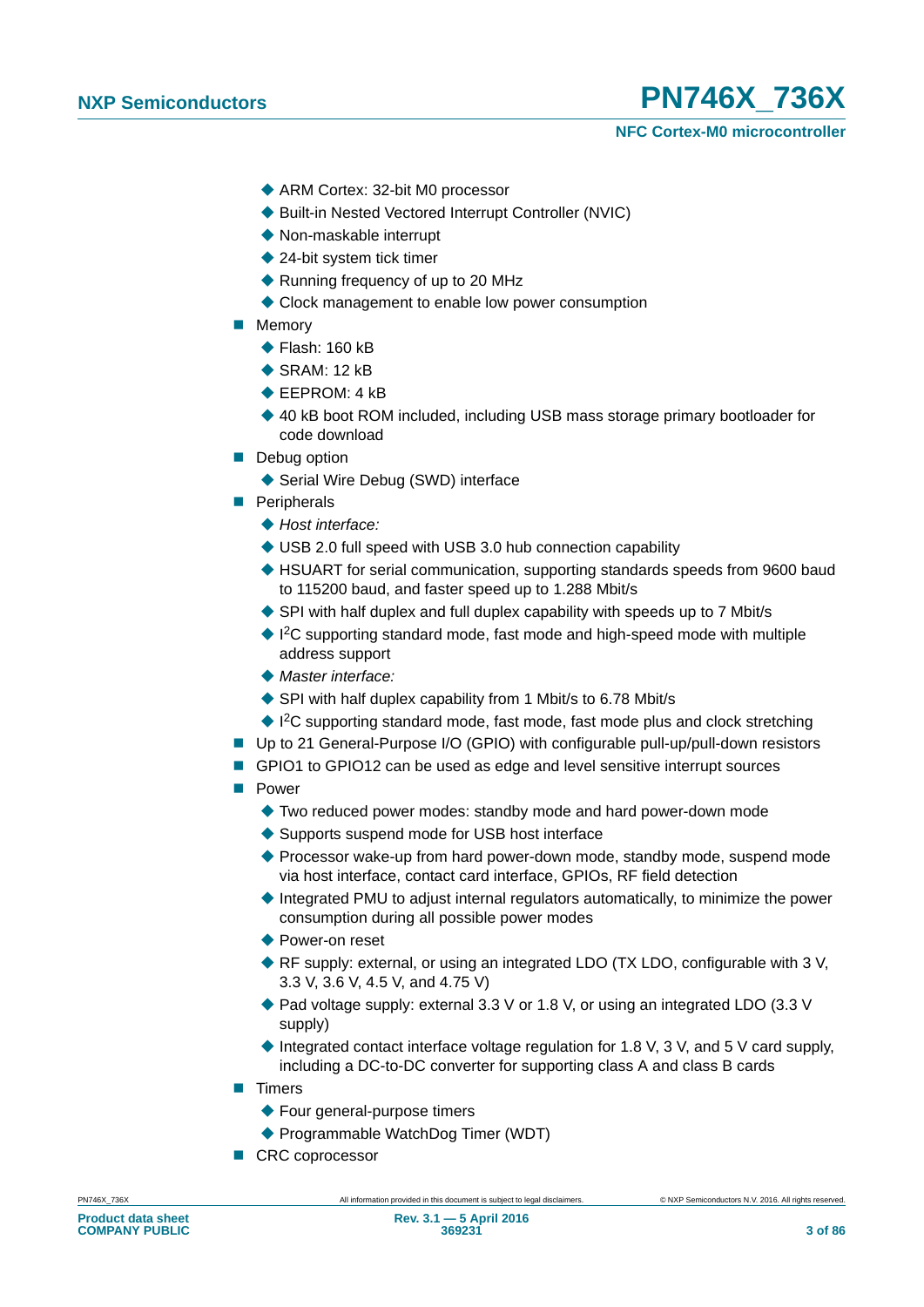

- ◆ ARM Cortex: 32-bit M0 processor
- ◆ Built-in Nested Vectored Interrupt Controller (NVIC)
- ◆ Non-maskable interrupt
- ◆ 24-bit system tick timer
- ◆ Running frequency of up to 20 MHz
- ◆ Clock management to enable low power consumption
- **Memory** 
	- $\blacklozenge$  Flash: 160 kB
	- $\triangle$  SRAM $\cdot$  12 kB
	- ◆ EEPROM: 4 kB
	- ◆ 40 kB boot ROM included, including USB mass storage primary bootloader for code download
- **Debug option** 
	- ◆ Serial Wire Debug (SWD) interface
- **Peripherals** 
	- *Host interface:*
	- ◆ USB 2.0 full speed with USB 3.0 hub connection capability
	- ◆ HSUART for serial communication, supporting standards speeds from 9600 baud to 115200 baud, and faster speed up to 1.288 Mbit/s
	- SPI with half duplex and full duplex capability with speeds up to 7 Mbit/s
	- ◆ I<sup>2</sup>C supporting standard mode, fast mode and high-speed mode with multiple address support
	- *Master interface:*
	- ◆ SPI with half duplex capability from 1 Mbit/s to 6.78 Mbit/s
	- ◆ I<sup>2</sup>C supporting standard mode, fast mode, fast mode plus and clock stretching
- Up to 21 General-Purpose I/O (GPIO) with configurable pull-up/pull-down resistors
- GPIO1 to GPIO12 can be used as edge and level sensitive interrupt sources
- **Power** 
	- ◆ Two reduced power modes: standby mode and hard power-down mode
	- ◆ Supports suspend mode for USB host interface
	- ◆ Processor wake-up from hard power-down mode, standby mode, suspend mode via host interface, contact card interface, GPIOs, RF field detection
	- $\blacklozenge$  Integrated PMU to adjust internal regulators automatically, to minimize the power consumption during all possible power modes
	- ◆ Power-on reset
	- RF supply: external, or using an integrated LDO (TX LDO, configurable with 3 V, 3.3 V, 3.6 V, 4.5 V, and 4.75 V)
	- ◆ Pad voltage supply: external 3.3 V or 1.8 V, or using an integrated LDO (3.3 V supply)
	- $\blacklozenge$  Integrated contact interface voltage regulation for 1.8 V, 3 V, and 5 V card supply, including a DC-to-DC converter for supporting class A and class B cards
- **Timers** 
	- ◆ Four general-purpose timers
	- ◆ Programmable WatchDog Timer (WDT)
- CRC coprocessor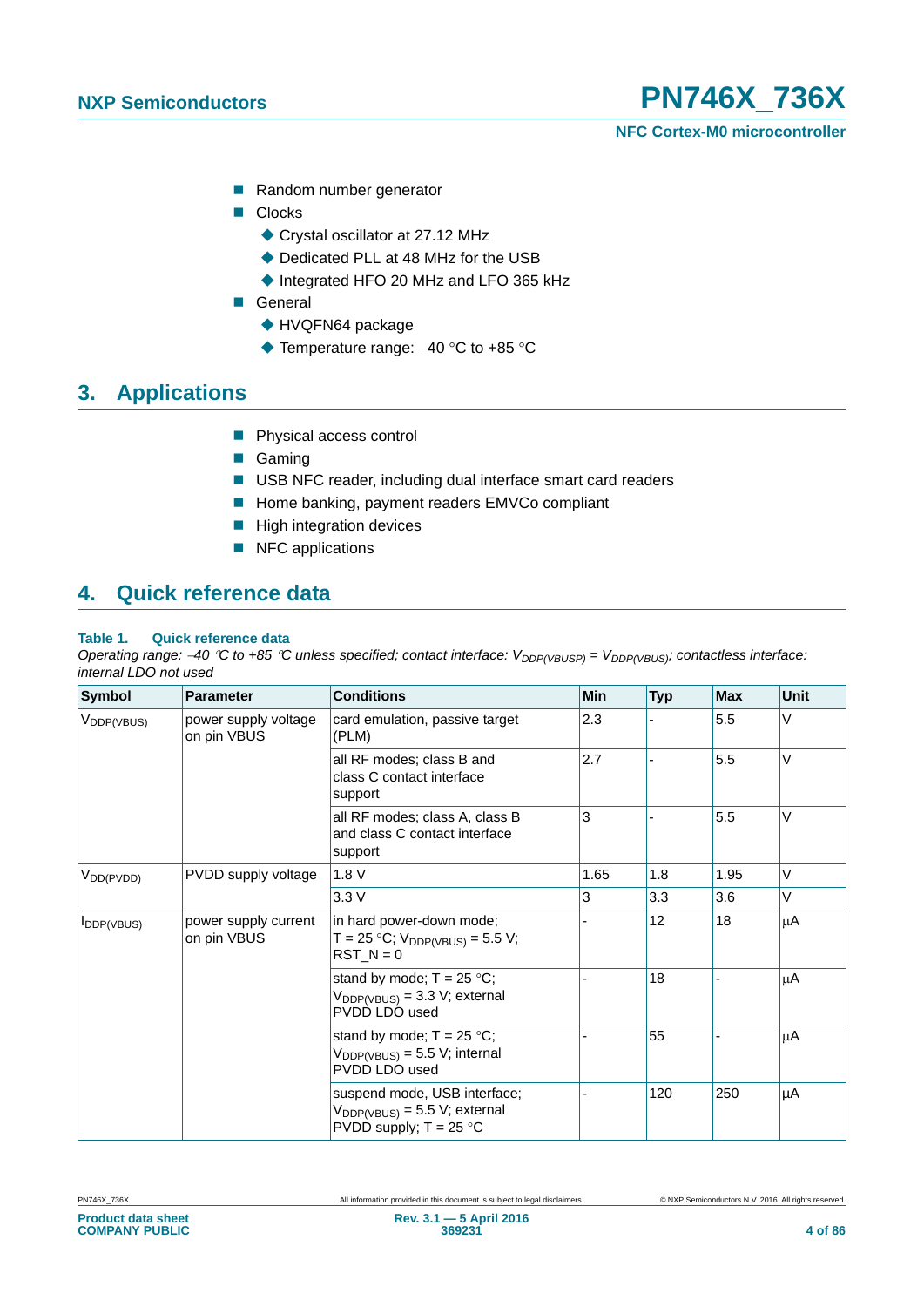- Random number generator
- Clocks
	- ◆ Crystal oscillator at 27.12 MHz
	- ◆ Dedicated PLL at 48 MHz for the USB
	- ♦ Integrated HFO 20 MHz and LFO 365 kHz
- General
	- ◆ HVQFN64 package
	- $\blacklozenge$  Temperature range: -40 °C to +85 °C

## **3. Applications**

- **Physical access control**
- Gaming
- USB NFC reader, including dual interface smart card readers
- Home banking, payment readers EMVCo compliant
- $\blacksquare$  High integration devices
- NFC applications

## **4. Quick reference data**

#### **Table 1. Quick reference data**

*Operating range: -40 °C to +85 °C unless specified; contact interface: V<sub>DDP(VBUSP)</sub> = V<sub>DDP(VBUS)</sub>; contactless interface: internal LDO not used*

| <b>Symbol</b>          | <b>Parameter</b>                    | <b>Conditions</b>                                                                              | <b>Min</b> | <b>Typ</b> | <b>Max</b> | <b>Unit</b> |
|------------------------|-------------------------------------|------------------------------------------------------------------------------------------------|------------|------------|------------|-------------|
| V <sub>DDP(VBUS)</sub> | power supply voltage<br>on pin VBUS | card emulation, passive target<br>(PLM)                                                        | 2.3        |            | 5.5        | V           |
|                        |                                     | all RF modes; class B and<br>class C contact interface<br>support                              | 2.7        |            | 5.5        | $\vee$      |
|                        |                                     | all RF modes; class A, class B<br>and class C contact interface<br>support                     | 3          |            | 5.5        | $\vee$      |
| $V_{DD(PVDD)}$         | PVDD supply voltage                 | 1.8V                                                                                           | 1.65       | 1.8        | 1.95       | V           |
|                        |                                     | 3.3V                                                                                           | 3          | 3.3        | 3.6        | $\vee$      |
| <b>I</b> DDP(VBUS)     | power supply current<br>on pin VBUS | in hard power-down mode;<br>T = 25 °C; $V_{DDP(VBUS)}$ = 5.5 V;<br>$RST_N = 0$                 |            | 12         | 18         | μA          |
|                        |                                     | stand by mode; $T = 25 °C$ ;<br>$V_{DDP(VBUS)} = 3.3 V$ ; external<br>PVDD LDO used            |            | 18         |            | μA          |
|                        |                                     | stand by mode; $T = 25 °C$ ;<br>$V_{DDP(VBUS)} = 5.5 V$ ; internal<br>PVDD LDO used            |            | 55         |            | μA          |
|                        |                                     | suspend mode, USB interface;<br>$V_{DDP(VBUS)} = 5.5 V$ ; external<br>PVDD supply; $T = 25$ °C |            | 120        | 250        | μA          |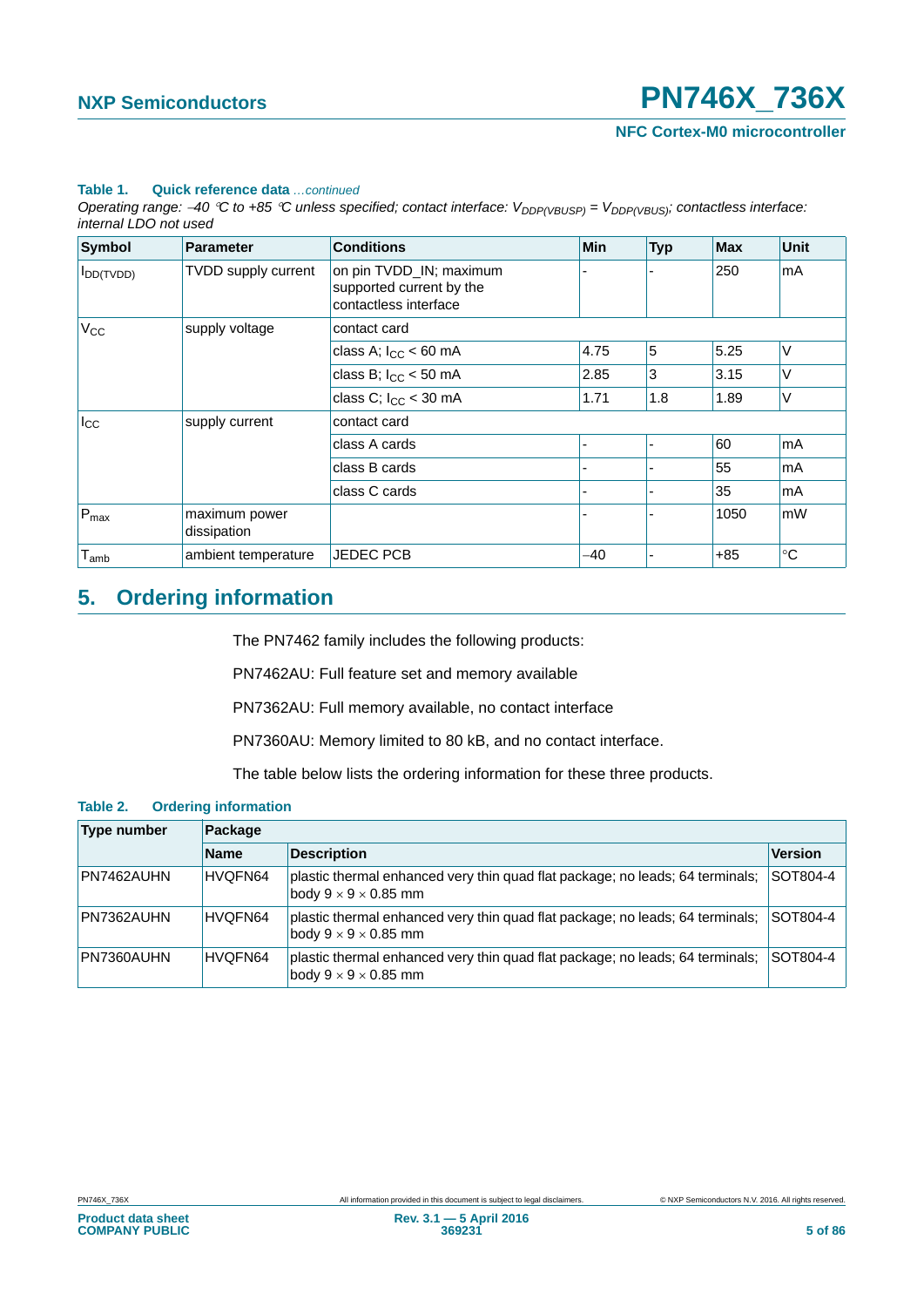#### **Table 1. Quick reference data** *…continued*

*Operating range: -40 °C to +85 °C unless specified; contact interface: V<sub>DDP(VBUSP)</sub> = V<sub>DDP(VBUS)</sub>; contactless interface: internal LDO not used*

| <b>Symbol</b>  | <b>Parameter</b>             | <b>Conditions</b>                                                            | <b>Min</b> | <b>Typ</b> | <b>Max</b> | <b>Unit</b> |  |
|----------------|------------------------------|------------------------------------------------------------------------------|------------|------------|------------|-------------|--|
| $I_{DD(TVDD)}$ | TVDD supply current          | on pin TVDD_IN; maximum<br>supported current by the<br>contactless interface |            |            | 250        | mA          |  |
| $V_{CC}$       | supply voltage               | contact card                                                                 |            |            |            |             |  |
|                |                              | class A; $I_{CC}$ < 60 mA                                                    | 4.75       | 5          | 5.25       | V           |  |
|                |                              | class B; $I_{CC}$ < 50 mA                                                    | 2.85       | 3          | 3.15       | V           |  |
|                |                              | class C; $I_{CC}$ < 30 mA                                                    | 1.71       | 1.8        | 1.89       | V           |  |
| $I_{\rm CC}$   | supply current               | contact card                                                                 |            |            |            |             |  |
|                |                              | class A cards                                                                |            |            | 60         | mA          |  |
|                |                              | class B cards                                                                | -          |            | 55         | <b>mA</b>   |  |
|                |                              | class C cards                                                                | ٠          |            | 35         | <b>mA</b>   |  |
| $P_{max}$      | maximum power<br>dissipation |                                                                              |            |            | 1050       | mW          |  |
| $T_{amb}$      | ambient temperature          | <b>JEDEC PCB</b>                                                             | $-40$      |            | $+85$      | $^{\circ}C$ |  |

## **5. Ordering information**

The PN7462 family includes the following products:

PN7462AU: Full feature set and memory available

PN7362AU: Full memory available, no contact interface

PN7360AU: Memory limited to 80 kB, and no contact interface.

The table below lists the ordering information for these three products.

#### **Table 2. Ordering information**

| <b>Type number</b> | Package     |                                                                                                                   |                |  |  |
|--------------------|-------------|-------------------------------------------------------------------------------------------------------------------|----------------|--|--|
|                    | <b>Name</b> | <b>Description</b>                                                                                                | <b>Version</b> |  |  |
| PN7462AUHN         | HVQFN64     | plastic thermal enhanced very thin quad flat package; no leads; 64 terminals;<br>body $9 \times 9 \times 0.85$ mm | SOT804-4       |  |  |
| PN7362AUHN         | HVQFN64     | plastic thermal enhanced very thin quad flat package; no leads; 64 terminals;<br>body $9 \times 9 \times 0.85$ mm | SOT804-4       |  |  |
| PN7360AUHN         | HVQFN64     | plastic thermal enhanced very thin quad flat package; no leads; 64 terminals;<br>body $9 \times 9 \times 0.85$ mm | SOT804-4       |  |  |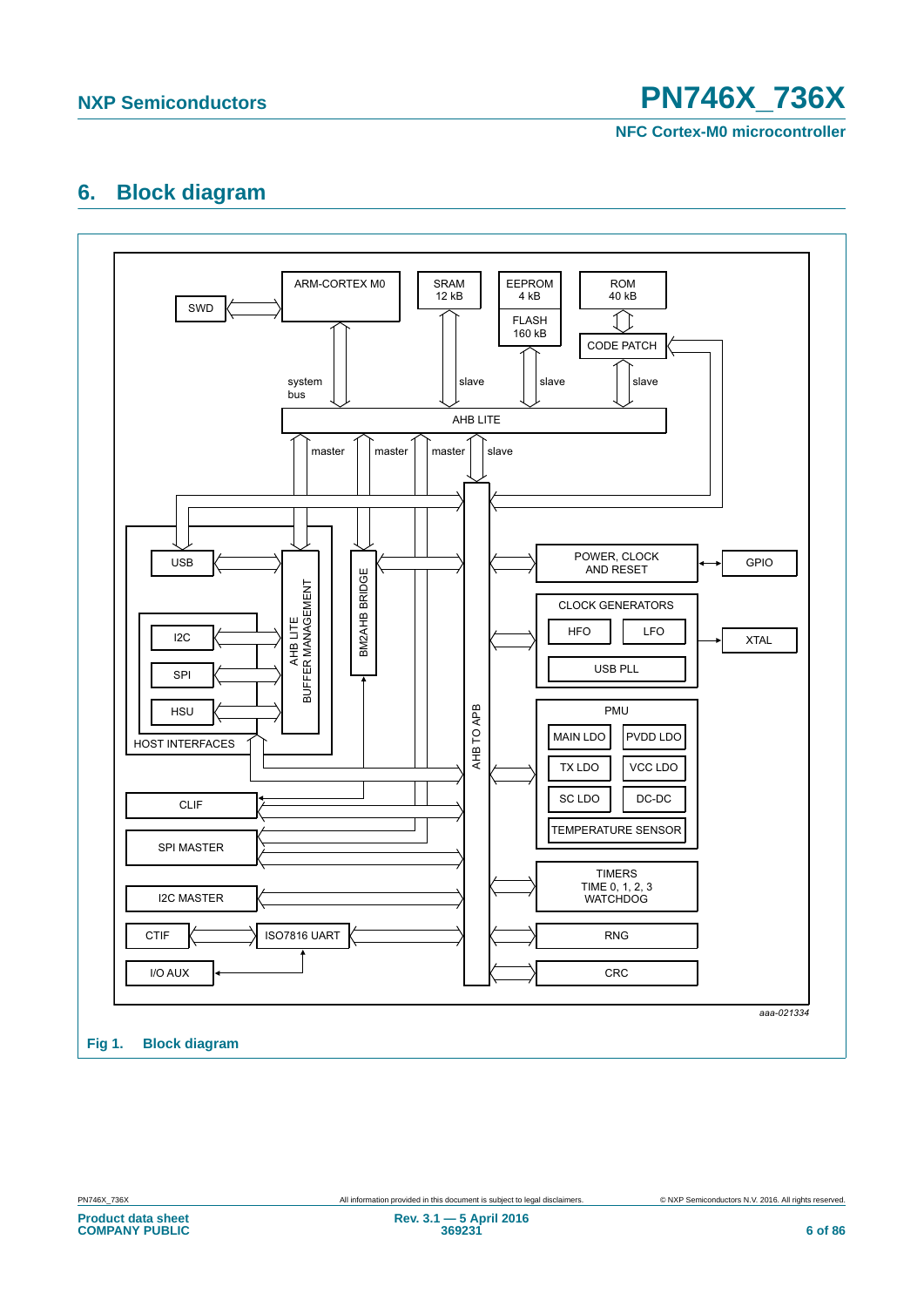

## **6. Block diagram**

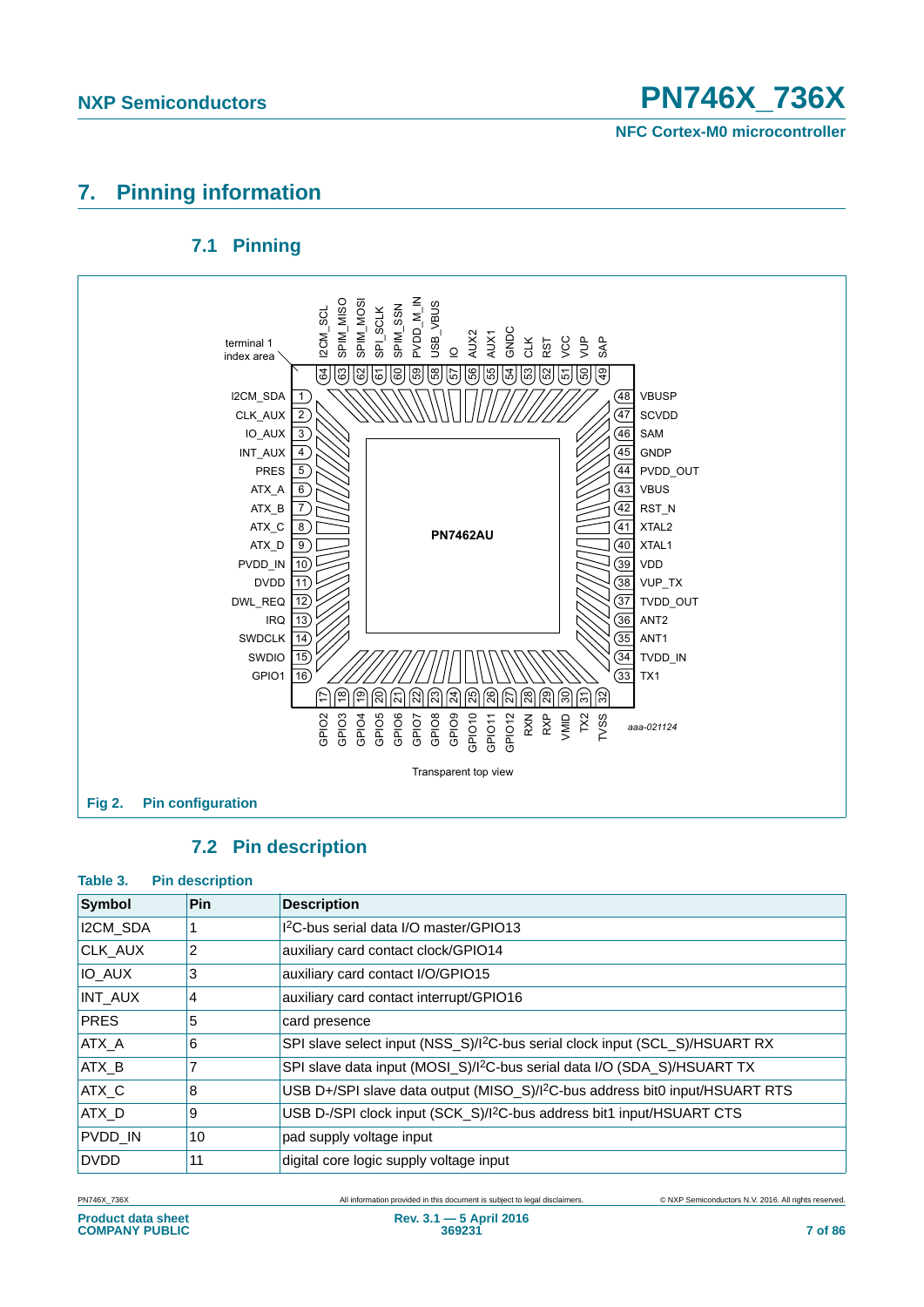

## **7. Pinning information**

## **7.1 Pinning**



## **7.2 Pin description**

#### **Table 3. Pin description**

| Symbol         | <b>Pin</b> | <b>Description</b>                                                                       |
|----------------|------------|------------------------------------------------------------------------------------------|
| I2CM_SDA       |            | I <sup>2</sup> C-bus serial data I/O master/GPIO13                                       |
| CLK_AUX        | 2          | auxiliary card contact clock/GPIO14                                                      |
| <b>IO AUX</b>  | 3          | auxiliary card contact I/O/GPIO15                                                        |
| <b>INT_AUX</b> | 4          | auxiliary card contact interrupt/GPIO16                                                  |
| <b>PRES</b>    | 5          | card presence                                                                            |
| ATX A          | 6          | SPI slave select input (NSS_S)/I <sup>2</sup> C-bus serial clock input (SCL_S)/HSUART RX |
| ATX_B          |            | SPI slave data input (MOSI_S)/I <sup>2</sup> C-bus serial data I/O (SDA_S)/HSUART TX     |
| ATX C          | 8          | USB D+/SPI slave data output (MISO_S)/I <sup>2</sup> C-bus address bit0 input/HSUART RTS |
| ATX D          | 9          | USB D-/SPI clock input (SCK_S)/I <sup>2</sup> C-bus address bit1 input/HSUART CTS        |
| PVDD_IN        | 10         | pad supply voltage input                                                                 |
| <b>DVDD</b>    | 11         | digital core logic supply voltage input                                                  |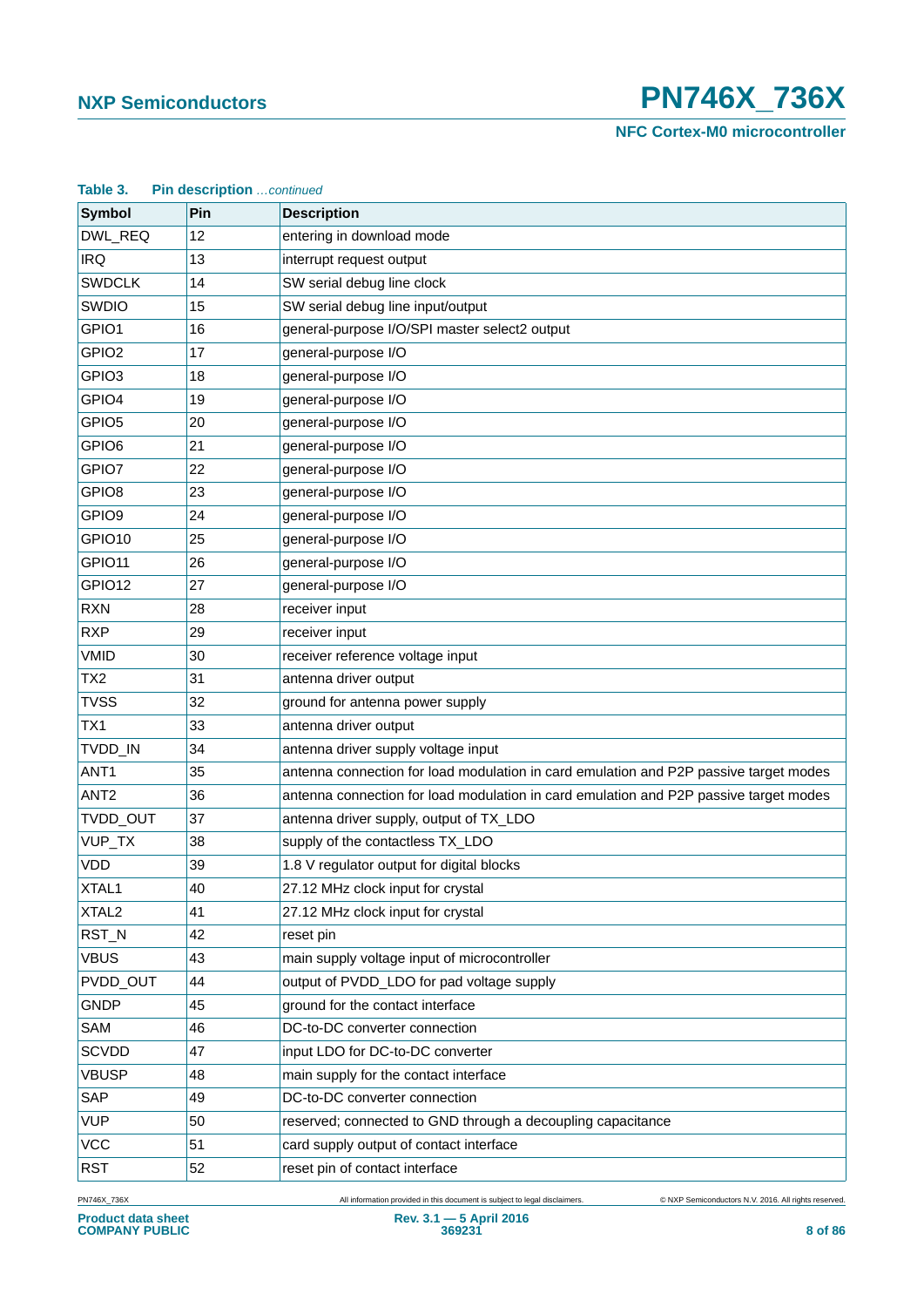**NFC Cortex-M0 microcontroller**

| Pin description continued<br>Table 3. |     |                                                                                       |  |  |  |
|---------------------------------------|-----|---------------------------------------------------------------------------------------|--|--|--|
| <b>Symbol</b>                         | Pin | <b>Description</b>                                                                    |  |  |  |
| DWL_REQ                               | 12  | entering in download mode                                                             |  |  |  |
| <b>IRQ</b>                            | 13  | interrupt request output                                                              |  |  |  |
| <b>SWDCLK</b>                         | 14  | SW serial debug line clock                                                            |  |  |  |
| <b>SWDIO</b>                          | 15  | SW serial debug line input/output                                                     |  |  |  |
| GPIO1                                 | 16  | general-purpose I/O/SPI master select2 output                                         |  |  |  |
| GPIO <sub>2</sub>                     | 17  | general-purpose I/O                                                                   |  |  |  |
| GPIO <sub>3</sub>                     | 18  | general-purpose I/O                                                                   |  |  |  |
| GPIO4                                 | 19  | general-purpose I/O                                                                   |  |  |  |
| GPIO <sub>5</sub>                     | 20  | general-purpose I/O                                                                   |  |  |  |
| GPIO <sub>6</sub>                     | 21  | general-purpose I/O                                                                   |  |  |  |
| GPIO7                                 | 22  | general-purpose I/O                                                                   |  |  |  |
| GPIO <sub>8</sub>                     | 23  | general-purpose I/O                                                                   |  |  |  |
| GPIO <sub>9</sub>                     | 24  | general-purpose I/O                                                                   |  |  |  |
| GPIO10                                | 25  | general-purpose I/O                                                                   |  |  |  |
| GPIO <sub>11</sub>                    | 26  | general-purpose I/O                                                                   |  |  |  |
| GPIO12                                | 27  | general-purpose I/O                                                                   |  |  |  |
| <b>RXN</b>                            | 28  | receiver input                                                                        |  |  |  |
| <b>RXP</b>                            | 29  | receiver input                                                                        |  |  |  |
| <b>VMID</b>                           | 30  | receiver reference voltage input                                                      |  |  |  |
| TX <sub>2</sub>                       | 31  | antenna driver output                                                                 |  |  |  |
| <b>TVSS</b>                           | 32  | ground for antenna power supply                                                       |  |  |  |
| TX <sub>1</sub>                       | 33  | antenna driver output                                                                 |  |  |  |
| TVDD_IN                               | 34  | antenna driver supply voltage input                                                   |  |  |  |
| ANT <sub>1</sub>                      | 35  | antenna connection for load modulation in card emulation and P2P passive target modes |  |  |  |
| ANT <sub>2</sub>                      | 36  | antenna connection for load modulation in card emulation and P2P passive target modes |  |  |  |
| TVDD_OUT                              | 37  | antenna driver supply, output of TX_LDO                                               |  |  |  |
| VUP_TX                                | 38  | supply of the contactless TX_LDO                                                      |  |  |  |
| <b>VDD</b>                            | 39  | 1.8 V regulator output for digital blocks                                             |  |  |  |
| XTAL1                                 | 40  | 27.12 MHz clock input for crystal                                                     |  |  |  |
| XTAL <sub>2</sub>                     | 41  | 27.12 MHz clock input for crystal                                                     |  |  |  |
| RST_N                                 | 42  | reset pin                                                                             |  |  |  |
| <b>VBUS</b>                           | 43  | main supply voltage input of microcontroller                                          |  |  |  |
| PVDD_OUT                              | 44  | output of PVDD_LDO for pad voltage supply                                             |  |  |  |
| <b>GNDP</b>                           | 45  | ground for the contact interface                                                      |  |  |  |
| SAM                                   | 46  | DC-to-DC converter connection                                                         |  |  |  |
| <b>SCVDD</b>                          | 47  | input LDO for DC-to-DC converter                                                      |  |  |  |
| <b>VBUSP</b>                          | 48  | main supply for the contact interface                                                 |  |  |  |
| SAP                                   | 49  | DC-to-DC converter connection                                                         |  |  |  |
| <b>VUP</b>                            | 50  | reserved; connected to GND through a decoupling capacitance                           |  |  |  |
| <b>VCC</b>                            | 51  | card supply output of contact interface                                               |  |  |  |
| <b>RST</b>                            | 52  | reset pin of contact interface                                                        |  |  |  |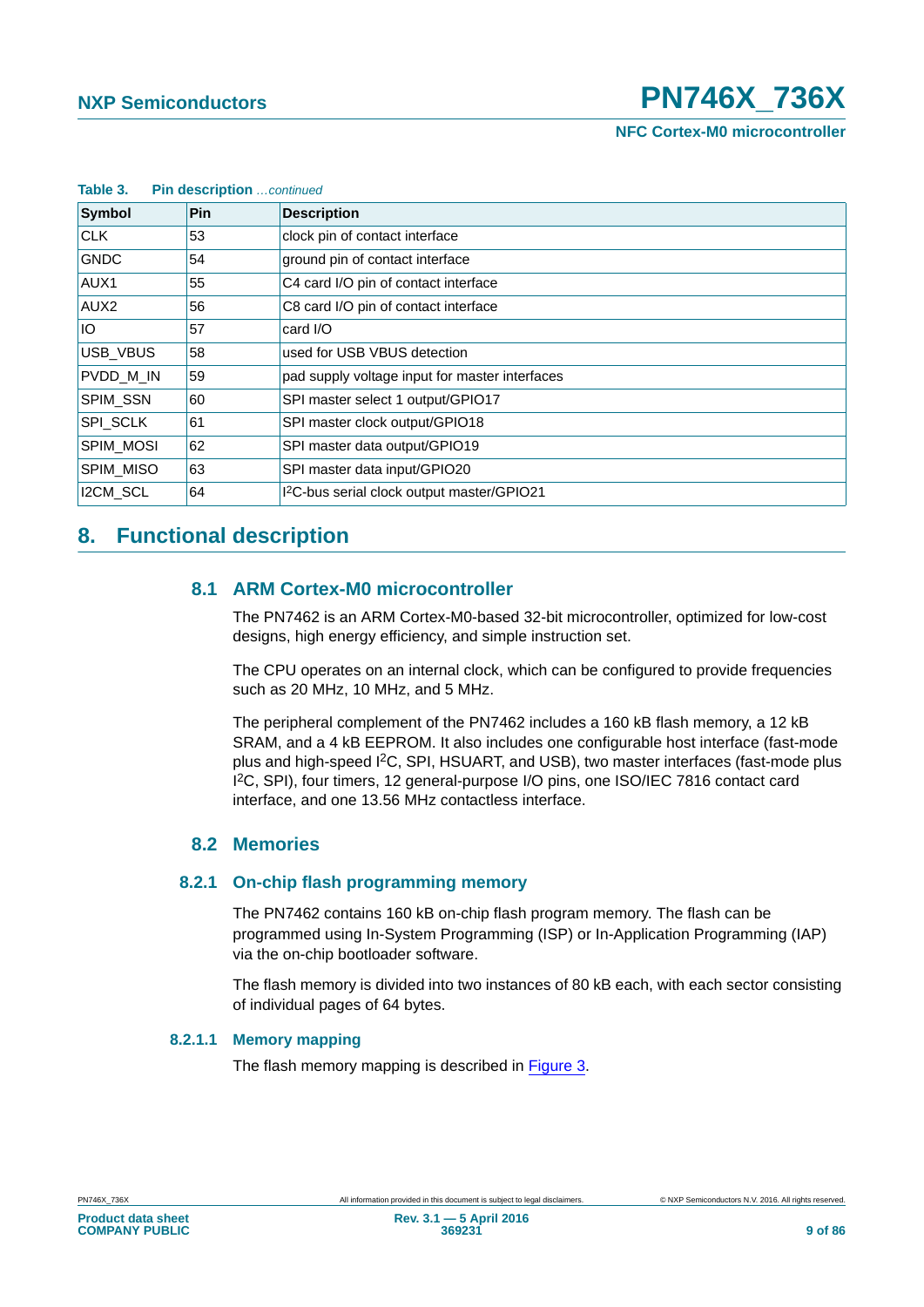| Table 3.<br><b>Pin description</b> continued |            |                                                        |  |  |  |
|----------------------------------------------|------------|--------------------------------------------------------|--|--|--|
| Symbol                                       | <b>Pin</b> | <b>Description</b>                                     |  |  |  |
| <b>CLK</b>                                   | 53         | clock pin of contact interface                         |  |  |  |
| <b>GNDC</b>                                  | 54         | ground pin of contact interface                        |  |  |  |
| AUX1                                         | 55         | C4 card I/O pin of contact interface                   |  |  |  |
| AUX <sub>2</sub>                             | 56         | C8 card I/O pin of contact interface                   |  |  |  |
| IO.                                          | 57         | card I/O                                               |  |  |  |
| <b>USB VBUS</b>                              | 58         | used for USB VBUS detection                            |  |  |  |
| PVDD_M_IN                                    | 59         | pad supply voltage input for master interfaces         |  |  |  |
| SPIM_SSN                                     | 60         | SPI master select 1 output/GPIO17                      |  |  |  |
| SPI_SCLK                                     | 61         | SPI master clock output/GPIO18                         |  |  |  |
| <b>SPIM MOSI</b>                             | 62         | SPI master data output/GPIO19                          |  |  |  |
| SPIM_MISO                                    | 63         | SPI master data input/GPIO20                           |  |  |  |
| I2CM_SCL                                     | 64         | I <sup>2</sup> C-bus serial clock output master/GPIO21 |  |  |  |

## **8. Functional description**

### **8.1 ARM Cortex-M0 microcontroller**

The PN7462 is an ARM Cortex-M0-based 32-bit microcontroller, optimized for low-cost designs, high energy efficiency, and simple instruction set.

The CPU operates on an internal clock, which can be configured to provide frequencies such as 20 MHz, 10 MHz, and 5 MHz.

The peripheral complement of the PN7462 includes a 160 kB flash memory, a 12 kB SRAM, and a 4 kB EEPROM. It also includes one configurable host interface (fast-mode plus and high-speed I2C, SPI, HSUART, and USB), two master interfaces (fast-mode plus I 2C, SPI), four timers, 12 general-purpose I/O pins, one ISO/IEC 7816 contact card interface, and one 13.56 MHz contactless interface.

### **8.2 Memories**

#### **8.2.1 On-chip flash programming memory**

The PN7462 contains 160 kB on-chip flash program memory. The flash can be programmed using In-System Programming (ISP) or In-Application Programming (IAP) via the on-chip bootloader software.

The flash memory is divided into two instances of 80 kB each, with each sector consisting of individual pages of 64 bytes.

#### **8.2.1.1 Memory mapping**

The flash memory mapping is described in [Figure 3](#page-9-0).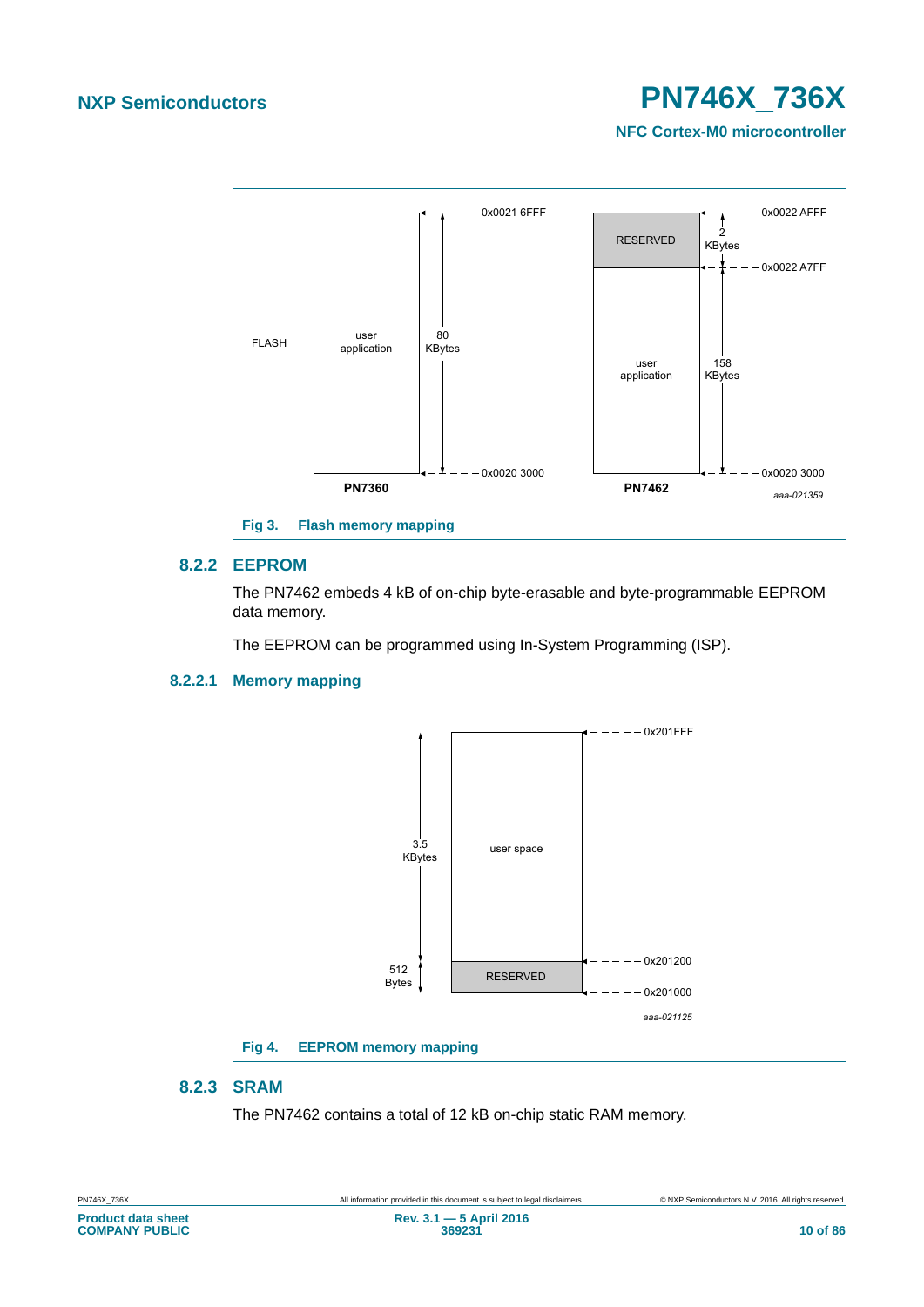**NFC Cortex-M0 microcontroller**



#### **8.2.2 EEPROM**

<span id="page-9-0"></span>The PN7462 embeds 4 kB of on-chip byte-erasable and byte-programmable EEPROM data memory.

The EEPROM can be programmed using In-System Programming (ISP).

#### **8.2.2.1 Memory mapping**



### **8.2.3 SRAM**

The PN7462 contains a total of 12 kB on-chip static RAM memory.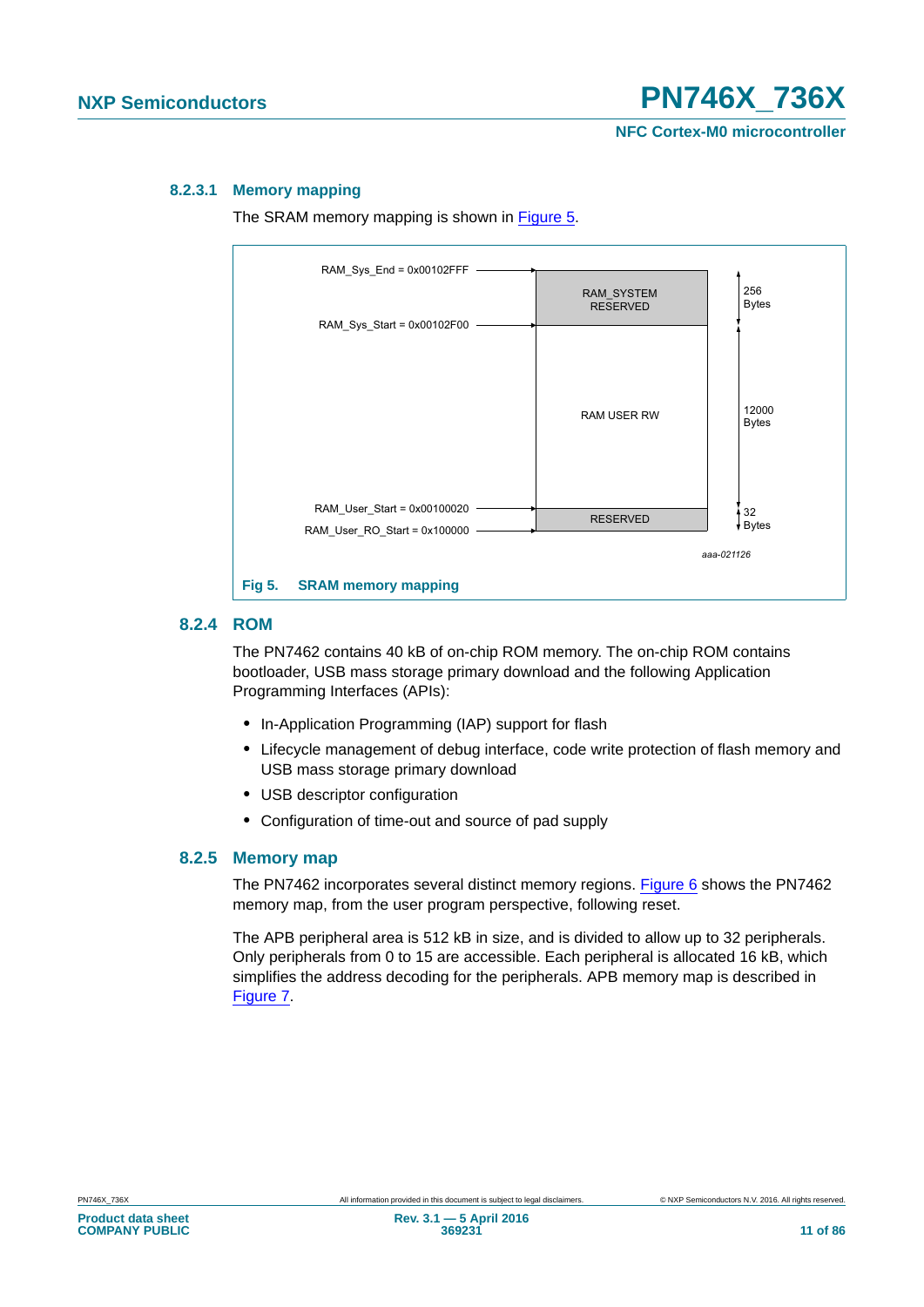#### **8.2.3.1 Memory mapping**

The SRAM memory mapping is shown in [Figure 5.](#page-10-0)



#### <span id="page-10-0"></span>**8.2.4 ROM**

The PN7462 contains 40 kB of on-chip ROM memory. The on-chip ROM contains bootloader, USB mass storage primary download and the following Application Programming Interfaces (APIs):

- **•** In-Application Programming (IAP) support for flash
- **•** Lifecycle management of debug interface, code write protection of flash memory and USB mass storage primary download
- **•** USB descriptor configuration
- **•** Configuration of time-out and source of pad supply

#### **8.2.5 Memory map**

The PN7462 incorporates several distinct memory regions. [Figure 6](#page-11-0) shows the PN7462 memory map, from the user program perspective, following reset.

The APB peripheral area is 512 kB in size, and is divided to allow up to 32 peripherals. Only peripherals from 0 to 15 are accessible. Each peripheral is allocated 16 kB, which simplifies the address decoding for the peripherals. APB memory map is described in [Figure 7.](#page-12-0)

**COMPANY PUBLIC**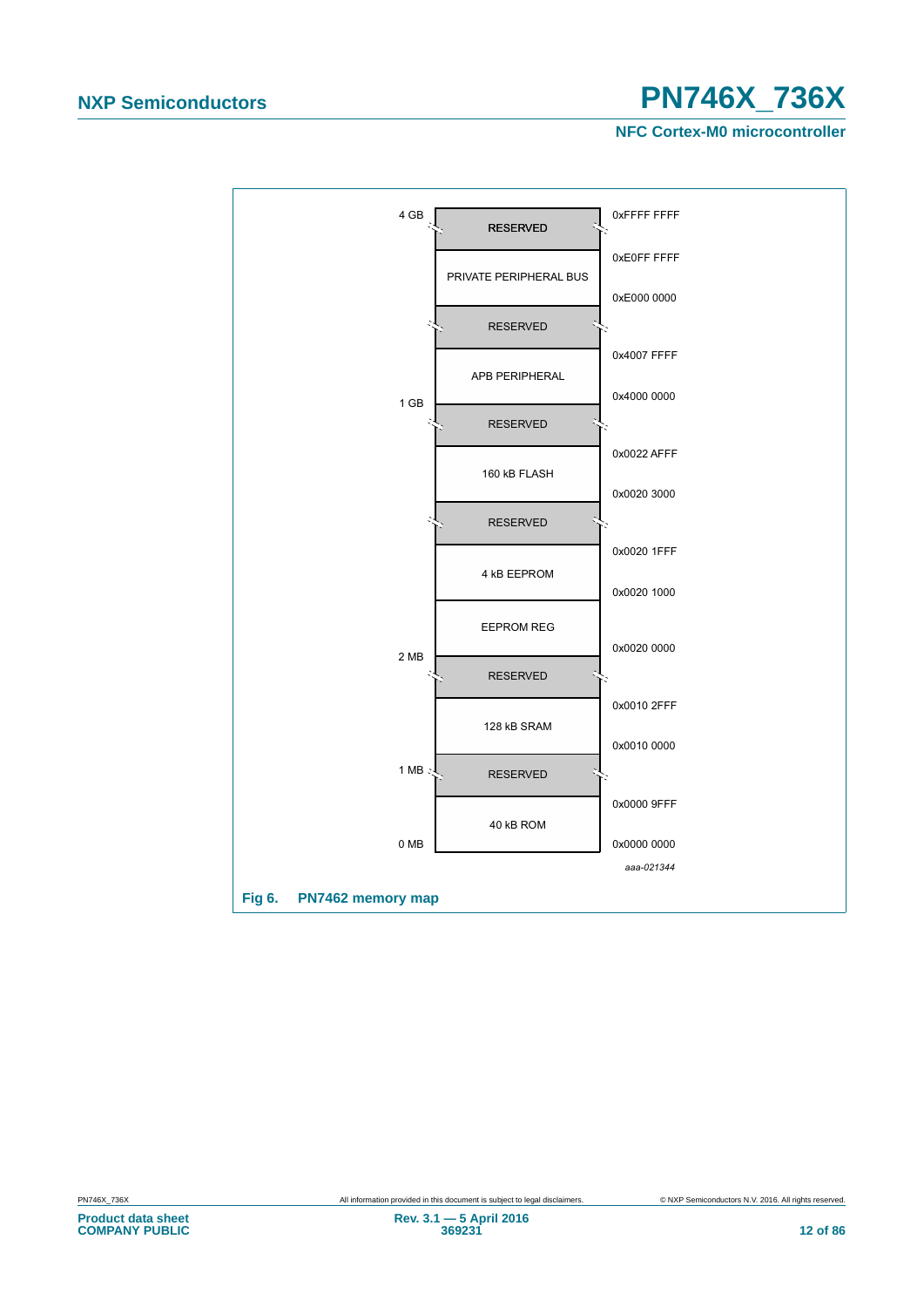**NFC Cortex-M0 microcontroller**

<span id="page-11-0"></span>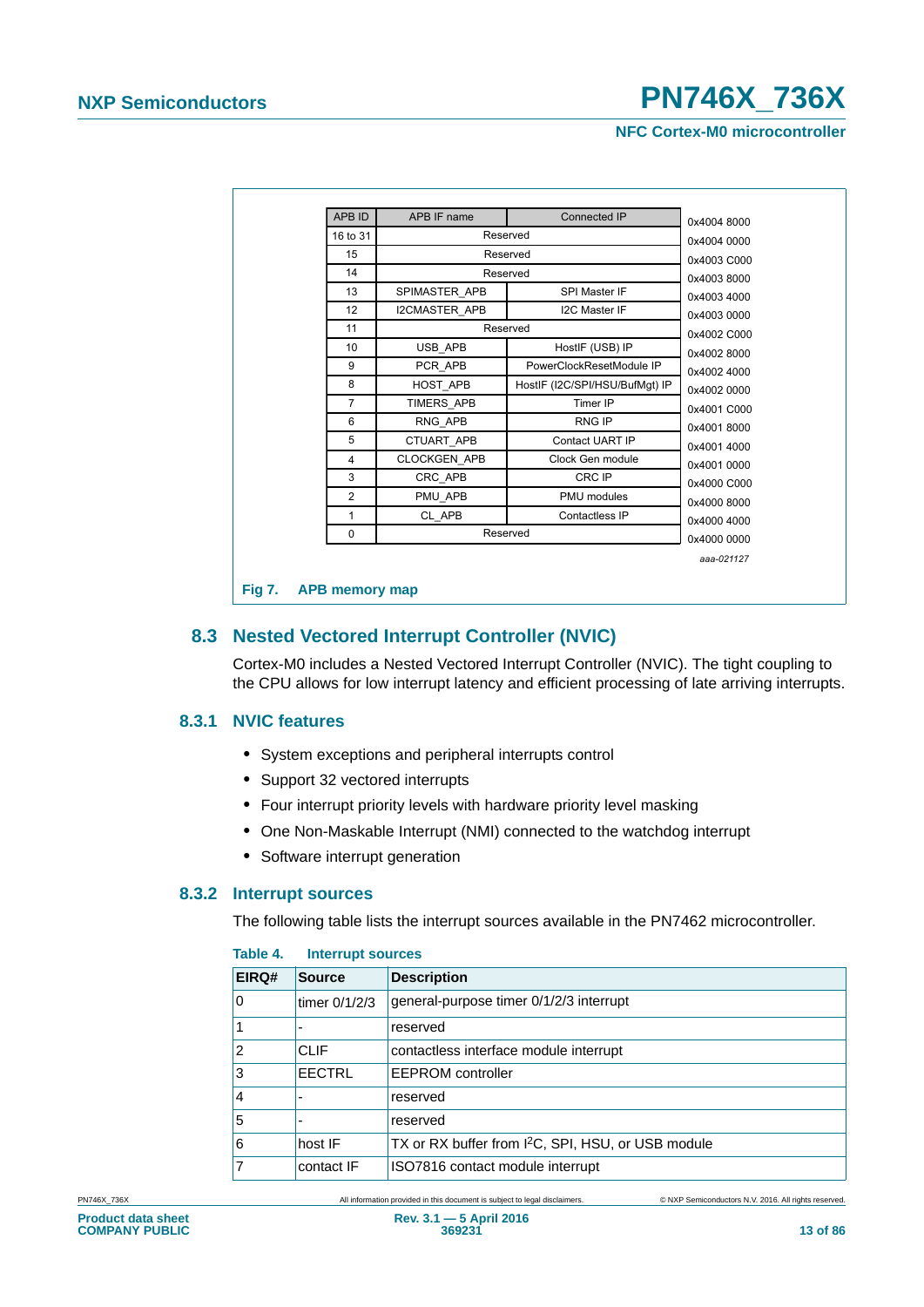**NFC Cortex-M0 microcontroller**

| 16 to 31       | Reserved            |                                | 0x4004 0000 |
|----------------|---------------------|--------------------------------|-------------|
| 15             |                     | Reserved                       | 0x4003 C000 |
| 14             |                     | Reserved                       | 0x40038000  |
| 13             | SPIMASTER_APB       | SPI Master IF                  | 0x4003 4000 |
| 12             | I2CMASTER APB       | <b>I2C Master IF</b>           | 0x4003 0000 |
| 11             |                     | Reserved                       | 0x4002 C000 |
| 10             | USB APB             | HostIF (USB) IP                | 0x4002 8000 |
| 9              | PCR APB             | PowerClockResetModule IP       | 0x4002 4000 |
| 8              | HOST_APB            | HostlF (I2C/SPI/HSU/BufMqt) IP | 0x4002 0000 |
| $\overline{7}$ | TIMERS APB          | Timer IP                       | 0x4001 C000 |
| 6              | RNG APB             | <b>RNG IP</b>                  | 0x40018000  |
| 5              | CTUART APB          | Contact UART IP                | 0x4001 4000 |
| 4              | <b>CLOCKGEN APB</b> | Clock Gen module               | 0x4001 0000 |
| 3              | CRC_APB             | CRC IP                         | 0x4000 C000 |
| $\overline{2}$ | PMU APB             | PMU modules                    | 0x4000 8000 |
| 1              | CL APB              | Contactless IP                 | 0x4000 4000 |
| 0              |                     | Reserved                       | 0x4000 0000 |
|                |                     |                                | aaa-021127  |

### <span id="page-12-0"></span>**8.3 Nested Vectored Interrupt Controller (NVIC)**

Cortex-M0 includes a Nested Vectored Interrupt Controller (NVIC). The tight coupling to the CPU allows for low interrupt latency and efficient processing of late arriving interrupts.

#### **8.3.1 NVIC features**

- **•** System exceptions and peripheral interrupts control
- **•** Support 32 vectored interrupts
- **•** Four interrupt priority levels with hardware priority level masking
- **•** One Non-Maskable Interrupt (NMI) connected to the watchdog interrupt
- **•** Software interrupt generation

#### **8.3.2 Interrupt sources**

The following table lists the interrupt sources available in the PN7462 microcontroller.

| EIRQ# | <b>Source</b>   | <b>Description</b>                                             |  |  |  |
|-------|-----------------|----------------------------------------------------------------|--|--|--|
| 0     | timer $0/1/2/3$ | general-purpose timer 0/1/2/3 interrupt                        |  |  |  |
|       |                 | reserved                                                       |  |  |  |
| 2     | CLIF            | contactless interface module interrupt                         |  |  |  |
| 3     | EECTRL          | <b>EEPROM</b> controller                                       |  |  |  |
| 4     |                 | reserved                                                       |  |  |  |
| 5     | ۰               | reserved                                                       |  |  |  |
| 6     | host IF         | TX or RX buffer from I <sup>2</sup> C, SPI, HSU, or USB module |  |  |  |
|       | contact IF      | ISO7816 contact module interrupt                               |  |  |  |

#### **Table 4. Interrupt sources**

PN746X\_736X All information provided in this document is subject to legal disclaimers. © NXP Semiconductors N.V. 2016. All rights reserved.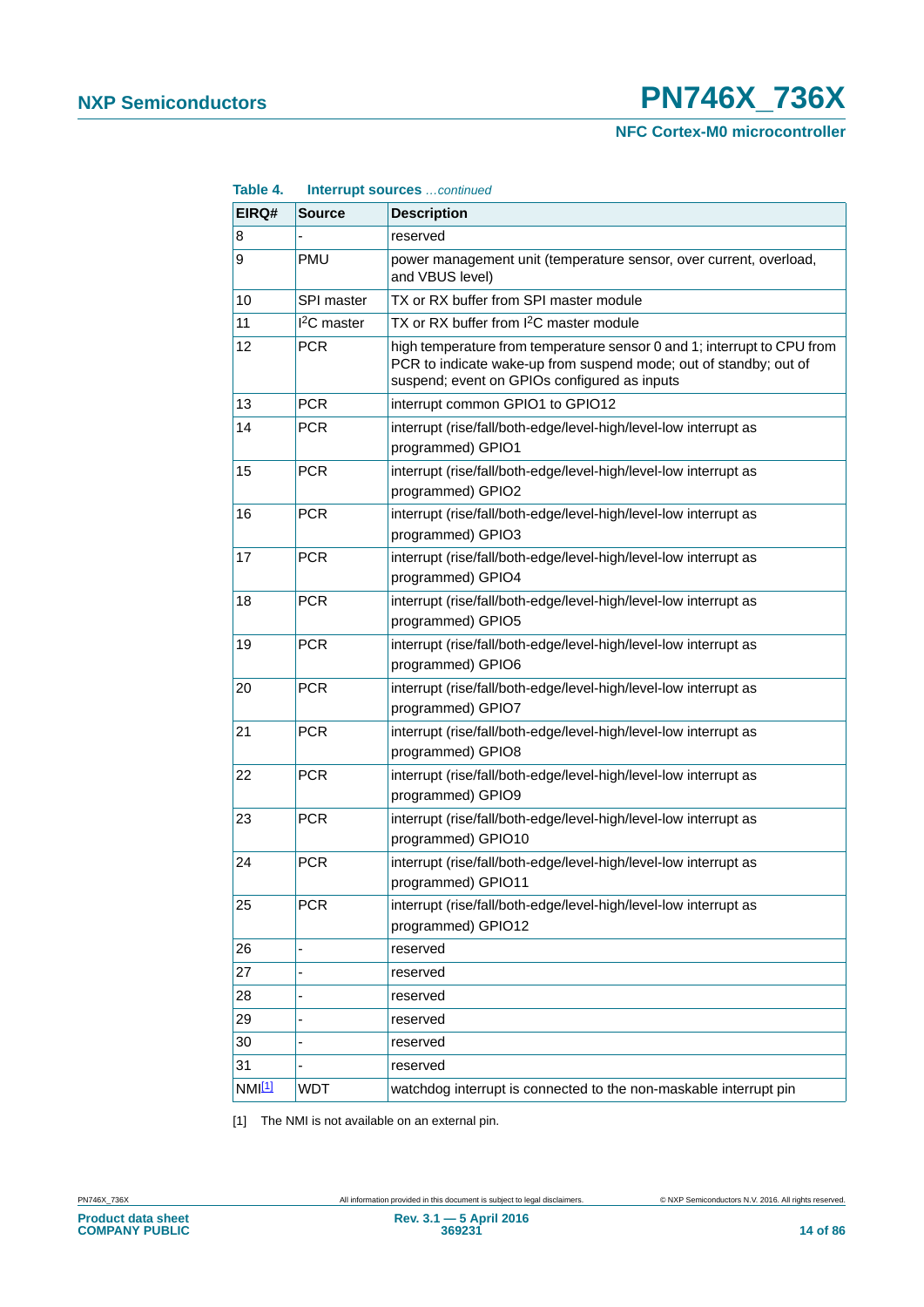**NFC Cortex-M0 microcontroller**

| Table 4.           |                       | Interrupt sources continued                                                                                                                                                                  |
|--------------------|-----------------------|----------------------------------------------------------------------------------------------------------------------------------------------------------------------------------------------|
| EIRQ#              | <b>Source</b>         | <b>Description</b>                                                                                                                                                                           |
| 8                  |                       | reserved                                                                                                                                                                                     |
| 9                  | <b>PMU</b>            | power management unit (temperature sensor, over current, overload,<br>and VBUS level)                                                                                                        |
| 10                 | SPI master            | TX or RX buffer from SPI master module                                                                                                                                                       |
| 11                 | <sup>2</sup> C master | TX or RX buffer from I <sup>2</sup> C master module                                                                                                                                          |
| 12                 | <b>PCR</b>            | high temperature from temperature sensor 0 and 1; interrupt to CPU from<br>PCR to indicate wake-up from suspend mode; out of standby; out of<br>suspend; event on GPIOs configured as inputs |
| 13                 | <b>PCR</b>            | interrupt common GPIO1 to GPIO12                                                                                                                                                             |
| 14                 | <b>PCR</b>            | interrupt (rise/fall/both-edge/level-high/level-low interrupt as<br>programmed) GPIO1                                                                                                        |
| 15                 | <b>PCR</b>            | interrupt (rise/fall/both-edge/level-high/level-low interrupt as<br>programmed) GPIO2                                                                                                        |
| 16                 | <b>PCR</b>            | interrupt (rise/fall/both-edge/level-high/level-low interrupt as<br>programmed) GPIO3                                                                                                        |
| 17                 | <b>PCR</b>            | interrupt (rise/fall/both-edge/level-high/level-low interrupt as<br>programmed) GPIO4                                                                                                        |
| 18                 | <b>PCR</b>            | interrupt (rise/fall/both-edge/level-high/level-low interrupt as<br>programmed) GPIO5                                                                                                        |
| 19                 | <b>PCR</b>            | interrupt (rise/fall/both-edge/level-high/level-low interrupt as<br>programmed) GPIO6                                                                                                        |
| 20                 | <b>PCR</b>            | interrupt (rise/fall/both-edge/level-high/level-low interrupt as<br>programmed) GPIO7                                                                                                        |
| 21                 | <b>PCR</b>            | interrupt (rise/fall/both-edge/level-high/level-low interrupt as<br>programmed) GPIO8                                                                                                        |
| 22                 | <b>PCR</b>            | interrupt (rise/fall/both-edge/level-high/level-low interrupt as<br>programmed) GPIO9                                                                                                        |
| 23                 | <b>PCR</b>            | interrupt (rise/fall/both-edge/level-high/level-low interrupt as<br>programmed) GPIO10                                                                                                       |
| 24                 | <b>PCR</b>            | interrupt (rise/fall/both-edge/level-high/level-low interrupt as<br>programmed) GPIO11                                                                                                       |
| 25                 | <b>PCR</b>            | interrupt (rise/fall/both-edge/level-high/level-low interrupt as<br>programmed) GPIO12                                                                                                       |
| 26                 |                       | reserved                                                                                                                                                                                     |
| 27                 |                       | reserved                                                                                                                                                                                     |
| 28                 |                       | reserved                                                                                                                                                                                     |
| 29                 |                       | reserved                                                                                                                                                                                     |
| 30                 |                       | reserved                                                                                                                                                                                     |
| 31                 |                       | reserved                                                                                                                                                                                     |
| NMI <sup>[1]</sup> | <b>WDT</b>            | watchdog interrupt is connected to the non-maskable interrupt pin                                                                                                                            |

<span id="page-13-0"></span>[1] The NMI is not available on an external pin.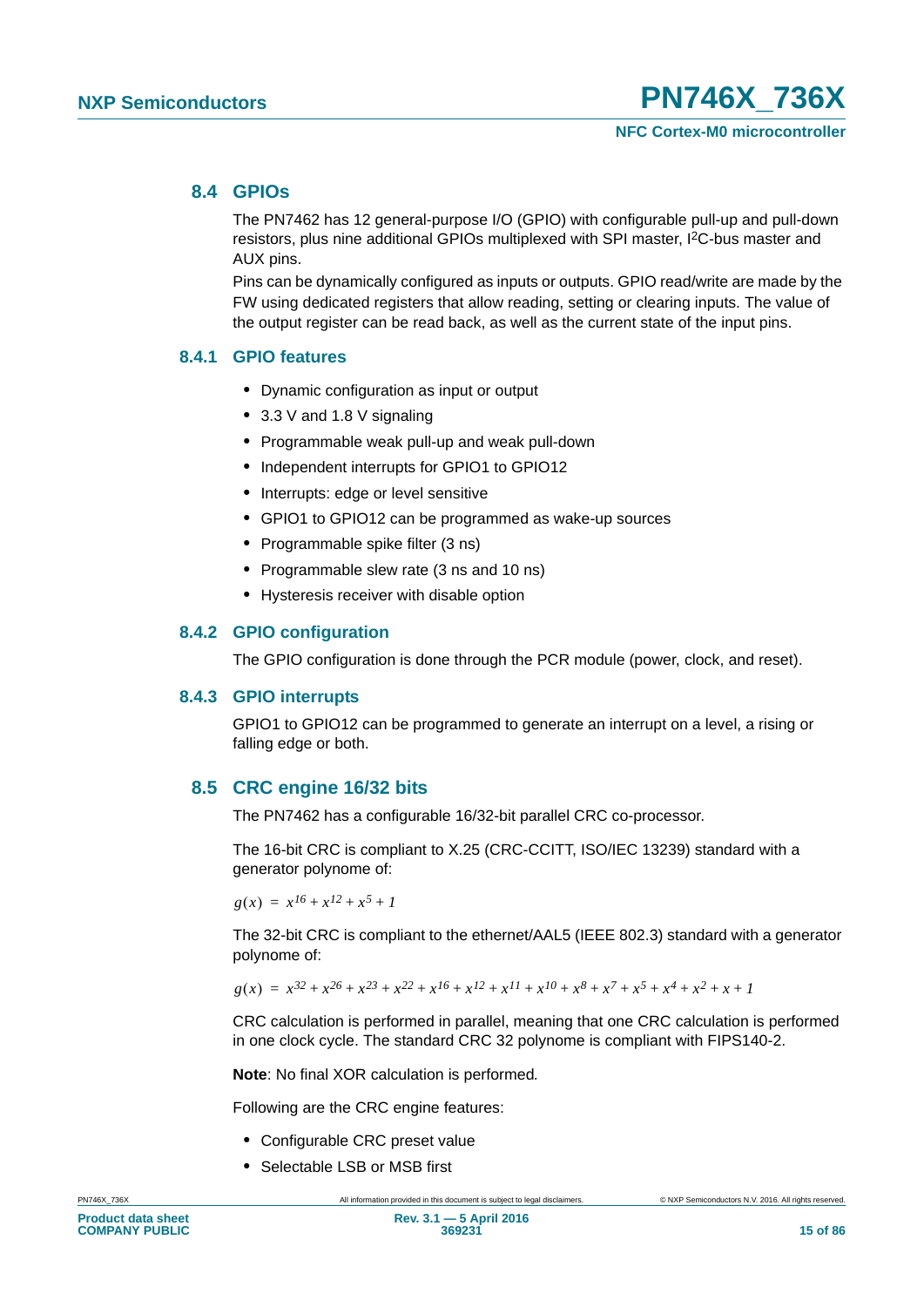### **8.4 GPIOs**

The PN7462 has 12 general-purpose I/O (GPIO) with configurable pull-up and pull-down resistors, plus nine additional GPIOs multiplexed with SPI master, I2C-bus master and AUX pins.

Pins can be dynamically configured as inputs or outputs. GPIO read/write are made by the FW using dedicated registers that allow reading, setting or clearing inputs. The value of the output register can be read back, as well as the current state of the input pins.

### **8.4.1 GPIO features**

- **•** Dynamic configuration as input or output
- **•** 3.3 V and 1.8 V signaling
- **•** Programmable weak pull-up and weak pull-down
- **•** Independent interrupts for GPIO1 to GPIO12
- **•** Interrupts: edge or level sensitive
- **•** GPIO1 to GPIO12 can be programmed as wake-up sources
- **•** Programmable spike filter (3 ns)
- **•** Programmable slew rate (3 ns and 10 ns)
- **•** Hysteresis receiver with disable option

#### **8.4.2 GPIO configuration**

The GPIO configuration is done through the PCR module (power, clock, and reset).

#### **8.4.3 GPIO interrupts**

GPIO1 to GPIO12 can be programmed to generate an interrupt on a level, a rising or falling edge or both.

### **8.5 CRC engine 16/32 bits**

The PN7462 has a configurable 16/32-bit parallel CRC co-processor.

The 16-bit CRC is compliant to X.25 (CRC-CCITT, ISO/IEC 13239) standard with a generator polynome of:

 $g(x) = x^{16} + x^{12} + x^5 + 1$ 

The 32-bit CRC is compliant to the ethernet/AAL5 (IEEE 802.3) standard with a generator polynome of:

 $g(x) = x^{32} + x^{26} + x^{23} + x^{22} + x^{16} + x^{12} + x^{11} + x^{10} + x^8 + x^7 + x^5 + x^4 + x^2 + x + 1$ 

CRC calculation is performed in parallel, meaning that one CRC calculation is performed in one clock cycle. The standard CRC 32 polynome is compliant with FIPS140-2.

**Note**: No final XOR calculation is performed*.*

Following are the CRC engine features:

- **•** Configurable CRC preset value
- **•** Selectable LSB or MSB first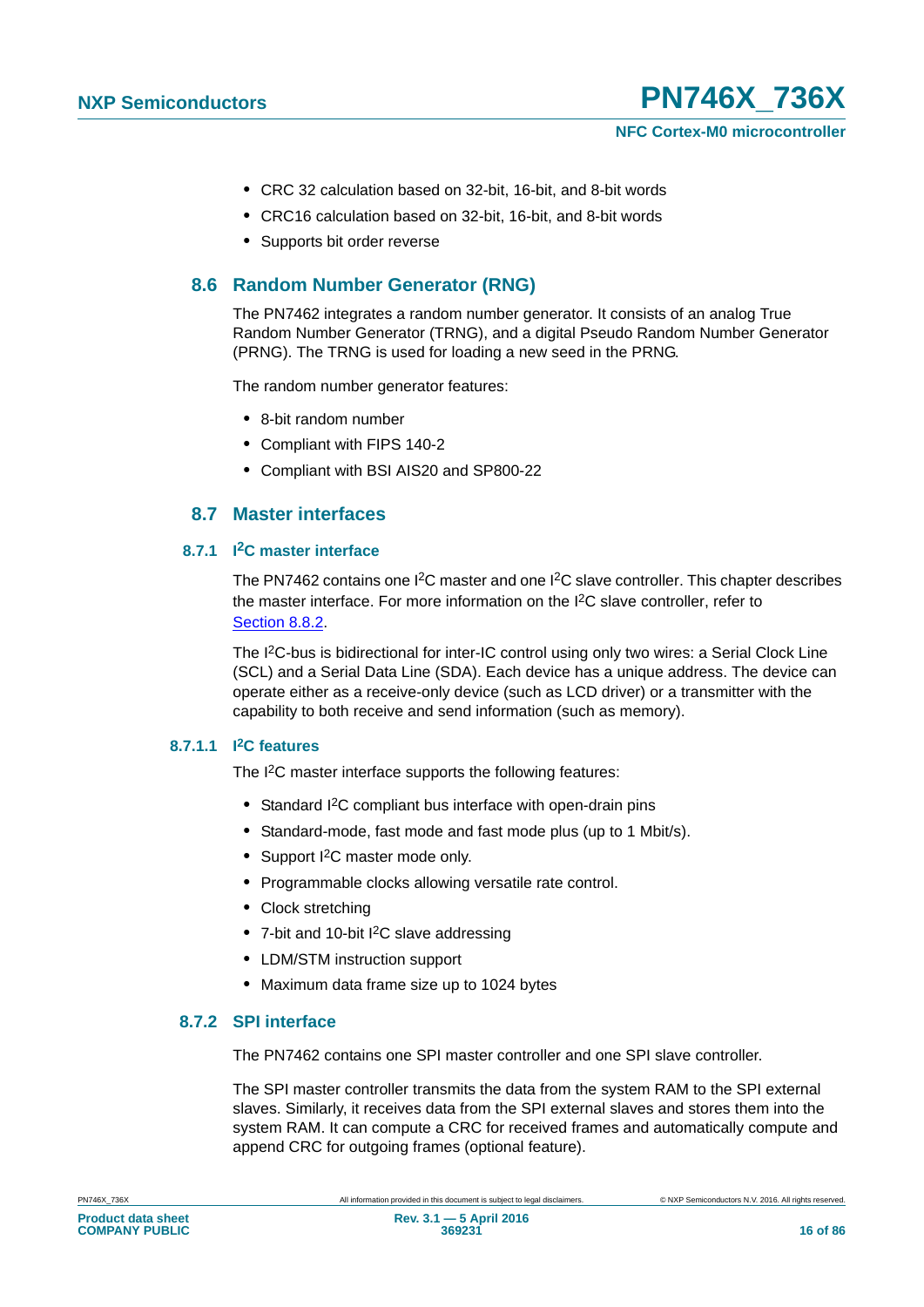

- **•** CRC 32 calculation based on 32-bit, 16-bit, and 8-bit words
- **•** CRC16 calculation based on 32-bit, 16-bit, and 8-bit words
- **•** Supports bit order reverse

### **8.6 Random Number Generator (RNG)**

The PN7462 integrates a random number generator. It consists of an analog True Random Number Generator (TRNG), and a digital Pseudo Random Number Generator (PRNG). The TRNG is used for loading a new seed in the PRNG.

The random number generator features:

- **•** 8-bit random number
- **•** Compliant with FIPS 140-2
- **•** Compliant with BSI AIS20 and SP800-22

### **8.7 Master interfaces**

#### <span id="page-15-0"></span>**8.7.1 I2C master interface**

The PN7462 contains one I<sup>2</sup>C master and one I<sup>2</sup>C slave controller. This chapter describes the master interface. For more information on the I2C slave controller, refer to [Section 8.8.2](#page-17-0).

The I<sup>2</sup>C-bus is bidirectional for inter-IC control using only two wires: a Serial Clock Line (SCL) and a Serial Data Line (SDA). Each device has a unique address. The device can operate either as a receive-only device (such as LCD driver) or a transmitter with the capability to both receive and send information (such as memory).

#### **8.7.1.1 I2C features**

The I<sup>2</sup>C master interface supports the following features:

- **•** Standard I2C compliant bus interface with open-drain pins
- **•** Standard-mode, fast mode and fast mode plus (up to 1 Mbit/s).
- **•** Support I2C master mode only.
- **•** Programmable clocks allowing versatile rate control.
- **•** Clock stretching
- **•** 7-bit and 10-bit I2C slave addressing
- **•** LDM/STM instruction support
- **•** Maximum data frame size up to 1024 bytes

#### **8.7.2 SPI interface**

The PN7462 contains one SPI master controller and one SPI slave controller.

The SPI master controller transmits the data from the system RAM to the SPI external slaves. Similarly, it receives data from the SPI external slaves and stores them into the system RAM. It can compute a CRC for received frames and automatically compute and append CRC for outgoing frames (optional feature).

**Product data sheet COMPANY PUBLIC**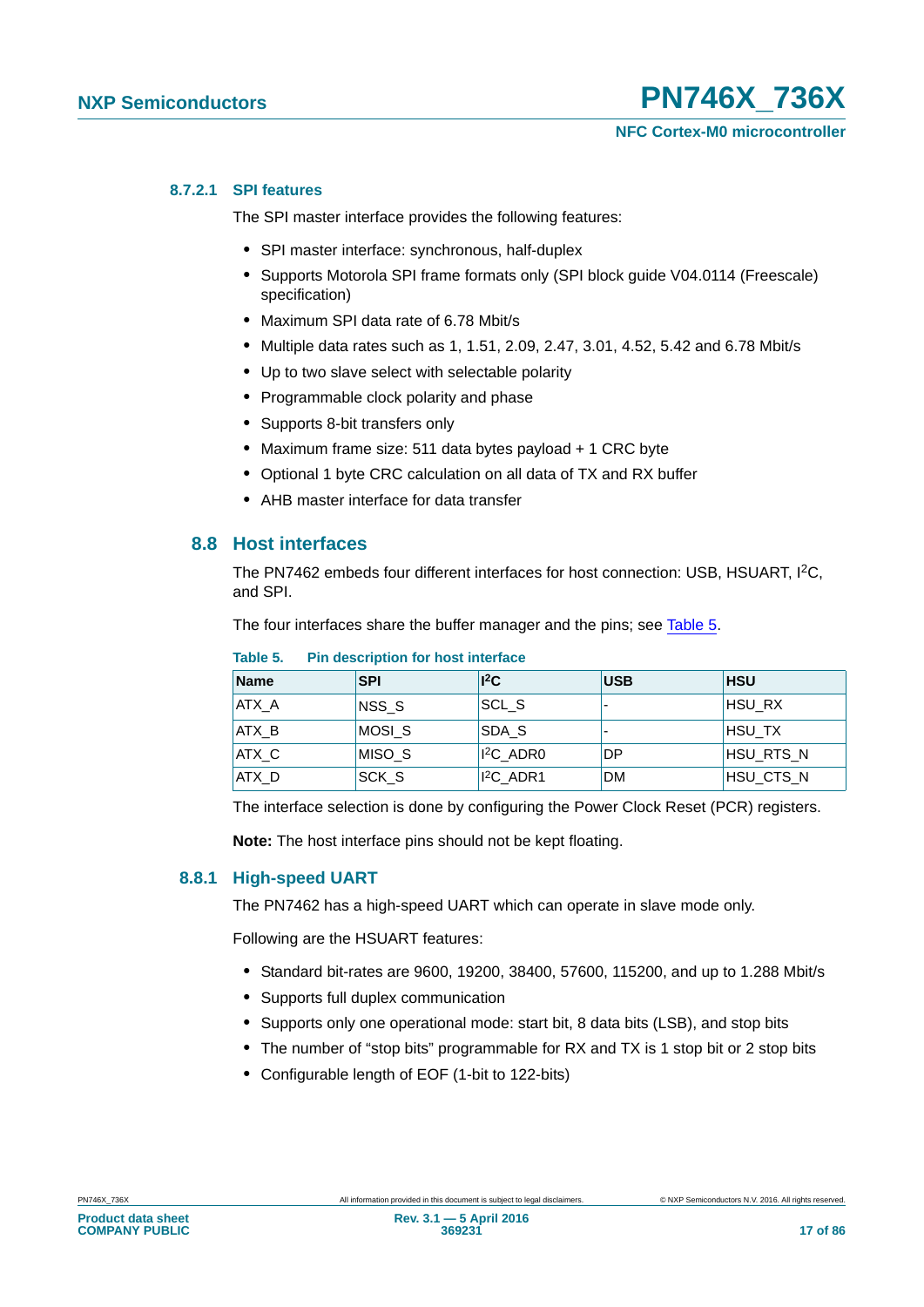#### **8.7.2.1 SPI features**

The SPI master interface provides the following features:

- **•** SPI master interface: synchronous, half-duplex
- **•** Supports Motorola SPI frame formats only (SPI block guide V04.0114 (Freescale) specification)
- **•** Maximum SPI data rate of 6.78 Mbit/s
- **•** Multiple data rates such as 1, 1.51, 2.09, 2.47, 3.01, 4.52, 5.42 and 6.78 Mbit/s
- **•** Up to two slave select with selectable polarity
- **•** Programmable clock polarity and phase
- **•** Supports 8-bit transfers only
- **•** Maximum frame size: 511 data bytes payload + 1 CRC byte
- **•** Optional 1 byte CRC calculation on all data of TX and RX buffer
- **•** AHB master interface for data transfer

#### **8.8 Host interfaces**

The PN7462 embeds four different interfaces for host connection: USB, HSUART, I2C, and SPI.

The four interfaces share the buffer manager and the pins; see [Table 5](#page-16-0).

| <b>Name</b> | <b>SPI</b>       | ${}^{12}C$       | <b>USB</b>               | <b>HSU</b> |
|-------------|------------------|------------------|--------------------------|------------|
| ATX A       | NSS <sub>S</sub> | SCL <sub>S</sub> | $\overline{\phantom{0}}$ | HSU RX     |
| ATX B       | MOSI S           | SDA S            | $\overline{\phantom{0}}$ | ⊪HSU TX    |
| ATX C       | MISO S           | $I^2C$ ADR0      | DP                       | HSU_RTS_N  |
| ATX D       | <b>SCK S</b>     | $I^2C$ ADR1      | <b>DM</b>                | HSU CTS N  |

#### <span id="page-16-0"></span>**Table 5. Pin description for host interface**

The interface selection is done by configuring the Power Clock Reset (PCR) registers.

**Note:** The host interface pins should not be kept floating.

#### **8.8.1 High-speed UART**

The PN7462 has a high-speed UART which can operate in slave mode only.

Following are the HSUART features:

- **•** Standard bit-rates are 9600, 19200, 38400, 57600, 115200, and up to 1.288 Mbit/s
- **•** Supports full duplex communication
- **•** Supports only one operational mode: start bit, 8 data bits (LSB), and stop bits
- **•** The number of "stop bits" programmable for RX and TX is 1 stop bit or 2 stop bits
- **•** Configurable length of EOF (1-bit to 122-bits)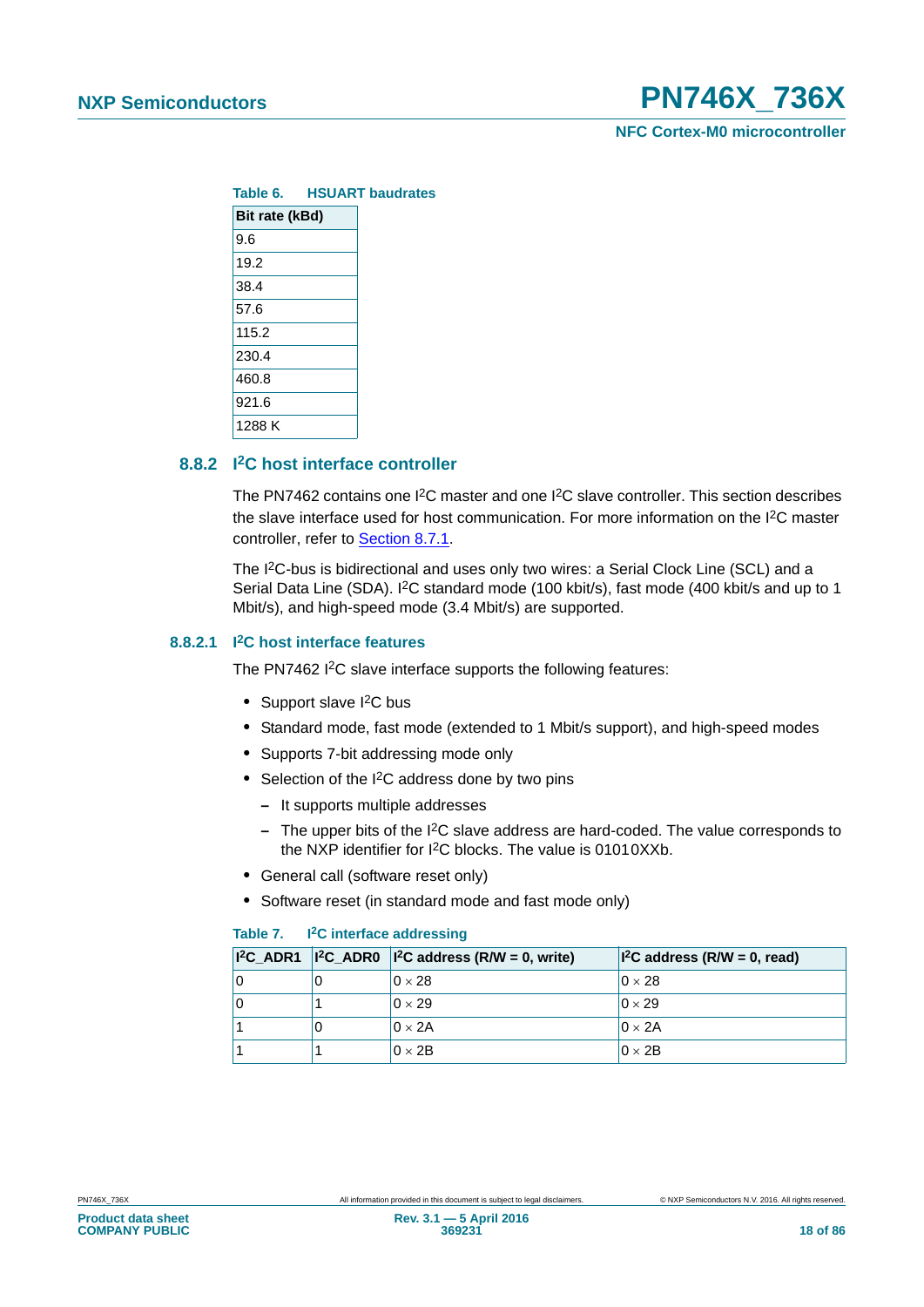

|        |                | Table 6. HSUART baudrates |  |  |
|--------|----------------|---------------------------|--|--|
|        | Bit rate (kBd) |                           |  |  |
| 9.6    |                |                           |  |  |
| 19.2   |                |                           |  |  |
| 38.4   |                |                           |  |  |
| 57.6   |                |                           |  |  |
| 115.2  |                |                           |  |  |
| 230.4  |                |                           |  |  |
| 460.8  |                |                           |  |  |
| 921.6  |                |                           |  |  |
| 1288 K |                |                           |  |  |

### <span id="page-17-0"></span>**8.8.2 I2C host interface controller**

The PN7462 contains one I2C master and one I2C slave controller. This section describes the slave interface used for host communication. For more information on the I2C master controller, refer to [Section 8.7.1.](#page-15-0)

The I2C-bus is bidirectional and uses only two wires: a Serial Clock Line (SCL) and a Serial Data Line (SDA). I<sup>2</sup>C standard mode (100 kbit/s), fast mode (400 kbit/s and up to 1 Mbit/s), and high-speed mode (3.4 Mbit/s) are supported.

#### **8.8.2.1 I2C host interface features**

The PN7462 I<sup>2</sup>C slave interface supports the following features:

- Support slave I<sup>2</sup>C bus
- **•** Standard mode, fast mode (extended to 1 Mbit/s support), and high-speed modes
- **•** Supports 7-bit addressing mode only
- Selection of the I<sup>2</sup>C address done by two pins
	- **–** It supports multiple addresses
	- **–** The upper bits of the I2C slave address are hard-coded. The value corresponds to the NXP identifier for I2C blocks. The value is 01010XXb.
- **•** General call (software reset only)
- **•** Software reset (in standard mode and fast mode only)

#### **Table 7. I2C interface addressing**

|  | $ {}^{2}C$ ADR1 $ {}^{12}C$ ADR0 $ {}^{12}C$ address (R/W = 0, write) | $ I^2C$ address (R/W = 0, read) |
|--|-----------------------------------------------------------------------|---------------------------------|
|  | $0 \times 28$                                                         | $0 \times 28$                   |
|  | $0 \times 29$                                                         | $0 \times 29$                   |
|  | $0 \times 2A$                                                         | $0 \times 2A$                   |
|  | $0 \times 2B$                                                         | $0 \times 2B$                   |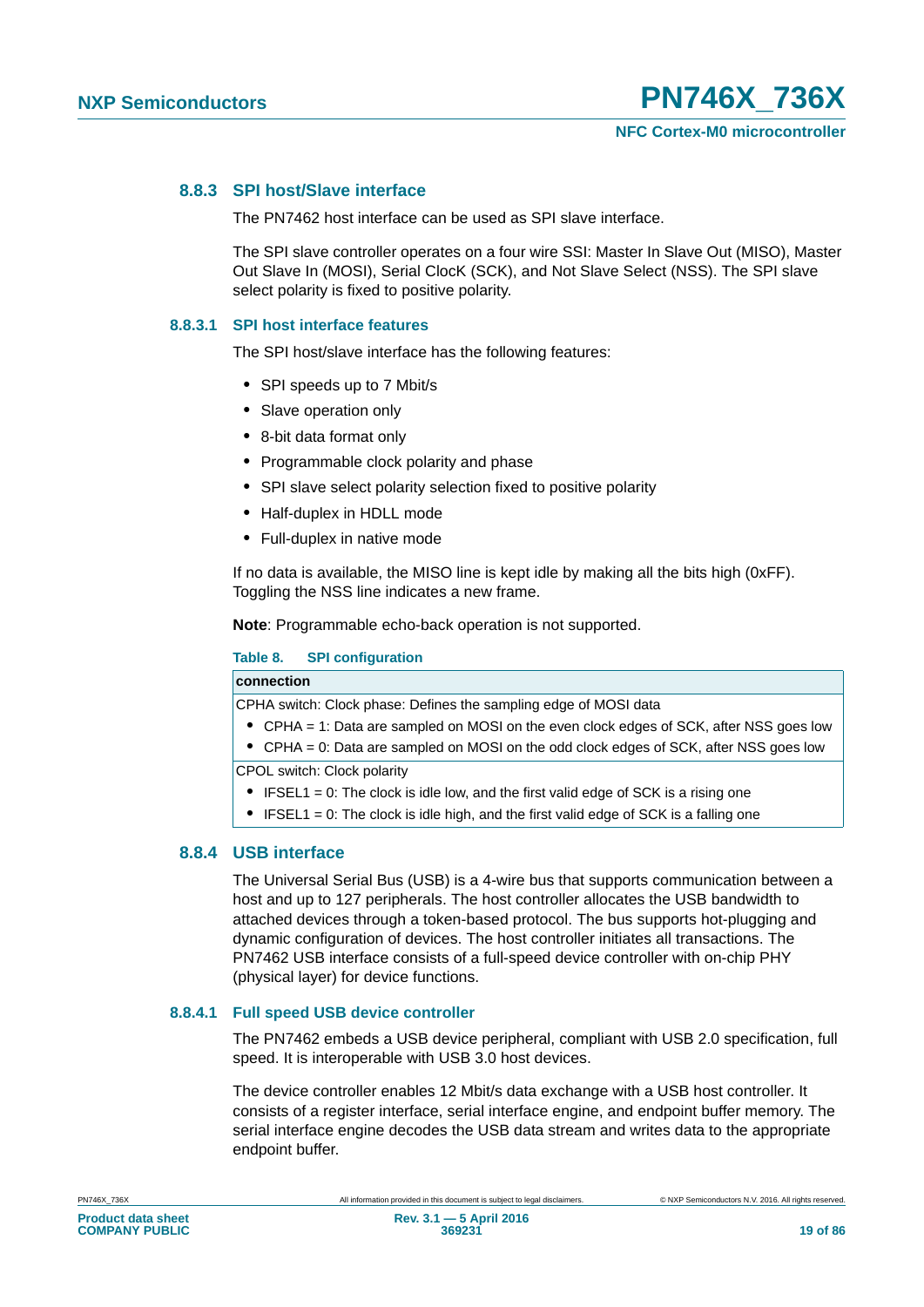#### **8.8.3 SPI host/Slave interface**

The PN7462 host interface can be used as SPI slave interface.

The SPI slave controller operates on a four wire SSI: Master In Slave Out (MISO), Master Out Slave In (MOSI), Serial ClocK (SCK), and Not Slave Select (NSS). The SPI slave select polarity is fixed to positive polarity.

#### **8.8.3.1 SPI host interface features**

The SPI host/slave interface has the following features:

- **•** SPI speeds up to 7 Mbit/s
- **•** Slave operation only
- **•** 8-bit data format only
- **•** Programmable clock polarity and phase
- **•** SPI slave select polarity selection fixed to positive polarity
- **•** Half-duplex in HDLL mode
- **•** Full-duplex in native mode

If no data is available, the MISO line is kept idle by making all the bits high (0xFF). Toggling the NSS line indicates a new frame.

**Note**: Programmable echo-back operation is not supported.

#### **Table 8. SPI configuration**

#### **connection**

CPHA switch: Clock phase: Defines the sampling edge of MOSI data

- **•** CPHA = 1: Data are sampled on MOSI on the even clock edges of SCK, after NSS goes low
- **•** CPHA = 0: Data are sampled on MOSI on the odd clock edges of SCK, after NSS goes low

CPOL switch: Clock polarity

- **•** IFSEL1 = 0: The clock is idle low, and the first valid edge of SCK is a rising one
- **•** IFSEL1 = 0: The clock is idle high, and the first valid edge of SCK is a falling one

#### **8.8.4 USB interface**

The Universal Serial Bus (USB) is a 4-wire bus that supports communication between a host and up to 127 peripherals. The host controller allocates the USB bandwidth to attached devices through a token-based protocol. The bus supports hot-plugging and dynamic configuration of devices. The host controller initiates all transactions. The PN7462 USB interface consists of a full-speed device controller with on-chip PHY (physical layer) for device functions.

#### **8.8.4.1 Full speed USB device controller**

The PN7462 embeds a USB device peripheral, compliant with USB 2.0 specification, full speed. It is interoperable with USB 3.0 host devices.

The device controller enables 12 Mbit/s data exchange with a USB host controller. It consists of a register interface, serial interface engine, and endpoint buffer memory. The serial interface engine decodes the USB data stream and writes data to the appropriate endpoint buffer.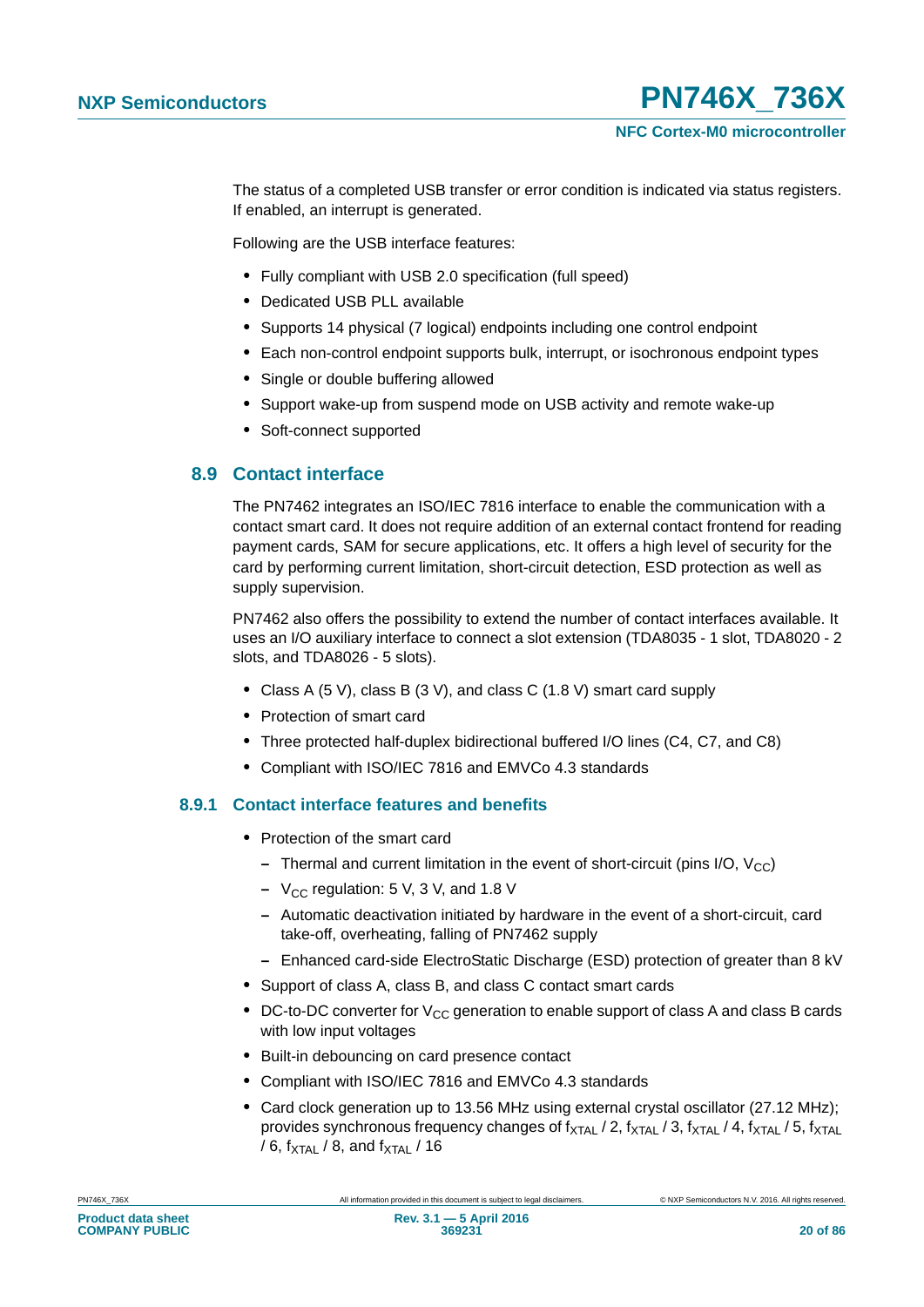The status of a completed USB transfer or error condition is indicated via status registers. If enabled, an interrupt is generated.

Following are the USB interface features:

- **•** Fully compliant with USB 2.0 specification (full speed)
- **•** Dedicated USB PLL available
- **•** Supports 14 physical (7 logical) endpoints including one control endpoint
- **•** Each non-control endpoint supports bulk, interrupt, or isochronous endpoint types
- **•** Single or double buffering allowed
- **•** Support wake-up from suspend mode on USB activity and remote wake-up
- **•** Soft-connect supported

### **8.9 Contact interface**

The PN7462 integrates an ISO/IEC 7816 interface to enable the communication with a contact smart card. It does not require addition of an external contact frontend for reading payment cards, SAM for secure applications, etc. It offers a high level of security for the card by performing current limitation, short-circuit detection, ESD protection as well as supply supervision.

PN7462 also offers the possibility to extend the number of contact interfaces available. It uses an I/O auxiliary interface to connect a slot extension (TDA8035 - 1 slot, TDA8020 - 2 slots, and TDA8026 - 5 slots).

- **•** Class A (5 V), class B (3 V), and class C (1.8 V) smart card supply
- **•** Protection of smart card
- **•** Three protected half-duplex bidirectional buffered I/O lines (C4, C7, and C8)
- **•** Compliant with ISO/IEC 7816 and EMVCo 4.3 standards

### **8.9.1 Contact interface features and benefits**

- **•** Protection of the smart card
	- **–** Thermal and current limitation in the event of short-circuit (pins I/O,  $V_{CC}$ )
	- $-$  V<sub>CC</sub> regulation: 5 V, 3 V, and 1.8 V
	- **–** Automatic deactivation initiated by hardware in the event of a short-circuit, card take-off, overheating, falling of PN7462 supply
	- **–** Enhanced card-side ElectroStatic Discharge (ESD) protection of greater than 8 kV
- **•** Support of class A, class B, and class C contact smart cards
- DC-to-DC converter for V<sub>CC</sub> generation to enable support of class A and class B cards with low input voltages
- **•** Built-in debouncing on card presence contact
- **•** Compliant with ISO/IEC 7816 and EMVCo 4.3 standards
- **•** Card clock generation up to 13.56 MHz using external crystal oscillator (27.12 MHz); provides synchronous frequency changes of  $f_{\text{XTAL}}$  / 2,  $f_{\text{XTAL}}$  / 3,  $f_{\text{XTAL}}$  / 4,  $f_{\text{XTAL}}$  / 5,  $f_{\text{XTAL}}$ / 6,  $f_{\text{XTAL}}$  / 8, and  $f_{\text{XTAL}}$  / 16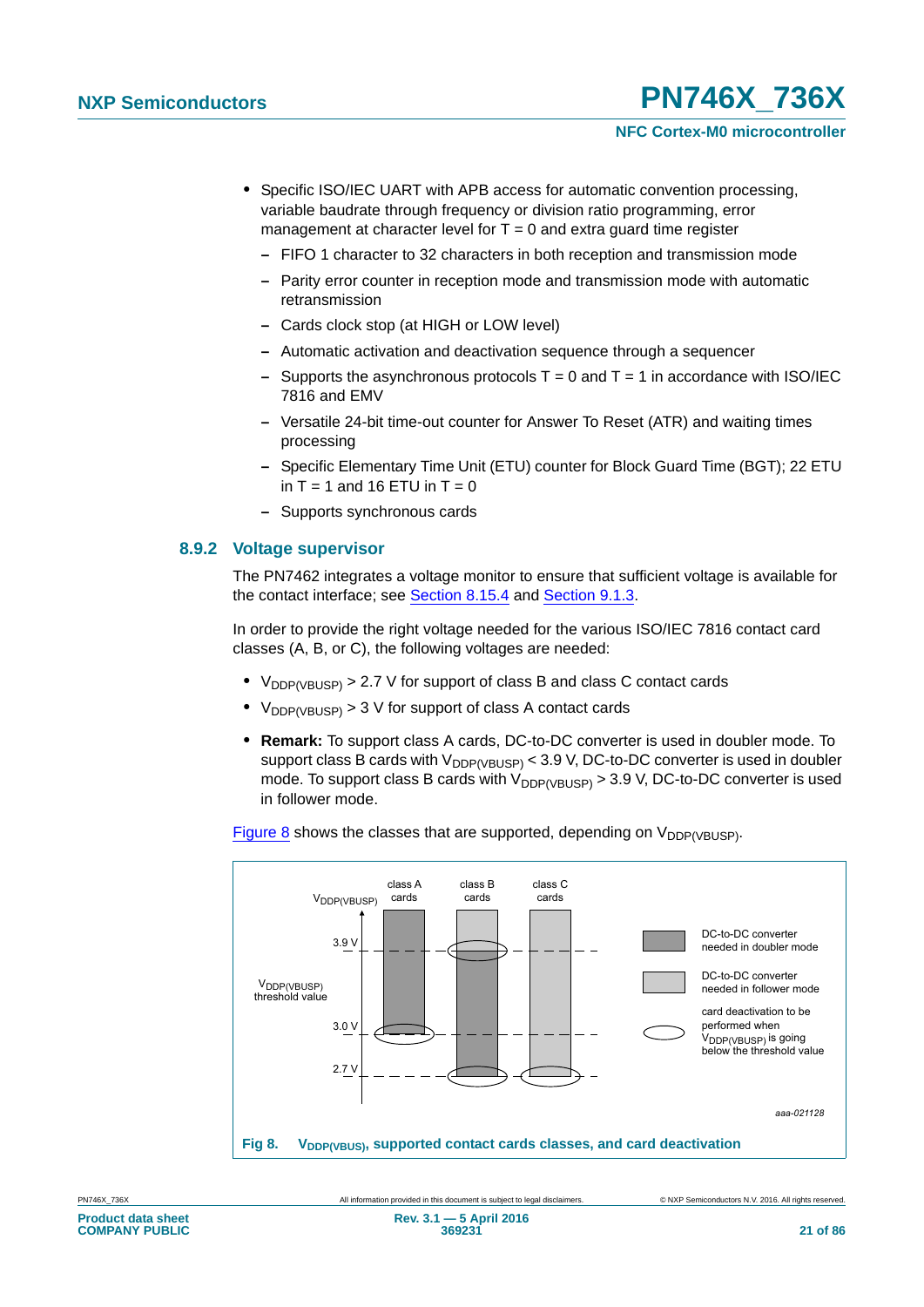- **•** Specific ISO/IEC UART with APB access for automatic convention processing, variable baudrate through frequency or division ratio programming, error management at character level for  $T = 0$  and extra guard time register
	- **–** FIFO 1 character to 32 characters in both reception and transmission mode
	- **–** Parity error counter in reception mode and transmission mode with automatic retransmission
	- **–** Cards clock stop (at HIGH or LOW level)
	- **–** Automatic activation and deactivation sequence through a sequencer
	- **–** Supports the asynchronous protocols T = 0 and T = 1 in accordance with ISO/IEC 7816 and EMV
	- **–** Versatile 24-bit time-out counter for Answer To Reset (ATR) and waiting times processing
	- **–** Specific Elementary Time Unit (ETU) counter for Block Guard Time (BGT); 22 ETU in  $T = 1$  and 16 ETU in  $T = 0$
	- **–** Supports synchronous cards

#### **8.9.2 Voltage supervisor**

The PN7462 integrates a voltage monitor to ensure that sufficient voltage is available for the contact interface; see [Section 8.15.4](#page-44-0) and [Section 9.1.3.](#page-49-0)

In order to provide the right voltage needed for the various ISO/IEC 7816 contact card classes (A, B, or C), the following voltages are needed:

- $V_{\text{DDP(VRIISP)}} > 2.7$  V for support of class B and class C contact cards
- $V_{\text{DDP(VBUSP)}} > 3$  V for support of class A contact cards
- **• Remark:** To support class A cards, DC-to-DC converter is used in doubler mode. To support class B cards with  $V_{DDP(VBUSP)}$  < 3.9 V, DC-to-DC converter is used in doubler mode. To support class B cards with  $V_{\text{DDP(VBUSP)}} > 3.9$  V, DC-to-DC converter is used in follower mode.

[Figure 8](#page-20-0) shows the classes that are supported, depending on  $V_{DDP(VBUSP)}$ .

<span id="page-20-0"></span>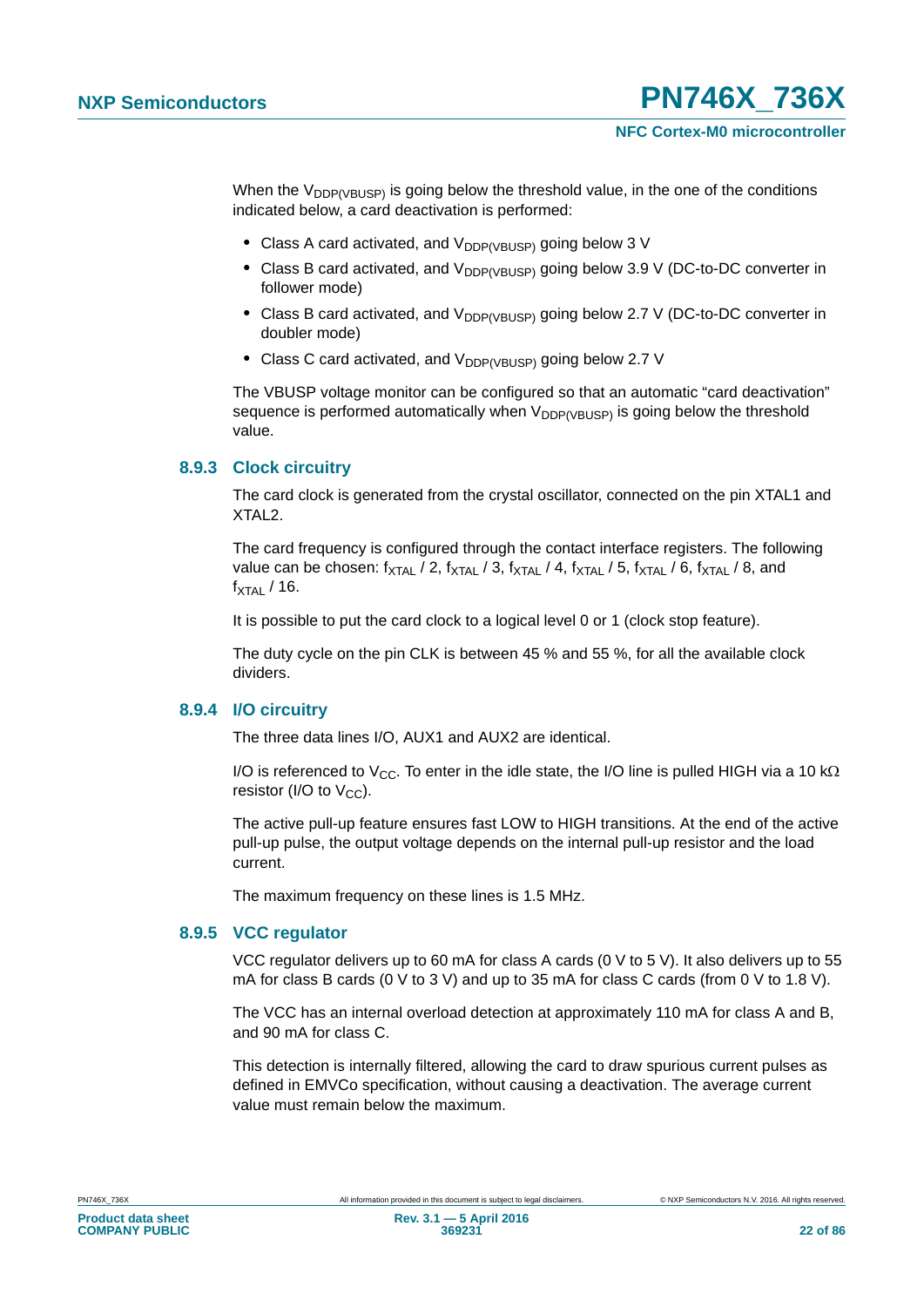When the  $V_{\text{DDP(VBUSP)}}$  is going below the threshold value, in the one of the conditions indicated below, a card deactivation is performed:

- Class A card activated, and V<sub>DDP(VBUSP)</sub> going below 3 V
- Class B card activated, and V<sub>DDP(VBUSP)</sub> going below 3.9 V (DC-to-DC converter in follower mode)
- Class B card activated, and V<sub>DDP(VBUSP)</sub> going below 2.7 V (DC-to-DC converter in doubler mode)
- Class C card activated, and V<sub>DDP(VBUSP)</sub> going below 2.7 V

The VBUSP voltage monitor can be configured so that an automatic "card deactivation" sequence is performed automatically when  $V_{DDP(VBUSP)}$  is going below the threshold value.

#### **8.9.3 Clock circuitry**

The card clock is generated from the crystal oscillator, connected on the pin XTAL1 and XTAL2.

The card frequency is configured through the contact interface registers. The following value can be chosen:  $f_{\text{XTAL}}$  / 2,  $f_{\text{XTAL}}$  / 3,  $f_{\text{XTAL}}$  / 4,  $f_{\text{XTAL}}$  / 5,  $f_{\text{XTAL}}$  / 6,  $f_{\text{XTAL}}$  / 8, and  $f_{\text{XTAI}}$  / 16.

It is possible to put the card clock to a logical level 0 or 1 (clock stop feature).

The duty cycle on the pin CLK is between 45 % and 55 %, for all the available clock dividers.

#### **8.9.4 I/O circuitry**

The three data lines I/O, AUX1 and AUX2 are identical.

I/O is referenced to V<sub>CC</sub>. To enter in the idle state, the I/O line is pulled HIGH via a 10 k $\Omega$ resistor (I/O to  $V_{CC}$ ).

The active pull-up feature ensures fast LOW to HIGH transitions. At the end of the active pull-up pulse, the output voltage depends on the internal pull-up resistor and the load current.

The maximum frequency on these lines is 1.5 MHz.

#### **8.9.5 VCC regulator**

VCC regulator delivers up to 60 mA for class A cards (0 V to 5 V). It also delivers up to 55 mA for class B cards (0 V to 3 V) and up to 35 mA for class C cards (from 0 V to 1.8 V).

The VCC has an internal overload detection at approximately 110 mA for class A and B, and 90 mA for class C.

This detection is internally filtered, allowing the card to draw spurious current pulses as defined in EMVCo specification, without causing a deactivation. The average current value must remain below the maximum.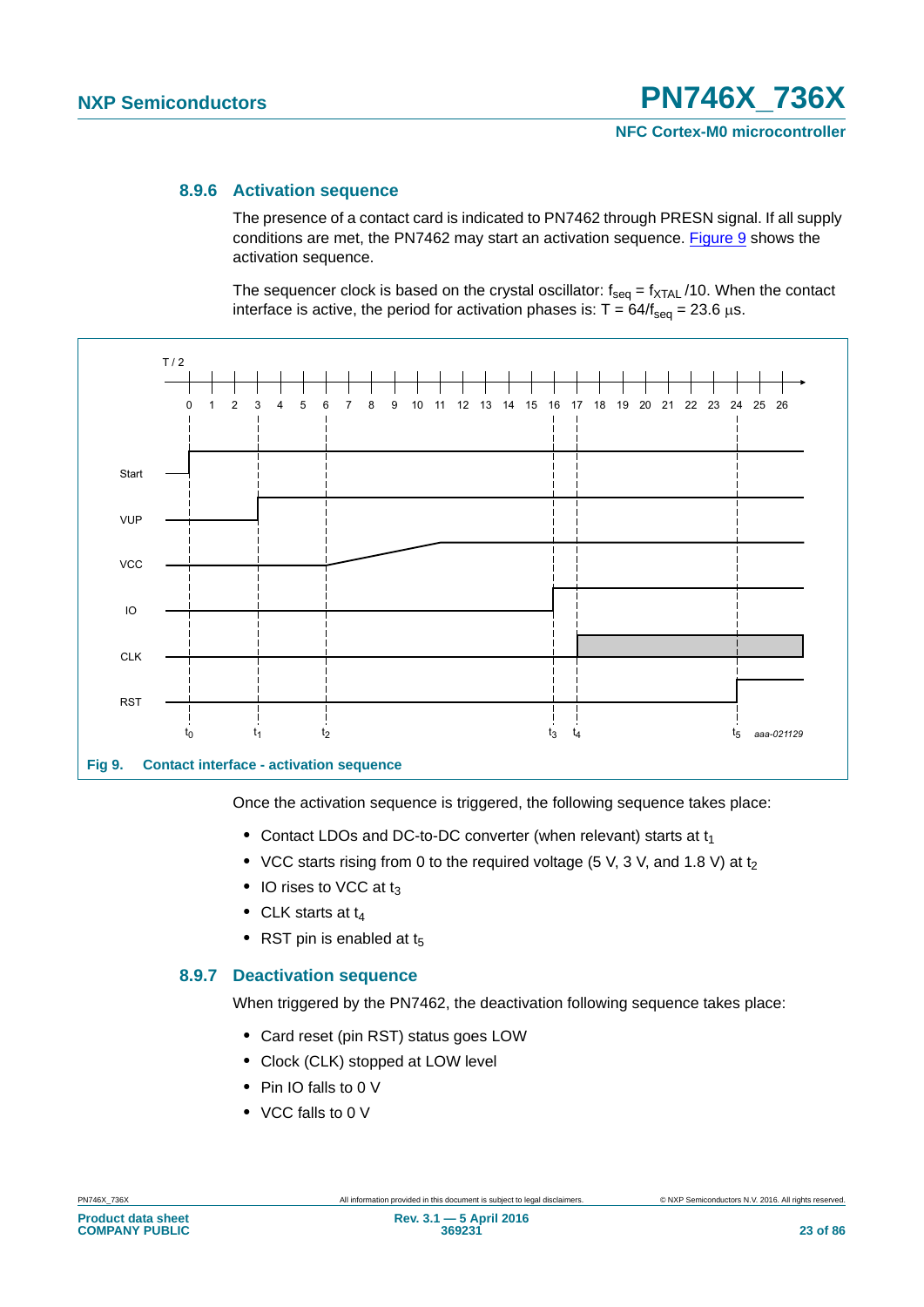#### **8.9.6 Activation sequence**

The presence of a contact card is indicated to PN7462 through PRESN signal. If all supply conditions are met, the PN7462 may start an activation sequence. [Figure 9](#page-22-0) shows the activation sequence.

The sequencer clock is based on the crystal oscillator:  $f_{seq} = f_{XTAL}$  /10. When the contact interface is active, the period for activation phases is:  $T = 64/f_{\text{seq}} = 23.6 \,\mu s$ .



<span id="page-22-0"></span>**Fig 9. Contact interface - activation sequence**

Once the activation sequence is triggered, the following sequence takes place:

- Contact LDOs and DC-to-DC converter (when relevant) starts at t<sub>1</sub>
- VCC starts rising from 0 to the required voltage (5 V, 3 V, and 1.8 V) at t<sub>2</sub>
- IO rises to VCC at t<sub>3</sub>
- CLK starts at t<sub>4</sub>
- RST pin is enabled at t<sub>5</sub>

#### **8.9.7 Deactivation sequence**

When triggered by the PN7462, the deactivation following sequence takes place:

- **•** Card reset (pin RST) status goes LOW
- **•** Clock (CLK) stopped at LOW level
- **•** Pin IO falls to 0 V
- **•** VCC falls to 0 V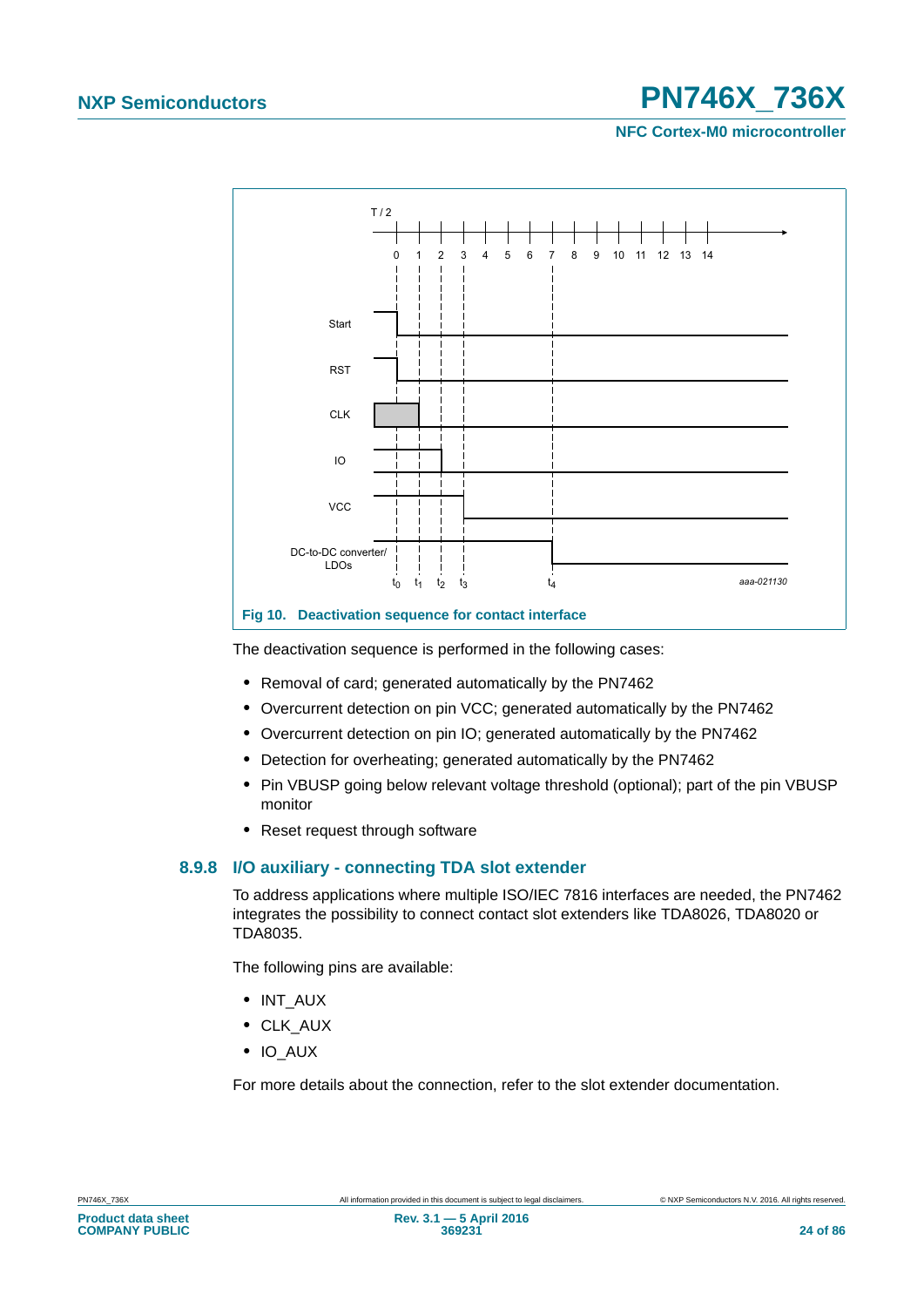**NFC Cortex-M0 microcontroller**



The deactivation sequence is performed in the following cases:

- **•** Removal of card; generated automatically by the PN7462
- **•** Overcurrent detection on pin VCC; generated automatically by the PN7462
- **•** Overcurrent detection on pin IO; generated automatically by the PN7462
- **•** Detection for overheating; generated automatically by the PN7462
- **•** Pin VBUSP going below relevant voltage threshold (optional); part of the pin VBUSP monitor
- **•** Reset request through software

#### **8.9.8 I/O auxiliary - connecting TDA slot extender**

To address applications where multiple ISO/IEC 7816 interfaces are needed, the PN7462 integrates the possibility to connect contact slot extenders like TDA8026, TDA8020 or TDA8035.

The following pins are available:

- **•** INT\_AUX
- **•** CLK\_AUX
- **•** IO\_AUX

For more details about the connection, refer to the slot extender documentation.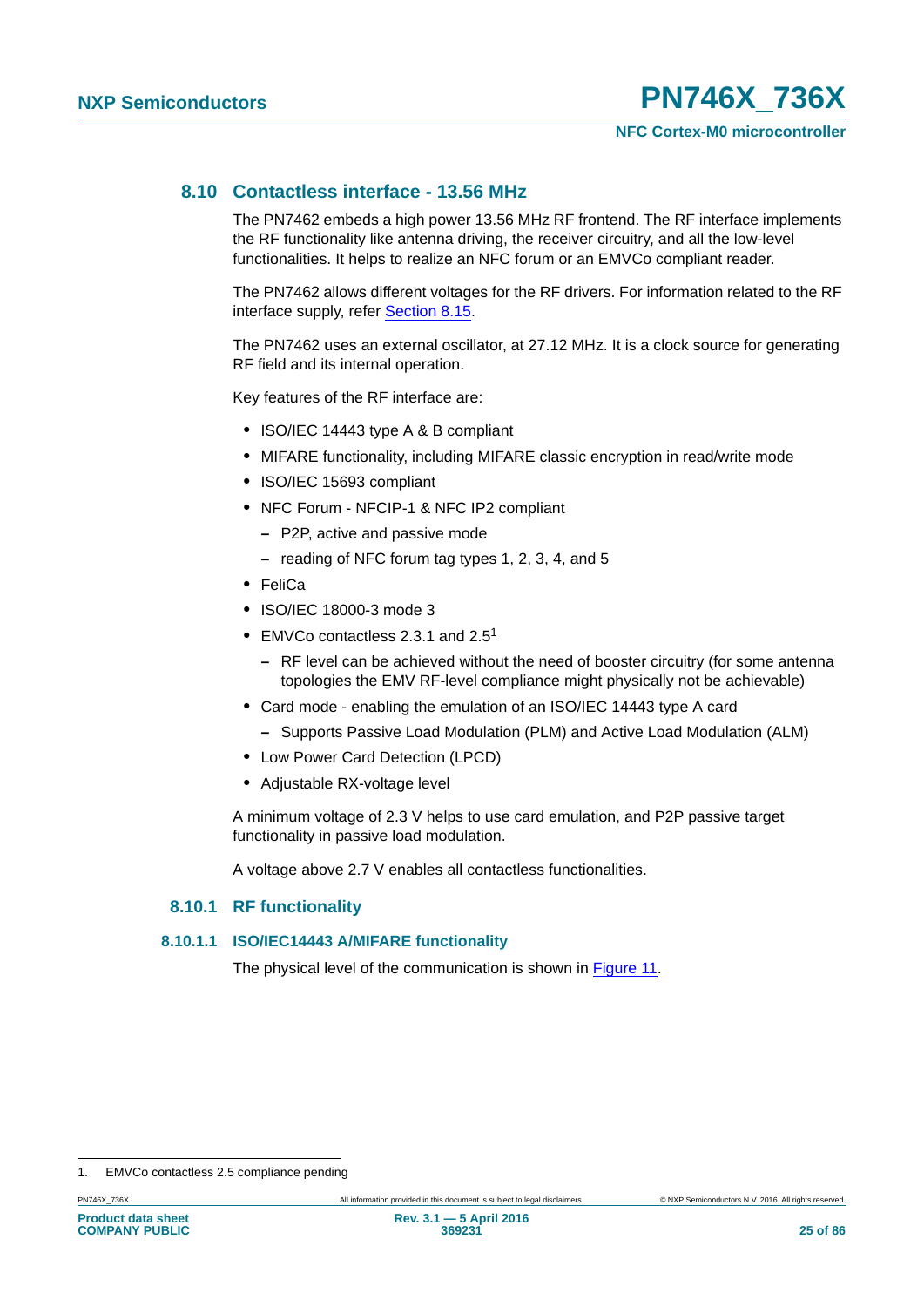### **8.10 Contactless interface - 13.56 MHz**

The PN7462 embeds a high power 13.56 MHz RF frontend. The RF interface implements the RF functionality like antenna driving, the receiver circuitry, and all the low-level functionalities. It helps to realize an NFC forum or an EMVCo compliant reader.

The PN7462 allows different voltages for the RF drivers. For information related to the RF interface supply, refer [Section 8.15.](#page-38-0)

The PN7462 uses an external oscillator, at 27.12 MHz. It is a clock source for generating RF field and its internal operation.

Key features of the RF interface are:

- **•** ISO/IEC 14443 type A & B compliant
- **•** MIFARE functionality, including MIFARE classic encryption in read/write mode
- **•** ISO/IEC 15693 compliant
- **•** NFC Forum NFCIP-1 & NFC IP2 compliant
	- **–** P2P, active and passive mode
	- **–** reading of NFC forum tag types 1, 2, 3, 4, and 5
- **•** FeliCa
- **•** ISO/IEC 18000-3 mode 3
- **•** EMVCo contactless 2.3.1 and 2.51
	- **–** RF level can be achieved without the need of booster circuitry (for some antenna topologies the EMV RF-level compliance might physically not be achievable)
- **•** Card mode enabling the emulation of an ISO/IEC 14443 type A card
- **–** Supports Passive Load Modulation (PLM) and Active Load Modulation (ALM)
- **•** Low Power Card Detection (LPCD)
- **•** Adjustable RX-voltage level

A minimum voltage of 2.3 V helps to use card emulation, and P2P passive target functionality in passive load modulation.

A voltage above 2.7 V enables all contactless functionalities.

#### **8.10.1 RF functionality**

#### **8.10.1.1 ISO/IEC14443 A/MIFARE functionality**

The physical level of the communication is shown in [Figure 11.](#page-25-0)

<sup>1.</sup> EMVCo contactless 2.5 compliance pending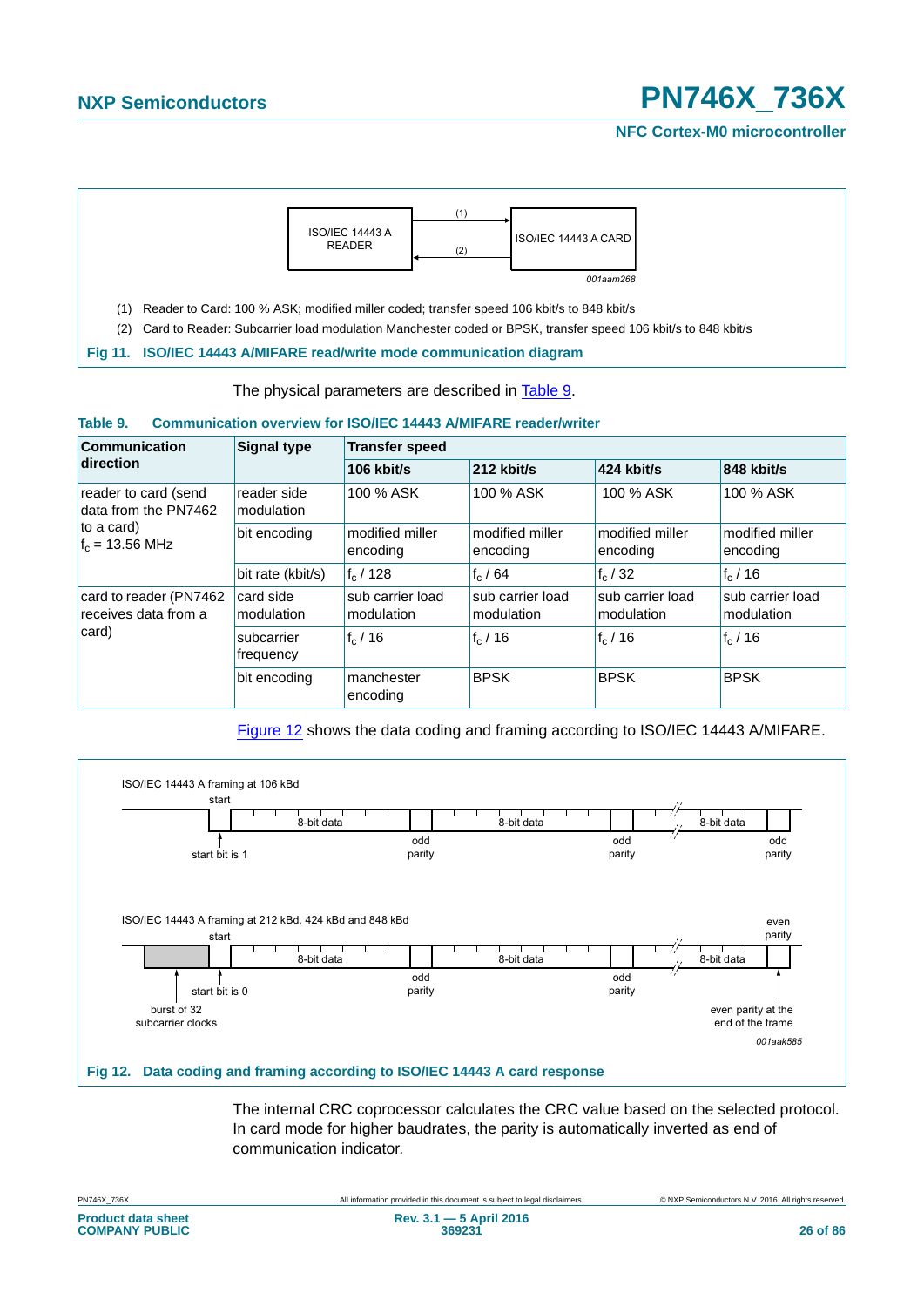**NFC Cortex-M0 microcontroller**



The physical parameters are described in [Table 9](#page-25-1).

#### <span id="page-25-1"></span><span id="page-25-0"></span>**Table 9. Communication overview for ISO/IEC 14443 A/MIFARE reader/writer**

| Communication                                                                   | <b>Signal type</b>        | <b>Transfer speed</b>          |                                |                                |                                |
|---------------------------------------------------------------------------------|---------------------------|--------------------------------|--------------------------------|--------------------------------|--------------------------------|
| direction                                                                       |                           | 106 $k$ bit/s                  | 212 kbit/s                     | $424$ kbit/s                   | 848 kbit/s                     |
| reader to card (send<br>data from the PN7462<br>to a card)<br>$f_c = 13.56$ MHz | reader side<br>modulation | 100 % ASK                      | 100 % ASK                      | 100 % ASK                      | 100 % ASK                      |
|                                                                                 | bit encoding              | modified miller<br>encoding    | modified miller<br>encoding    | modified miller<br>encoding    | modified miller<br>encoding    |
|                                                                                 | bit rate (kbit/s)         | $ f_c $ / 128                  | $f_c/64$                       | $f_c/32$                       | $f_c/16$                       |
| card to reader (PN7462<br>receives data from a<br>card)                         | card side<br>modulation   | sub carrier load<br>modulation | sub carrier load<br>modulation | sub carrier load<br>modulation | sub carrier load<br>modulation |
|                                                                                 | subcarrier<br>frequency   | $f_c/16$                       | $f_c/16$                       | $f_c/16$                       | $f_c/16$                       |
|                                                                                 | bit encoding              | manchester<br>encoding         | <b>BPSK</b>                    | <b>BPSK</b>                    | <b>BPSK</b>                    |

[Figure 12](#page-25-2) shows the data coding and framing according to ISO/IEC 14443 A/MIFARE.



The internal CRC coprocessor calculates the CRC value based on the selected protocol. In card mode for higher baudrates, the parity is automatically inverted as end of communication indicator.

<span id="page-25-2"></span>PN746X\_736X All information provided in this document is subject to legal disclaimers. © NXP Semiconductors N.V. 2016. All rights reserved.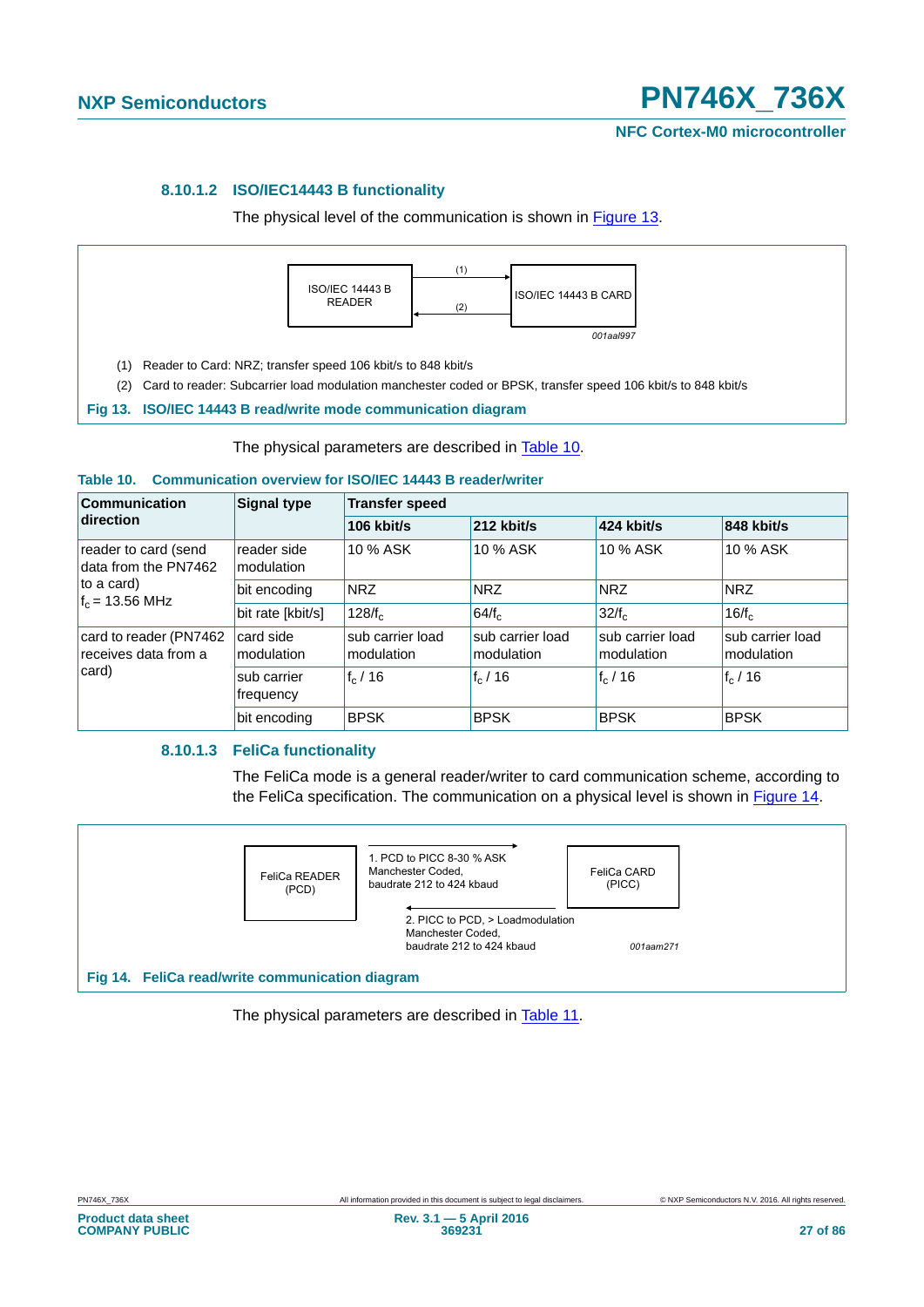#### **8.10.1.2 ISO/IEC14443 B functionality**

The physical level of the communication is shown in [Figure 13](#page-26-0).



The physical parameters are described in [Table 10.](#page-26-1)

#### <span id="page-26-1"></span><span id="page-26-0"></span>**Table 10. Communication overview for ISO/IEC 14443 B reader/writer**

| <b>Communication</b><br>direction                                               | <b>Signal type</b>        | <b>Transfer speed</b>          |                                |                                |                                |  |
|---------------------------------------------------------------------------------|---------------------------|--------------------------------|--------------------------------|--------------------------------|--------------------------------|--|
|                                                                                 |                           | 106 kbit/s                     | $212$ kbit/s                   | 424 kbit/s                     | 848 kbit/s                     |  |
| reader to card (send<br>data from the PN7462<br>to a card)<br>$f_c = 13.56$ MHz | reader side<br>modulation | 10 % ASK                       | 10 % ASK                       | 10 % ASK                       | 10 % ASK                       |  |
|                                                                                 | bit encoding              | <b>NRZ</b>                     | <b>NRZ</b>                     | <b>NRZ</b>                     | <b>NRZ</b>                     |  |
|                                                                                 | bit rate [kbit/s]         | 128/f <sub>c</sub>             | 64/f <sub>c</sub>              | 32/f <sub>c</sub>              | $16/f_c$                       |  |
| card to reader (PN7462<br>receives data from a<br>card)                         | card side<br>modulation   | sub carrier load<br>modulation | sub carrier load<br>modulation | sub carrier load<br>modulation | sub carrier load<br>modulation |  |
|                                                                                 | sub carrier<br>frequency  | $f_c/16$                       | $f_c/16$                       | $f_c/16$                       | $f_c/16$                       |  |
|                                                                                 | bit encoding              | <b>BPSK</b>                    | <b>BPSK</b>                    | <b>BPSK</b>                    | <b>BPSK</b>                    |  |

#### **8.10.1.3 FeliCa functionality**

The FeliCa mode is a general reader/writer to card communication scheme, according to the FeliCa specification. The communication on a physical level is shown in [Figure 14.](#page-26-2)

<span id="page-26-2"></span>

The physical parameters are described in [Table 11](#page-27-0).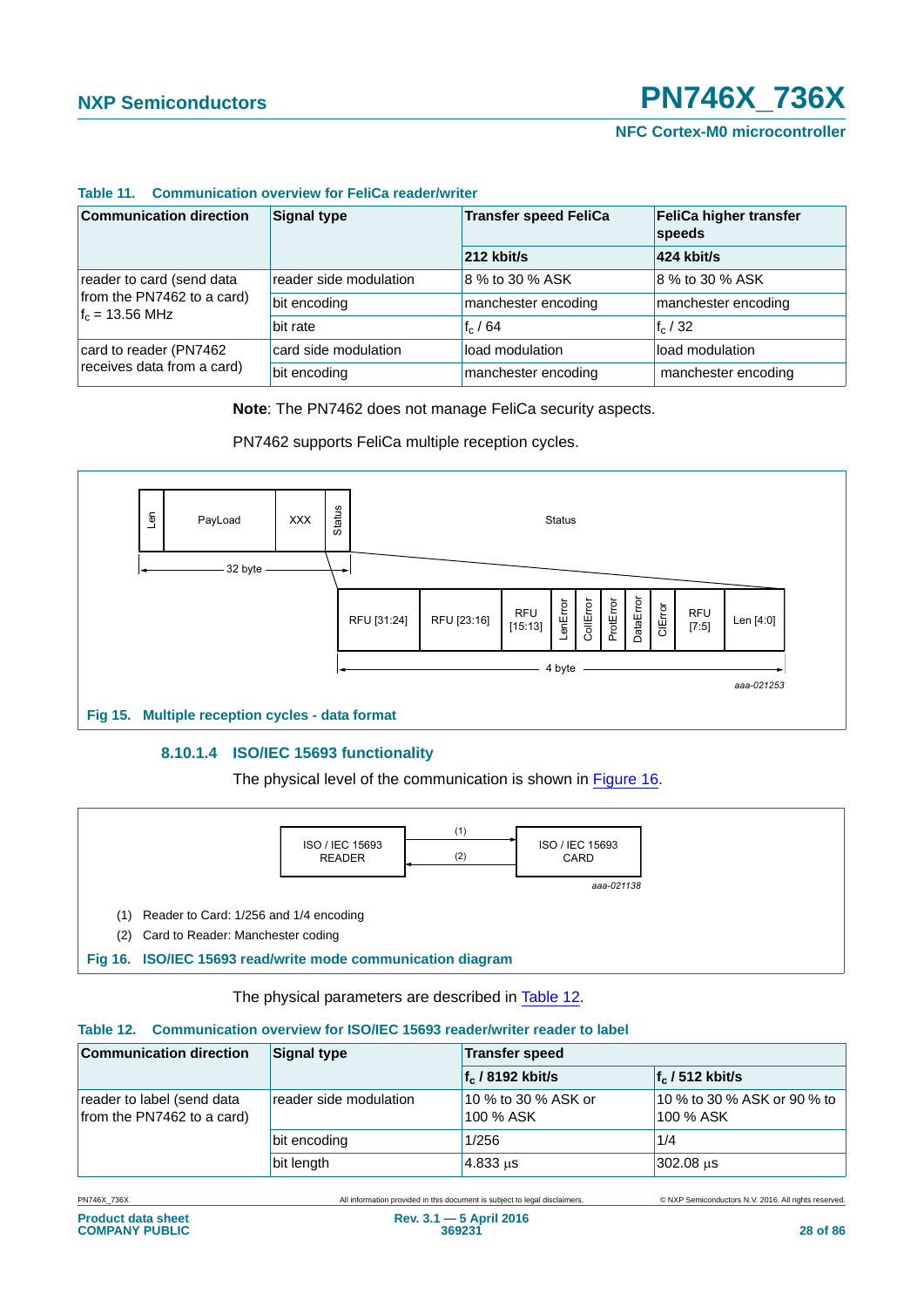**NFC Cortex-M0 microcontroller**

| <b>Communication direction</b>                                                       | <b>Signal type</b>     | <b>Transfer speed FeliCa</b> | FeliCa higher transfer<br>speeds |  |
|--------------------------------------------------------------------------------------|------------------------|------------------------------|----------------------------------|--|
|                                                                                      |                        | $212$ kbit/s                 | 424 kbit/s                       |  |
| reader to card (send data<br>from the PN7462 to a card)<br>$f_c = 13.56 \text{ MHz}$ | reader side modulation | 8 % to 30 % ASK              | 8 % to 30 % ASK                  |  |
|                                                                                      | bit encoding           | manchester encoding          | manchester encoding              |  |
|                                                                                      | bit rate               | $f_c/64$                     | $f_c/32$                         |  |
| card to reader (PN7462<br>receives data from a card)                                 | card side modulation   | load modulation              | load modulation                  |  |
|                                                                                      | bit encoding           | manchester encoding          | manchester encoding              |  |

#### <span id="page-27-0"></span>**Table 11. Communication overview for FeliCa reader/writer**

**Note**: The PN7462 does not manage FeliCa security aspects.

PN7462 supports FeliCa multiple reception cycles.



#### **8.10.1.4 ISO/IEC 15693 functionality**

The physical level of the communication is shown in [Figure 16](#page-27-1).



The physical parameters are described in [Table 12.](#page-27-2)

#### <span id="page-27-2"></span><span id="page-27-1"></span>**Table 12. Communication overview for ISO/IEC 15693 reader/writer reader to label**

| <b>Communication direction</b>                           | <b>Signal type</b>     | <b>Transfer speed</b>            |                                          |
|----------------------------------------------------------|------------------------|----------------------------------|------------------------------------------|
|                                                          |                        | $f_c$ / 8192 kbit/s              | $f_c$ / 512 kbit/s                       |
| reader to label (send data<br>from the PN7462 to a card) | reader side modulation | 10 % to 30 % ASK or<br>100 % ASK | 10 % to 30 % ASK or 90 % to<br>100 % ASK |
|                                                          | bit encoding           | 1/256                            | 1/4                                      |
|                                                          | bit length             | 4.833 us                         | 302.08 us                                |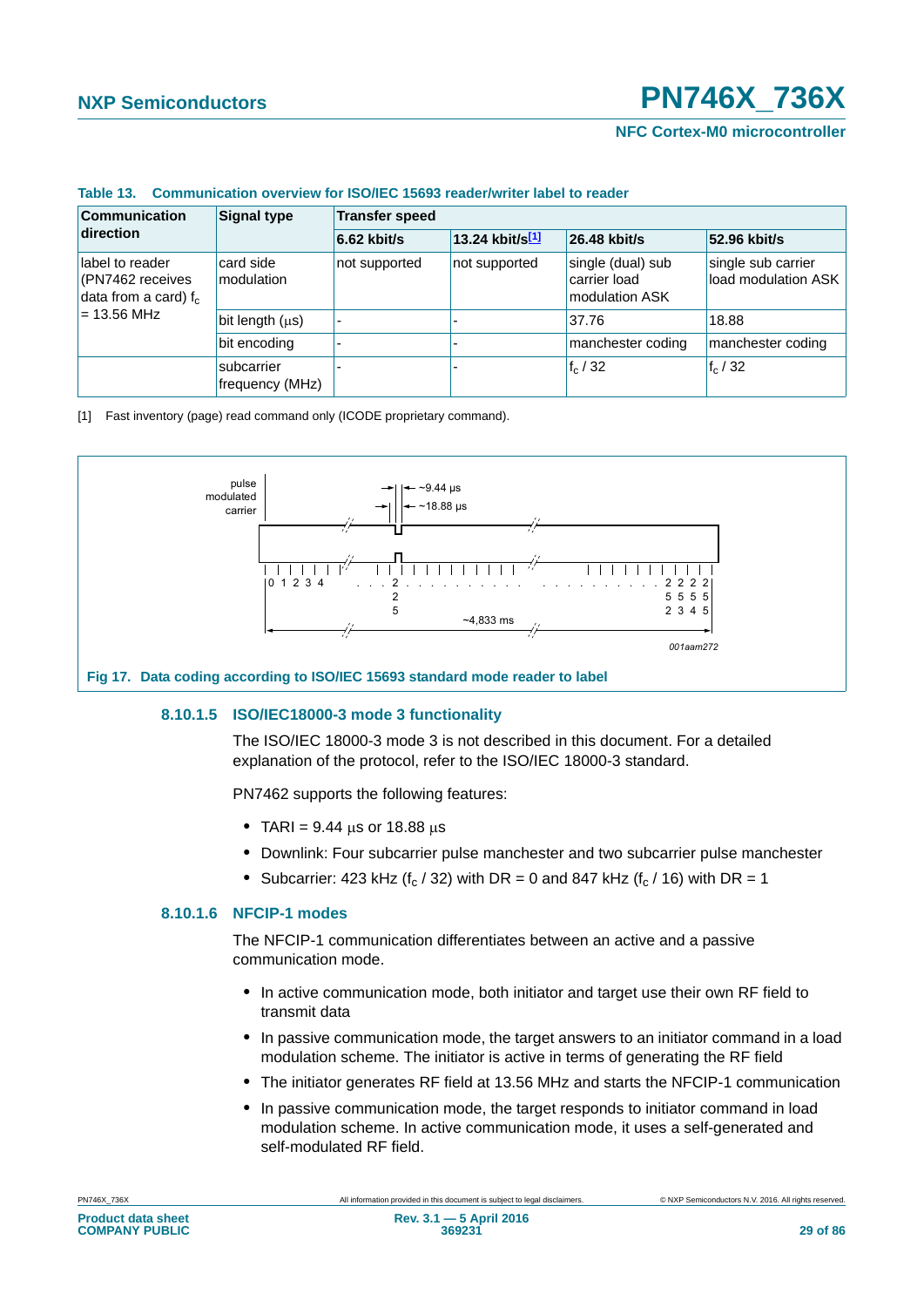**NFC Cortex-M0 microcontroller**

| Table 13. Communication overview for ISO/IEC 15693 reader/writer label to reader |  |
|----------------------------------------------------------------------------------|--|
|----------------------------------------------------------------------------------|--|

| <b>Communication</b><br>direction                                                | <b>Signal type</b>            | <b>Transfer speed</b> |                 |                                                     |                                           |  |
|----------------------------------------------------------------------------------|-------------------------------|-----------------------|-----------------|-----------------------------------------------------|-------------------------------------------|--|
|                                                                                  |                               | $6.62$ kbit/s         | 13.24 kbit/s[1] | 26.48 kbit/s                                        | 52.96 kbit/s                              |  |
| label to reader<br>(PN7462 receives)<br>data from a card) $f_c$<br>$= 13.56$ MHz | card side<br>modulation       | not supported         | not supported   | single (dual) sub<br>carrier load<br>modulation ASK | single sub carrier<br>load modulation ASK |  |
|                                                                                  | bit length $(\mu s)$          | ۰                     |                 | 37.76                                               | 18.88                                     |  |
|                                                                                  | bit encoding                  |                       |                 | manchester coding                                   | manchester coding                         |  |
|                                                                                  | subcarrier<br>frequency (MHz) |                       |                 | $f_c/32$                                            | $f_c/32$                                  |  |

<span id="page-28-0"></span>[1] Fast inventory (page) read command only (ICODE proprietary command).



#### **8.10.1.5 ISO/IEC18000-3 mode 3 functionality**

The ISO/IEC 18000-3 mode 3 is not described in this document. For a detailed explanation of the protocol, refer to the ISO/IEC 18000-3 standard.

PN7462 supports the following features:

- TARI =  $9.44 \,\mu s$  or 18.88  $\mu s$
- **•** Downlink: Four subcarrier pulse manchester and two subcarrier pulse manchester
- Subcarrier: 423 kHz ( $f_c$  / 32) with DR = 0 and 847 kHz ( $f_c$  / 16) with DR = 1

### **8.10.1.6 NFCIP-1 modes**

The NFCIP-1 communication differentiates between an active and a passive communication mode.

- **•** In active communication mode, both initiator and target use their own RF field to transmit data
- **•** In passive communication mode, the target answers to an initiator command in a load modulation scheme. The initiator is active in terms of generating the RF field
- **•** The initiator generates RF field at 13.56 MHz and starts the NFCIP-1 communication
- **•** In passive communication mode, the target responds to initiator command in load modulation scheme. In active communication mode, it uses a self-generated and self-modulated RF field.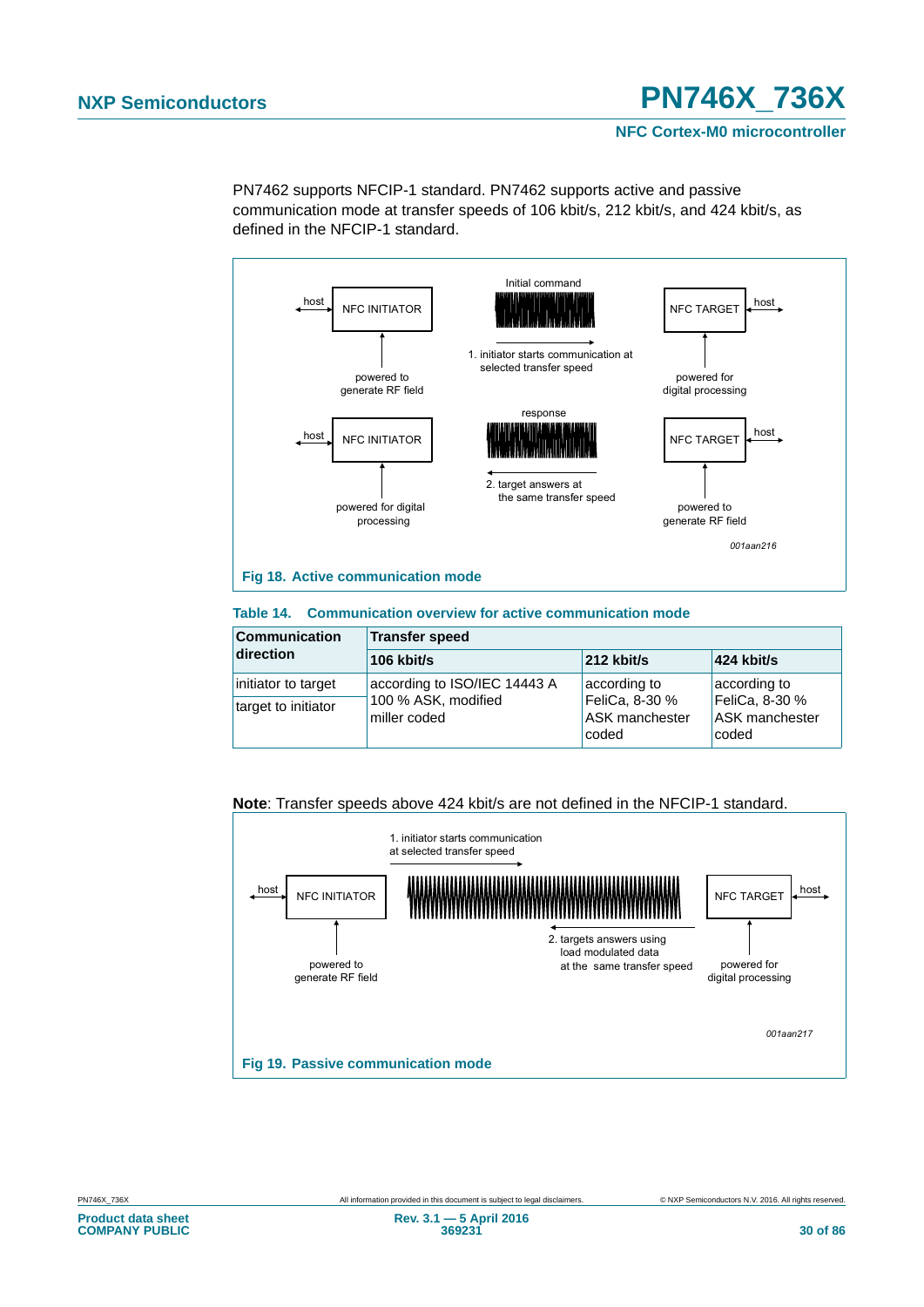**NFC Cortex-M0 microcontroller**

PN7462 supports NFCIP-1 standard. PN7462 supports active and passive communication mode at transfer speeds of 106 kbit/s, 212 kbit/s, and 424 kbit/s, as defined in the NFCIP-1 standard.



#### **Table 14. Communication overview for active communication mode**

| <b>Communication</b> | Transfer speed                      |                                           |                                                  |  |  |
|----------------------|-------------------------------------|-------------------------------------------|--------------------------------------------------|--|--|
| direction            | 106 kbit/s                          | $212$ kbit/s                              | $ 424 \text{ kbit/s} $                           |  |  |
| initiator to target  | according to ISO/IEC 14443 A        | according to                              | according to                                     |  |  |
| target to initiator  | 100 % ASK, modified<br>miller coded | FeliCa, 8-30 %<br>ASK manchester<br>coded | FeliCa, 8-30 %<br><b>ASK manchester</b><br>coded |  |  |

#### **Note**: Transfer speeds above 424 kbit/s are not defined in the NFCIP-1 standard.

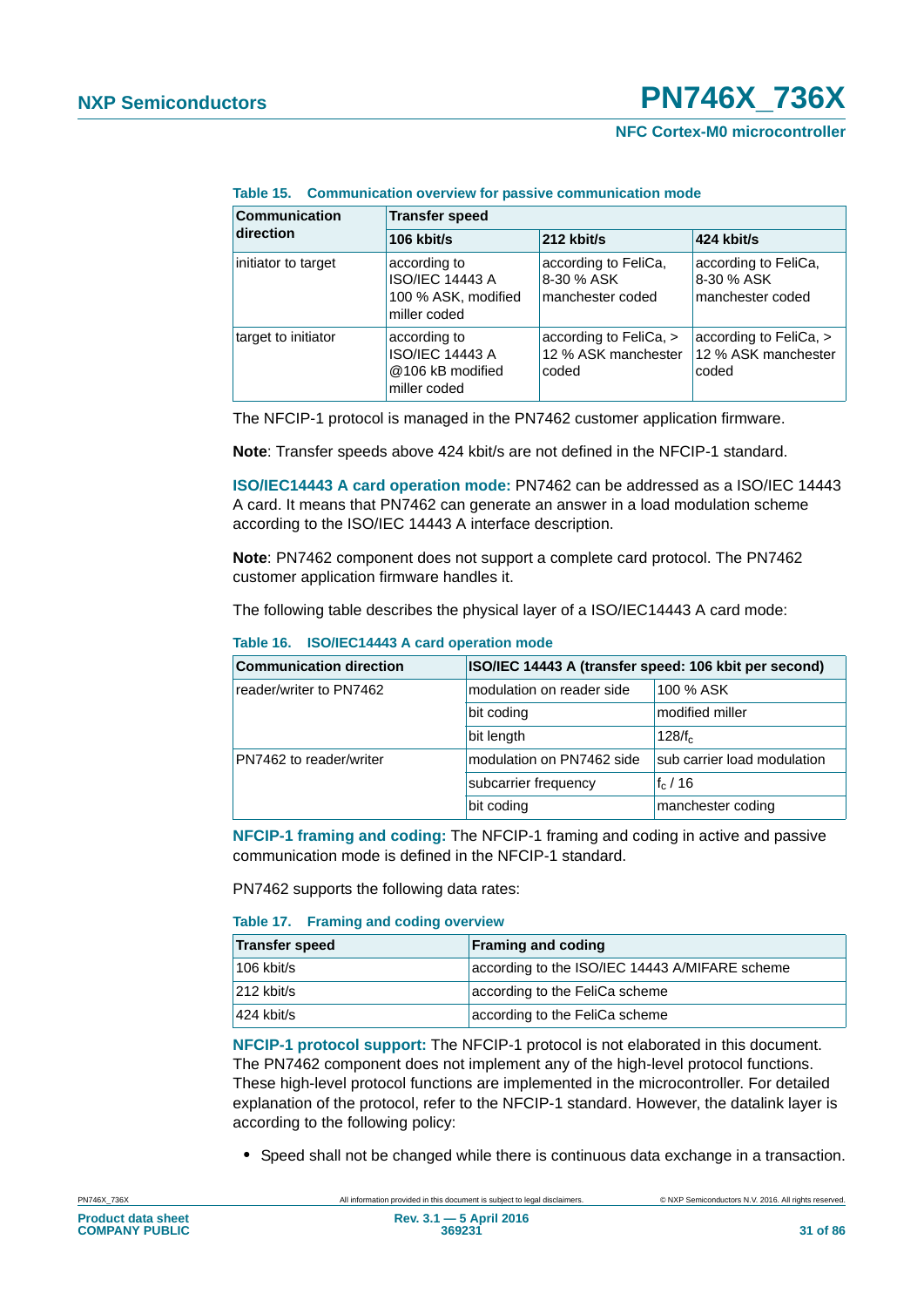#### **NFC Cortex-M0 microcontroller**

**Table 15. Communication overview for passive communication mode**

| <b>Communication</b><br>direction | <b>Transfer speed</b>                                                         |                                                        |                                                        |  |
|-----------------------------------|-------------------------------------------------------------------------------|--------------------------------------------------------|--------------------------------------------------------|--|
|                                   | 106 kbit/s                                                                    | 212 kbit/s                                             | 424 kbit/s                                             |  |
| initiator to target               | according to<br><b>ISO/IEC 14443 A</b><br>100 % ASK, modified<br>miller coded | according to FeliCa,<br>8-30 % ASK<br>manchester coded | according to FeliCa,<br>8-30 % ASK<br>manchester coded |  |
| target to initiator               | according to<br><b>ISO/IEC 14443 A</b><br>@106 kB modified<br>miller coded    | according to FeliCa, ><br>12 % ASK manchester<br>coded | according to FeliCa, ><br>12 % ASK manchester<br>coded |  |

The NFCIP-1 protocol is managed in the PN7462 customer application firmware.

**Note**: Transfer speeds above 424 kbit/s are not defined in the NFCIP-1 standard.

**ISO/IEC14443 A card operation mode:** PN7462 can be addressed as a ISO/IEC 14443 A card. It means that PN7462 can generate an answer in a load modulation scheme according to the ISO/IEC 14443 A interface description.

**Note**: PN7462 component does not support a complete card protocol. The PN7462 customer application firmware handles it.

The following table describes the physical layer of a ISO/IEC14443 A card mode:

| <b>Communication direction</b> | ISO/IEC 14443 A (transfer speed: 106 kbit per second) |                             |  |
|--------------------------------|-------------------------------------------------------|-----------------------------|--|
| reader/writer to PN7462        | modulation on reader side                             | 100 % ASK                   |  |
|                                | bit coding                                            | modified miller             |  |
|                                | bit length                                            | 128/f <sub>c</sub>          |  |
| PN7462 to reader/writer        | modulation on PN7462 side                             | sub carrier load modulation |  |
|                                | subcarrier frequency                                  | $f_c/16$                    |  |
|                                | bit coding                                            | manchester coding           |  |

#### **Table 16. ISO/IEC14443 A card operation mode**

**NFCIP-1 framing and coding:** The NFCIP-1 framing and coding in active and passive communication mode is defined in the NFCIP-1 standard.

PN7462 supports the following data rates:

#### **Table 17. Framing and coding overview**

| <b>Transfer speed</b>  | <b>Framing and coding</b>                      |
|------------------------|------------------------------------------------|
| $106$ kbit/s           | according to the ISO/IEC 14443 A/MIFARE scheme |
| $ 212 \text{ kbit/s} $ | according to the FeliCa scheme                 |
| $ 424 \text{ kbit/s} $ | according to the FeliCa scheme                 |

**NFCIP-1 protocol support:** The NFCIP-1 protocol is not elaborated in this document. The PN7462 component does not implement any of the high-level protocol functions. These high-level protocol functions are implemented in the microcontroller. For detailed explanation of the protocol, refer to the NFCIP-1 standard. However, the datalink layer is according to the following policy:

**•** Speed shall not be changed while there is continuous data exchange in a transaction.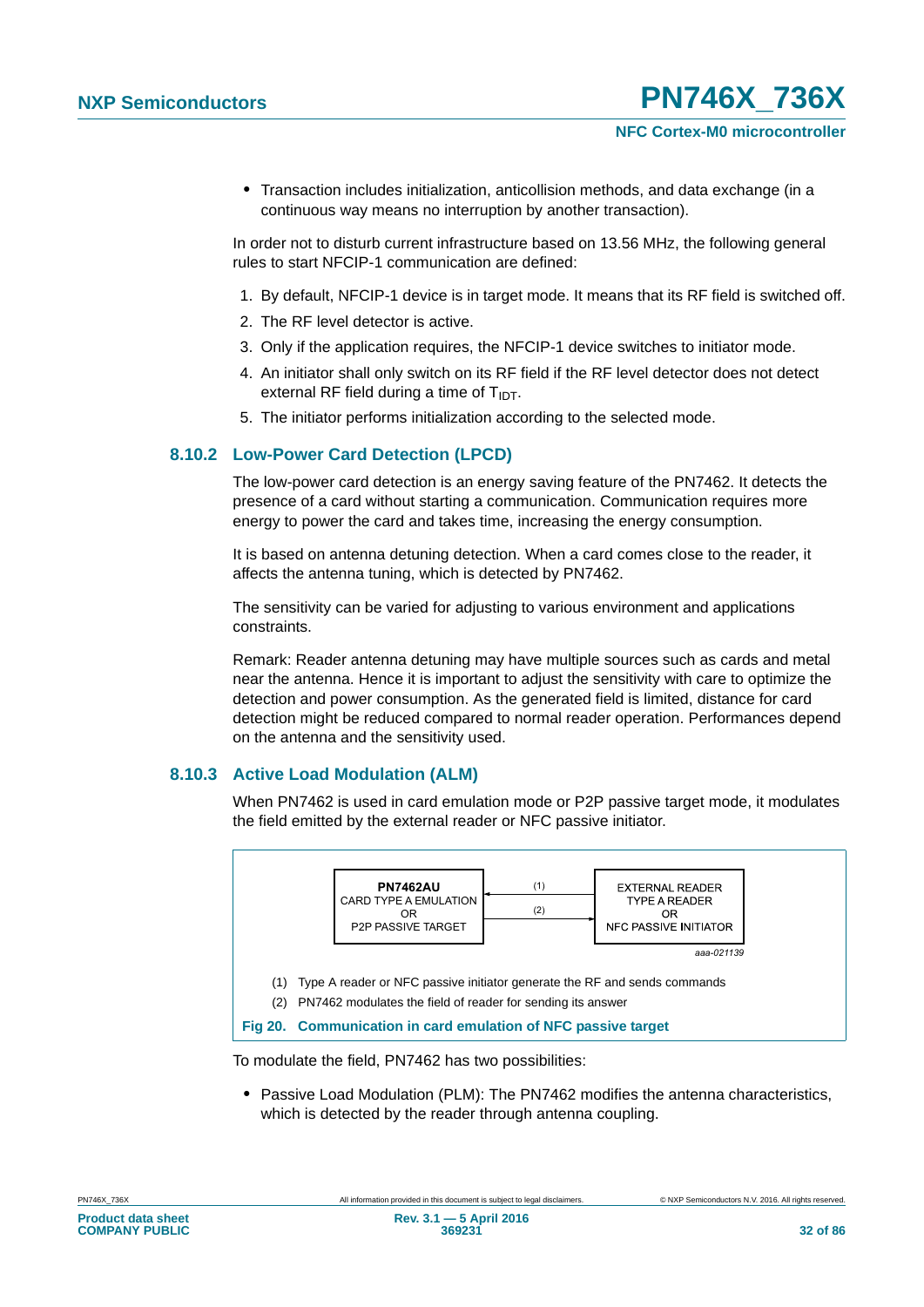**•** Transaction includes initialization, anticollision methods, and data exchange (in a continuous way means no interruption by another transaction).

In order not to disturb current infrastructure based on 13.56 MHz, the following general rules to start NFCIP-1 communication are defined:

- 1. By default, NFCIP-1 device is in target mode. It means that its RF field is switched off.
- 2. The RF level detector is active.
- 3. Only if the application requires, the NFCIP-1 device switches to initiator mode.
- 4. An initiator shall only switch on its RF field if the RF level detector does not detect external RF field during a time of  $T_{\text{IDT}}$ .
- 5. The initiator performs initialization according to the selected mode.

### **8.10.2 Low-Power Card Detection (LPCD)**

The low-power card detection is an energy saving feature of the PN7462. It detects the presence of a card without starting a communication. Communication requires more energy to power the card and takes time, increasing the energy consumption.

It is based on antenna detuning detection. When a card comes close to the reader, it affects the antenna tuning, which is detected by PN7462.

The sensitivity can be varied for adjusting to various environment and applications constraints.

Remark: Reader antenna detuning may have multiple sources such as cards and metal near the antenna. Hence it is important to adjust the sensitivity with care to optimize the detection and power consumption. As the generated field is limited, distance for card detection might be reduced compared to normal reader operation. Performances depend on the antenna and the sensitivity used.

### **8.10.3 Active Load Modulation (ALM)**

When PN7462 is used in card emulation mode or P2P passive target mode, it modulates the field emitted by the external reader or NFC passive initiator.



To modulate the field, PN7462 has two possibilities:

**•** Passive Load Modulation (PLM): The PN7462 modifies the antenna characteristics, which is detected by the reader through antenna coupling.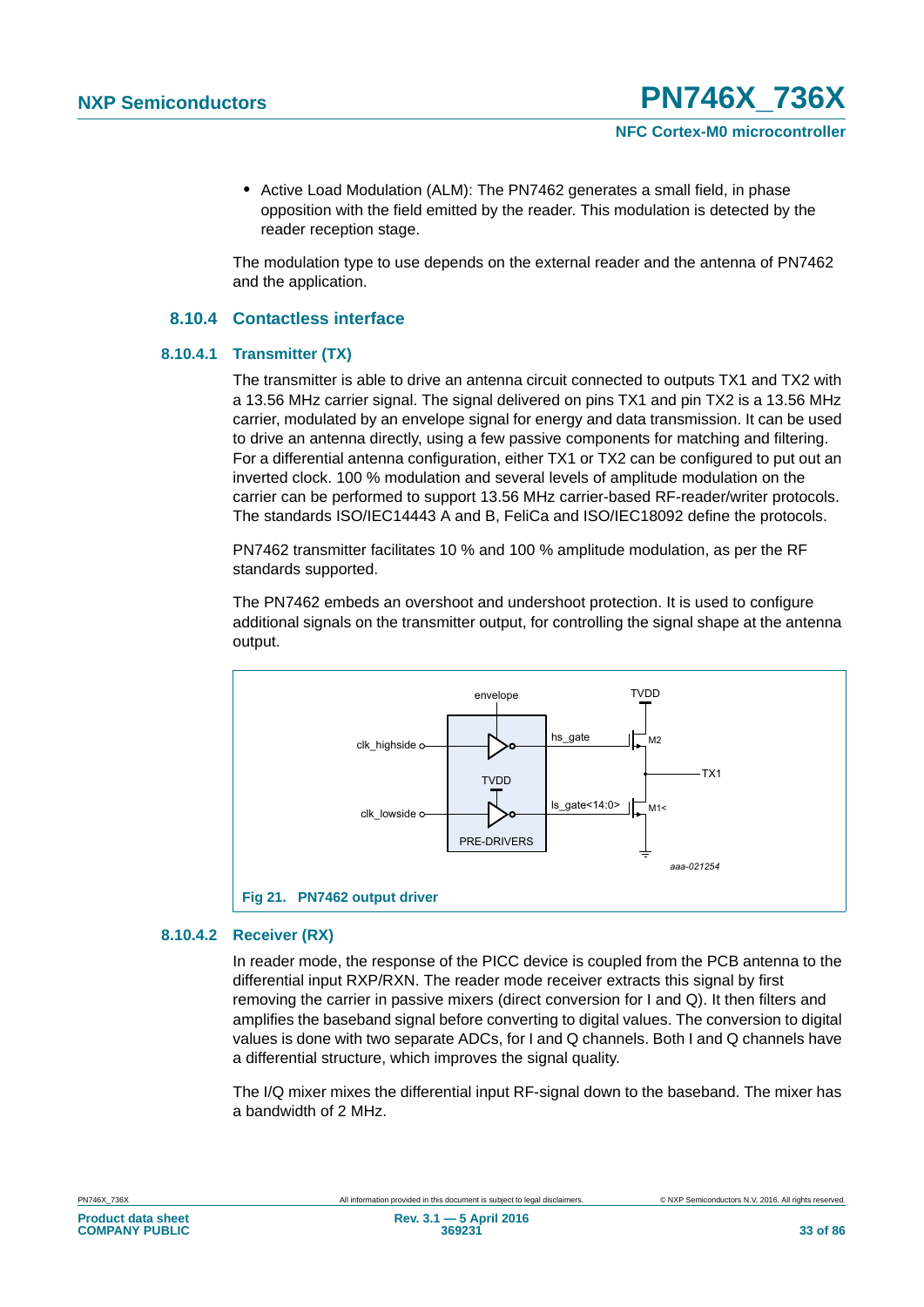**•** Active Load Modulation (ALM): The PN7462 generates a small field, in phase opposition with the field emitted by the reader. This modulation is detected by the reader reception stage.

The modulation type to use depends on the external reader and the antenna of PN7462 and the application.

#### **8.10.4 Contactless interface**

#### **8.10.4.1 Transmitter (TX)**

The transmitter is able to drive an antenna circuit connected to outputs TX1 and TX2 with a 13.56 MHz carrier signal. The signal delivered on pins TX1 and pin TX2 is a 13.56 MHz carrier, modulated by an envelope signal for energy and data transmission. It can be used to drive an antenna directly, using a few passive components for matching and filtering. For a differential antenna configuration, either TX1 or TX2 can be configured to put out an inverted clock. 100 % modulation and several levels of amplitude modulation on the carrier can be performed to support 13.56 MHz carrier-based RF-reader/writer protocols. The standards ISO/IEC14443 A and B, FeliCa and ISO/IEC18092 define the protocols.

PN7462 transmitter facilitates 10 % and 100 % amplitude modulation, as per the RF standards supported.

The PN7462 embeds an overshoot and undershoot protection. It is used to configure additional signals on the transmitter output, for controlling the signal shape at the antenna output.



#### **8.10.4.2 Receiver (RX)**

In reader mode, the response of the PICC device is coupled from the PCB antenna to the differential input RXP/RXN. The reader mode receiver extracts this signal by first removing the carrier in passive mixers (direct conversion for I and Q). It then filters and amplifies the baseband signal before converting to digital values. The conversion to digital values is done with two separate ADCs, for I and Q channels. Both I and Q channels have a differential structure, which improves the signal quality.

The I/Q mixer mixes the differential input RF-signal down to the baseband. The mixer has a bandwidth of 2 MHz.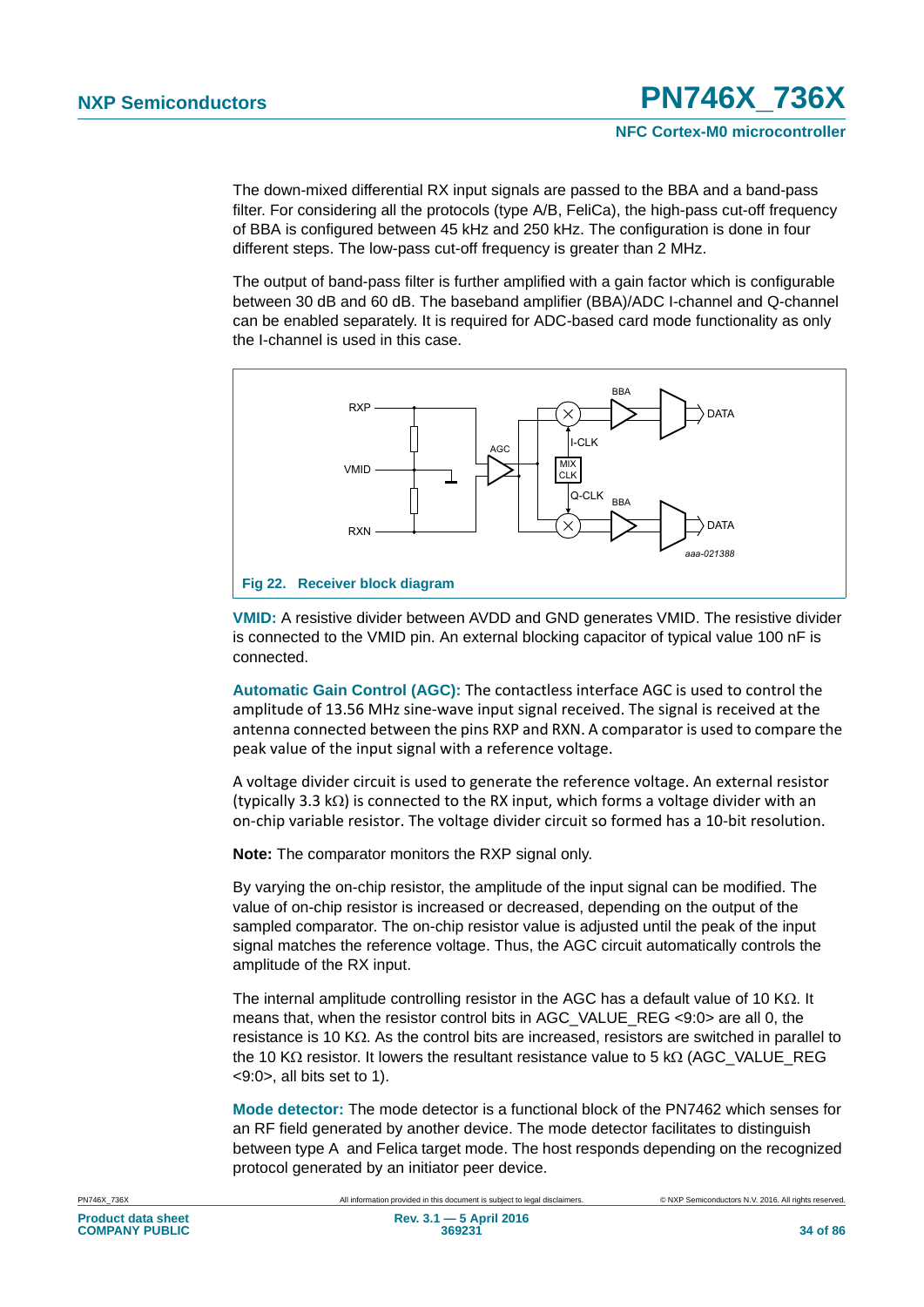The down-mixed differential RX input signals are passed to the BBA and a band-pass filter. For considering all the protocols (type A/B, FeliCa), the high-pass cut-off frequency of BBA is configured between 45 kHz and 250 kHz. The configuration is done in four different steps. The low-pass cut-off frequency is greater than 2 MHz.

The output of band-pass filter is further amplified with a gain factor which is configurable between 30 dB and 60 dB. The baseband amplifier (BBA)/ADC I-channel and Q-channel can be enabled separately. It is required for ADC-based card mode functionality as only the I-channel is used in this case.



**VMID:** A resistive divider between AVDD and GND generates VMID. The resistive divider is connected to the VMID pin. An external blocking capacitor of typical value 100 nF is connected.

**Automatic Gain Control (AGC):** The contactless interface AGC is used to control the amplitude of 13.56 MHz sine‐wave input signal received. The signal is received at the antenna connected between the pins RXP and RXN. A comparator is used to compare the peak value of the input signal with a reference voltage.

A voltage divider circuit is used to generate the reference voltage. An external resistor (typically 3.3 k $\Omega$ ) is connected to the RX input, which forms a voltage divider with an on‐chip variable resistor. The voltage divider circuit so formed has a 10‐bit resolution.

**Note:** The comparator monitors the RXP signal only.

By varying the on-chip resistor, the amplitude of the input signal can be modified. The value of on-chip resistor is increased or decreased, depending on the output of the sampled comparator. The on-chip resistor value is adjusted until the peak of the input signal matches the reference voltage. Thus, the AGC circuit automatically controls the amplitude of the RX input.

The internal amplitude controlling resistor in the AGC has a default value of 10 K $\Omega$ . It means that, when the resistor control bits in AGC\_VALUE\_REG <9:0> are all 0, the resistance is 10 K $\Omega$ . As the control bits are increased, resistors are switched in parallel to the 10 K $\Omega$  resistor. It lowers the resultant resistance value to 5 k $\Omega$  (AGC\_VALUE\_REG <9:0>, all bits set to 1).

**Mode detector:** The mode detector is a functional block of the PN7462 which senses for an RF field generated by another device. The mode detector facilitates to distinguish between type A and Felica target mode. The host responds depending on the recognized protocol generated by an initiator peer device.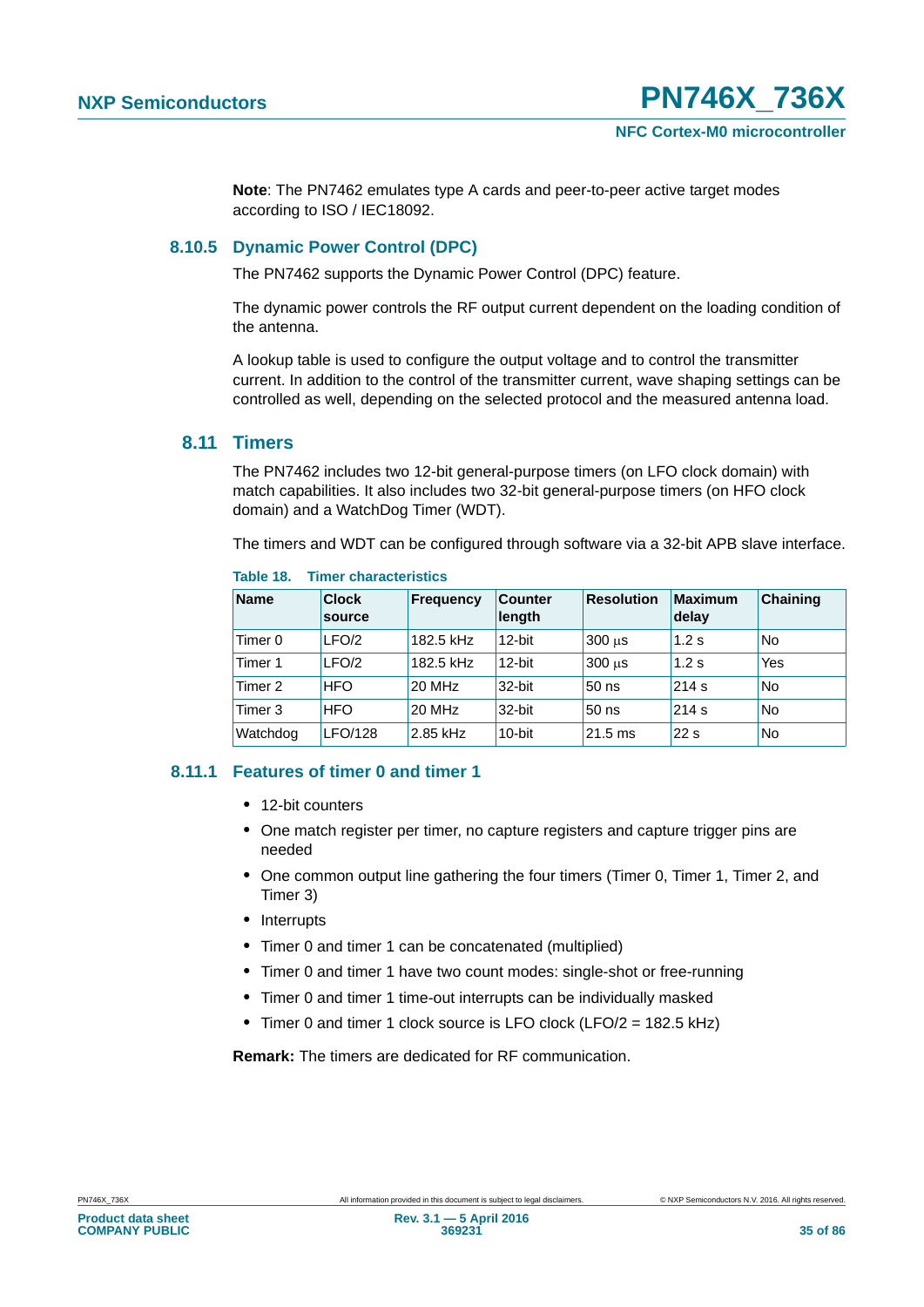**Note**: The PN7462 emulates type A cards and peer-to-peer active target modes according to ISO / IEC18092.

#### **8.10.5 Dynamic Power Control (DPC)**

The PN7462 supports the Dynamic Power Control (DPC) feature.

The dynamic power controls the RF output current dependent on the loading condition of the antenna.

A lookup table is used to configure the output voltage and to control the transmitter current. In addition to the control of the transmitter current, wave shaping settings can be controlled as well, depending on the selected protocol and the measured antenna load.

### **8.11 Timers**

The PN7462 includes two 12-bit general-purpose timers (on LFO clock domain) with match capabilities. It also includes two 32-bit general-purpose timers (on HFO clock domain) and a WatchDog Timer (WDT).

The timers and WDT can be configured through software via a 32-bit APB slave interface.

| <b>Name</b>        | <b>Clock</b><br>source | <b>Frequency</b> | <b>Counter</b><br>length | <b>Resolution</b> | <b>Maximum</b><br>delay | Chaining  |
|--------------------|------------------------|------------------|--------------------------|-------------------|-------------------------|-----------|
| Timer <sub>0</sub> | LFO/2                  | 182.5 kHz        | 12-bit                   | 300 us            | $1.2$ s                 | <b>No</b> |
| Timer 1            | LFO/2                  | 182.5 kHz        | $12$ -bit                | 300 us            | $1.2$ s                 | Yes       |
| Timer 2            | <b>HFO</b>             | <b>20 MHz</b>    | 32-bit                   | $50$ ns           | 214 s                   | No        |
| Timer 3            | <b>HFO</b>             | <b>20 MHz</b>    | 32-bit                   | 50 ns             | 214 s                   | No        |
| Watchdog           | LFO/128                | 2.85 kHz         | $10$ -bit                | $21.5 \text{ ms}$ | 22s                     | No        |

#### **Table 18. Timer characteristics**

#### **8.11.1 Features of timer 0 and timer 1**

- **•** 12-bit counters
- One match register per timer, no capture registers and capture trigger pins are needed
- **•** One common output line gathering the four timers (Timer 0, Timer 1, Timer 2, and Timer 3)
- **•** Interrupts
- **•** Timer 0 and timer 1 can be concatenated (multiplied)
- **•** Timer 0 and timer 1 have two count modes: single-shot or free-running
- **•** Timer 0 and timer 1 time-out interrupts can be individually masked
- **•** Timer 0 and timer 1 clock source is LFO clock (LFO/2 = 182.5 kHz)

**Remark:** The timers are dedicated for RF communication.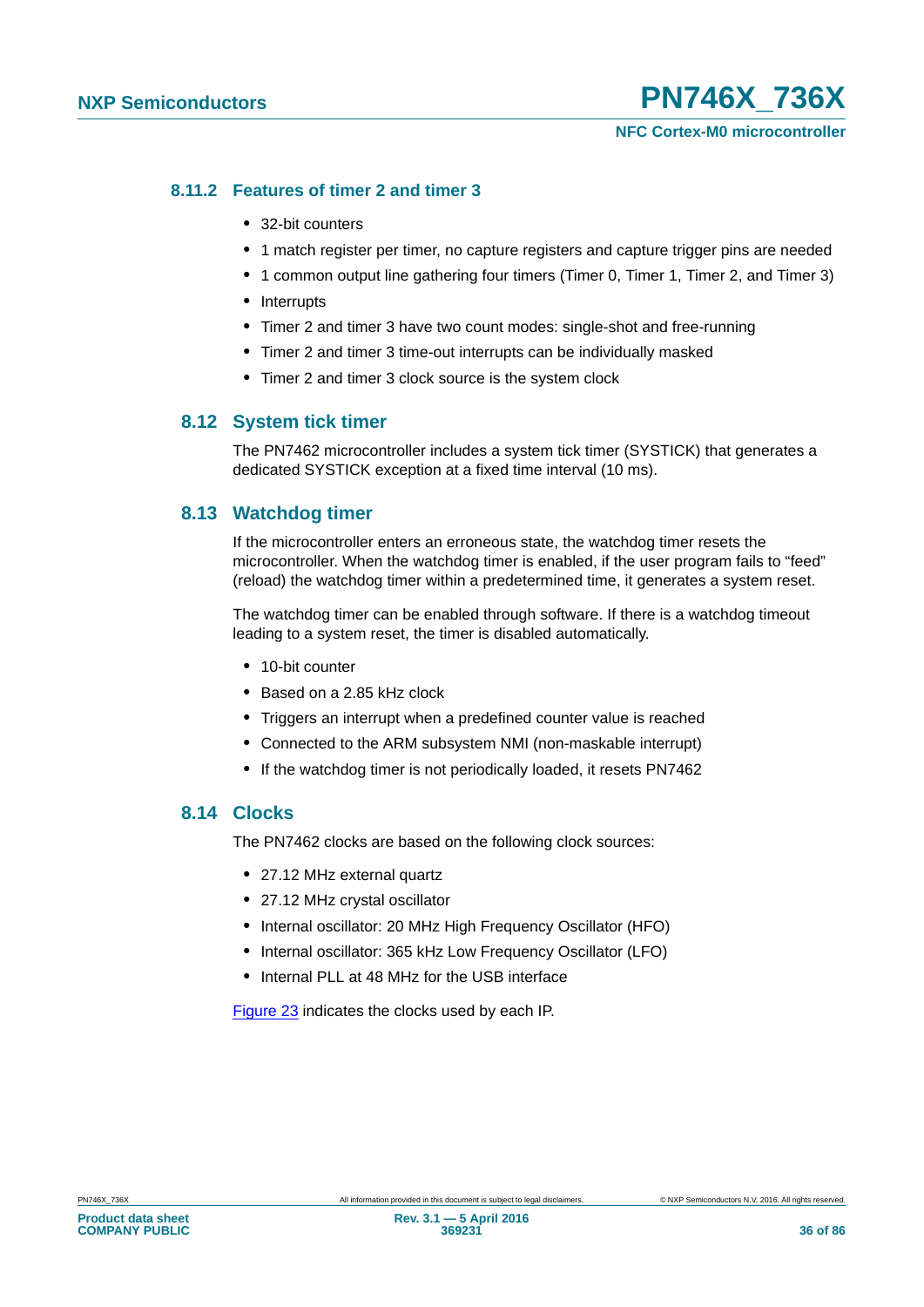#### **8.11.2 Features of timer 2 and timer 3**

- **•** 32-bit counters
- 1 match register per timer, no capture registers and capture trigger pins are needed
- **•** 1 common output line gathering four timers (Timer 0, Timer 1, Timer 2, and Timer 3)
- **•** Interrupts
- **•** Timer 2 and timer 3 have two count modes: single-shot and free-running
- **•** Timer 2 and timer 3 time-out interrupts can be individually masked
- **•** Timer 2 and timer 3 clock source is the system clock

#### **8.12 System tick timer**

The PN7462 microcontroller includes a system tick timer (SYSTICK) that generates a dedicated SYSTICK exception at a fixed time interval (10 ms).

#### **8.13 Watchdog timer**

If the microcontroller enters an erroneous state, the watchdog timer resets the microcontroller. When the watchdog timer is enabled, if the user program fails to "feed" (reload) the watchdog timer within a predetermined time, it generates a system reset.

The watchdog timer can be enabled through software. If there is a watchdog timeout leading to a system reset, the timer is disabled automatically.

- **•** 10-bit counter
- **•** Based on a 2.85 kHz clock
- **•** Triggers an interrupt when a predefined counter value is reached
- **•** Connected to the ARM subsystem NMI (non-maskable interrupt)
- **•** If the watchdog timer is not periodically loaded, it resets PN7462

#### **8.14 Clocks**

The PN7462 clocks are based on the following clock sources:

- **•** 27.12 MHz external quartz
- **•** 27.12 MHz crystal oscillator
- **•** Internal oscillator: 20 MHz High Frequency Oscillator (HFO)
- Internal oscillator: 365 kHz Low Frequency Oscillator (LFO)
- **•** Internal PLL at 48 MHz for the USB interface

[Figure 23](#page-36-0) indicates the clocks used by each IP.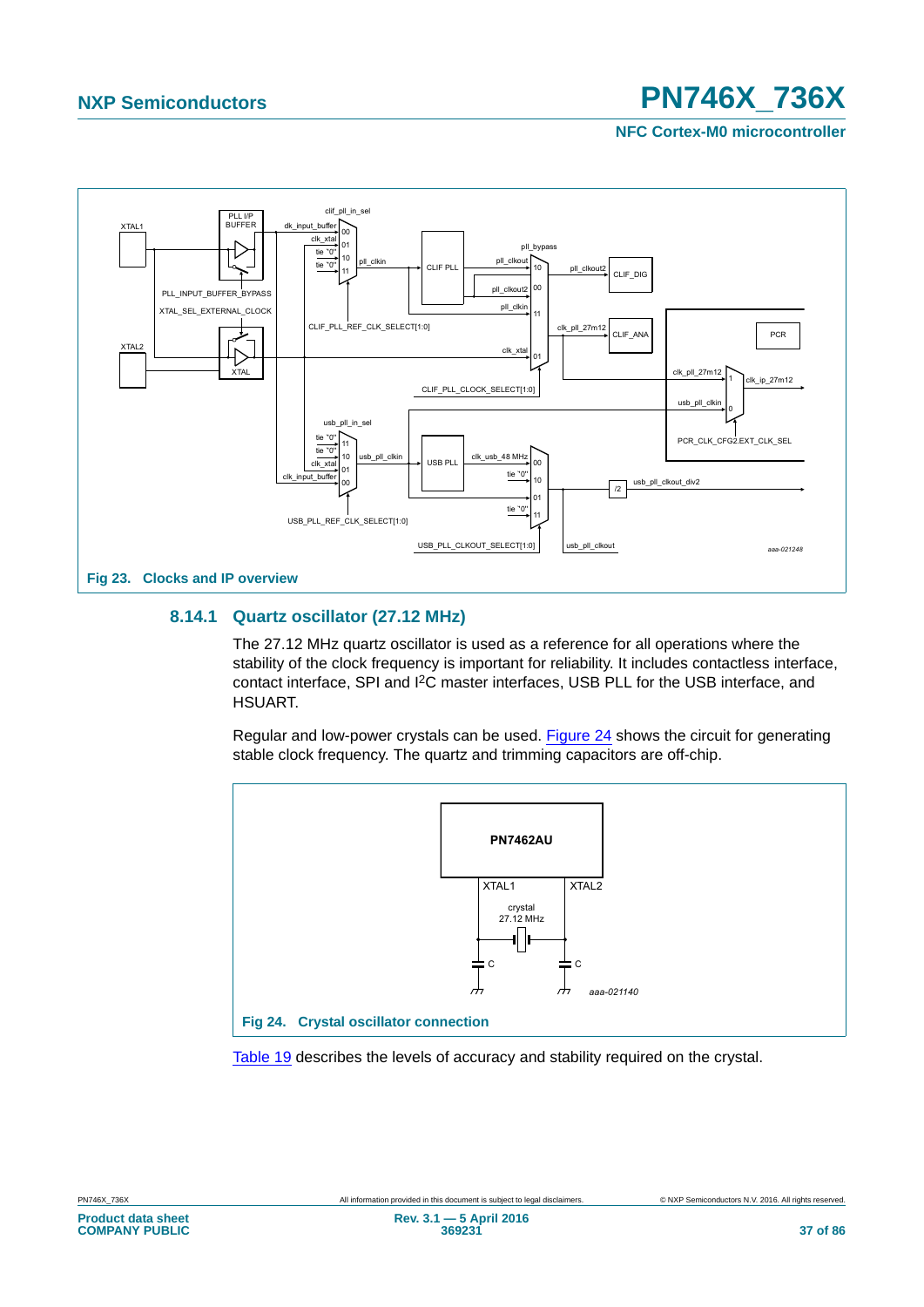**NFC Cortex-M0 microcontroller**



### **8.14.1 Quartz oscillator (27.12 MHz)**

The 27.12 MHz quartz oscillator is used as a reference for all operations where the stability of the clock frequency is important for reliability. It includes contactless interface, contact interface, SPI and I2C master interfaces, USB PLL for the USB interface, and HSUART.

Regular and low-power crystals can be used. [Figure 24](#page-36-0) shows the circuit for generating stable clock frequency. The quartz and trimming capacitors are off-chip.



<span id="page-36-0"></span>[Table 19](#page-37-0) describes the levels of accuracy and stability required on the crystal.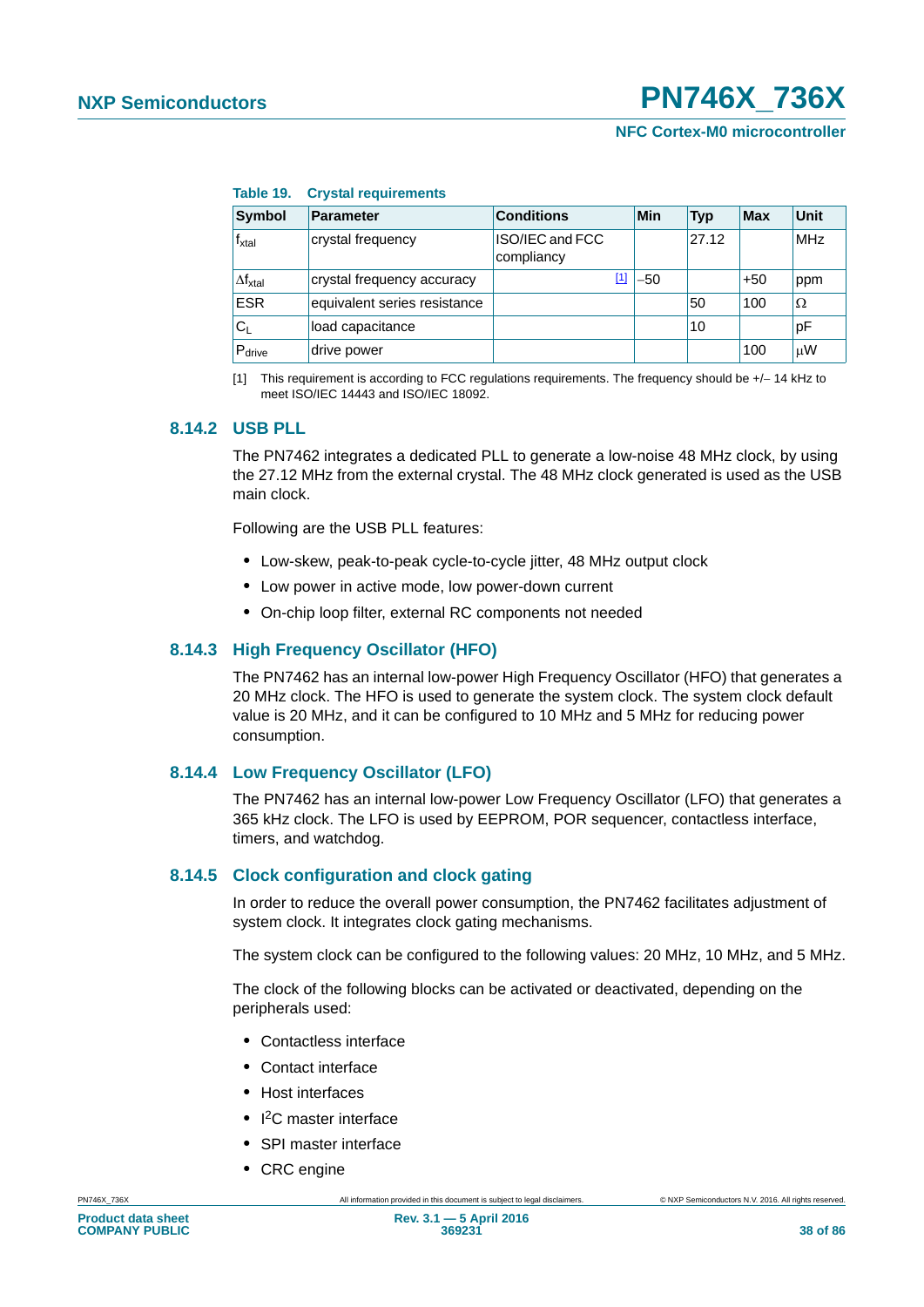<span id="page-37-0"></span>

| Table 19. | <b>Crystal requirements</b> |  |
|-----------|-----------------------------|--|
|-----------|-----------------------------|--|

| <b>Symbol</b>             | <b>Parameter</b>             | <b>Conditions</b>             | Min   | <b>Typ</b> | <b>Max</b> | Unit       |
|---------------------------|------------------------------|-------------------------------|-------|------------|------------|------------|
| f <sub>xtal</sub>         | crystal frequency            | ISO/IEC and FCC<br>compliancy |       | 27.12      |            | <b>MHz</b> |
| $\Delta f_{xtal}$         | crystal frequency accuracy   | [1]                           | $-50$ |            | $+50$      | ppm        |
| <b>ESR</b>                | equivalent series resistance |                               |       | 50         | 100        | Ω          |
| $\mathsf{C}_{\mathsf{L}}$ | load capacitance             |                               |       | 10         |            | pF         |
| $P_{\text{drive}}$        | drive power                  |                               |       |            | 100        | μW         |

<span id="page-37-1"></span>[1] This requirement is according to FCC regulations requirements. The frequency should be +/-14 kHz to meet ISO/IEC 14443 and ISO/IEC 18092.

### **8.14.2 USB PLL**

The PN7462 integrates a dedicated PLL to generate a low-noise 48 MHz clock, by using the 27.12 MHz from the external crystal. The 48 MHz clock generated is used as the USB main clock.

Following are the USB PLL features:

- **•** Low-skew, peak-to-peak cycle-to-cycle jitter, 48 MHz output clock
- **•** Low power in active mode, low power-down current
- **•** On-chip loop filter, external RC components not needed

### **8.14.3 High Frequency Oscillator (HFO)**

The PN7462 has an internal low-power High Frequency Oscillator (HFO) that generates a 20 MHz clock. The HFO is used to generate the system clock. The system clock default value is 20 MHz, and it can be configured to 10 MHz and 5 MHz for reducing power consumption.

### **8.14.4 Low Frequency Oscillator (LFO)**

The PN7462 has an internal low-power Low Frequency Oscillator (LFO) that generates a 365 kHz clock. The LFO is used by EEPROM, POR sequencer, contactless interface, timers, and watchdog.

### **8.14.5 Clock configuration and clock gating**

In order to reduce the overall power consumption, the PN7462 facilitates adjustment of system clock. It integrates clock gating mechanisms.

The system clock can be configured to the following values: 20 MHz, 10 MHz, and 5 MHz.

The clock of the following blocks can be activated or deactivated, depending on the peripherals used:

- **•** Contactless interface
- **•** Contact interface
- **•** Host interfaces
- **•** I 2C master interface
- **•** SPI master interface
- **•** CRC engine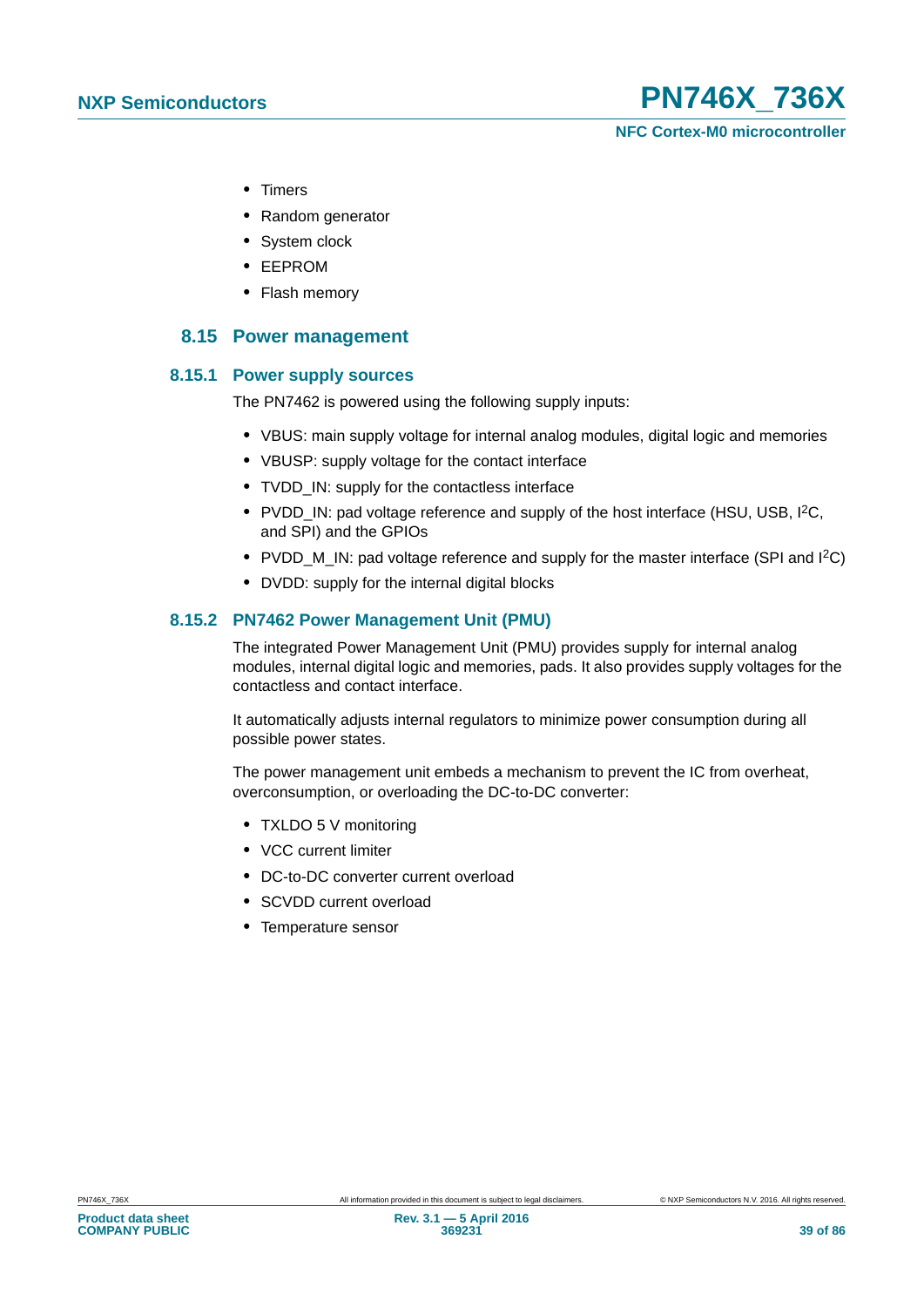**NFC Cortex-M0 microcontroller**

- **•** Timers
- **•** Random generator
- **•** System clock
- **•** EEPROM
- **•** Flash memory

### **8.15 Power management**

### **8.15.1 Power supply sources**

The PN7462 is powered using the following supply inputs:

- **•** VBUS: main supply voltage for internal analog modules, digital logic and memories
- **•** VBUSP: supply voltage for the contact interface
- **•** TVDD\_IN: supply for the contactless interface
- **•** PVDD\_IN: pad voltage reference and supply of the host interface (HSU, USB, I2C, and SPI) and the GPIOs
- PVDD M IN: pad voltage reference and supply for the master interface (SPI and I<sup>2</sup>C)
- **•** DVDD: supply for the internal digital blocks

### **8.15.2 PN7462 Power Management Unit (PMU)**

The integrated Power Management Unit (PMU) provides supply for internal analog modules, internal digital logic and memories, pads. It also provides supply voltages for the contactless and contact interface.

It automatically adjusts internal regulators to minimize power consumption during all possible power states.

The power management unit embeds a mechanism to prevent the IC from overheat, overconsumption, or overloading the DC-to-DC converter:

- **•** TXLDO 5 V monitoring
- **•** VCC current limiter
- **•** DC-to-DC converter current overload
- **•** SCVDD current overload
- **•** Temperature sensor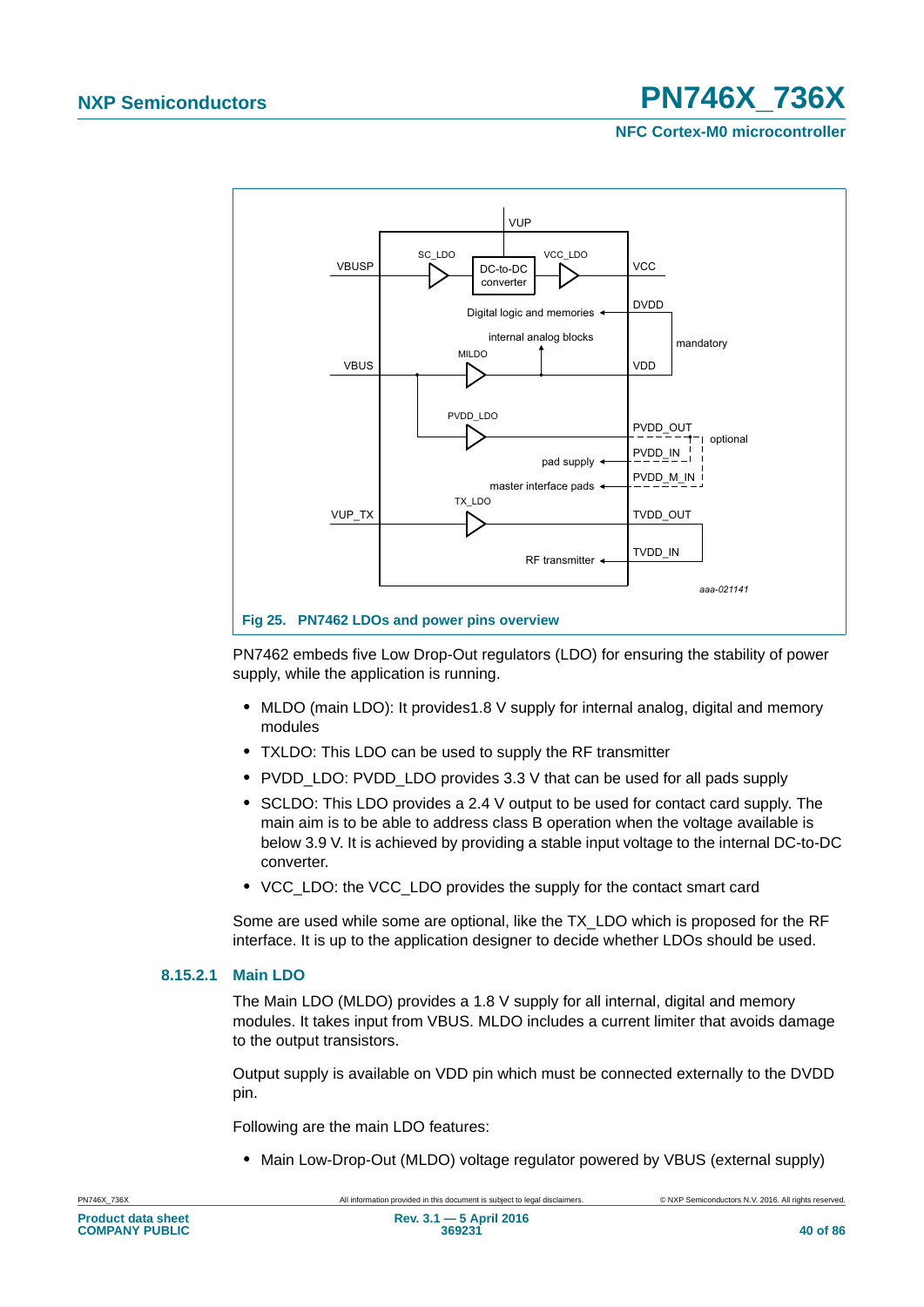**NFC Cortex-M0 microcontroller**



PN7462 embeds five Low Drop-Out regulators (LDO) for ensuring the stability of power supply, while the application is running.

- **•** MLDO (main LDO): It provides1.8 V supply for internal analog, digital and memory modules
- **•** TXLDO: This LDO can be used to supply the RF transmitter
- **•** PVDD\_LDO: PVDD\_LDO provides 3.3 V that can be used for all pads supply
- **•** SCLDO: This LDO provides a 2.4 V output to be used for contact card supply. The main aim is to be able to address class B operation when the voltage available is below 3.9 V. It is achieved by providing a stable input voltage to the internal DC-to-DC converter.
- **•** VCC\_LDO: the VCC\_LDO provides the supply for the contact smart card

Some are used while some are optional, like the TX\_LDO which is proposed for the RF interface. It is up to the application designer to decide whether LDOs should be used.

### **8.15.2.1 Main LDO**

The Main LDO (MLDO) provides a 1.8 V supply for all internal, digital and memory modules. It takes input from VBUS. MLDO includes a current limiter that avoids damage to the output transistors.

Output supply is available on VDD pin which must be connected externally to the DVDD pin.

Following are the main LDO features:

**•** Main Low-Drop-Out (MLDO) voltage regulator powered by VBUS (external supply)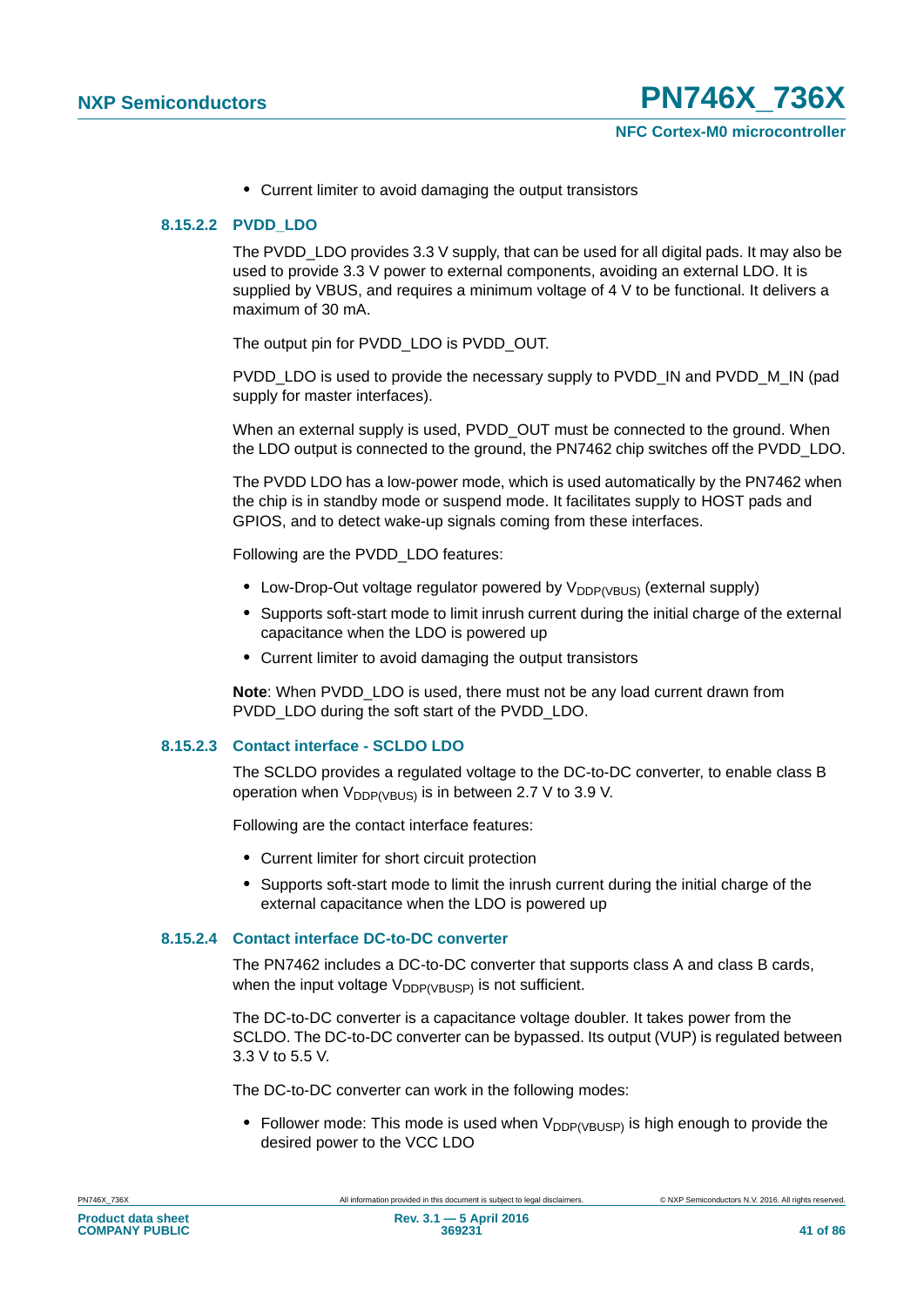**•** Current limiter to avoid damaging the output transistors

### **8.15.2.2 PVDD\_LDO**

The PVDD\_LDO provides 3.3 V supply, that can be used for all digital pads. It may also be used to provide 3.3 V power to external components, avoiding an external LDO. It is supplied by VBUS, and requires a minimum voltage of 4 V to be functional. It delivers a maximum of 30 mA.

The output pin for PVDD\_LDO is PVDD\_OUT.

PVDD\_LDO is used to provide the necessary supply to PVDD\_IN and PVDD\_M\_IN (pad supply for master interfaces).

When an external supply is used, PVDD\_OUT must be connected to the ground. When the LDO output is connected to the ground, the PN7462 chip switches off the PVDD\_LDO.

The PVDD LDO has a low-power mode, which is used automatically by the PN7462 when the chip is in standby mode or suspend mode. It facilitates supply to HOST pads and GPIOS, and to detect wake-up signals coming from these interfaces.

Following are the PVDD\_LDO features:

- Low-Drop-Out voltage regulator powered by V<sub>DDP(VBUS)</sub> (external supply)
- **•** Supports soft-start mode to limit inrush current during the initial charge of the external capacitance when the LDO is powered up
- **•** Current limiter to avoid damaging the output transistors

**Note**: When PVDD\_LDO is used, there must not be any load current drawn from PVDD\_LDO during the soft start of the PVDD\_LDO.

### **8.15.2.3 Contact interface - SCLDO LDO**

The SCLDO provides a regulated voltage to the DC-to-DC converter, to enable class B operation when  $V_{DDP(VBUS)}$  is in between 2.7 V to 3.9 V.

Following are the contact interface features:

- **•** Current limiter for short circuit protection
- **•** Supports soft-start mode to limit the inrush current during the initial charge of the external capacitance when the LDO is powered up

### **8.15.2.4 Contact interface DC-to-DC converter**

The PN7462 includes a DC-to-DC converter that supports class A and class B cards, when the input voltage  $V_{DDP(VBUSP)}$  is not sufficient.

The DC-to-DC converter is a capacitance voltage doubler. It takes power from the SCLDO. The DC-to-DC converter can be bypassed. Its output (VUP) is regulated between 3.3 V to 5.5 V.

The DC-to-DC converter can work in the following modes:

• Follower mode: This mode is used when V<sub>DDP(VBUSP)</sub> is high enough to provide the desired power to the VCC LDO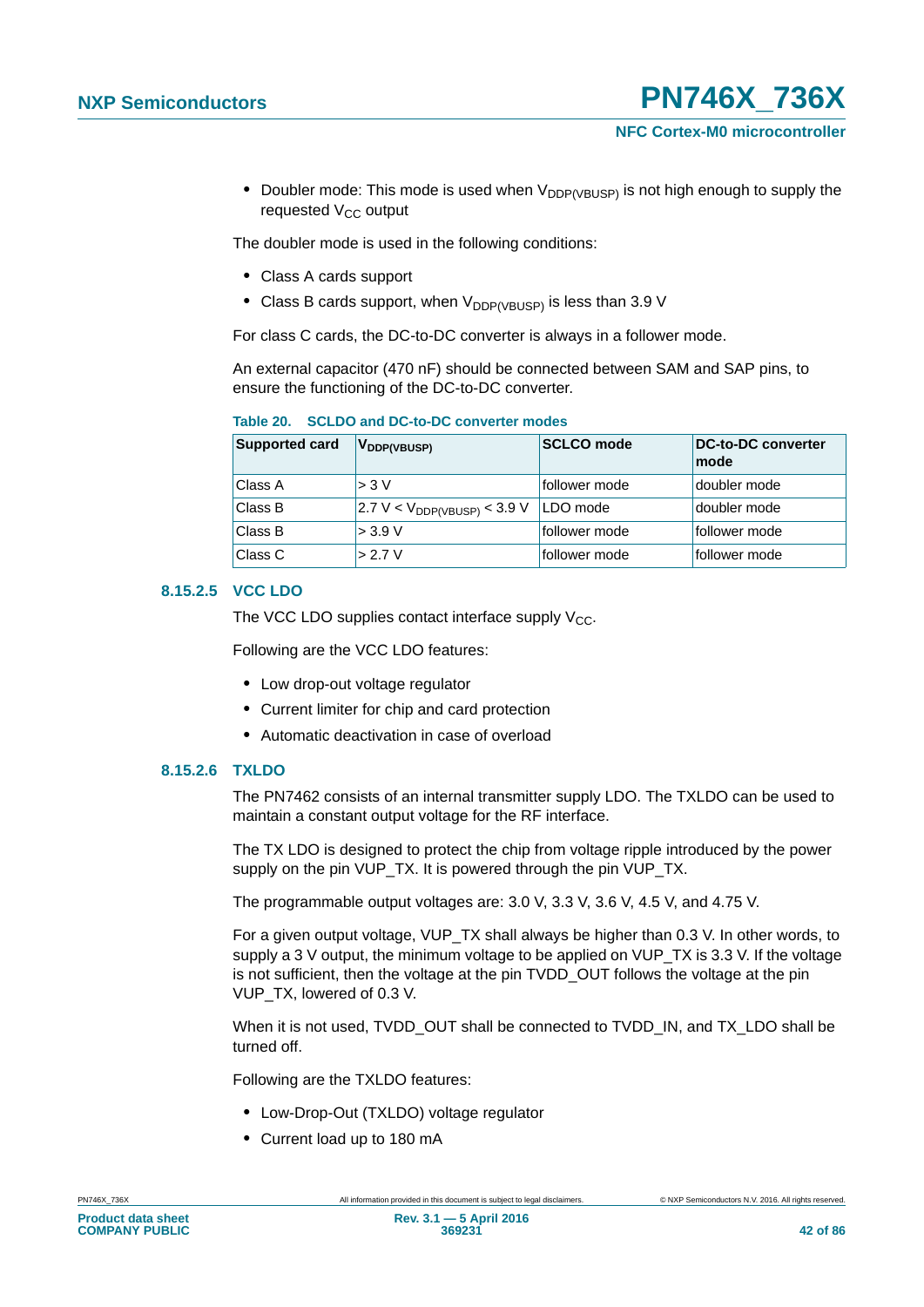• Doubler mode: This mode is used when V<sub>DDP(VBUSP)</sub> is not high enough to supply the requested  $V_{CC}$  output

The doubler mode is used in the following conditions:

- **•** Class A cards support
- Class B cards support, when V<sub>DDP(VBUSP)</sub> is less than 3.9 V

For class C cards, the DC-to-DC converter is always in a follower mode.

An external capacitor (470 nF) should be connected between SAM and SAP pins, to ensure the functioning of the DC-to-DC converter.

| <b>Supported card</b> | V <sub>DDP(VBUSP)</sub>          | <b>SCLCO</b> mode | <b>DC-to-DC converter</b><br>mode |
|-----------------------|----------------------------------|-------------------|-----------------------------------|
| Class A               | > 3 V                            | follower mode     | doubler mode                      |
| Class B               | $2.7 V < V_{DDP(VBUSP)} < 3.9 V$ | LDO mode          | doubler mode                      |
| Class B               | > 3.9 V                          | follower mode     | follower mode                     |
| Class C               | > 2.7 V                          | follower mode     | follower mode                     |

### **8.15.2.5 VCC LDO**

The VCC LDO supplies contact interface supply  $V_{CC}$ .

Following are the VCC LDO features:

- **•** Low drop-out voltage regulator
- **•** Current limiter for chip and card protection
- **•** Automatic deactivation in case of overload

### **8.15.2.6 TXLDO**

The PN7462 consists of an internal transmitter supply LDO. The TXLDO can be used to maintain a constant output voltage for the RF interface.

The TX LDO is designed to protect the chip from voltage ripple introduced by the power supply on the pin VUP\_TX. It is powered through the pin VUP\_TX.

The programmable output voltages are: 3.0 V, 3.3 V, 3.6 V, 4.5 V, and 4.75 V.

For a given output voltage, VUP\_TX shall always be higher than 0.3 V. In other words, to supply a 3 V output, the minimum voltage to be applied on VUP\_TX is 3.3 V. If the voltage is not sufficient, then the voltage at the pin TVDD\_OUT follows the voltage at the pin VUP\_TX, lowered of 0.3 V.

When it is not used, TVDD\_OUT shall be connected to TVDD\_IN, and TX\_LDO shall be turned off.

Following are the TXLDO features:

- **•** Low-Drop-Out (TXLDO) voltage regulator
- **•** Current load up to 180 mA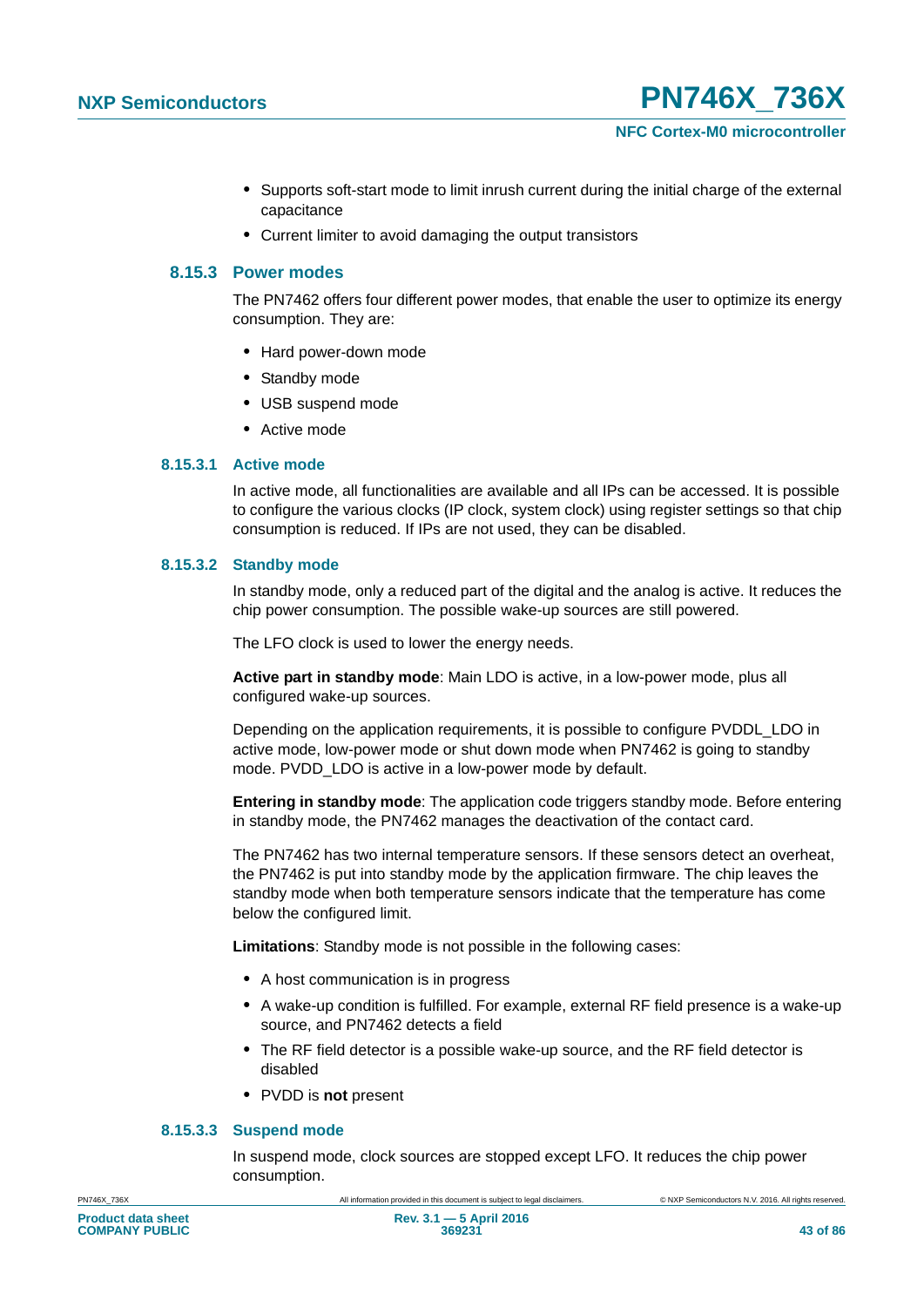- **•** Supports soft-start mode to limit inrush current during the initial charge of the external capacitance
- **•** Current limiter to avoid damaging the output transistors

### **8.15.3 Power modes**

The PN7462 offers four different power modes, that enable the user to optimize its energy consumption. They are:

- **•** Hard power-down mode
- **•** Standby mode
- **•** USB suspend mode
- **•** Active mode

### **8.15.3.1 Active mode**

In active mode, all functionalities are available and all IPs can be accessed. It is possible to configure the various clocks (IP clock, system clock) using register settings so that chip consumption is reduced. If IPs are not used, they can be disabled.

### **8.15.3.2 Standby mode**

In standby mode, only a reduced part of the digital and the analog is active. It reduces the chip power consumption. The possible wake-up sources are still powered.

The LFO clock is used to lower the energy needs.

**Active part in standby mode**: Main LDO is active, in a low-power mode, plus all configured wake-up sources.

Depending on the application requirements, it is possible to configure PVDDL\_LDO in active mode, low-power mode or shut down mode when PN7462 is going to standby mode. PVDD\_LDO is active in a low-power mode by default.

**Entering in standby mode**: The application code triggers standby mode. Before entering in standby mode, the PN7462 manages the deactivation of the contact card.

The PN7462 has two internal temperature sensors. If these sensors detect an overheat, the PN7462 is put into standby mode by the application firmware. The chip leaves the standby mode when both temperature sensors indicate that the temperature has come below the configured limit.

**Limitations**: Standby mode is not possible in the following cases:

- **•** A host communication is in progress
- **•** A wake-up condition is fulfilled. For example, external RF field presence is a wake-up source, and PN7462 detects a field
- **•** The RF field detector is a possible wake-up source, and the RF field detector is disabled
- **•** PVDD is **not** present

### **8.15.3.3 Suspend mode**

In suspend mode, clock sources are stopped except LFO. It reduces the chip power consumption.

PN746X\_736X All information provided in this document is subject to legal disclaimers. © NXP Semiconductors N.V. 2016. All rights reserved.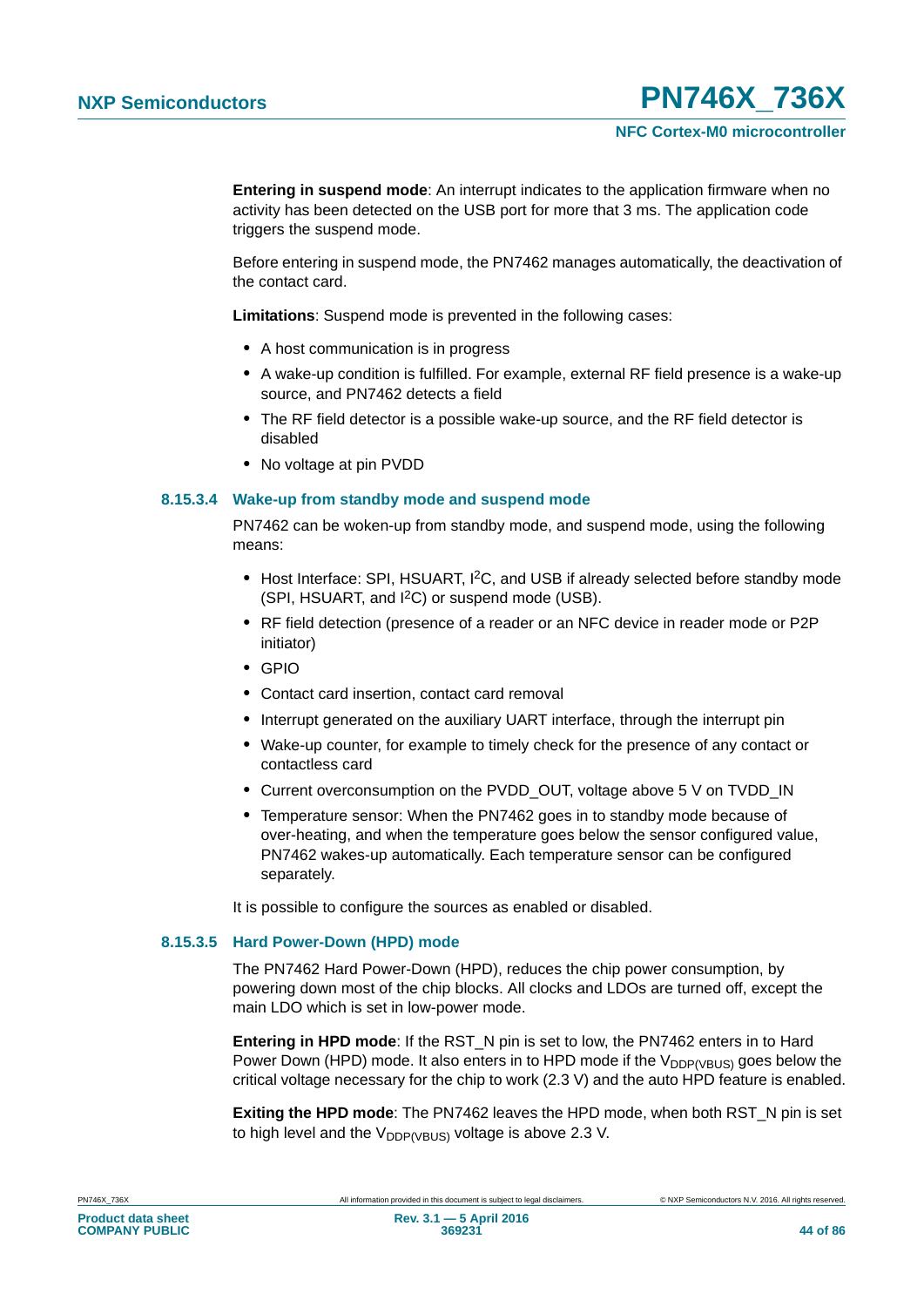**Entering in suspend mode**: An interrupt indicates to the application firmware when no activity has been detected on the USB port for more that 3 ms. The application code triggers the suspend mode.

Before entering in suspend mode, the PN7462 manages automatically, the deactivation of the contact card.

**Limitations**: Suspend mode is prevented in the following cases:

- **•** A host communication is in progress
- **•** A wake-up condition is fulfilled. For example, external RF field presence is a wake-up source, and PN7462 detects a field
- **•** The RF field detector is a possible wake-up source, and the RF field detector is disabled
- **•** No voltage at pin PVDD

### **8.15.3.4 Wake-up from standby mode and suspend mode**

PN7462 can be woken-up from standby mode, and suspend mode, using the following means:

- Host Interface: SPI, HSUART, <sup>12</sup>C, and USB if already selected before standby mode (SPI, HSUART, and I2C) or suspend mode (USB).
- **•** RF field detection (presence of a reader or an NFC device in reader mode or P2P initiator)
- **•** GPIO
- **•** Contact card insertion, contact card removal
- **•** Interrupt generated on the auxiliary UART interface, through the interrupt pin
- **•** Wake-up counter, for example to timely check for the presence of any contact or contactless card
- **•** Current overconsumption on the PVDD\_OUT, voltage above 5 V on TVDD\_IN
- **•** Temperature sensor: When the PN7462 goes in to standby mode because of over-heating, and when the temperature goes below the sensor configured value, PN7462 wakes-up automatically. Each temperature sensor can be configured separately.

It is possible to configure the sources as enabled or disabled.

### **8.15.3.5 Hard Power-Down (HPD) mode**

The PN7462 Hard Power-Down (HPD), reduces the chip power consumption, by powering down most of the chip blocks. All clocks and LDOs are turned off, except the main LDO which is set in low-power mode.

**Entering in HPD mode**: If the RST\_N pin is set to low, the PN7462 enters in to Hard Power Down (HPD) mode. It also enters in to HPD mode if the  $V_{DDP/VBUS}$  goes below the critical voltage necessary for the chip to work (2.3 V) and the auto HPD feature is enabled.

**Exiting the HPD mode**: The PN7462 leaves the HPD mode, when both RST\_N pin is set to high level and the  $V_{\text{DDP/VBUS}}}$  voltage is above 2.3 V.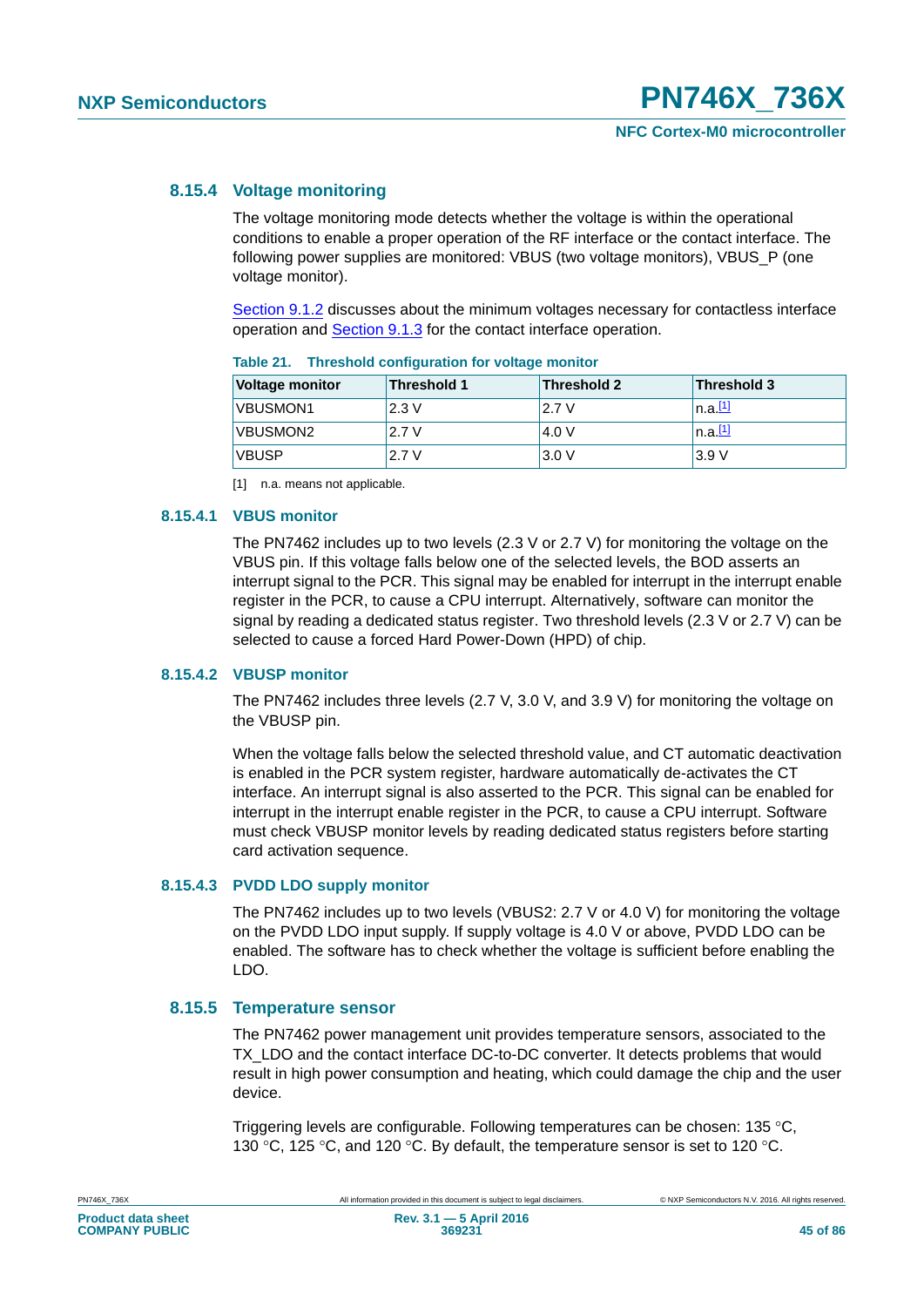### **8.15.4 Voltage monitoring**

The voltage monitoring mode detects whether the voltage is within the operational conditions to enable a proper operation of the RF interface or the contact interface. The following power supplies are monitored: VBUS (two voltage monitors), VBUS\_P (one voltage monitor).

[Section 9.1.2](#page-47-0) discusses about the minimum voltages necessary for contactless interface operation and **[Section 9.1.3](#page-49-0)** for the contact interface operation.

| <b>Voltage monitor</b> | Threshold 1 | <b>Threshold 2</b> | <b>Threshold 3</b> |
|------------------------|-------------|--------------------|--------------------|
| VBUSMON1               | 2.3V        | 2.7 V              | n.a.11             |
| VBUSMON2               | 2.7V        | 4.0 V              | n.a.11             |
| <b>VBUSP</b>           | 2.7 V       | 3.0V               | 3.9V               |

| Table 21. | Threshold configuration for voltage monitor |  |
|-----------|---------------------------------------------|--|
|           |                                             |  |

<span id="page-44-0"></span>[1] n.a. means not applicable.

### **8.15.4.1 VBUS monitor**

The PN7462 includes up to two levels (2.3 V or 2.7 V) for monitoring the voltage on the VBUS pin. If this voltage falls below one of the selected levels, the BOD asserts an interrupt signal to the PCR. This signal may be enabled for interrupt in the interrupt enable register in the PCR, to cause a CPU interrupt. Alternatively, software can monitor the signal by reading a dedicated status register. Two threshold levels (2.3 V or 2.7 V) can be selected to cause a forced Hard Power-Down (HPD) of chip.

### **8.15.4.2 VBUSP monitor**

The PN7462 includes three levels (2.7 V, 3.0 V, and 3.9 V) for monitoring the voltage on the VBUSP pin.

When the voltage falls below the selected threshold value, and CT automatic deactivation is enabled in the PCR system register, hardware automatically de-activates the CT interface. An interrupt signal is also asserted to the PCR. This signal can be enabled for interrupt in the interrupt enable register in the PCR, to cause a CPU interrupt. Software must check VBUSP monitor levels by reading dedicated status registers before starting card activation sequence.

#### **8.15.4.3 PVDD LDO supply monitor**

The PN7462 includes up to two levels (VBUS2: 2.7 V or 4.0 V) for monitoring the voltage on the PVDD LDO input supply. If supply voltage is 4.0 V or above, PVDD LDO can be enabled. The software has to check whether the voltage is sufficient before enabling the LDO.

### **8.15.5 Temperature sensor**

The PN7462 power management unit provides temperature sensors, associated to the TX\_LDO and the contact interface DC-to-DC converter. It detects problems that would result in high power consumption and heating, which could damage the chip and the user device.

Triggering levels are configurable. Following temperatures can be chosen: 135 °C, 130 °C, 125 °C, and 120 °C. By default, the temperature sensor is set to 120 °C.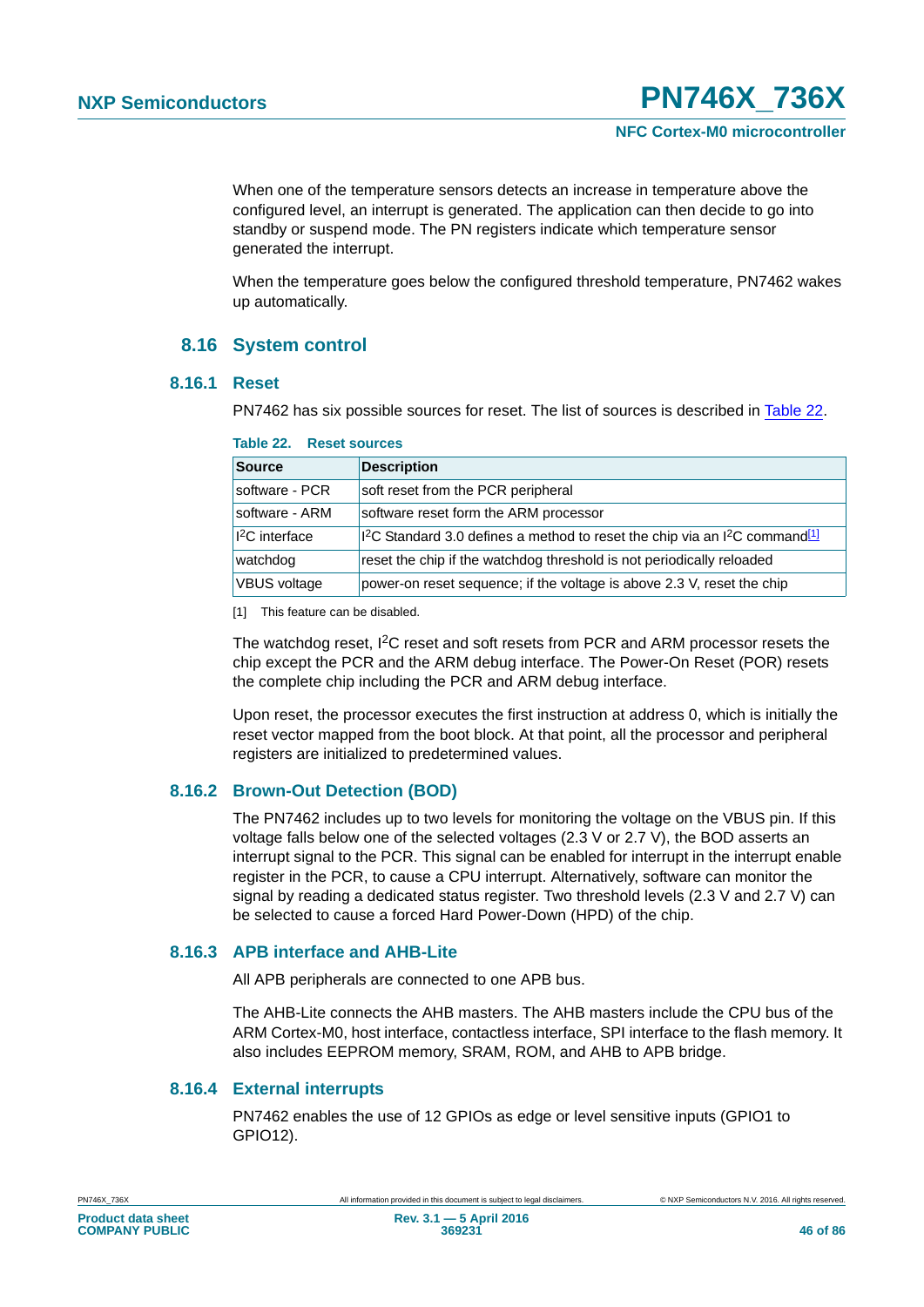When one of the temperature sensors detects an increase in temperature above the configured level, an interrupt is generated. The application can then decide to go into standby or suspend mode. The PN registers indicate which temperature sensor generated the interrupt.

When the temperature goes below the configured threshold temperature, PN7462 wakes up automatically.

### **8.16 System control**

### **8.16.1 Reset**

PN7462 has six possible sources for reset. The list of sources is described in [Table 22.](#page-45-0)

| <b>Source</b>              | <b>Description</b>                                                                                              |
|----------------------------|-----------------------------------------------------------------------------------------------------------------|
| software - PCR             | soft reset from the PCR peripheral                                                                              |
| software - ARM             | software reset form the ARM processor                                                                           |
| 1 <sup>2</sup> C interface | I <sup>2</sup> C Standard 3.0 defines a method to reset the chip via an I <sup>2</sup> C command <sup>[1]</sup> |
| watchdog                   | reset the chip if the watchdog threshold is not periodically reloaded                                           |
| <b>VBUS voltage</b>        | power-on reset sequence; if the voltage is above 2.3 V, reset the chip                                          |

#### <span id="page-45-0"></span>**Table 22. Reset sources**

<span id="page-45-1"></span>[1] This feature can be disabled.

The watchdog reset, I<sup>2</sup>C reset and soft resets from PCR and ARM processor resets the chip except the PCR and the ARM debug interface. The Power-On Reset (POR) resets the complete chip including the PCR and ARM debug interface.

Upon reset, the processor executes the first instruction at address 0, which is initially the reset vector mapped from the boot block. At that point, all the processor and peripheral registers are initialized to predetermined values.

### **8.16.2 Brown-Out Detection (BOD)**

The PN7462 includes up to two levels for monitoring the voltage on the VBUS pin. If this voltage falls below one of the selected voltages (2.3 V or 2.7 V), the BOD asserts an interrupt signal to the PCR. This signal can be enabled for interrupt in the interrupt enable register in the PCR, to cause a CPU interrupt. Alternatively, software can monitor the signal by reading a dedicated status register. Two threshold levels (2.3 V and 2.7 V) can be selected to cause a forced Hard Power-Down (HPD) of the chip.

### **8.16.3 APB interface and AHB-Lite**

All APB peripherals are connected to one APB bus.

The AHB-Lite connects the AHB masters. The AHB masters include the CPU bus of the ARM Cortex-M0, host interface, contactless interface, SPI interface to the flash memory. It also includes EEPROM memory, SRAM, ROM, and AHB to APB bridge.

### **8.16.4 External interrupts**

PN7462 enables the use of 12 GPIOs as edge or level sensitive inputs (GPIO1 to GPIO12).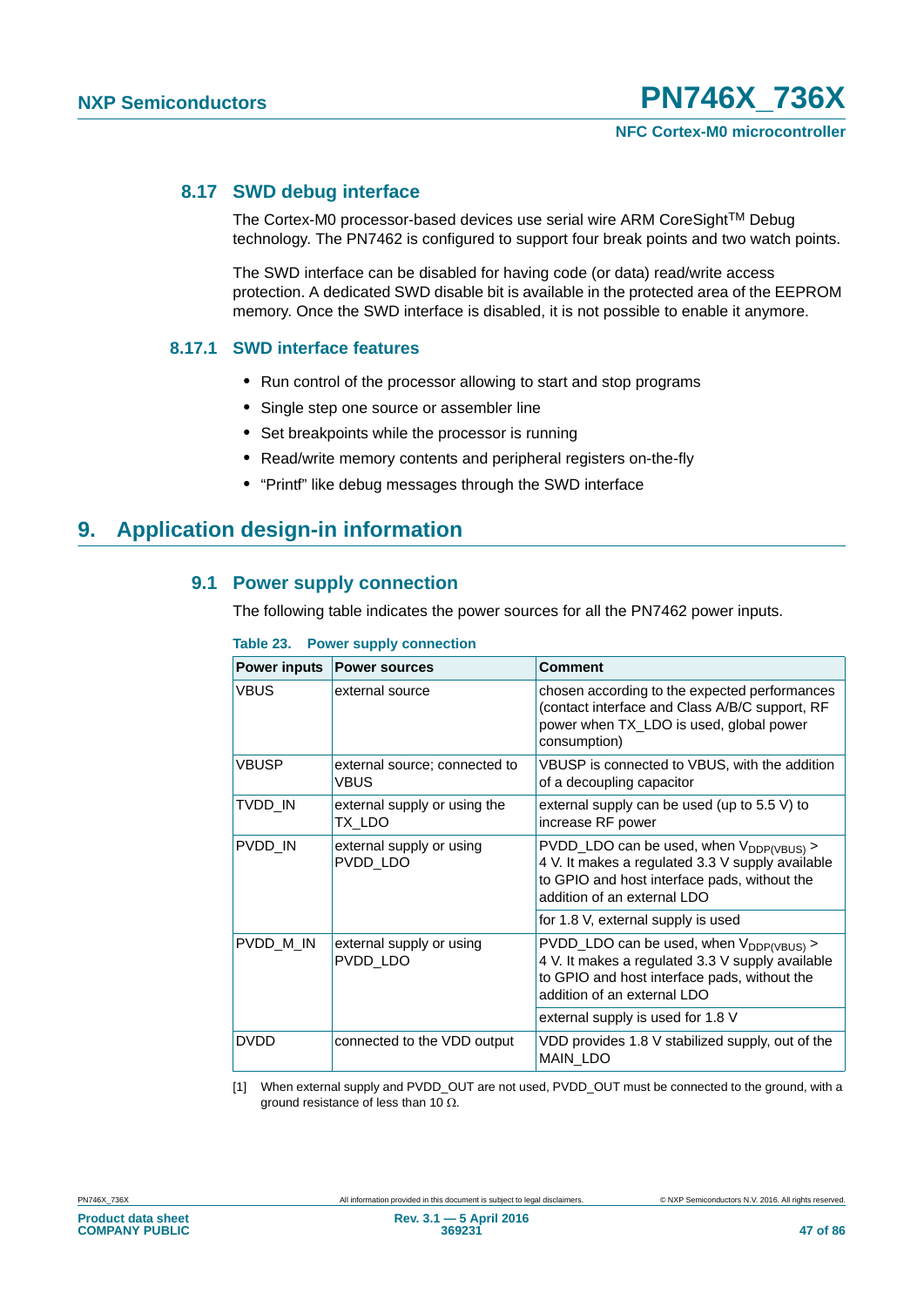### **8.17 SWD debug interface**

The Cortex-M0 processor-based devices use serial wire ARM CoreSight™ Debug technology. The PN7462 is configured to support four break points and two watch points.

The SWD interface can be disabled for having code (or data) read/write access protection. A dedicated SWD disable bit is available in the protected area of the EEPROM memory. Once the SWD interface is disabled, it is not possible to enable it anymore.

### **8.17.1 SWD interface features**

- **•** Run control of the processor allowing to start and stop programs
- **•** Single step one source or assembler line
- **•** Set breakpoints while the processor is running
- **•** Read/write memory contents and peripheral registers on-the-fly
- **•** "Printf" like debug messages through the SWD interface

### **9. Application design-in information**

### **9.1 Power supply connection**

The following table indicates the power sources for all the PN7462 power inputs.

| <b>Power inputs</b> | <b>Power sources</b>                         | Comment                                                                                                                                                                         |
|---------------------|----------------------------------------------|---------------------------------------------------------------------------------------------------------------------------------------------------------------------------------|
| <b>VBUS</b>         | external source                              | chosen according to the expected performances<br>(contact interface and Class A/B/C support, RF<br>power when TX_LDO is used, global power<br>consumption)                      |
| <b>VBUSP</b>        | external source; connected to<br><b>VBUS</b> | VBUSP is connected to VBUS, with the addition<br>of a decoupling capacitor                                                                                                      |
| TVDD IN             | external supply or using the<br>TX LDO       | external supply can be used (up to $5.5$ V) to<br>increase RF power                                                                                                             |
| PVDD IN             | external supply or using<br>PVDD LDO         | PVDD_LDO can be used, when $V_{DDP(VBUS)}$ ><br>4 V. It makes a regulated 3.3 V supply available<br>to GPIO and host interface pads, without the<br>addition of an external LDO |
|                     |                                              | for 1.8 V, external supply is used                                                                                                                                              |
| PVDD M IN           | external supply or using<br>PVDD LDO         | $PVDD_LDO$ can be used, when $V_{DDP(VBUS)}$<br>4 V. It makes a regulated 3.3 V supply available<br>to GPIO and host interface pads, without the<br>addition of an external LDO |
|                     |                                              | external supply is used for 1.8 V                                                                                                                                               |
| <b>DVDD</b>         | connected to the VDD output                  | VDD provides 1.8 V stabilized supply, out of the<br>MAIN_LDO                                                                                                                    |

**Table 23. Power supply connection**

[1] When external supply and PVDD\_OUT are not used, PVDD\_OUT must be connected to the ground, with a ground resistance of less than 10  $\Omega$ .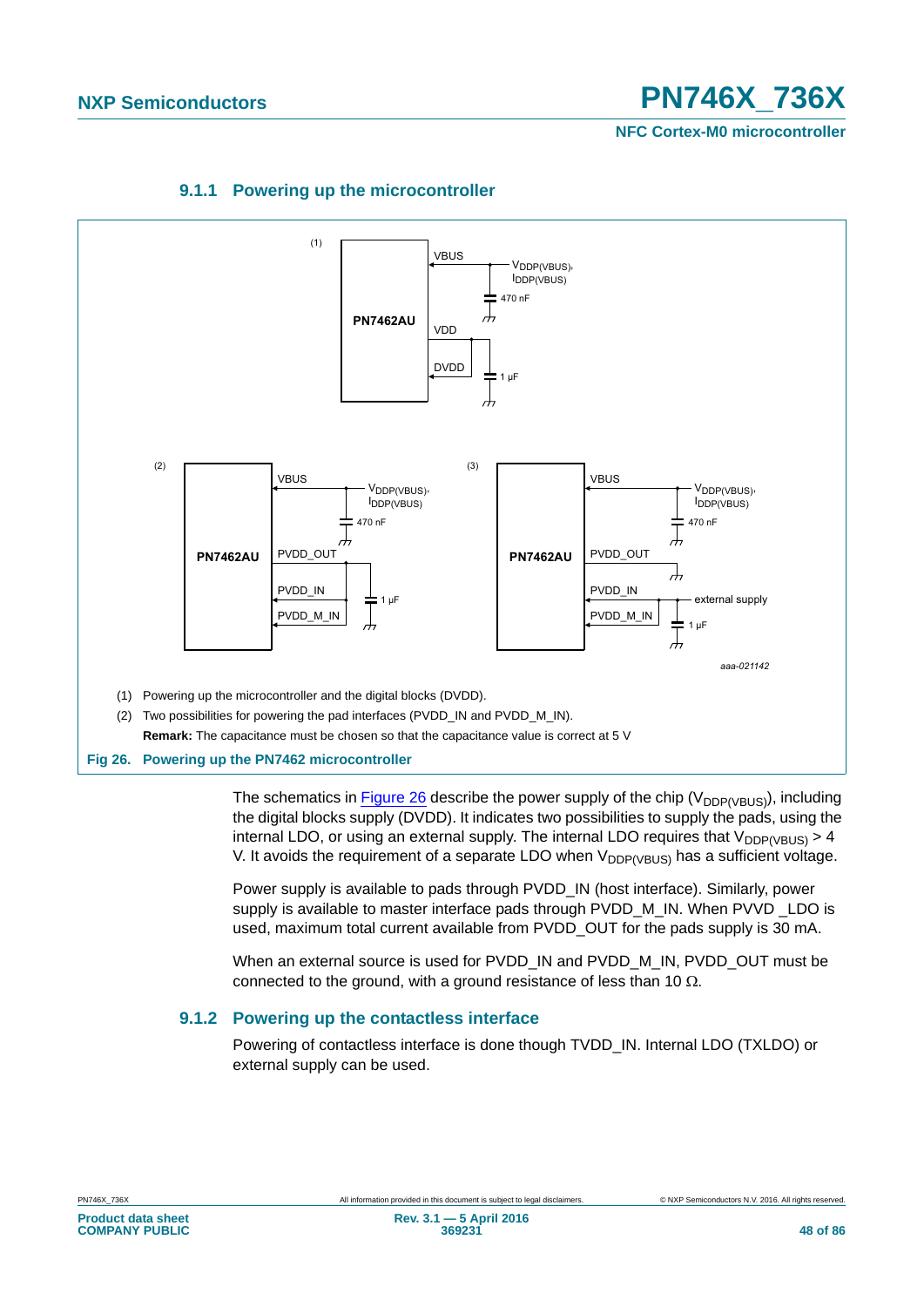**NFC Cortex-M0 microcontroller**



### **9.1.1 Powering up the microcontroller**

<span id="page-47-1"></span>The schematics in [Figure 26](#page-47-1) describe the power supply of the chip ( $V_{DDP(VBUS)}$ ), including the digital blocks supply (DVDD). It indicates two possibilities to supply the pads, using the internal LDO, or using an external supply. The internal LDO requires that  $V_{DDP(VBUS)} > 4$ V. It avoids the requirement of a separate LDO when  $V_{DDP(VBUS)}$  has a sufficient voltage.

Power supply is available to pads through PVDD\_IN (host interface). Similarly, power supply is available to master interface pads through PVDD\_M\_IN. When PVVD LDO is used, maximum total current available from PVDD\_OUT for the pads supply is 30 mA.

When an external source is used for PVDD\_IN and PVDD\_M\_IN, PVDD\_OUT must be connected to the ground, with a ground resistance of less than 10  $\Omega$ .

### <span id="page-47-0"></span>**9.1.2 Powering up the contactless interface**

Powering of contactless interface is done though TVDD\_IN. Internal LDO (TXLDO) or external supply can be used.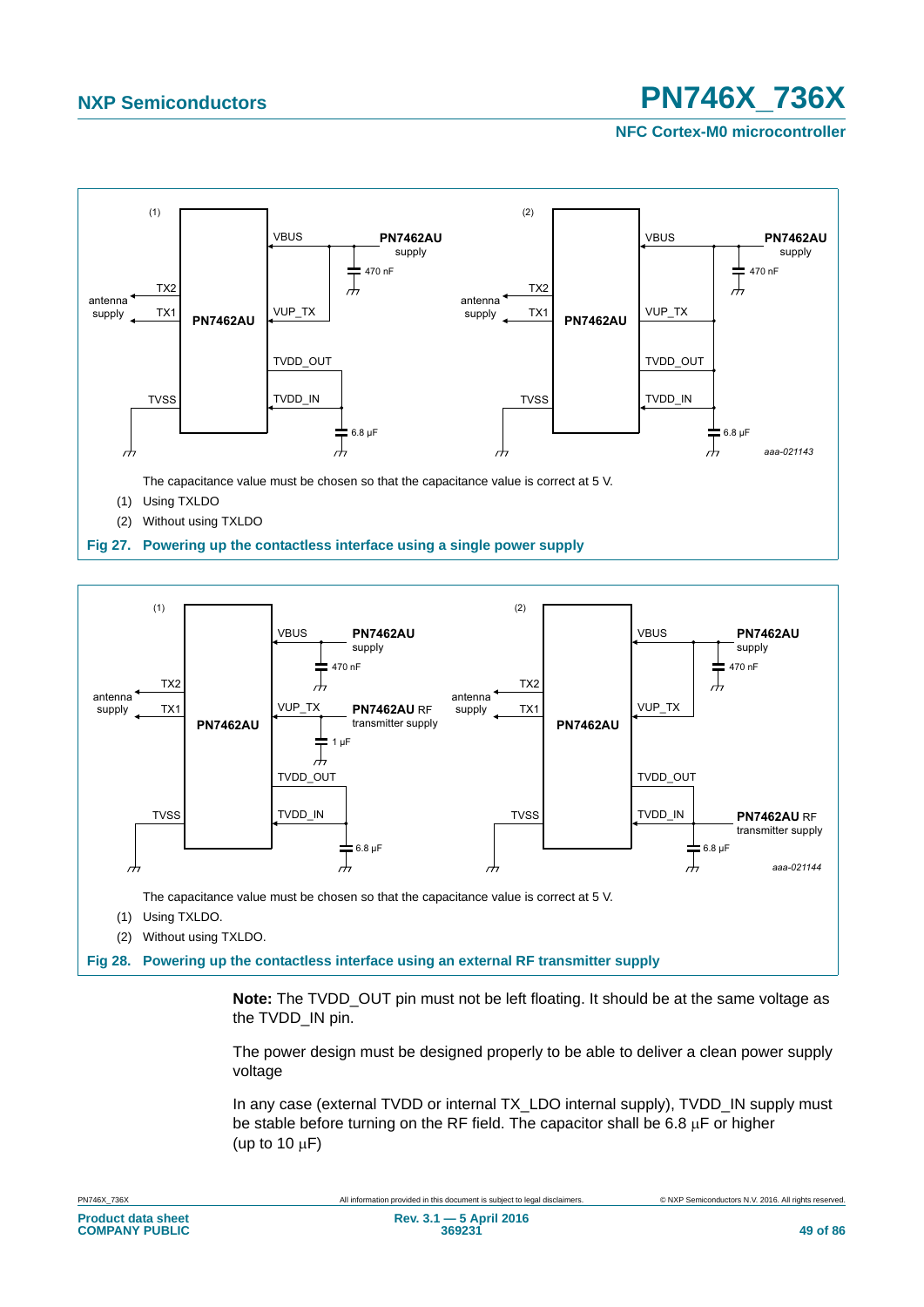**NFC Cortex-M0 microcontroller**





**Note:** The TVDD\_OUT pin must not be left floating. It should be at the same voltage as the TVDD IN pin.

The power design must be designed properly to be able to deliver a clean power supply voltage

In any case (external TVDD or internal TX\_LDO internal supply), TVDD\_IN supply must be stable before turning on the RF field. The capacitor shall be 6.8  $\mu$ F or higher (up to 10  $\mu$ F)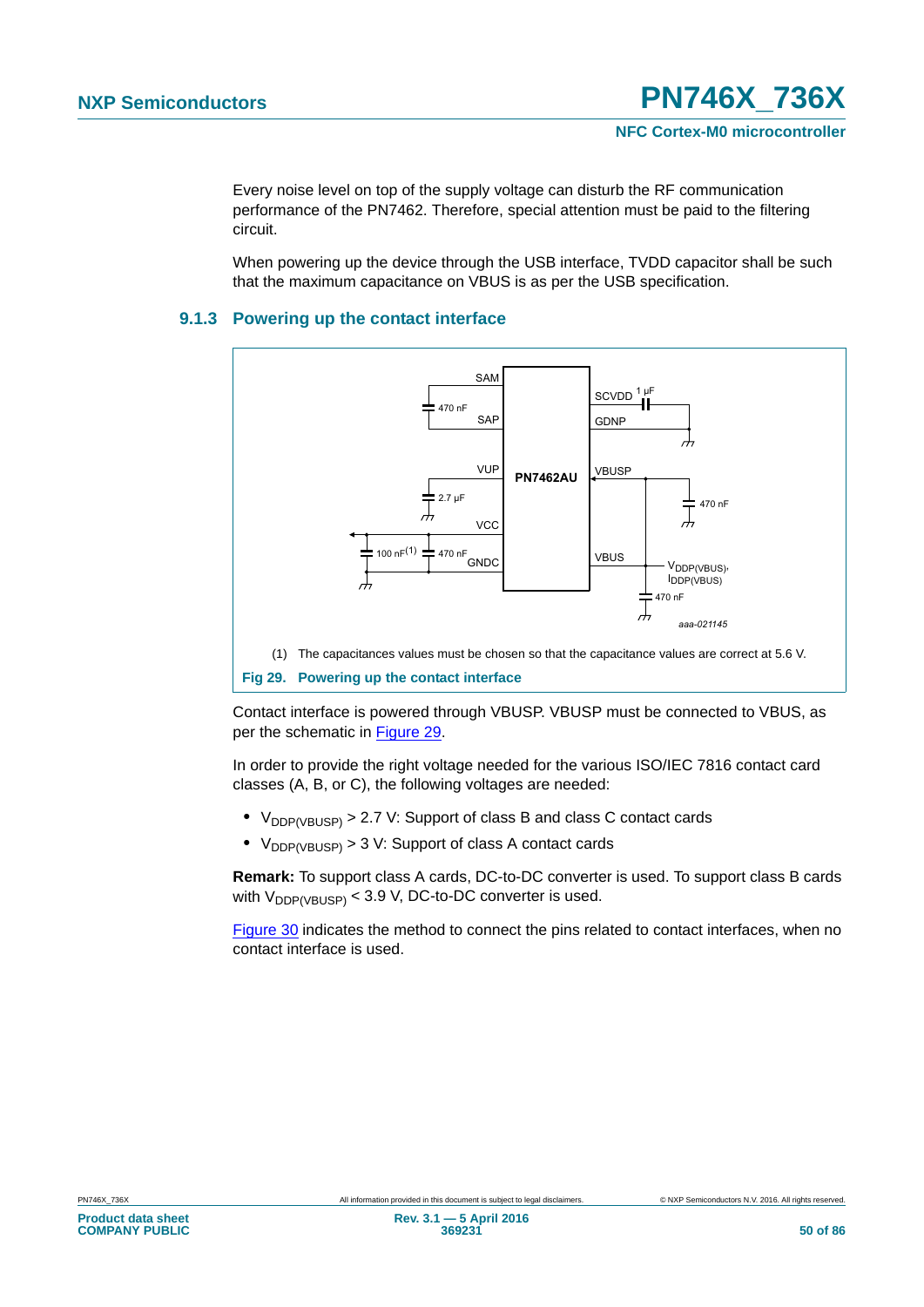Every noise level on top of the supply voltage can disturb the RF communication performance of the PN7462. Therefore, special attention must be paid to the filtering circuit.

When powering up the device through the USB interface, TVDD capacitor shall be such that the maximum capacitance on VBUS is as per the USB specification.

### <span id="page-49-0"></span>**9.1.3 Powering up the contact interface**



<span id="page-49-1"></span>Contact interface is powered through VBUSP. VBUSP must be connected to VBUS, as per the schematic in [Figure 29.](#page-49-1)

In order to provide the right voltage needed for the various ISO/IEC 7816 contact card classes (A, B, or C), the following voltages are needed:

- $V_{DDP(VBUSP)} > 2.7$  V: Support of class B and class C contact cards
- V<sub>DDP(VBUSP)</sub> > 3 V: Support of class A contact cards

**Remark:** To support class A cards, DC-to-DC converter is used. To support class B cards with  $V_{DDP(VBUSP)}$  < 3.9 V, DC-to-DC converter is used.

[Figure 30](#page-50-0) indicates the method to connect the pins related to contact interfaces, when no contact interface is used.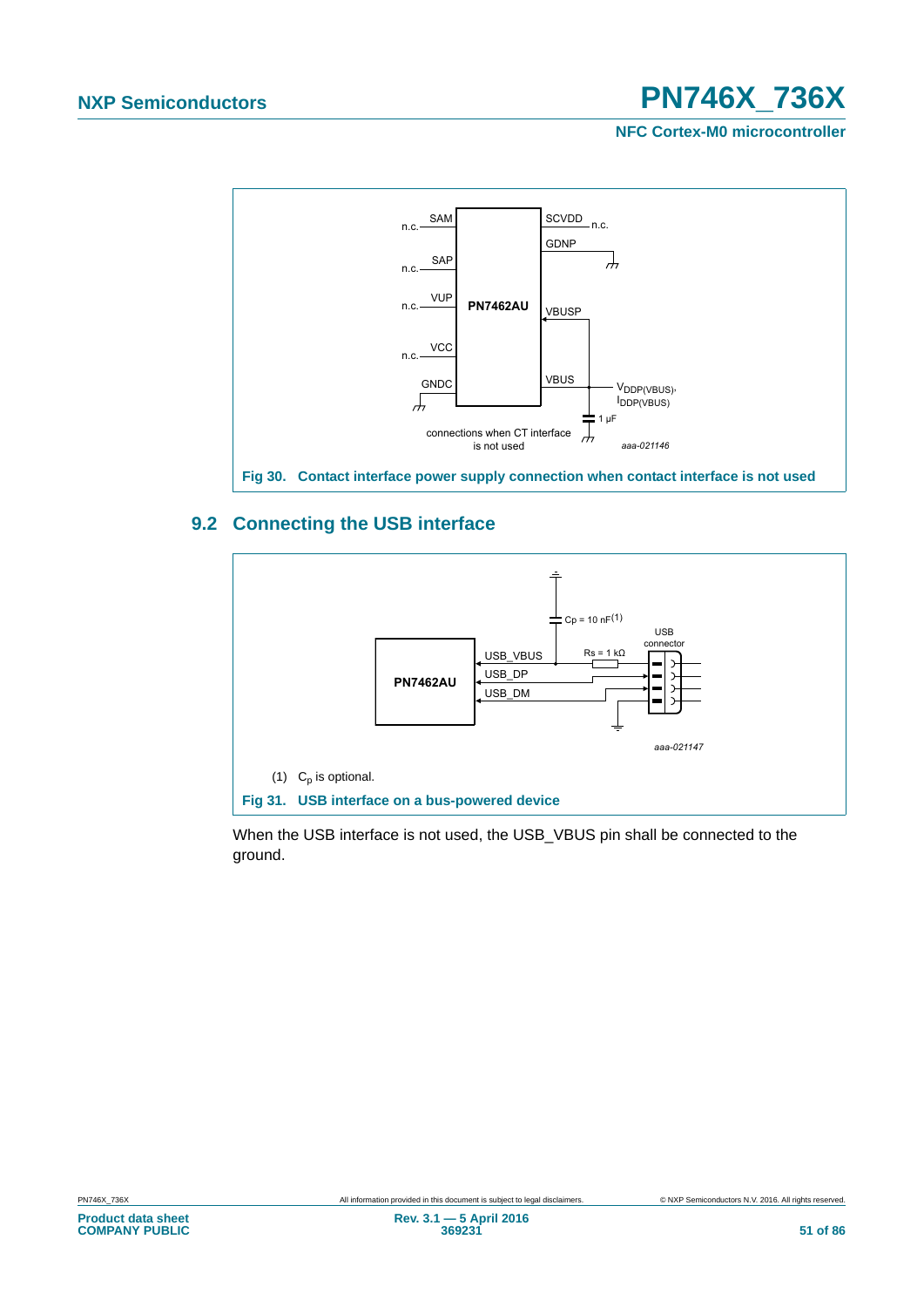**NFC Cortex-M0 microcontroller**



### <span id="page-50-0"></span>**9.2 Connecting the USB interface**



When the USB interface is not used, the USB\_VBUS pin shall be connected to the ground.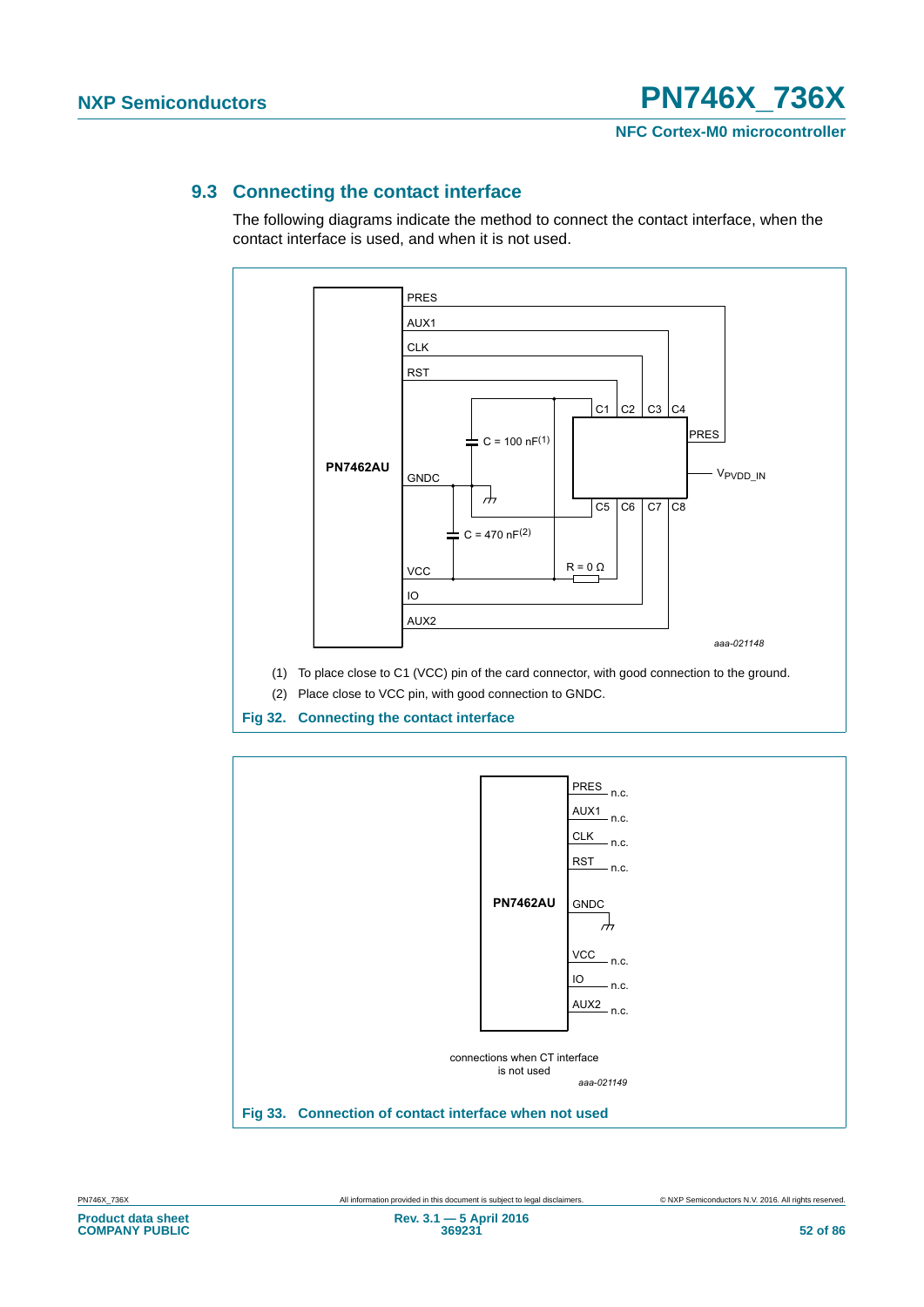### **9.3 Connecting the contact interface**

The following diagrams indicate the method to connect the contact interface, when the contact interface is used, and when it is not used.



**Fig 32. Connecting the contact interface**

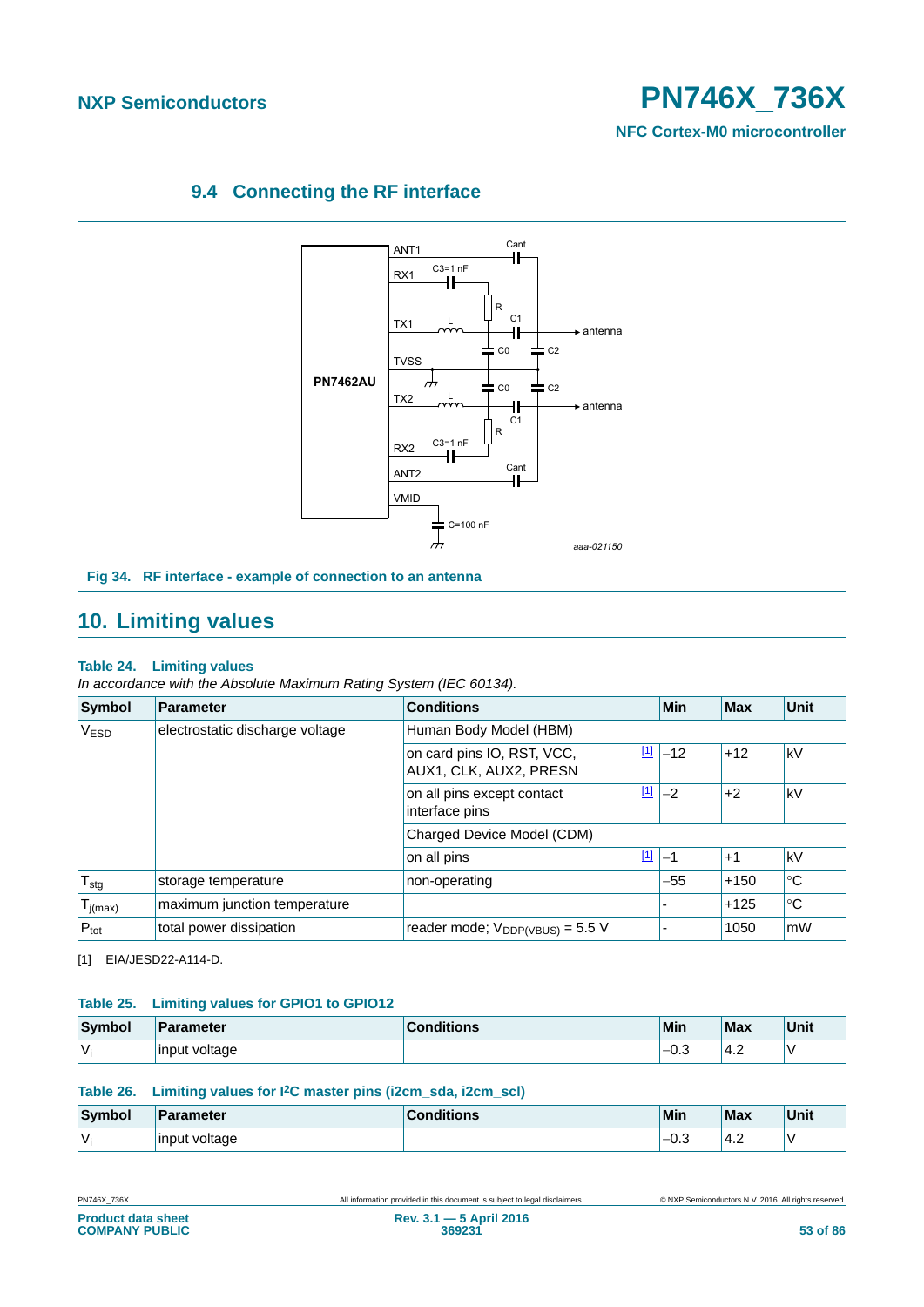**NFC Cortex-M0 microcontroller**

### **9.4 Connecting the RF interface**



### **10. Limiting values**

### **Table 24. Limiting values**

*In accordance with the Absolute Maximum Rating System (IEC 60134).*

| <b>Symbol</b>    | <b>Parameter</b>                                                   | <b>Conditions</b>                                           | <b>Min</b> | <b>Max</b> | <b>Unit</b> |  |
|------------------|--------------------------------------------------------------------|-------------------------------------------------------------|------------|------------|-------------|--|
| V <sub>ESD</sub> | electrostatic discharge voltage                                    | Human Body Model (HBM)                                      |            |            |             |  |
|                  | <u>[1]</u><br>on card pins IO, RST, VCC,<br>AUX1, CLK, AUX2, PRESN | $-12$                                                       | $+12$      | kV         |             |  |
|                  |                                                                    | $\boxed{1}$<br>on all pins except contact<br>interface pins | $-2$       | $+2$       | kV          |  |
|                  |                                                                    | Charged Device Model (CDM)                                  |            |            |             |  |
|                  |                                                                    | $\boxed{1}$<br>on all pins                                  | -1         | $+1$       | kV          |  |
| $T_{\text{stg}}$ | storage temperature                                                | non-operating                                               | -55        | $+150$     | $^{\circ}C$ |  |
| $T_{j(max)}$     | maximum junction temperature                                       |                                                             |            | $+125$     | $^{\circ}C$ |  |
| $P_{\text{tot}}$ | total power dissipation                                            | reader mode; $V_{DDP(VBUS)} = 5.5 V$                        |            | 1050       | mW          |  |

<span id="page-52-0"></span>[1] EIA/JESD22-A114-D.

### **Table 25. Limiting values for GPIO1 to GPIO12**

| Symbol | <b>Parameter</b> | <b>Conditions</b> | Min            | Max | Unit |
|--------|------------------|-------------------|----------------|-----|------|
| $\vee$ | input voltage    |                   | $\sim$<br>–∪.◡ | 4.2 |      |

### **Table 26. Limiting values for I2C master pins (i2cm\_sda, i2cm\_scl)**

| Symbol | <b>Parameter</b> | ditions | Min                    | <b>Max</b> | Unit |
|--------|------------------|---------|------------------------|------------|------|
| V      | input<br>voltage |         | $\sim$ $\sim$<br>'−∪.J | ے:4'       |      |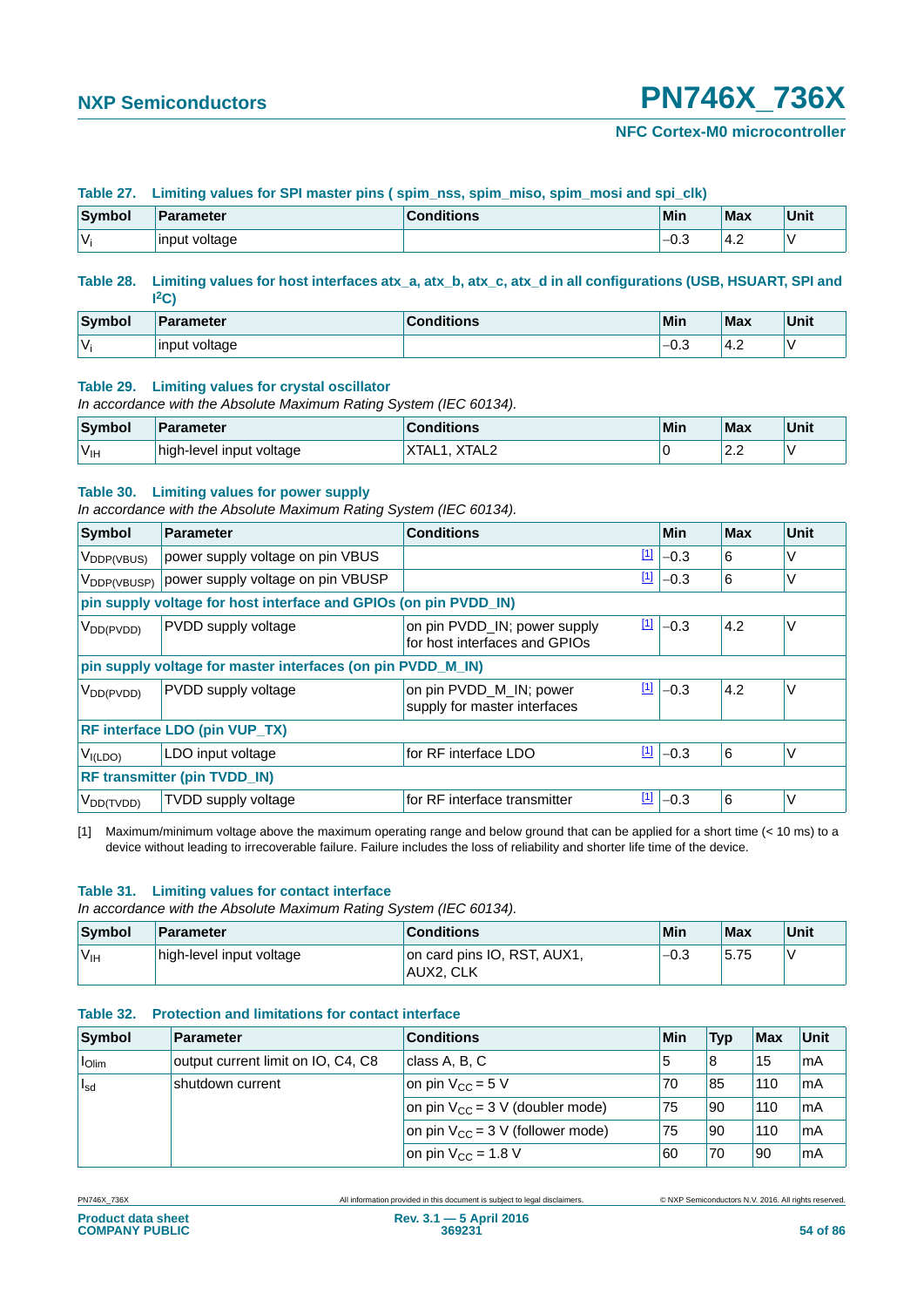### **NFC Cortex-M0 microcontroller**

### **Table 27. Limiting values for SPI master pins ( spim\_nss, spim\_miso, spim\_mosi and spi\_clk)**

| Symbol | ⊪Parameter     | ∶onditions | <b>Min</b> | <b>Max</b> | <b>Unit</b> |
|--------|----------------|------------|------------|------------|-------------|
| V      | linput voltage |            | '-0.⊾      | 14.2       |             |

#### **Table 28. Limiting values for host interfaces atx\_a, atx\_b, atx\_c, atx\_d in all configurations (USB, HSUART, SPI and I 2C)**

| Symbol | <b>Parameter</b>       | Conditions | Min                        | Max               | Unit |
|--------|------------------------|------------|----------------------------|-------------------|------|
| v      | voltage<br>'input<br>ີ |            | $\sim$<br>-<br>−∪.∪<br>- - | $\epsilon$<br>4.2 |      |

#### **Table 29. Limiting values for crystal oscillator**

*In accordance with the Absolute Maximum Rating System (IEC 60134).*

| Symbol           | Parameter                | <b>Conditions</b> | Min | <b>Max</b>              | Unit |
|------------------|--------------------------|-------------------|-----|-------------------------|------|
| 'V <sub>IH</sub> | high-level input voltage | XTAL2<br>XIAL     |     | $\sim$ $\sim$<br>$\sim$ |      |

#### **Table 30. Limiting values for power supply**

*In accordance with the Absolute Maximum Rating System (IEC 60134).*

| <b>Symbol</b>           | <b>Parameter</b>                                                 | <b>Conditions</b>                                                            |  | Min    | <b>Max</b> | Unit   |  |
|-------------------------|------------------------------------------------------------------|------------------------------------------------------------------------------|--|--------|------------|--------|--|
| V <sub>DDP(VBUS)</sub>  | power supply voltage on pin VBUS                                 | <u>[1]</u>                                                                   |  | $-0.3$ | 6          | V      |  |
| $V_{\text{DDP(VBUSP)}}$ | power supply voltage on pin VBUSP                                | $\boxed{1}$                                                                  |  | $-0.3$ | 6          | ٧      |  |
|                         | pin supply voltage for host interface and GPIOs (on pin PVDD_IN) |                                                                              |  |        |            |        |  |
| V <sub>DD(PVDD)</sub>   | PVDD supply voltage                                              | $\boxed{1}$<br>on pin PVDD_IN; power supply<br>for host interfaces and GPIOs |  | $-0.3$ | 4.2        | V      |  |
|                         | pin supply voltage for master interfaces (on pin PVDD_M_IN)      |                                                                              |  |        |            |        |  |
| V <sub>DD(PVDD)</sub>   | PVDD supply voltage                                              | $\boxed{1}$<br>on pin PVDD_M_IN; power<br>supply for master interfaces       |  | $-0.3$ | 4.2        | V      |  |
|                         | <b>RF interface LDO (pin VUP_TX)</b>                             |                                                                              |  |        |            |        |  |
| V <sub>I(LDO</sub>      | LDO input voltage                                                | $\boxed{1}$<br>for RF interface LDO                                          |  | $-0.3$ | 6          | $\vee$ |  |
|                         | <b>RF transmitter (pin TVDD_IN)</b>                              |                                                                              |  |        |            |        |  |
| $V_{DD(TVDD)}$          | TVDD supply voltage                                              | <u>[1]</u><br>for RF interface transmitter                                   |  | $-0.3$ | 6          | V      |  |

<span id="page-53-0"></span>[1] Maximum/minimum voltage above the maximum operating range and below ground that can be applied for a short time (< 10 ms) to a device without leading to irrecoverable failure. Failure includes the loss of reliability and shorter life time of the device.

#### **Table 31. Limiting values for contact interface**

*In accordance with the Absolute Maximum Rating System (IEC 60134).*

| Symbol           | Parameter                | <b>Conditions</b>                        | Min    | Max  | Unit |
|------------------|--------------------------|------------------------------------------|--------|------|------|
| 'V <sub>IH</sub> | high-level input voltage | on card pins IO, RST, AUX1,<br>AUX2, CLK | $-0.3$ | 5.75 |      |

### **Table 32. Protection and limitations for contact interface**

| Symbol                          | Parameter                          | <b>Conditions</b>                     | Min | Typ  | Max | <b>Unit</b> |
|---------------------------------|------------------------------------|---------------------------------------|-----|------|-----|-------------|
| $\vert$ $\vert$ <sub>Olim</sub> | output current limit on IO, C4, C8 | class A, B, C                         | G   | 8    | 15  | mA          |
| $I_{sd}$                        | shutdown current                   | on pin $V_{CC}$ = 5 V                 | 70  | 85   | 110 | mA          |
|                                 |                                    | on pin $V_{CC}$ = 3 V (doubler mode)  | 75  | 90   | 110 | mA          |
|                                 |                                    | on pin $V_{CC}$ = 3 V (follower mode) | 75  | l 90 | 110 | mA          |
|                                 |                                    | on pin $V_{CC}$ = 1.8 V               | 60  | 70   | '90 | mA          |

PN746X\_736X All information provided in this document is subject to legal disclaimers. © NXP Semiconductors N.V. 2016. All rights reserved.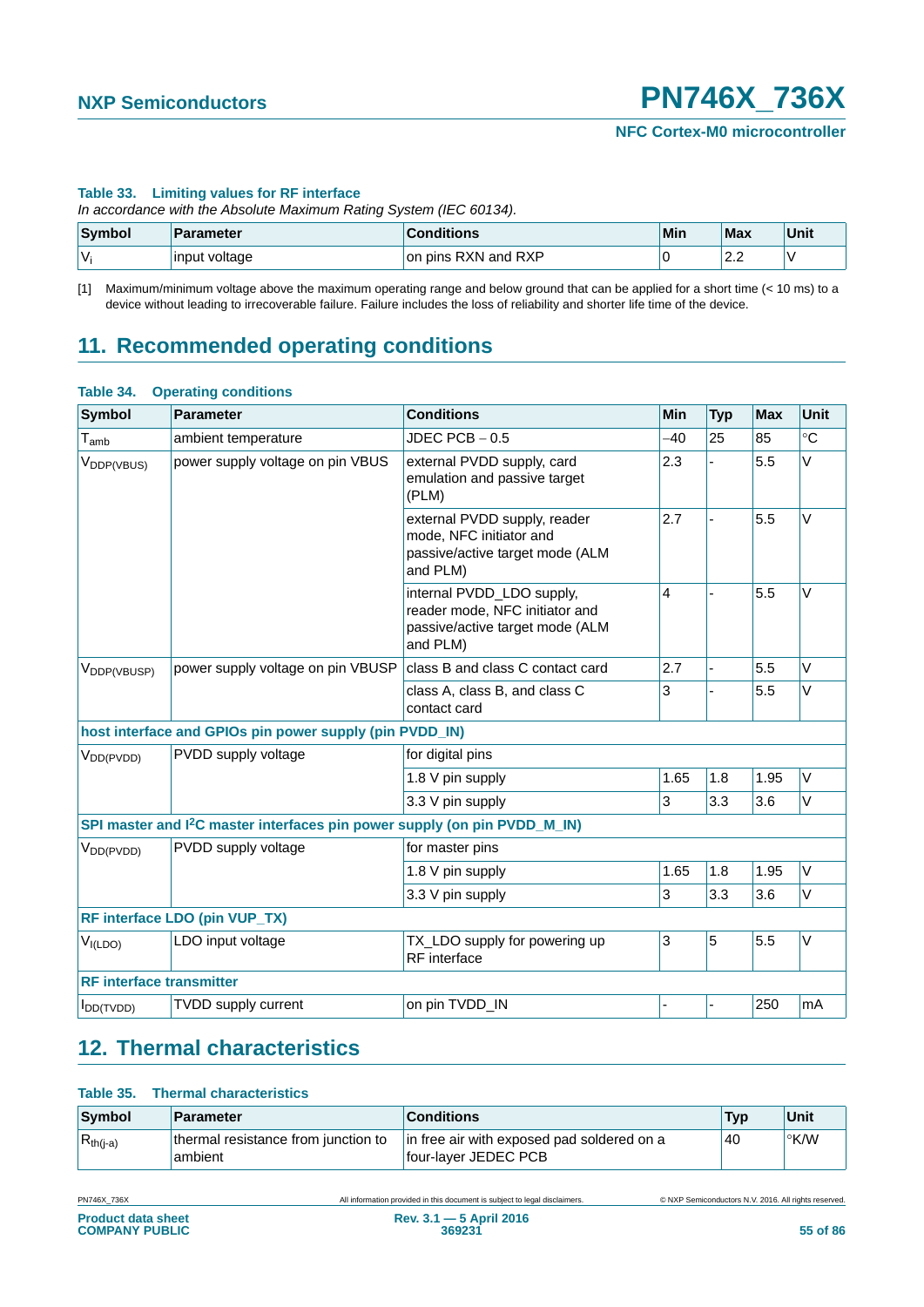### **Table 33. Limiting values for RF interface**

*In accordance with the Absolute Maximum Rating System (IEC 60134).*

| Symbol | Parameter     | <b>Conditions</b>         | Min | Max                | Unit |
|--------|---------------|---------------------------|-----|--------------------|------|
| v      | input voltage | RXN and RXP<br>or<br>pins |     | $\sim$<br><u>.</u> |      |

[1] Maximum/minimum voltage above the maximum operating range and below ground that can be applied for a short time (< 10 ms) to a device without leading to irrecoverable failure. Failure includes the loss of reliability and shorter life time of the device.

### **11. Recommended operating conditions**

#### **Table 34. Operating conditions**

| <b>Symbol</b>                   | <b>Parameter</b>                                                                      | <b>Conditions</b>                                                                                          | Min   | <b>Typ</b> | <b>Max</b> | Unit   |  |  |
|---------------------------------|---------------------------------------------------------------------------------------|------------------------------------------------------------------------------------------------------------|-------|------------|------------|--------|--|--|
| $T_{\mathsf{amb}}$              | ambient temperature                                                                   | $JDEC$ PCB $-0.5$                                                                                          | $-40$ | 25         | 85         | °C     |  |  |
| V <sub>DDP(VBUS)</sub>          | power supply voltage on pin VBUS                                                      | external PVDD supply, card<br>emulation and passive target<br>(PLM)                                        | 2.3   |            | 5.5        | V      |  |  |
|                                 |                                                                                       | external PVDD supply, reader<br>mode, NFC initiator and<br>passive/active target mode (ALM<br>and PLM)     | 2.7   |            | 5.5        | V      |  |  |
|                                 |                                                                                       | internal PVDD_LDO supply,<br>reader mode, NFC initiator and<br>passive/active target mode (ALM<br>and PLM) | 4     |            | 5.5        | V      |  |  |
| V <sub>DDP(VBUSP)</sub>         | power supply voltage on pin VBUSP                                                     | class B and class C contact card                                                                           | 2.7   |            | 5.5        | V      |  |  |
|                                 |                                                                                       | class A, class B, and class C<br>contact card                                                              | 3     |            | 5.5        | V      |  |  |
|                                 | host interface and GPIOs pin power supply (pin PVDD_IN)                               |                                                                                                            |       |            |            |        |  |  |
| $V_{DD(PVDD)}$                  | PVDD supply voltage                                                                   | for digital pins                                                                                           |       |            |            |        |  |  |
|                                 |                                                                                       | 1.8 V pin supply                                                                                           | 1.65  | 1.8        | 1.95       | $\vee$ |  |  |
|                                 |                                                                                       | 3.3 V pin supply                                                                                           | 3     | 3.3        | 3.6        | V      |  |  |
|                                 | SPI master and I <sup>2</sup> C master interfaces pin power supply (on pin PVDD_M_IN) |                                                                                                            |       |            |            |        |  |  |
| V <sub>DD(PVDD)</sub>           | PVDD supply voltage                                                                   | for master pins                                                                                            |       |            |            |        |  |  |
|                                 |                                                                                       | 1.8 V pin supply                                                                                           | 1.65  | 1.8        | 1.95       | $\vee$ |  |  |
|                                 |                                                                                       | 3.3 V pin supply                                                                                           | 3     | 3.3        | 3.6        | V      |  |  |
|                                 | RF interface LDO (pin VUP_TX)                                                         |                                                                                                            |       |            |            |        |  |  |
| V <sub>I(LDO</sub>              | LDO input voltage                                                                     | TX_LDO supply for powering up<br>RF interface                                                              | 3     | 5          | 5.5        | V      |  |  |
| <b>RF</b> interface transmitter |                                                                                       |                                                                                                            |       |            |            |        |  |  |
| $I_{DD(TVDD)}$                  | TVDD supply current                                                                   | on pin TVDD_IN                                                                                             |       |            | 250        | mA     |  |  |

### **12. Thermal characteristics**

### **Table 35. Thermal characteristics**

| Symbol        | <b>Parameter</b>                               | <b>Conditions</b>                                                  | <b>Typ</b> | Unit  |
|---------------|------------------------------------------------|--------------------------------------------------------------------|------------|-------|
| $R_{th(j-a)}$ | thermal resistance from junction to<br>ambient | in free air with exposed pad soldered on a<br>four-layer JEDEC PCB | 40         | ∣°K/W |

PN746X\_736X All information provided in this document is subject to legal disclaimers. © NXP Semiconductors N.V. 2016. All rights reserved.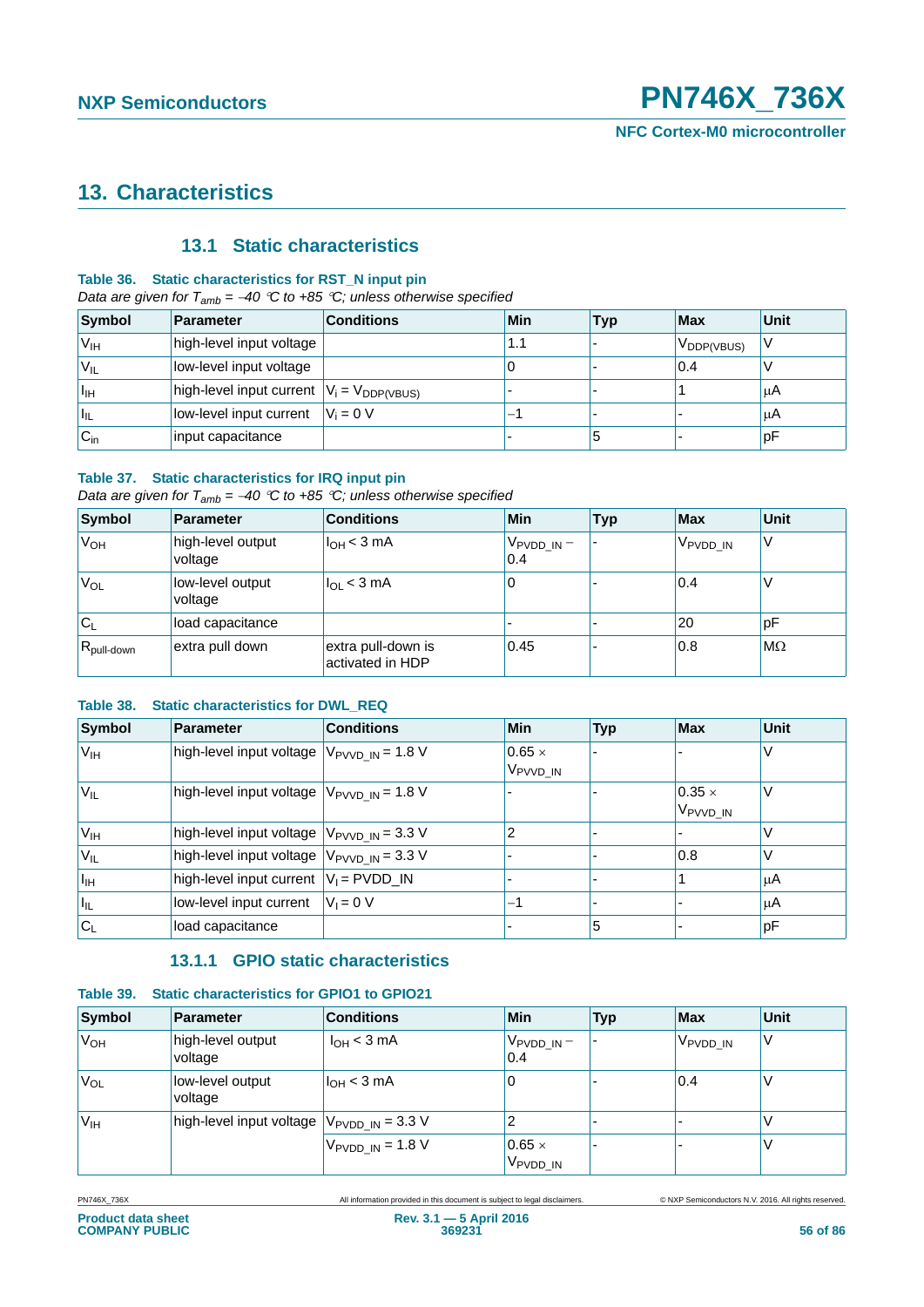### **13. Characteristics**

### **13.1 Static characteristics**

### **Table 36. Static characteristics for RST\_N input pin**

*Data are given for Tamb = 40 C to +85 C; unless otherwise specified*

| Symbol           | Parameter                                        | <b>Conditions</b> | Min | <b>Typ</b> | <b>Max</b>             | Unit |
|------------------|--------------------------------------------------|-------------------|-----|------------|------------------------|------|
| 'V <sub>IH</sub> | high-level input voltage                         |                   | 1.1 |            | $V_{\text{DDP(VBUS)}}$ |      |
| 'V <sub>IL</sub> | low-level input voltage                          |                   | U   |            | 0.4                    |      |
| $I_{\text{IH}}$  | high-level input current $ V_i = V_{DDP(VBUS)} $ |                   |     |            |                        | μA   |
| Ι'n.             | low-level input current                          | $V_i = 0 V$       | -   |            |                        | μA   |
| $C_{\text{in}}$  | input capacitance                                |                   |     | C          |                        | p۲   |

### **Table 37. Static characteristics for IRQ input pin**

*Data are given for Tamb = 40 C to +85 C; unless otherwise specified*

| Symbol           | Parameter                    | <b>Conditions</b>                      | Min                           | <b>Typ</b> | <b>Max</b>           | <b>Unit</b> |
|------------------|------------------------------|----------------------------------------|-------------------------------|------------|----------------------|-------------|
| 'V <sub>OH</sub> | high-level output<br>voltage | I <sub>OH</sub> < 3 mA                 | V <sub>PVDD_IN</sub> –<br>0.4 |            | V <sub>PVDD</sub> IN | ν           |
| 'V <sub>OL</sub> | low-level output<br>voltage  | $I_{OL}$ < 3 mA                        | 0                             |            | 0.4                  |             |
| $\mathsf{IC_L}$  | load capacitance             |                                        |                               |            | 20                   | рF          |
| $R_{pull-down}$  | extra pull down              | extra pull-down is<br>activated in HDP | 0.45                          |            | 0.8                  | $M\Omega$   |

### **Table 38. Static characteristics for DWL\_REQ**

| Symbol                   | <b>Parameter</b>                                  | <b>Conditions</b> | <b>Min</b>                            | <b>Typ</b> | <b>Max</b>                            | <b>Unit</b> |
|--------------------------|---------------------------------------------------|-------------------|---------------------------------------|------------|---------------------------------------|-------------|
| $V_{IH}$                 | high-level input voltage $V_{PVVD}$ $_N = 1.8 V$  |                   | $0.65 \times$<br>V <sub>PVVD</sub> IN |            |                                       |             |
| $V_{IL}$                 | high-level input voltage $ V_{PVVD} \eta = 1.8 V$ |                   |                                       |            | $0.35 \times$<br>V <sub>PVVD_IN</sub> |             |
| V <sub>IH</sub>          | high-level input voltage $ V_{PVVD}$ IN = 3.3 V   |                   | 2                                     |            |                                       |             |
| V <sub>IL</sub>          | high-level input voltage $ V_{PVVD} \eta = 3.3 V$ |                   |                                       |            | 0.8                                   |             |
| Πн                       | high-level input current $ V_1 $ = PVDD_IN        |                   |                                       |            |                                       | ΙuΑ         |
| $\vert\vert_{\text{IL}}$ | low-level input current                           | $V_i = 0$ V       | $-1$                                  |            |                                       | μA          |
| $ C_L$                   | load capacitance                                  |                   |                                       | 5          |                                       | pF          |

### **13.1.1 GPIO static characteristics**

### **Table 39. Static characteristics for GPIO1 to GPIO21**

| Symbol                | <b>Parameter</b>                                         | <b>Conditions</b>                    | Min                                   | <b>Typ</b> | <b>Max</b>           | <b>Unit</b> |
|-----------------------|----------------------------------------------------------|--------------------------------------|---------------------------------------|------------|----------------------|-------------|
| <b>V<sub>OH</sub></b> | high-level output<br>voltage                             | $I_{OH}$ < 3 mA                      | ∣ Vpvdd_in –<br>0.4                   |            | V <sub>PVDD_IN</sub> |             |
| V <sub>OL</sub>       | low-level output<br>voltage                              | $I_{OH}$ < 3 mA                      | 0                                     |            | 0.4                  |             |
| V <sub>IH</sub>       | high-level input voltage $ V_{\text{PVDD\_IN}}  = 3.3$ V |                                      | 2                                     |            |                      |             |
|                       |                                                          | $V_{\text{PVDD IN}} = 1.8 \text{ V}$ | $0.65 \times$<br>V <sub>PVDD</sub> IN |            |                      |             |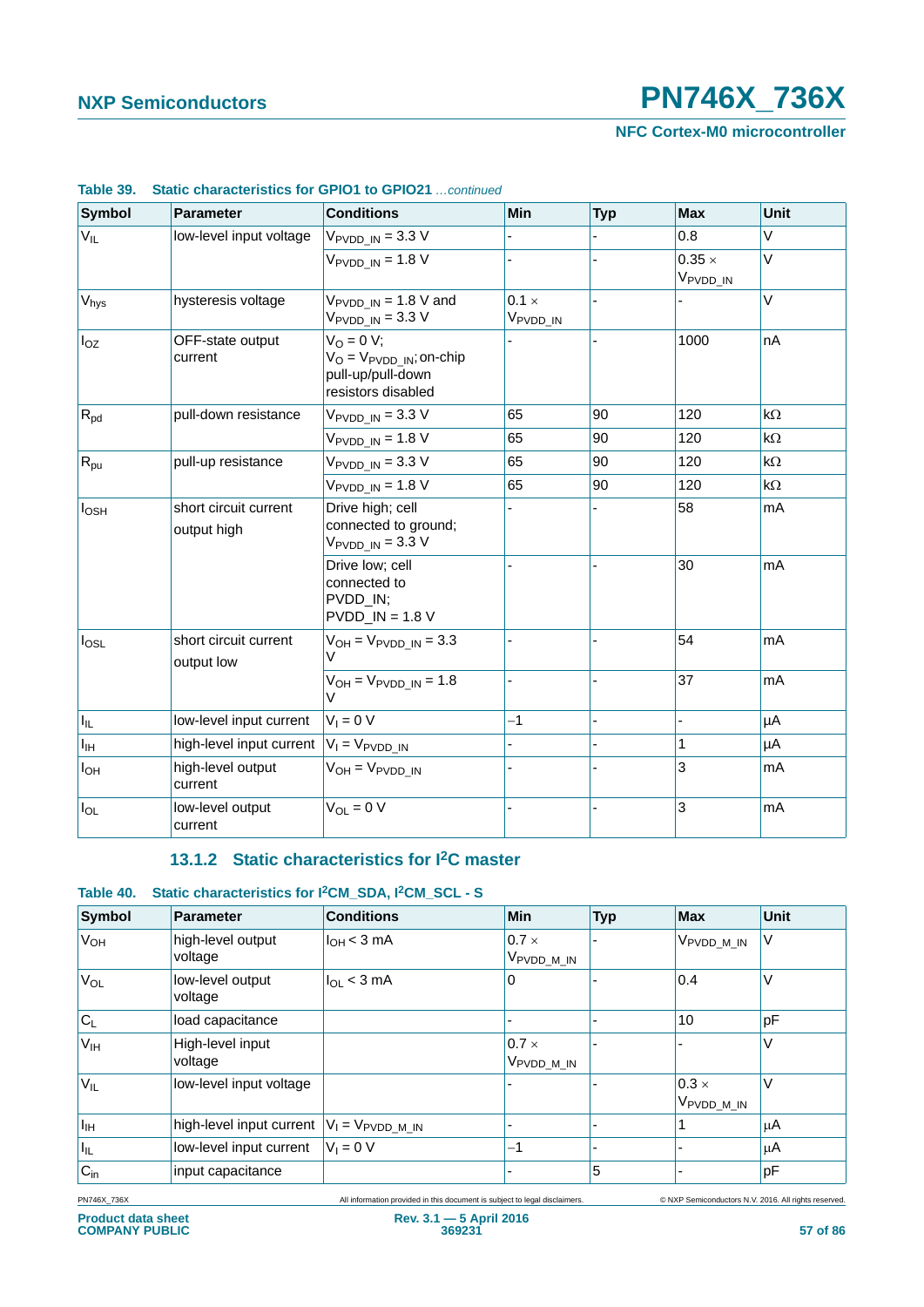**NFC Cortex-M0 microcontroller**

| <b>Symbol</b>    | <b>Parameter</b>                                     | <b>Conditions</b>                                                                                        | <b>Min</b>                           | <b>Typ</b>     | <b>Max</b>                            | Unit      |
|------------------|------------------------------------------------------|----------------------------------------------------------------------------------------------------------|--------------------------------------|----------------|---------------------------------------|-----------|
| $V_{IL}$         | low-level input voltage                              | $V_{\text{PVDD IN}} = 3.3 \text{ V}$                                                                     |                                      |                | 0.8                                   | V         |
|                  |                                                      | $V_{PVDD IN}$ = 1.8 V                                                                                    |                                      |                | $0.35 \times$<br>V <sub>PVDD_IN</sub> | V         |
| V <sub>hys</sub> | hysteresis voltage                                   | $V_{\text{PVDD}\_ \text{IN}} = 1.8 \text{ V}$ and<br>$V_{\text{PVDD IN}} = 3.3 \text{ V}$                | $0.1 \times$<br>V <sub>PVDD_IN</sub> |                |                                       | V         |
| $I_{OZ}$         | OFF-state output<br>current                          | $V_0 = 0 V;$<br>$V_{\text{O}} = V_{\text{PVDD IN}}$ ; on-chip<br>pull-up/pull-down<br>resistors disabled |                                      |                | 1000                                  | nA        |
| $R_{pd}$         | pull-down resistance                                 | $V_{\text{PVDD IN}} = 3.3 \text{ V}$                                                                     | 65                                   | 90             | 120                                   | $k\Omega$ |
|                  |                                                      | $V_{\text{PVDD IN}} = 1.8 \text{ V}$                                                                     | 65                                   | 90             | 120                                   | $k\Omega$ |
| $R_{\text{pu}}$  | pull-up resistance                                   | $V_{\text{PVDD}\_ \text{IN}} = 3.3 \text{ V}$                                                            | 65                                   | 90             | 120                                   | $k\Omega$ |
|                  |                                                      | $V_{\text{PVDD IN}} = 1.8 \text{ V}$                                                                     | 65                                   | 90             | 120                                   | $k\Omega$ |
| $I_{\text{OSH}}$ | short circuit current<br>output high                 | Drive high; cell<br>connected to ground;<br>$V_{\text{PVDD IN}} = 3.3 \text{ V}$                         |                                      |                | 58                                    | mA        |
|                  |                                                      | Drive low; cell<br>connected to<br>PVDD_IN;<br>$PVDD$ $IN = 1.8 V$                                       |                                      |                | 30                                    | mA        |
| $I_{OSL}$        | short circuit current<br>output low                  | $V_{OH} = V_{PVDD IN} = 3.3$<br>V                                                                        |                                      |                | 54                                    | mA        |
|                  |                                                      | $V_{OH} = V_{PVDD_IN} = 1.8$<br>$\mathcal{L}$                                                            | L,                                   | $\overline{a}$ | 37                                    | mA        |
| ΙL.              | low-level input current                              | $V_1 = 0 V$                                                                                              | $-1$                                 |                |                                       | μA        |
| $I_{\text{IH}}$  | high-level input current $ V_1 = V_{\text{PVDD IN}}$ |                                                                                                          |                                      |                | 1                                     | μA        |
| $I_{OH}$         | high-level output<br>current                         | $V_{OH} = V_{PVDD\_IN}$                                                                                  |                                      |                | 3                                     | mA        |
| $I_{OL}$         | low-level output<br>current                          | $V_{OL} = 0 V$                                                                                           |                                      |                | 3                                     | mA        |

### **Table 39. Static characteristics for GPIO1 to GPIO21** *…continued*

### **13.1.2 Static characteristics for I2C master**

### **Table 40. Static characteristics for I2CM\_SDA, I2CM\_SCL - S**

| Symbol          | Parameter                                                 | <b>Conditions</b> | Min                                                 | <b>Typ</b> | Max                                    | Unit |
|-----------------|-----------------------------------------------------------|-------------------|-----------------------------------------------------|------------|----------------------------------------|------|
| $V_{OH}$        | high-level output<br>voltage                              | $I_{OH}$ < 3 mA   | $0.7 \times$<br>V <sub>PVDD_M_IN</sub>              |            | V <sub>PVDD_M_IN</sub>                 | V    |
| VOL             | low-level output<br>voltage                               | $I_{OL}$ < 3 mA   | 0                                                   |            | 0.4                                    | V    |
| $C_L$           | load capacitance                                          |                   |                                                     |            | 10                                     | pF   |
| V <sub>IH</sub> | High-level input<br>voltage                               |                   | $0.7 \times$<br><sub>⊦</sub> V <sub>PVDD_M_IN</sub> |            |                                        | V    |
| $V_{IL}$        | low-level input voltage                                   |                   |                                                     |            | $0.3 \times$<br>V <sub>PVDD_M_IN</sub> | V    |
| $I_{\rm IH}$    | high-level input current $ V_1 = V_{\text{PVDD\_M\_IN}} $ |                   |                                                     |            |                                        | μA   |
| $ I_{\rm IL} $  | low-level input current                                   | $V_1 = 0 V$       | $-1$                                                |            |                                        | μA   |
| $C_{in}$        | input capacitance                                         |                   |                                                     | 5          |                                        | pF   |

PN746X\_736X All information provided in this document is subject to legal disclaimers. © NXP Semiconductors N.V. 2016. All rights reserved.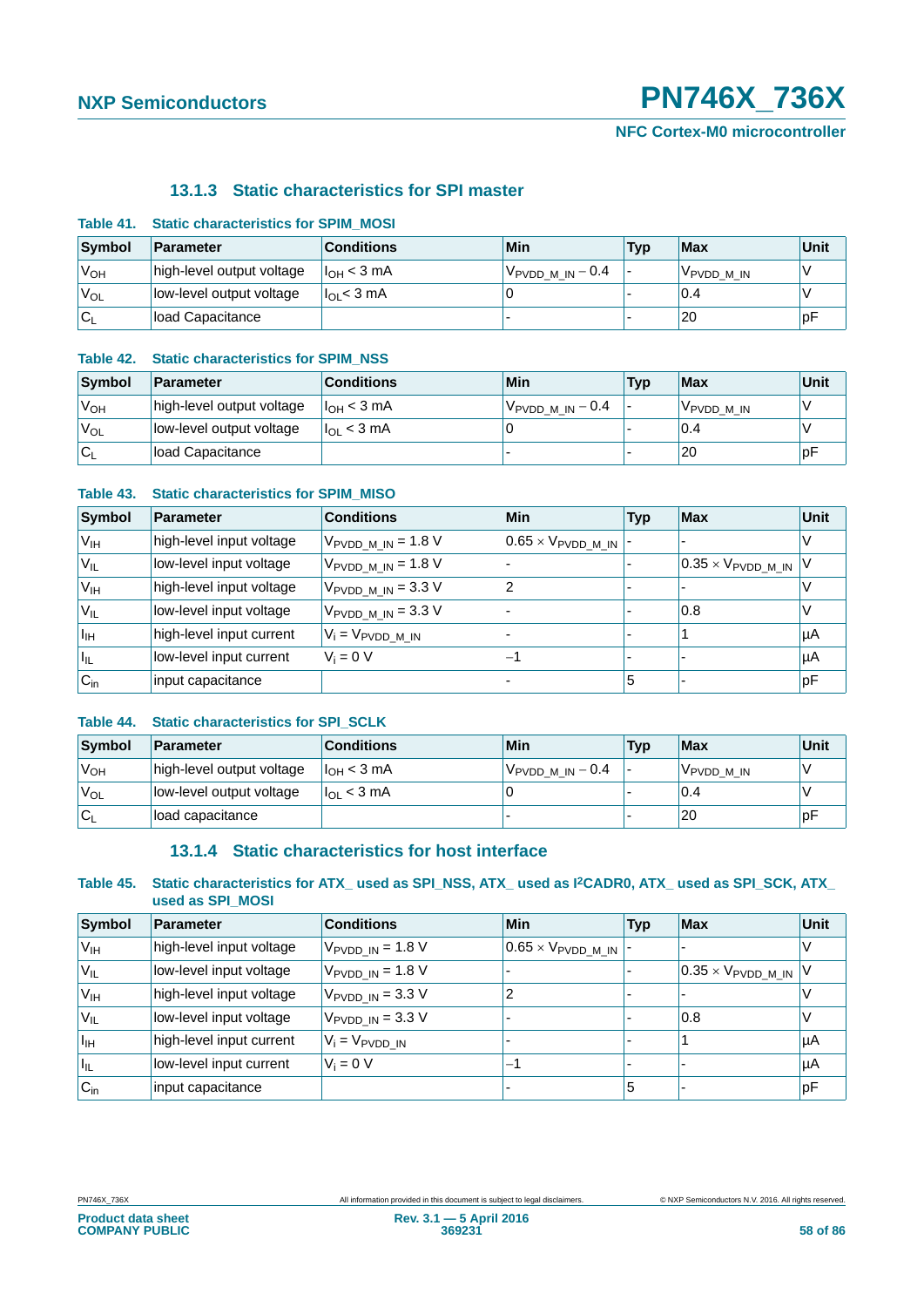### **13.1.3 Static characteristics for SPI master**

| Symbol           | Parameter                 | <b>Conditions</b>      | Min                                       | <b>Typ</b> | <b>Max</b>             | Unit |
|------------------|---------------------------|------------------------|-------------------------------------------|------------|------------------------|------|
| 'V <sub>OH</sub> | high-level output voltage | $I_{\text{OH}}$ < 3 mA | <sup>∣ V</sup> PVDD_M_IN <sup>—</sup> 0.4 |            | V <sub>PVDD</sub> M IN |      |
| 'V <sub>OL</sub> | low-level output voltage  | $l_{\Omega}$ < 3 mA    |                                           |            | 0.4                    |      |
| ∣C∟              | <b>Iload Capacitance</b>  |                        |                                           |            | 20                     | рŀ   |

### **Table 41. Static characteristics for SPIM\_MOSI**

### **Table 42. Static characteristics for SPIM\_NSS**

| Symbol                                 | Parameter                 | <b>Conditions</b>      | Min                         | <b>Typ</b> | <b>Max</b> | Unit |
|----------------------------------------|---------------------------|------------------------|-----------------------------|------------|------------|------|
| 'V <sub>OH</sub>                       | high-level output voltage | I <sub>OH</sub> < 3 mA | $V_{\rm PVDD\_M\_IN} - 0.4$ |            | VPVDD M IN |      |
| 'V <sub>OL</sub>                       | low-level output voltage  | $I_{OL}$ < 3 mA        |                             |            | 0.4        |      |
| ${}^{\mathsf{I}}\mathsf{C}_\mathsf{L}$ | Iload Capacitance         |                        |                             |            | 20         | рF   |

### **Table 43. Static characteristics for SPIM\_MISO**

| Symbol          | <b>Parameter</b>         | <b>Conditions</b>                        | Min                                     | <b>Typ</b> | Max                                     | <b>Unit</b> |
|-----------------|--------------------------|------------------------------------------|-----------------------------------------|------------|-----------------------------------------|-------------|
| V <sub>IH</sub> | high-level input voltage | $V_{\text{PVDD\_M\_IN}}$ = 1.8 V         | $0.65 \times V_{\text{PVDD\_M\_IN}}$  - |            |                                         |             |
| $V_{IL}$        | low-level input voltage  | $V_{\text{PVDD\_M\_IN}}$ = 1.8 V         |                                         |            | $ 0.35 \times V_{\text{PVDD\_M\_IN}} V$ |             |
| V <sub>IH</sub> | high-level input voltage | $V_{\text{PVDD\_M\_IN}} = 3.3 \text{ V}$ | 2                                       |            |                                         |             |
| $V_{IL}$        | low-level input voltage  | $V_{\text{PVDD M IN}} = 3.3 \text{ V}$   |                                         |            | 0.8                                     |             |
| Ħн              | high-level input current | $V_i = V_{\text{PVDD\_M\_IN}}$           |                                         |            |                                         | µA          |
| ║╙              | low-level input current  | $V_i = 0 V$                              | -1                                      |            |                                         | µA          |
| $C_{\text{in}}$ | input capacitance        |                                          |                                         | 5          |                                         | ∣pF         |

### **Table 44. Static characteristics for SPI\_SCLK**

| Symbol          | <b>Parameter</b>          | <b>Conditions</b>   | Min                            | <b>Typ</b> | Max                    | Unit |
|-----------------|---------------------------|---------------------|--------------------------------|------------|------------------------|------|
| V <sub>OH</sub> | high-level output voltage | $I_{OH}$ < 3 mA     | $V_{\text{PVDD\_M\_IN}} - 0.4$ |            | V <sub>PVDD</sub> M IN |      |
| VOL             | low-level output voltage  | $I_{\Omega}$ < 3 mA |                                |            | 0.4                    |      |
| $C_1$           | load capacitance          |                     |                                |            | 20                     | . pF |

### **13.1.4 Static characteristics for host interface**

### **Table 45. Static characteristics for ATX\_ used as SPI\_NSS, ATX\_ used as I2CADR0, ATX\_ used as SPI\_SCK, ATX\_ used as SPI\_MOSI**

| Symbol                     | Parameter                | <b>Conditions</b>                    | Min                                     | <b>Typ</b> | Max                                | Unit |
|----------------------------|--------------------------|--------------------------------------|-----------------------------------------|------------|------------------------------------|------|
| V <sub>IH</sub>            | high-level input voltage | $V_{\text{PVDD IN}} = 1.8 \text{ V}$ | $10.65 \times V_{\text{PVDD\_M\_IN}}$ - |            |                                    |      |
| 'V <sub>IL</sub>           | low-level input voltage  | $V_{PVDD IN}$ = 1.8 V                |                                         |            | $0.35 \times V_{\text{PVDD} M IN}$ |      |
| V <sub>IH</sub>            | high-level input voltage | $V_{\text{PVDD IN}} = 3.3 \text{ V}$ | າ                                       |            |                                    |      |
| $V_{IL}$                   | low-level input voltage  | $V_{\text{PVDD IN}} = 3.3 \text{ V}$ |                                         |            | 0.8                                |      |
| $ I_{\rm IH} $             | high-level input current | $V_i = V_{PVDD}$ in                  |                                         |            |                                    | μA   |
| $\mathsf{I}_{\mathsf{IL}}$ | low-level input current  | $V_i = 0$ V                          | -                                       |            |                                    | μA   |
| $C_{in}$                   | input capacitance        |                                      |                                         | 5          |                                    | pF   |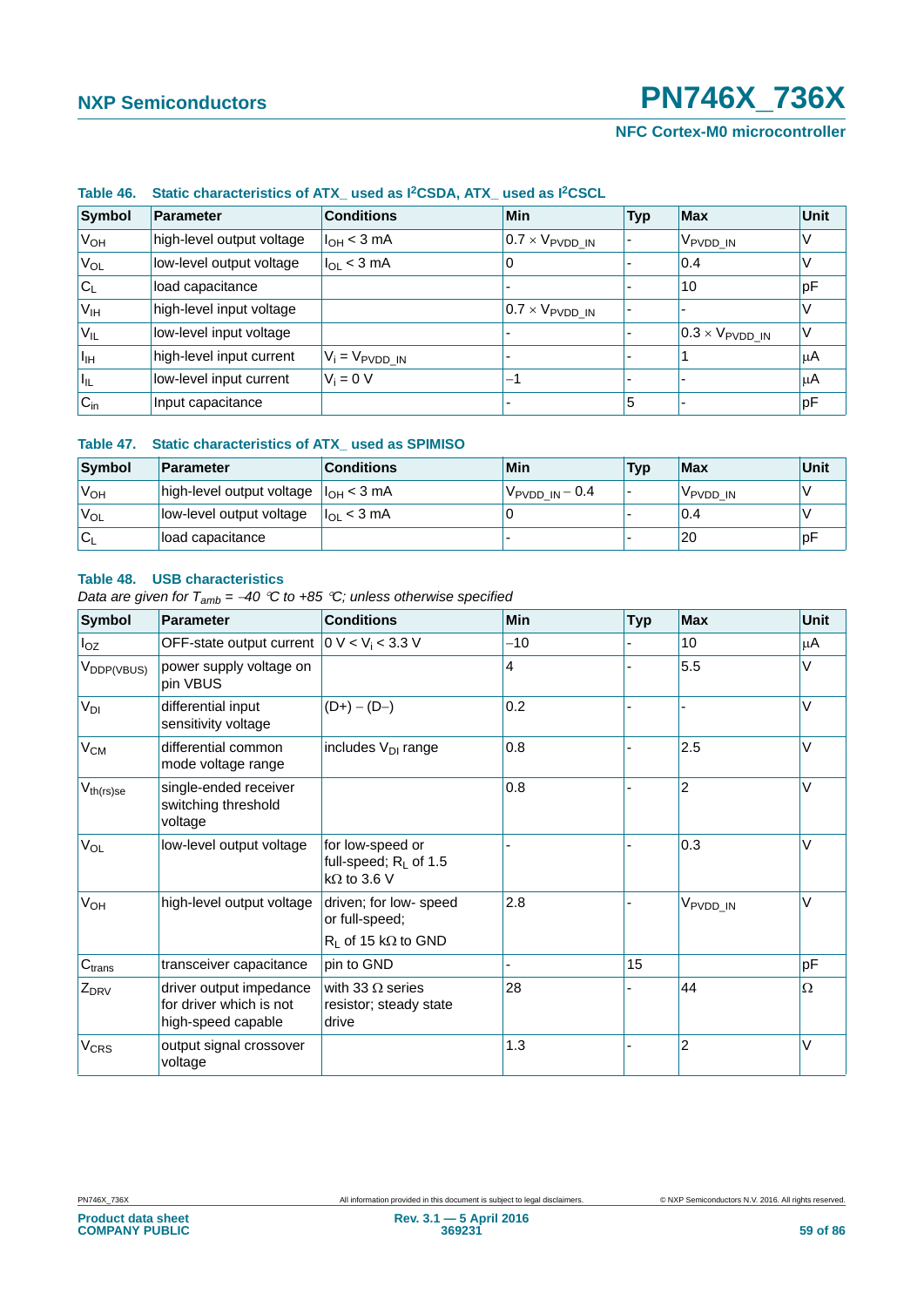### **NFC Cortex-M0 microcontroller**

| Symbol                     | Parameter                 | <b>Conditions</b>          | Min                             | <b>Typ</b> | <b>Max</b>                         | Unit |  |  |  |
|----------------------------|---------------------------|----------------------------|---------------------------------|------------|------------------------------------|------|--|--|--|
| V <sub>OH</sub>            | high-level output voltage | $I_{OH}$ < 3 mA            | $0.7 \times V_{\text{PVDD IN}}$ |            | Vpvdd_in                           | V    |  |  |  |
| <b>V<sub>OL</sub></b>      | low-level output voltage  | $l_{OL}$ < 3 mA            | O                               |            | 0.4                                |      |  |  |  |
| $ C_L $                    | load capacitance          |                            |                                 |            | 10                                 | pF   |  |  |  |
| V <sub>IH</sub>            | high-level input voltage  |                            | $0.7 \times V_{\text{PVDD IN}}$ |            |                                    |      |  |  |  |
| V <sub>IL</sub>            | low-level input voltage   |                            |                                 |            | $ 0.3 \times V_{\text{PVDD\_IN}} $ | V    |  |  |  |
| $I_{\text{IH}}$            | high-level input current  | $V_i = V_{\text{PVDD IN}}$ |                                 |            |                                    | μA   |  |  |  |
| $\mathsf{I}_{\mathsf{IL}}$ | low-level input current   | $V_i = 0 V$                | -1                              |            |                                    | μA   |  |  |  |
| $C_{in}$                   | Input capacitance         |                            |                                 | 5          |                                    | рF   |  |  |  |

### **Table 46. Static characteristics of ATX\_ used as I2CSDA, ATX\_ used as I2CSCL**

### **Table 47. Static characteristics of ATX\_ used as SPIMISO**

| Symbol           | Parameter                                  | <b>Conditions</b> | Min                        | <b>Typ</b> | <b>Max</b> | Unit |
|------------------|--------------------------------------------|-------------------|----------------------------|------------|------------|------|
| 'V <sub>OH</sub> | high-level output voltage $ I_{OH} < 3$ mA |                   | $V_{\text{PVDD IN}} - 0.4$ |            | VPVDD IN   |      |
| V <sub>OL</sub>  | low-level output voltage                   | $ I_{OL}$ < 3 mA  |                            |            | 0.4        |      |
| ۱C،              | load capacitance                           |                   |                            |            | 20         | рF   |

#### **Table 48. USB characteristics**

*Data are given for Tamb = 40 C to +85 C; unless otherwise specified*

| <b>Symbol</b>          | <b>Parameter</b>                                                         | <b>Conditions</b>                                                           | Min   | <b>Typ</b> | <b>Max</b>           | Unit |
|------------------------|--------------------------------------------------------------------------|-----------------------------------------------------------------------------|-------|------------|----------------------|------|
| $I_{OZ}$               | OFF-state output current $ 0 V < Vi < 3.3 V$                             |                                                                             | $-10$ |            | 10                   | μA   |
| V <sub>DDP(VBUS)</sub> | power supply voltage on<br>pin VBUS                                      |                                                                             | 4     |            | 5.5                  | V    |
| V <sub>DI</sub>        | differential input<br>sensitivity voltage                                | $(D+) - (D-)$                                                               | 0.2   |            |                      | V    |
| $V_{CM}$               | differential common<br>mode voltage range                                | includes V <sub>DI</sub> range                                              | 0.8   |            | 2.5                  | V    |
| $V_{th(rs)se}$         | single-ended receiver<br>switching threshold<br>voltage                  |                                                                             | 0.8   |            | $\overline{2}$       | V    |
| $V_{OL}$               | low-level output voltage                                                 | for low-speed or<br>full-speed; R <sub>L</sub> of 1.5<br>$k\Omega$ to 3.6 V |       |            | 0.3                  | V    |
| V <sub>OH</sub>        | high-level output voltage                                                | driven; for low- speed<br>or full-speed;<br>$R_L$ of 15 k $\Omega$ to GND   | 2.8   |            | V <sub>PVDD_IN</sub> | V    |
| C <sub>trans</sub>     | transceiver capacitance                                                  | pin to GND                                                                  |       | 15         |                      | pF   |
| $Z_{DRV}$              | driver output impedance<br>for driver which is not<br>high-speed capable | with 33 $\Omega$ series<br>resistor; steady state<br>drive                  | 28    |            | 44                   | Ω    |
| <b>V<sub>CRS</sub></b> | output signal crossover<br>voltage                                       |                                                                             | 1.3   |            | $\overline{2}$       | V    |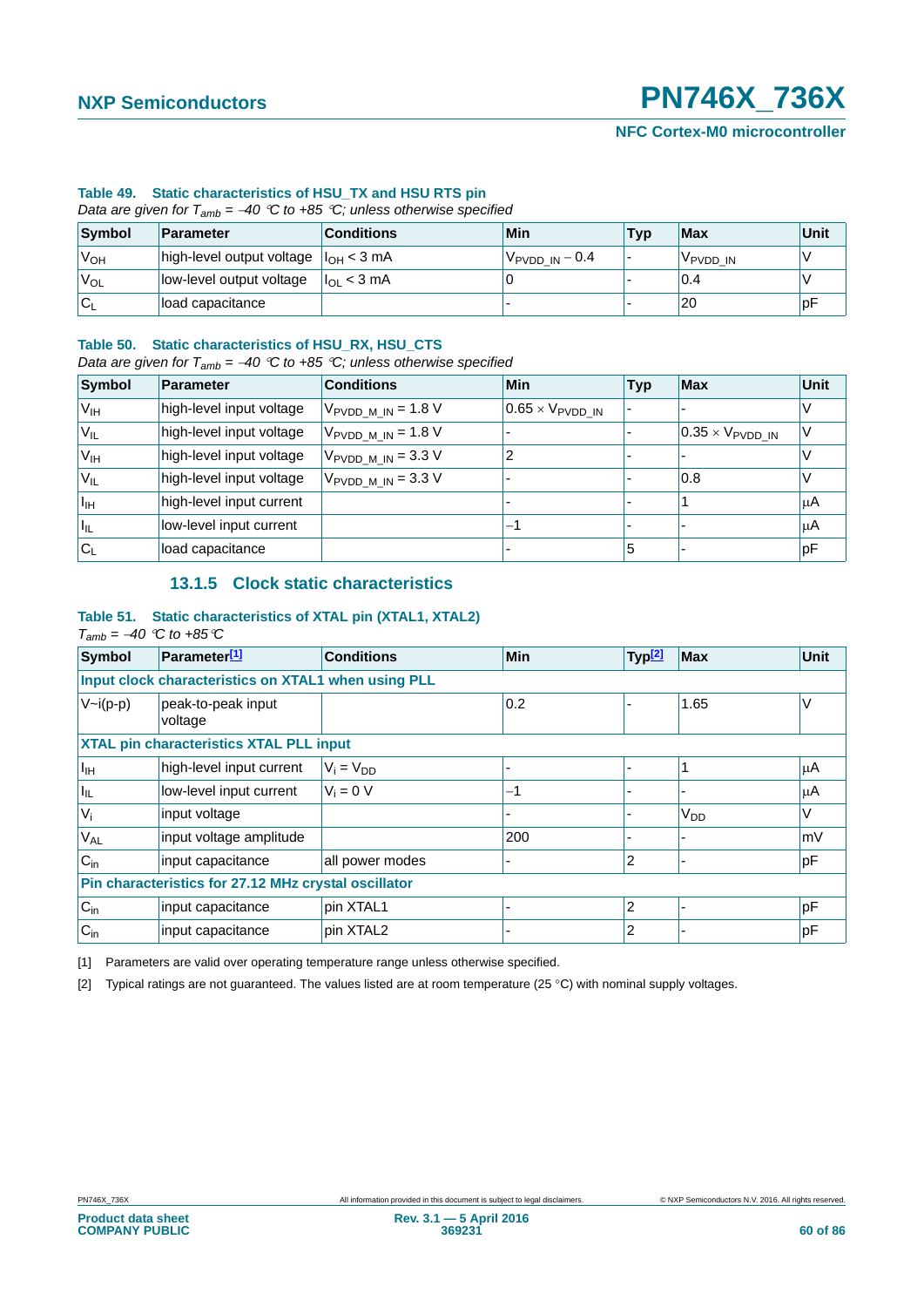### **Table 49. Static characteristics of HSU\_TX and HSU RTS pin**

*Data are given for Tamb = 40 C to +85 C; unless otherwise specified*

| Symbol           | Parameter                                  | <b>Conditions</b>   | Min                      | <b>Typ</b> | Max                  | Unit |
|------------------|--------------------------------------------|---------------------|--------------------------|------------|----------------------|------|
| 'V <sub>OH</sub> | high-level output voltage $ I_{OH} < 3$ mA |                     | $V_{\rm PVDD\_IN} - 0.4$ |            | V <sub>PVDD</sub> IN |      |
| 'V <sub>OL</sub> | low-level output voltage                   | $I_{\Omega}$ < 3 mA |                          |            | 0.4                  |      |
| 'Cı              | load capacitance                           |                     |                          |            | 20                   | рF   |

#### **Table 50. Static characteristics of HSU\_RX, HSU\_CTS**

*Data are given for Tamb = 40 C to +85 C; unless otherwise specified*

| Symbol                     | <b>Parameter</b>         | <b>Conditions</b>                      | Min                              | <b>Typ</b> | <b>Max</b>                       | <b>Unit</b> |
|----------------------------|--------------------------|----------------------------------------|----------------------------------|------------|----------------------------------|-------------|
| V <sub>IH</sub>            | high-level input voltage | $V_{\text{PVDD\_M\_IN}}$ = 1.8 V       | $0.65 \times V_{\text{PVDD IN}}$ |            |                                  |             |
| V <sub>IL</sub>            | high-level input voltage | $V_{\text{PVDD M IN}} = 1.8 \text{ V}$ |                                  |            | $0.35 \times V_{\text{PVDD IN}}$ |             |
| V <sub>IH</sub>            | high-level input voltage | $V_{\text{PVDD M IN}} = 3.3 \text{ V}$ |                                  |            |                                  |             |
| $V_{IL}$                   | high-level input voltage | $V_{\text{PVDD M IN}} = 3.3 \text{ V}$ |                                  |            | 0.8                              |             |
| $I_{\text{IH}}$            | high-level input current |                                        |                                  |            |                                  | μA          |
| $\mathsf{I}_{\mathsf{IL}}$ | low-level input current  |                                        | -1                               |            |                                  | μA          |
| $C_{L}$                    | load capacitance         |                                        |                                  | 5          |                                  | рF          |

### **13.1.5 Clock static characteristics**

### **Table 51. Static characteristics of XTAL pin (XTAL1, XTAL2)**

 $T_{amb} = -40$  <sup> $\degree$ </sup>C to +85 $\degree$ C

| <b>Symbol</b>         | Parameter <sup>[1]</sup>                             | <b>Conditions</b> | <b>Min</b> | 'Typ <mark>[2]</mark> | <b>Max</b>      | Unit |
|-----------------------|------------------------------------------------------|-------------------|------------|-----------------------|-----------------|------|
|                       | Input clock characteristics on XTAL1 when using PLL  |                   |            |                       |                 |      |
| $V\sim i(p-p)$        | peak-to-peak input<br>voltage                        |                   | 0.2        |                       | 1.65            | V    |
|                       | <b>XTAL pin characteristics XTAL PLL input</b>       |                   |            |                       |                 |      |
| $I_{\mathbb{H}}$      | high-level input current                             | $V_i = V_{DD}$    |            |                       |                 | μA   |
| $ I_{\rm IL} $        | low-level input current                              | $V_i = 0 V$       | -1         |                       |                 | μA   |
| $V_i$                 | input voltage                                        |                   |            |                       | V <sub>DD</sub> |      |
| <b>V<sub>AL</sub></b> | input voltage amplitude                              |                   | 200        |                       |                 | mV   |
| $C_{in}$              | input capacitance                                    | all power modes   |            | 2                     |                 | pF   |
|                       | Pin characteristics for 27.12 MHz crystal oscillator |                   |            |                       |                 |      |
| $C_{in}$              | input capacitance                                    | pin XTAL1         |            | $\overline{2}$        |                 | pF   |
| $C_{in}$              | input capacitance                                    | pin XTAL2         |            | 2                     |                 | рF   |

<span id="page-59-0"></span>[1] Parameters are valid over operating temperature range unless otherwise specified.

<span id="page-59-1"></span>[2] Typical ratings are not guaranteed. The values listed are at room temperature (25 °C) with nominal supply voltages.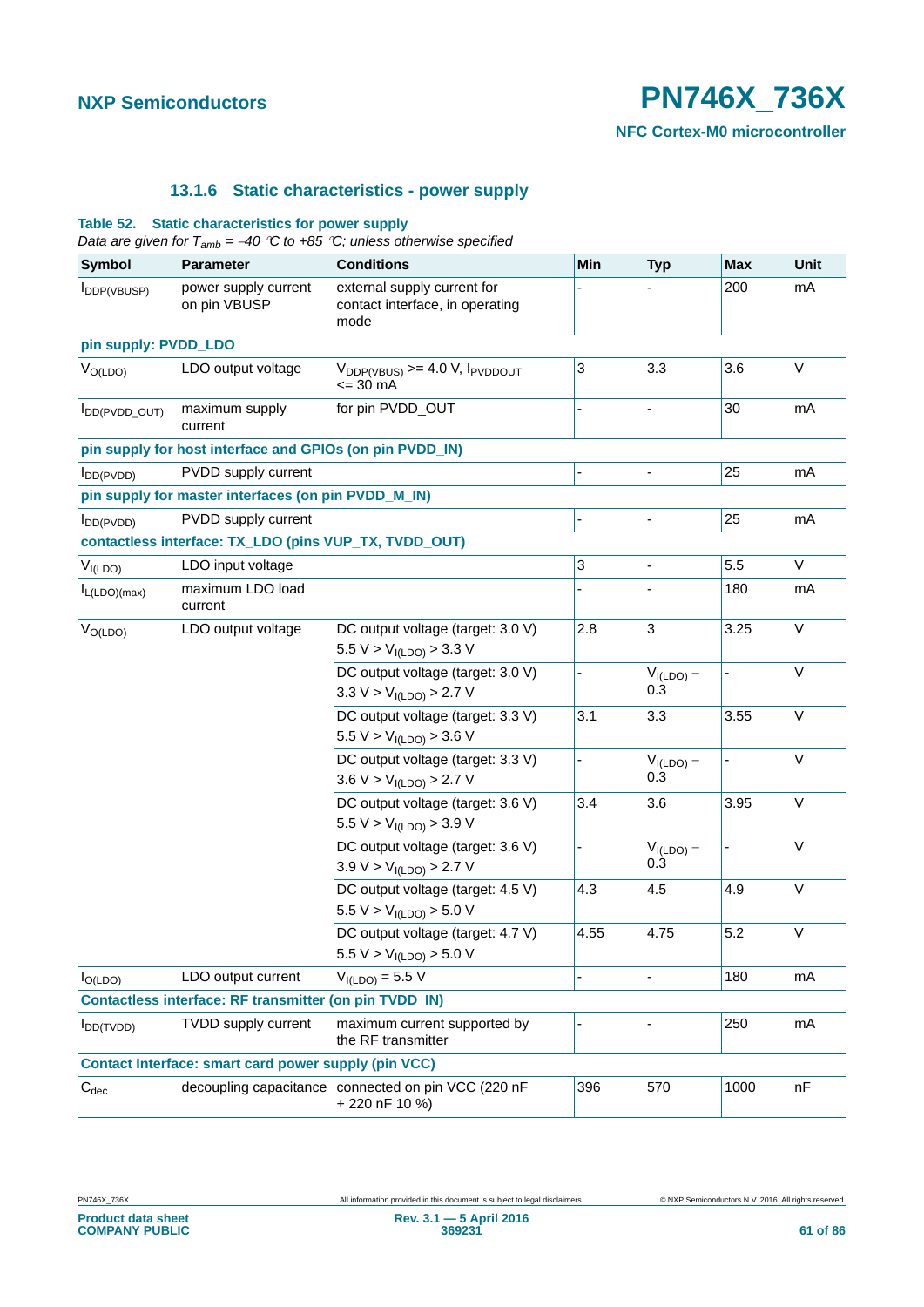**NFC Cortex-M0 microcontroller**

### **13.1.6 Static characteristics - power supply**

### **Table 52. Static characteristics for power supply**

|  |  |  |  | Data are given for $T_{amb} = -40$ °C to $+85$ °C; unless otherwise specified |  |
|--|--|--|--|-------------------------------------------------------------------------------|--|
|--|--|--|--|-------------------------------------------------------------------------------|--|

| <b>Symbol</b>        | <b>Parameter</b>                                              | <b>Conditions</b>                                                        | Min  | <b>Typ</b>                         | <b>Max</b> | Unit   |
|----------------------|---------------------------------------------------------------|--------------------------------------------------------------------------|------|------------------------------------|------------|--------|
| <b>I</b> DDP(VBUSP)  | power supply current<br>on pin VBUSP                          | external supply current for<br>contact interface, in operating<br>mode   |      |                                    | 200        | mA     |
| pin supply: PVDD_LDO |                                                               |                                                                          |      |                                    |            |        |
| $V_{O(LDO)}$         | LDO output voltage                                            | $V_{DDP(VBUS)}$ >= 4.0 V, $I_{PVDDOUT}$<br>$= 30 \text{ mA}$             | 3    | 3.3                                | 3.6        | V      |
| IDD(PVDD_OUT)        | maximum supply<br>current                                     | for pin PVDD_OUT                                                         |      |                                    | 30         | mA     |
|                      | pin supply for host interface and GPIOs (on pin PVDD_IN)      |                                                                          |      |                                    |            |        |
| DD(PVDD)             | PVDD supply current                                           |                                                                          |      |                                    | 25         | mA     |
|                      | pin supply for master interfaces (on pin PVDD_M_IN)           |                                                                          |      |                                    |            |        |
| DD(PVDD)             | PVDD supply current                                           |                                                                          |      |                                    | 25         | mA     |
|                      | contactless interface: TX_LDO (pins VUP_TX, TVDD_OUT)         |                                                                          |      |                                    |            |        |
| $V_{I(LDO)}$         | LDO input voltage                                             |                                                                          | 3    |                                    | 5.5        | V      |
| $I_{L(LDO)(max)}$    | maximum LDO load<br>current                                   |                                                                          |      |                                    | 180        | mA     |
| $V_{O(LDO)}$         | LDO output voltage                                            | DC output voltage (target: 3.0 V)<br>5.5 V > V <sub>I(LDO)</sub> > 3.3 V | 2.8  | 3                                  | 3.25       | V      |
|                      |                                                               | DC output voltage (target: 3.0 V)<br>3.3 V > V <sub>I(LDO)</sub> > 2.7 V |      | $V_{I(LDO)} -$<br>0.3              |            | V      |
|                      |                                                               | DC output voltage (target: 3.3 V)<br>5.5 V > V <sub>I(LDO</sub> > 3.6 V  | 3.1  | 3.3                                | 3.55       | V      |
|                      |                                                               | DC output voltage (target: 3.3 V)<br>3.6 $V > VI(LDO > 2.7 V$            |      | $V_{I(LDO)} -$<br>$0.\overline{3}$ |            | V      |
|                      |                                                               | DC output voltage (target: 3.6 V)<br>5.5 V > V <sub>I(LDO</sub> > 3.9 V  | 3.4  | 3.6                                | 3.95       | V      |
|                      |                                                               | DC output voltage (target: 3.6 V)<br>3.9 V > V <sub>I(LDO</sub> > 2.7 V  |      | $V_{I(LDO)} -$<br>0.3              |            | $\vee$ |
|                      |                                                               | DC output voltage (target: 4.5 V)<br>5.5 V > V <sub>I(LDO)</sub> > 5.0 V | 4.3  | 4.5                                | 4.9        | V      |
|                      |                                                               | DC output voltage (target: 4.7 V)<br>5.5 V > V <sub>I(LDO</sub> > 5.0 V  | 4.55 | 4.75                               | 5.2        | $\vee$ |
| $I_{O(LDO)}$         | LDO output current                                            | $V_{I(LDO)} = 5.5 V$                                                     |      |                                    | 180        | mA     |
|                      | <b>Contactless interface: RF transmitter (on pin TVDD IN)</b> |                                                                          |      |                                    |            |        |
| $I_{DD(TVDD)}$       | TVDD supply current                                           | maximum current supported by<br>the RF transmitter                       |      |                                    | 250        | mA     |
|                      | <b>Contact Interface: smart card power supply (pin VCC)</b>   |                                                                          |      |                                    |            |        |
| $C_{dec}$            | decoupling capacitance                                        | connected on pin VCC (220 nF<br>+220 nF 10 %)                            | 396  | 570                                | 1000       | nF     |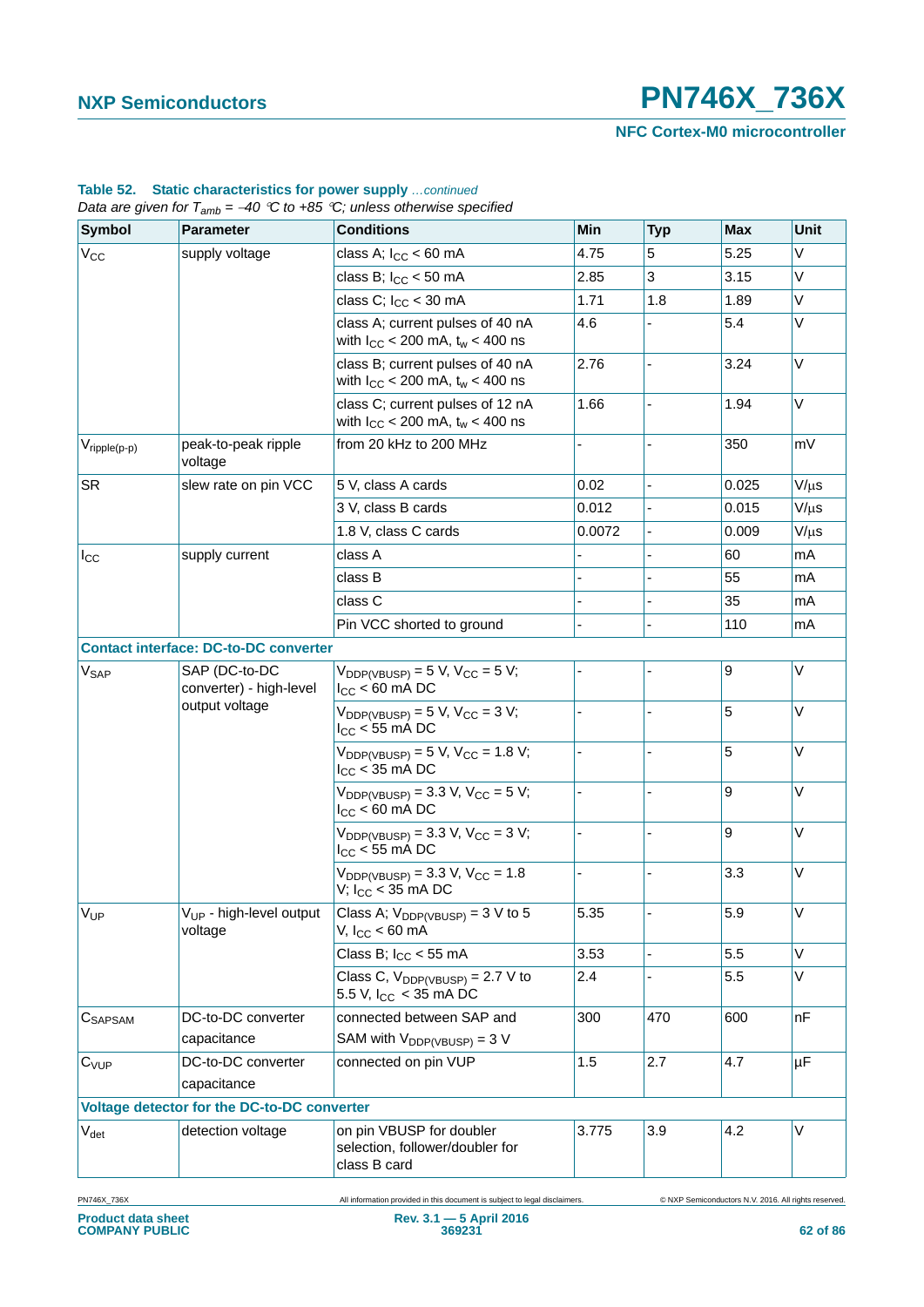**NFC Cortex-M0 microcontroller**

| <b>Symbol</b>            | <b>Parameter</b>                                           | <b>Conditions</b>                                                           | Min    | <b>Typ</b>     | <b>Max</b>       | Unit      |
|--------------------------|------------------------------------------------------------|-----------------------------------------------------------------------------|--------|----------------|------------------|-----------|
| $V_{CC}$                 | supply voltage                                             | class A; $I_{CC}$ < 60 mA                                                   | 4.75   | 5              | 5.25             | V         |
|                          |                                                            | class B; $I_{CC}$ < 50 mA                                                   | 2.85   | 3              | 3.15             | V         |
|                          |                                                            | class C; $I_{CC}$ < 30 mA                                                   | 1.71   | 1.8            | 1.89             | Λ         |
|                          |                                                            | class A; current pulses of 40 nA<br>with $I_{CC}$ < 200 mA, $t_w$ < 400 ns  | 4.6    |                | 5.4              | V         |
|                          |                                                            | class B; current pulses of 40 nA<br>with $I_{CC}$ < 200 mA, $t_w$ < 400 ns  | 2.76   |                | 3.24             | V         |
|                          |                                                            | class C; current pulses of 12 nA<br>with $I_{CC}$ < 200 mA, $t_w$ < 400 ns  | 1.66   |                | 1.94             | V         |
| $V_{\text{ripple}(p-p)}$ | peak-to-peak ripple<br>voltage                             | from 20 kHz to 200 MHz                                                      |        |                | 350              | mV        |
| <b>SR</b>                | slew rate on pin VCC                                       | 5 V, class A cards                                                          | 0.02   | $\blacksquare$ | 0.025            | $V/\mu s$ |
|                          |                                                            | 3 V, class B cards                                                          | 0.012  |                | 0.015            | $V/\mu s$ |
|                          |                                                            | 1.8 V, class C cards                                                        | 0.0072 |                | 0.009            | $V/\mu s$ |
| $I_{\rm CC}$             | supply current                                             | class A                                                                     |        |                | 60               | mA        |
|                          |                                                            | class B                                                                     |        |                | 55               | mA        |
|                          |                                                            | class C                                                                     |        |                | 35               | mA        |
|                          |                                                            | Pin VCC shorted to ground                                                   |        |                | 110              | mA        |
|                          | <b>Contact interface: DC-to-DC converter</b>               |                                                                             |        |                |                  |           |
| V <sub>SAP</sub>         | SAP (DC-to-DC<br>converter) - high-level<br>output voltage | $V_{DDP(VBUSP)} = 5 V$ , $V_{CC} = 5 V$ ;<br>$I_{CC}$ < 60 mA DC            |        |                | $\boldsymbol{9}$ | V         |
|                          |                                                            | $V_{DDP(VBUSP)} = 5 V$ , $V_{CC} = 3 V$ ;<br>$I_{CC}$ < 55 mA DC            |        |                | 5                | V         |
|                          |                                                            | $V_{DDP(VBUSP)} = 5 V, V_{CC} = 1.8 V;$<br>$I_{CC}$ < 35 mA DC              |        |                | 5                | V         |
|                          |                                                            | $V_{DDP(VBUSP)} = 3.3 V, V_{CC} = 5 V;$<br>$I_{CC}$ < 60 mA DC              |        | ÷,             | 9                | V         |
|                          |                                                            | $V_{DDP(VBUSP)} = 3.3 V, V_{CC} = 3 V;$<br>$I_{CC}$ < 55 mA DC              |        |                | 9                | V         |
|                          |                                                            | $V_{DDP(VBUSP)} = 3.3 V, V_{CC} = 1.8$<br>V; $I_{CC}$ < 35 mA DC            |        |                | 3.3              | V         |
| VUP                      | V <sub>UP</sub> - high-level output<br>voltage             | Class A; $V_{DDP(VBUSP)} = 3 V$ to 5<br>V, $I_{CC}$ < 60 mA                 | 5.35   |                | 5.9              | V         |
|                          |                                                            | Class B; $I_{CC}$ < 55 mA                                                   | 3.53   | L.             | 5.5              | V         |
|                          |                                                            | Class C, $V_{DDP(VBUSP)} = 2.7 V to$<br>5.5 V, $I_{CC}$ < 35 mA DC          | 2.4    |                | 5.5              | Λ         |
| CSAPSAM                  | DC-to-DC converter                                         | connected between SAP and                                                   | 300    | 470            | 600              | nF        |
|                          | capacitance                                                | SAM with $V_{DDP(VBUSP)} = 3 V$                                             |        |                |                  |           |
| $C_{VUP}$                | DC-to-DC converter<br>capacitance                          | connected on pin VUP                                                        | 1.5    | 2.7            | 4.7              | μF        |
|                          | Voltage detector for the DC-to-DC converter                |                                                                             |        |                |                  |           |
| $V_{\text{det}}$         | detection voltage                                          | on pin VBUSP for doubler<br>selection, follower/doubler for<br>class B card | 3.775  | 3.9            | 4.2              | V         |

## **Table 52. Static characteristics for power supply** *…continued*

PN746X\_736X All information provided in this document is subject to legal disclaimers. © NXP Semiconductors N.V. 2016. All rights reserved.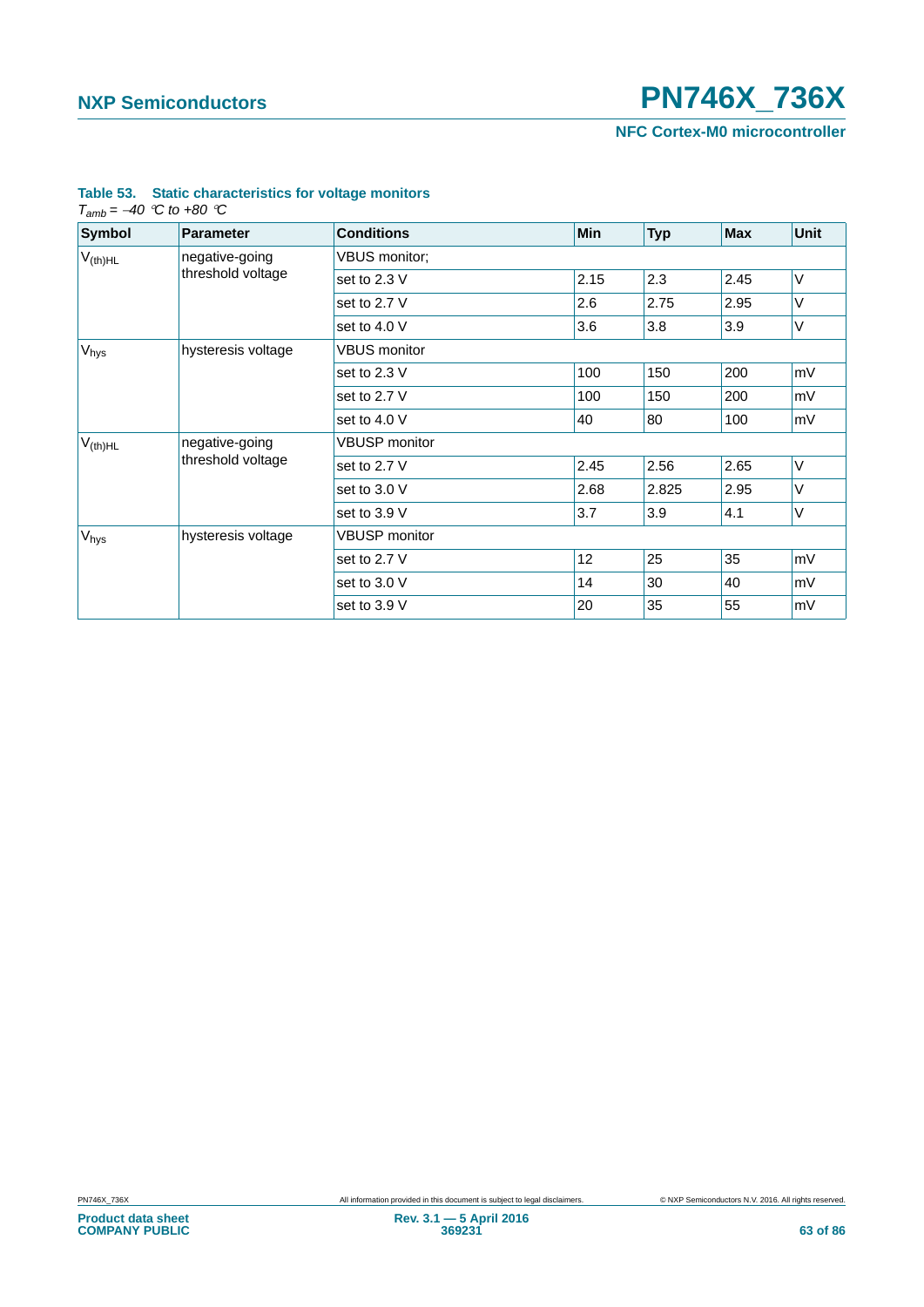**NFC Cortex-M0 microcontroller**

| <b>Symbol</b>       | <b>Parameter</b>   | <b>Conditions</b>    | Min  | <b>Typ</b> | <b>Max</b> | <b>Unit</b> |  |
|---------------------|--------------------|----------------------|------|------------|------------|-------------|--|
| $V_{(th)HL}$        | negative-going     | VBUS monitor;        |      |            |            |             |  |
|                     | threshold voltage  | set to 2.3 V         | 2.15 | 2.3        | 2.45       | $\vee$      |  |
|                     |                    | set to 2.7 V         | 2.6  | 2.75       | 2.95       | V           |  |
|                     |                    | set to 4.0 V         | 3.6  | 3.8        | 3.9        | V           |  |
| $V_{\text{hys}}$    | hysteresis voltage | <b>VBUS</b> monitor  |      |            |            |             |  |
|                     |                    | set to 2.3 V         | 100  | 150        | 200        | mV          |  |
|                     |                    | set to 2.7 V         | 100  | 150        | 200        | mV          |  |
|                     |                    | set to 4.0 V         | 40   | 80         | 100        | ∣mV         |  |
| $V_{\text{(th)HL}}$ | negative-going     | <b>VBUSP</b> monitor |      |            |            |             |  |
|                     | threshold voltage  | set to 2.7 V         | 2.45 | 2.56       | 2.65       | $\vee$      |  |
|                     |                    | set to 3.0 V         | 2.68 | 2.825      | 2.95       | $\vee$      |  |
|                     |                    | set to 3.9 V         | 3.7  | 3.9        | 4.1        | V           |  |
| V <sub>hys</sub>    | hysteresis voltage | <b>VBUSP</b> monitor |      |            |            |             |  |
|                     |                    | set to 2.7 V         | 12   | 25         | 35         | mV          |  |
|                     |                    | set to 3.0 V         | 14   | 30         | 40         | mV          |  |
|                     |                    | set to 3.9 V         | 20   | 35         | 55         | mV          |  |

### **Table 53. Static characteristics for voltage monitors**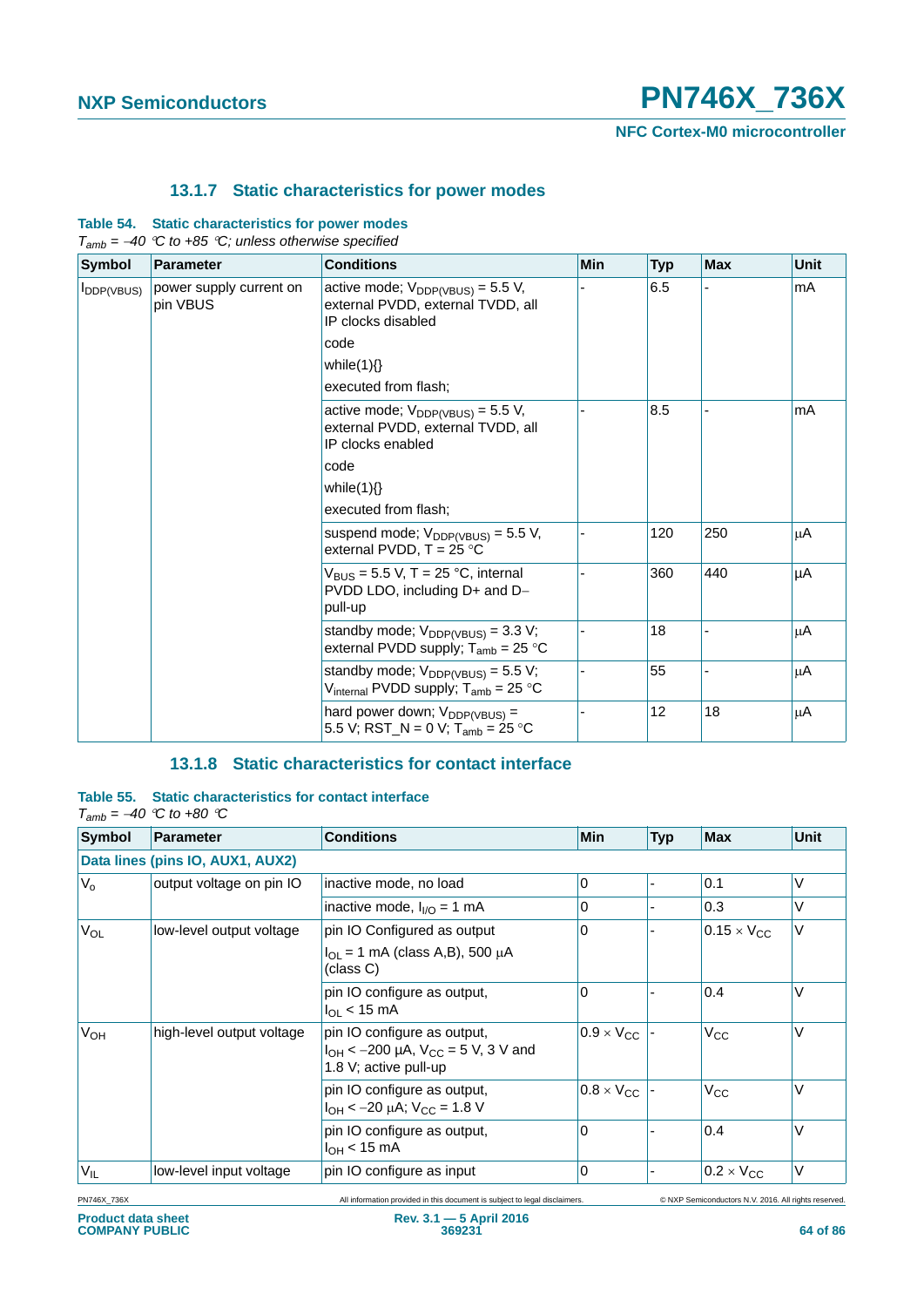**NFC Cortex-M0 microcontroller**

### **13.1.7 Static characteristics for power modes**

### **Table 54. Static characteristics for power modes**

|                        | $T_{amb} = -40$ °C to +85 °C; unless otherwise specified                                         |                                                                                                   |     |            |            |             |
|------------------------|--------------------------------------------------------------------------------------------------|---------------------------------------------------------------------------------------------------|-----|------------|------------|-------------|
| <b>Symbol</b>          | <b>Parameter</b>                                                                                 | <b>Conditions</b>                                                                                 | Min | <b>Typ</b> | <b>Max</b> | <b>Unit</b> |
| $I_{\text{DDP(VBUS)}}$ | power supply current on<br>pin VBUS                                                              | active mode; $V_{DDP(VBUS)} = 5.5 V$ ,<br>external PVDD, external TVDD, all<br>IP clocks disabled |     | 6.5        |            | mA          |
|                        |                                                                                                  | code                                                                                              |     |            |            |             |
|                        |                                                                                                  | while $(1)\}$                                                                                     |     |            |            |             |
|                        |                                                                                                  | executed from flash;                                                                              |     |            |            |             |
|                        | active mode; $V_{DDP(VBUS)} = 5.5 V$ ,<br>external PVDD, external TVDD, all<br>IP clocks enabled |                                                                                                   | 8.5 |            | mA         |             |
|                        |                                                                                                  | code<br>while $(1)\}$                                                                             |     |            |            |             |
|                        |                                                                                                  |                                                                                                   |     |            |            |             |
|                        |                                                                                                  | executed from flash;                                                                              |     |            |            |             |
|                        |                                                                                                  | suspend mode; $V_{DDP(VBUS)} = 5.5 V$ ,<br>external PVDD, $T = 25$ °C                             |     | 120        | 250        | μA          |
|                        |                                                                                                  | $V_{BUS}$ = 5.5 V, T = 25 °C, internal<br>PVDD LDO, including D+ and D-<br>pull-up                |     | 360        | 440        | μA          |
|                        |                                                                                                  | standby mode; $V_{DDP(VBUS)} = 3.3 V$ ;<br>external PVDD supply; $T_{amb} = 25 °C$                |     | 18         |            | μA          |
|                        |                                                                                                  | standby mode; $V_{DDP(VBUS)} = 5.5 V$ ;<br>V <sub>internal</sub> PVDD supply; $T_{amb} = 25 °C$   |     | 55         |            | μA          |
|                        |                                                                                                  | hard power down; $V_{DDP(VBUS)} =$<br>5.5 V; RST_N = 0 V; T <sub>amb</sub> = 25 °C                |     | 12         | 18         | μA          |

### **13.1.8 Static characteristics for contact interface**

**Table 55. Static characteristics for contact interface**

| $T_{amb} = -40$ °C to +80 °C |  |  |  |
|------------------------------|--|--|--|
|------------------------------|--|--|--|

| <b>Symbol</b> | <b>Parameter</b>                 | <b>Conditions</b>                                                                                   | Min                 | <b>Typ</b> | <b>Max</b>           | Unit |
|---------------|----------------------------------|-----------------------------------------------------------------------------------------------------|---------------------|------------|----------------------|------|
|               | Data lines (pins IO, AUX1, AUX2) |                                                                                                     |                     |            |                      |      |
| $V_{0}$       | output voltage on pin IO         | inactive mode, no load                                                                              | 0                   |            | 0.1                  | V    |
|               |                                  | inactive mode, $I_{VQ} = 1$ mA                                                                      | 0                   |            | 0.3                  | V    |
| $V_{OL}$      | low-level output voltage         | pin IO Configured as output                                                                         | 0                   |            | $0.15 \times V_{CC}$ | V    |
|               |                                  | $I_{\text{OI}}$ = 1 mA (class A,B), 500 μA<br>(class C)                                             |                     |            |                      |      |
|               |                                  | pin IO configure as output,<br>l <sub>OL</sub> < 15 mA                                              | 0                   |            | 0.4                  | V    |
| $V_{OH}$      | high-level output voltage        | pin IO configure as output,<br>$I_{OH}$ < -200 µA, $V_{CC}$ = 5 V, 3 V and<br>1.8 V; active pull-up | $0.9 \times V_{CC}$ |            | $V_{\rm CC}$         | V    |
|               |                                  | pin IO configure as output,<br>l <sub>OH</sub> < –20 μA; V <sub>CC</sub> = 1.8 V                    | $0.8 \times V_{CC}$ |            | $V_{CC}$             | V    |
|               |                                  | pin IO configure as output,<br>$I_{OH}$ < 15 mA                                                     | 0                   |            | 0.4                  | V    |
| $V_{IL}$      | low-level input voltage          | pin IO configure as input                                                                           | 0                   |            | $0.2 \times V_{CC}$  | V    |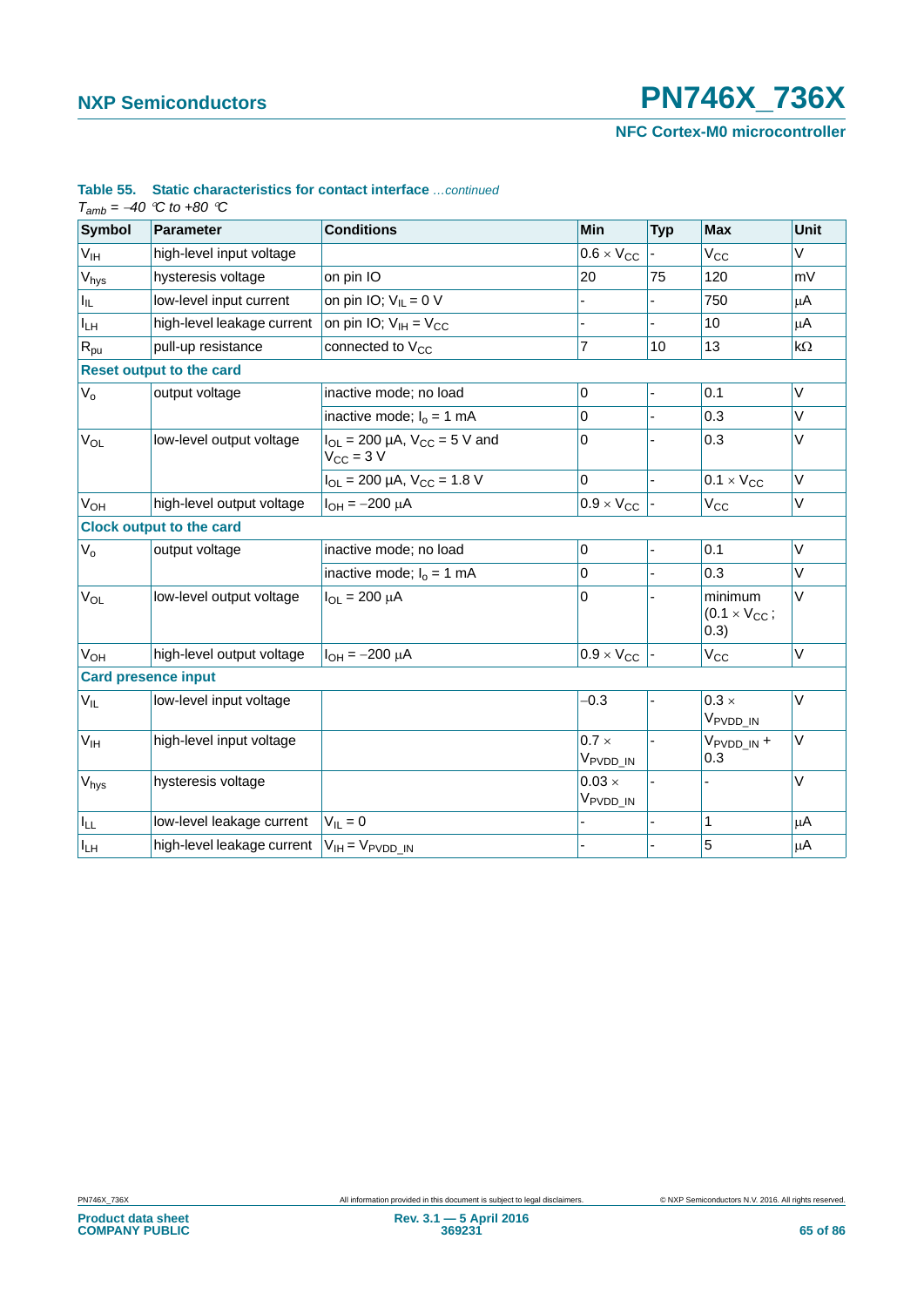**NFC Cortex-M0 microcontroller**

| <b>Symbol</b>         | <b>Parameter</b>                                   | <b>Conditions</b>                                       | Min                                   | <b>Typ</b> | <b>Max</b>                                | <b>Unit</b>  |
|-----------------------|----------------------------------------------------|---------------------------------------------------------|---------------------------------------|------------|-------------------------------------------|--------------|
| V <sub>IH</sub>       | high-level input voltage                           |                                                         | $0.6 \times V_{CC}$                   |            | $V_{CC}$                                  | V            |
| $V_{\text{hys}}$      | hysteresis voltage                                 | on pin IO                                               | 20                                    | 75         | 120                                       | mV           |
| Ιщ.                   | low-level input current                            | on pin IO; $V_{IL} = 0$ V                               |                                       |            | 750                                       | μA           |
| $I_{LH}$              | high-level leakage current                         | on pin IO; $V_{IH} = V_{CC}$                            |                                       | ÷.         | 10                                        | μA           |
| $R_{\text{pu}}$       | pull-up resistance                                 | connected to $V_{CC}$                                   | $\overline{7}$                        | 10         | 13                                        | $k\Omega$    |
|                       | <b>Reset output to the card</b>                    |                                                         |                                       |            |                                           |              |
| $V_{o}$               | output voltage                                     | inactive mode; no load                                  | 0                                     |            | 0.1                                       | V            |
|                       |                                                    | inactive mode; $I_0 = 1$ mA                             | 0                                     |            | 0.3                                       | V            |
| $V_{OL}$              | low-level output voltage                           | $I_{OL}$ = 200 µA, $V_{CC}$ = 5 V and<br>$V_{CC}$ = 3 V | 0                                     |            | 0.3                                       | V            |
|                       |                                                    | $I_{OL}$ = 200 µA, $V_{CC}$ = 1.8 V                     | $\overline{0}$                        |            | $0.1 \times V_{CC}$                       | $\vee$       |
| <b>V<sub>OH</sub></b> | high-level output voltage                          | $I_{OH} = -200 \mu A$                                   | $0.9 \times V_{CC}$                   |            | $V_{\rm CC}$                              | V            |
|                       | <b>Clock output to the card</b>                    |                                                         |                                       |            |                                           |              |
| $V_{o}$               | output voltage                                     | inactive mode; no load                                  | 0                                     |            | 0.1                                       | $\vee$       |
|                       |                                                    | inactive mode; $I_0 = 1$ mA                             | 0                                     |            | 0.3                                       | V            |
| V <sub>OL</sub>       | low-level output voltage                           | $I_{OL} = 200 \mu A$                                    | 0                                     |            | minimum<br>$(0.1 \times V_{CC})$<br>(0.3) | V            |
| <b>V<sub>OH</sub></b> | high-level output voltage                          | $I_{OH} = -200 \mu A$                                   | $0.9 \times V_{CC}$                   |            | $V_{\rm CC}$                              | $\mathsf{V}$ |
|                       | <b>Card presence input</b>                         |                                                         |                                       |            |                                           |              |
| $V_{IL}$              | low-level input voltage                            |                                                         | $-0.3$                                |            | $0.3 \times$<br>V <sub>PVDD_IN</sub>      | $\mathsf V$  |
| V <sub>IH</sub>       | high-level input voltage                           |                                                         | $0.7 \times$<br>V <sub>PVDD_IN</sub>  |            | V <sub>PVDD_IN</sub> +<br>0.3             | V            |
| V <sub>hys</sub>      | hysteresis voltage                                 |                                                         | $0.03 \times$<br>V <sub>PVDD_IN</sub> |            |                                           | $\vee$       |
| $I_{LL}$              | low-level leakage current                          | $V_{\parallel} = 0$                                     |                                       | L.         | 1                                         | $\mu$ A      |
| $I_{LH}$              | high-level leakage current $ V_{IH} = V_{PVDD IN}$ |                                                         |                                       |            | 5                                         | $\mu$ A      |

## **Table 55. Static characteristics for contact interface** *…continued*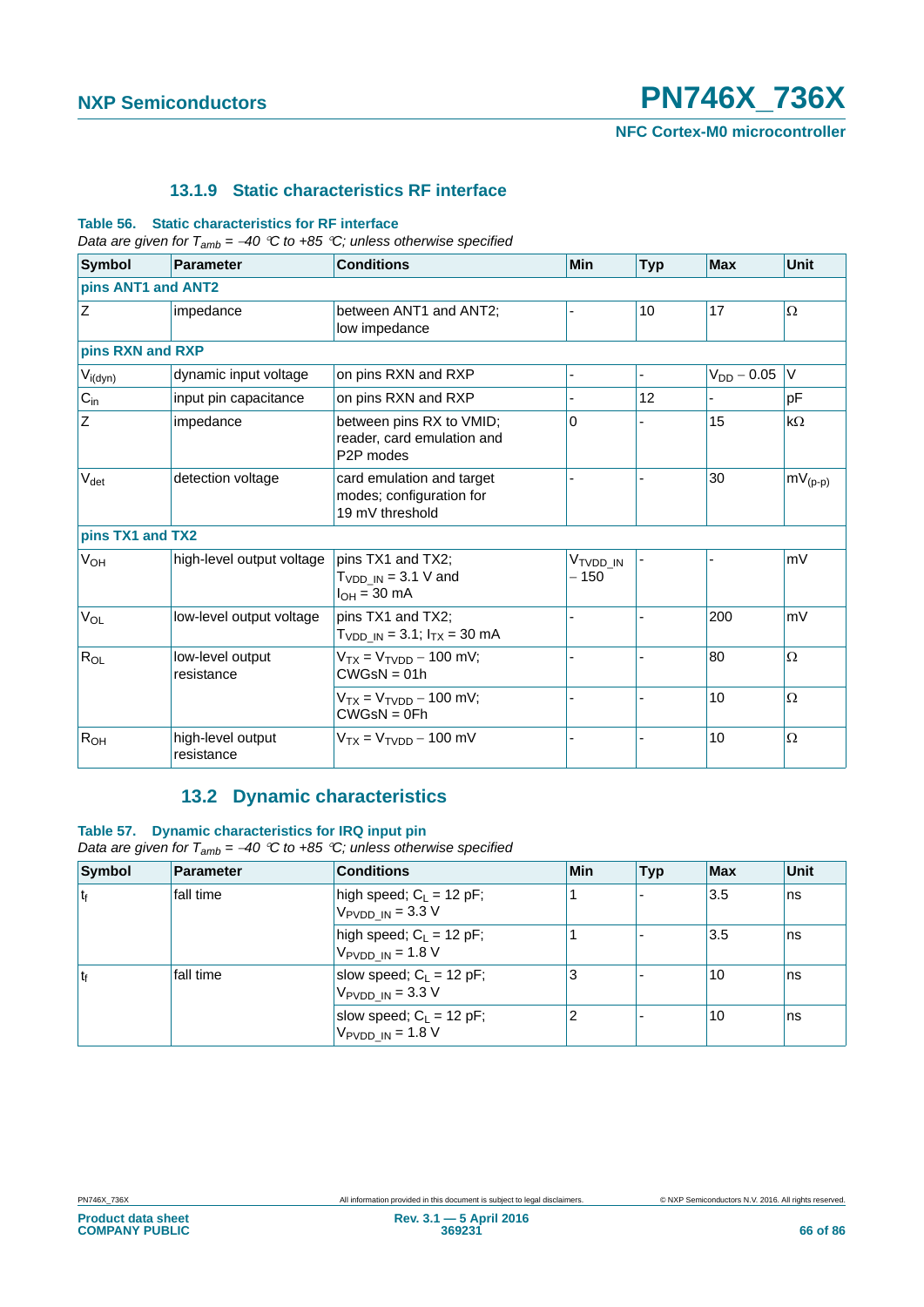**NFC Cortex-M0 microcontroller**

### **13.1.9 Static characteristics RF interface**

#### **Table 56. Static characteristics for RF interface**

*Data are given for Tamb = 40 C to +85 C; unless otherwise specified*

| <b>Symbol</b>         | <b>Parameter</b>                | <b>Conditions</b>                                                                | Min                            | <b>Typ</b> | <b>Max</b>      | Unit         |
|-----------------------|---------------------------------|----------------------------------------------------------------------------------|--------------------------------|------------|-----------------|--------------|
| pins ANT1 and ANT2    |                                 |                                                                                  |                                |            |                 |              |
| Z                     | impedance                       | between ANT1 and ANT2;<br>low impedance                                          |                                | 10         | 17              | $\Omega$     |
| pins RXN and RXP      |                                 |                                                                                  |                                |            |                 |              |
| $V_{i(dyn)}$          | dynamic input voltage           | on pins RXN and RXP                                                              |                                |            | $V_{DD} - 0.05$ | V            |
| $C_{in}$              | input pin capacitance           | on pins RXN and RXP                                                              |                                | 12         |                 | pF           |
| $\mathsf Z$           | impedance                       | between pins RX to VMID;<br>reader, card emulation and<br>P <sub>2</sub> P modes | 0                              |            | 15              | $k\Omega$    |
| $V_{\text{det}}$      | detection voltage               | card emulation and target<br>modes; configuration for<br>19 mV threshold         |                                |            | 30              | $mV_{(p-p)}$ |
| pins TX1 and TX2      |                                 |                                                                                  |                                |            |                 |              |
| <b>V<sub>OH</sub></b> | high-level output voltage       | pins TX1 and TX2;<br>$T_{VDD IN}$ = 3.1 V and<br>$I_{OH} = 30 \text{ mA}$        | V <sub>tvdd in</sub><br>$-150$ |            |                 | mV           |
| $V_{OL}$              | low-level output voltage        | pins TX1 and TX2;<br>$T_{VDD IN} = 3.1$ ; $I_{TX} = 30$ mA                       |                                |            | 200             | mV           |
| $R_{OL}$              | low-level output<br>resistance  | $V_{TX} = V_{TVDD} - 100$ mV;<br>$CWGsN = 01h$                                   |                                |            | 80              | $\Omega$     |
|                       |                                 | $V_{TX} = V_{TVDD} - 100$ mV;<br>$CWGsN = 0Fh$                                   |                                |            | 10              | $\Omega$     |
| R <sub>OH</sub>       | high-level output<br>resistance | $V_{TX} = V_{TVDD} - 100$ mV                                                     |                                |            | 10              | $\Omega$     |

## **13.2 Dynamic characteristics**

### **Table 57. Dynamic characteristics for IRQ input pin**

*Data are given for Tamb = 40 C to +85 C; unless otherwise specified*

| <b>Symbol</b> | <b>Parameter</b> | <b>Conditions</b>                                                  | <b>Min</b> | <b>Typ</b> | Max | <b>Unit</b> |
|---------------|------------------|--------------------------------------------------------------------|------------|------------|-----|-------------|
|               | fall time        | high speed; $C_L = 12$ pF;<br>$V_{\text{PVDD IN}} = 3.3 \text{ V}$ |            |            | 3.5 | ns          |
|               |                  | high speed; $C_1 = 12$ pF;<br>$V_{\text{PVDD IN}} = 1.8 V$         |            |            | 3.5 | ns          |
|               | fall time        | slow speed; $C_1 = 12$ pF;<br>$V_{\text{PVDD IN}} = 3.3 V$         | 3          |            | 10  | ns          |
|               |                  | slow speed; $C_L = 12$ pF;<br>$V_{\text{PVDD IN}} = 1.8 V$         | 2          |            | 10  | ns          |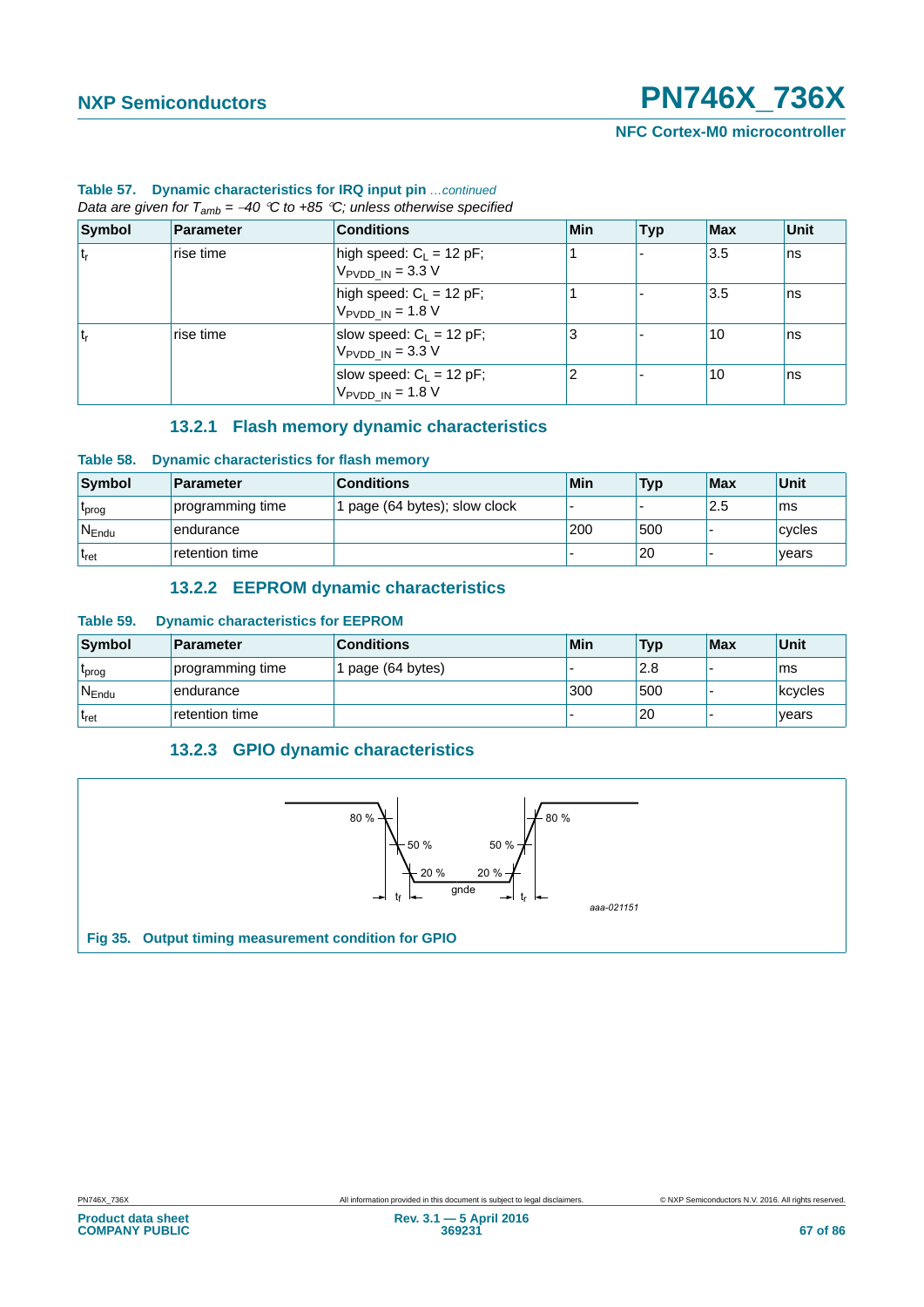**NFC Cortex-M0 microcontroller**

| Data are given for $T_{amb} = -40$ °C to +85 °C; unless otherwise specified |                  |                                                                    |     |            |     |             |  |
|-----------------------------------------------------------------------------|------------------|--------------------------------------------------------------------|-----|------------|-----|-------------|--|
| Symbol                                                                      | <b>Parameter</b> | <b>Conditions</b>                                                  | Min | <b>Typ</b> | Max | <b>Unit</b> |  |
| ۱t,                                                                         | rise time        | high speed: $C_L = 12$ pF;<br>$V_{\text{PVDD IN}} = 3.3 \text{ V}$ |     |            | 3.5 | ns          |  |
|                                                                             |                  | high speed: $C_1 = 12$ pF;<br>$V_{PVDD IN} = 1.8 V$                |     |            | 3.5 | ns          |  |
| ۱t,                                                                         | rise time        | slow speed: $C_L = 12$ pF;<br>$V_{\text{PVDD IN}} = 3.3 \text{ V}$ | 3   |            | 10  | ns          |  |
|                                                                             |                  | slow speed: $C_1 = 12$ pF;<br>$V_{\text{PVDD IN}} = 1.8 \text{ V}$ | 2   |            | 10  | ns          |  |

### **Table 57. Dynamic characteristics for IRQ input pin** *…continued*

**13.2.1 Flash memory dynamic characteristics**

### **Table 58. Dynamic characteristics for flash memory**

| Symbol         | <b>Parameter</b> | <b>Conditions</b>           | Min | <b>Typ</b> | <b>Max</b> | Unit   |
|----------------|------------------|-----------------------------|-----|------------|------------|--------|
| <b>L</b> prog  | programming time | page (64 bytes); slow clock |     |            | 2.5        | ms     |
| $N_{\sf Endu}$ | endurance        |                             | 200 | 500        |            | cycles |
| <b>L</b> ret   | retention time   |                             |     | 20         |            | vears  |

### **13.2.2 EEPROM dynamic characteristics**

### **Table 59. Dynamic characteristics for EEPROM**

| Symbol         | Parameter        | <b>Conditions</b> | <b>Min</b> | <b>Typ</b> | <b>Max</b> | Unit    |
|----------------|------------------|-------------------|------------|------------|------------|---------|
| 'prog          | programming time | page (64 bytes)   |            | 2.8        |            | ms      |
| $N_{\sf Endu}$ | endurance        |                   | 300        | 500        |            | kcycles |
| <b>L</b> ret   | retention time   |                   |            | 20         |            | vears   |

### **13.2.3 GPIO dynamic characteristics**

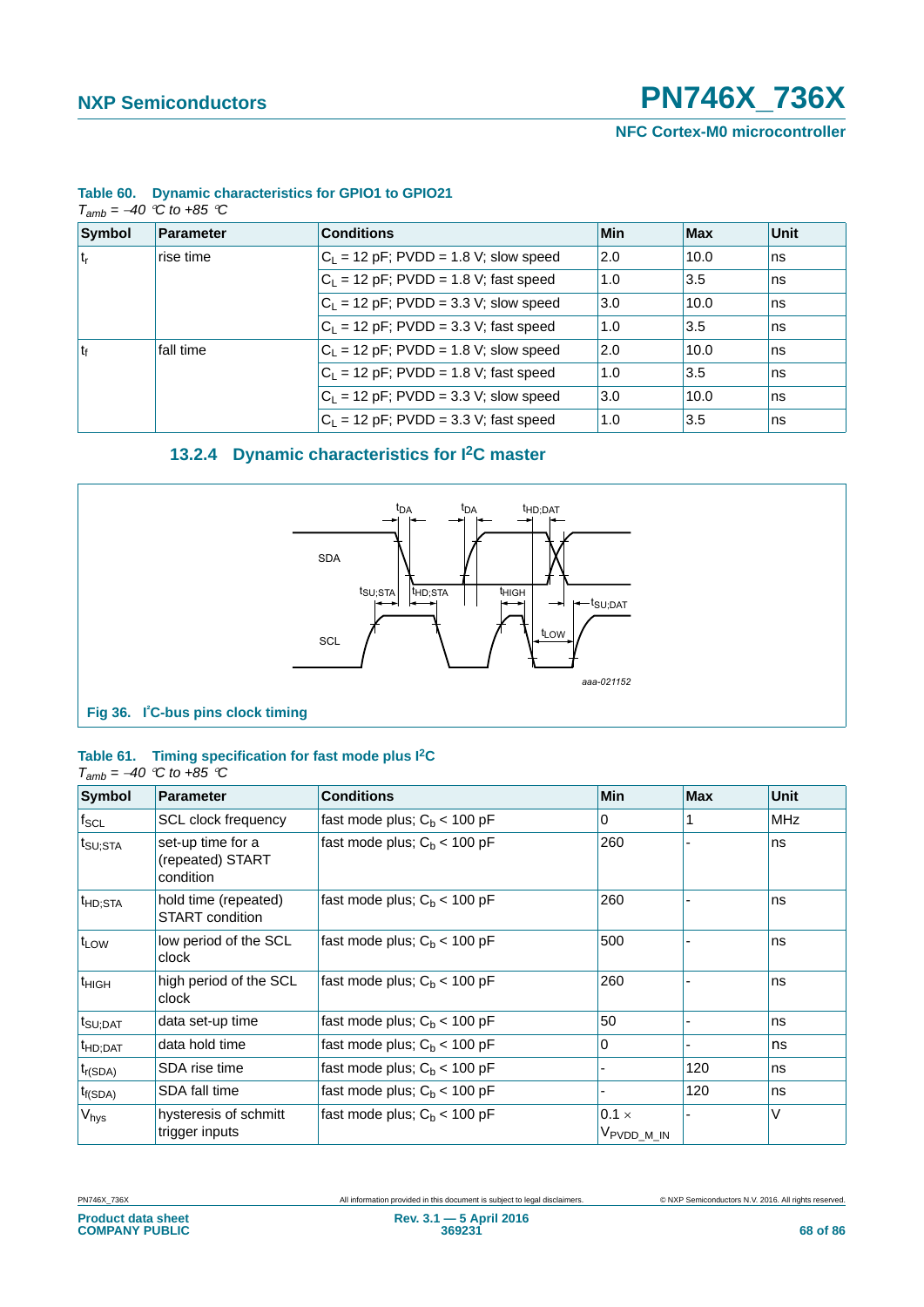**NFC Cortex-M0 microcontroller**

| $T_{amb} = -40$ °C to +85 °C |           |                                         |     |      |      |  |  |  |
|------------------------------|-----------|-----------------------------------------|-----|------|------|--|--|--|
| Symbol                       | Parameter | <b>Conditions</b>                       | Min | Max  | Unit |  |  |  |
| ۱t,                          | rise time | $C_1$ = 12 pF; PVDD = 1.8 V; slow speed | 2.0 | 10.0 | ns   |  |  |  |
|                              |           | $C_1$ = 12 pF; PVDD = 1.8 V; fast speed | 1.0 | 3.5  | ns   |  |  |  |
|                              |           | $C_1$ = 12 pF; PVDD = 3.3 V; slow speed | 3.0 | 10.0 | ns   |  |  |  |
|                              |           | $C_1$ = 12 pF; PVDD = 3.3 V; fast speed | 1.0 | 3.5  | ns   |  |  |  |
| t <sub>f</sub>               | fall time | $C_1$ = 12 pF; PVDD = 1.8 V; slow speed | 2.0 | 10.0 | ns   |  |  |  |
|                              |           | $C_1$ = 12 pF; PVDD = 1.8 V; fast speed | 1.0 | 3.5  | ns   |  |  |  |
|                              |           | $C_1$ = 12 pF; PVDD = 3.3 V; slow speed | 3.0 | 10.0 | ns   |  |  |  |
|                              |           | $C_1 = 12$ pF; PVDD = 3.3 V; fast speed | 1.0 | 3.5  | ns   |  |  |  |

### **Table 60. Dynamic characteristics for GPIO1 to GPIO21**

## **13.2.4 Dynamic characteristics for I2C master**



### **Table 61. Timing specification for fast mode plus I2C**

### $T_{amb} = -40$  <sup> $\degree$ </sup>C to +85 <sup> $\degree$ </sup>C

| <b>Symbol</b>        | <b>Parameter</b>                                   | <b>Conditions</b>              | <b>Min</b>                             | <b>Max</b> | <b>Unit</b> |
|----------------------|----------------------------------------------------|--------------------------------|----------------------------------------|------------|-------------|
| $f_{\text{SCL}}$     | <b>SCL clock frequency</b>                         | fast mode plus; $C_b < 100$ pF | 0                                      |            | <b>MHz</b>  |
| t <sub>SU;STA</sub>  | set-up time for a<br>(repeated) START<br>condition | fast mode plus; $C_b < 100$ pF | 260                                    |            | ns          |
| <sup>t</sup> HD;STA  | hold time (repeated)<br>START condition            | fast mode plus; $C_b < 100$ pF | 260                                    |            | ns          |
| $ t_{LOW}$           | low period of the SCL<br>clock                     | fast mode plus; $C_b < 100$ pF | 500                                    |            | ns          |
| <sup>t</sup> HIGH    | high period of the SCL<br>clock                    | fast mode plus; $C_b < 100$ pF | 260                                    |            | ns          |
| t <sub>SU;DAT</sub>  | data set-up time                                   | fast mode plus; $C_b < 100$ pF | 50                                     |            | ns          |
| t <sub>HD</sub> ;DAT | data hold time                                     | fast mode plus; $C_b < 100$ pF | 0                                      |            | ns          |
| $t_{r(SDA)}$         | SDA rise time                                      | fast mode plus; $C_b < 100$ pF |                                        | 120        | ns          |
| $t_{f(SDA)}$         | SDA fall time                                      | fast mode plus; $C_b < 100$ pF |                                        | 120        | ns          |
| V <sub>hys</sub>     | hysteresis of schmitt<br>trigger inputs            | fast mode plus; $C_b < 100$ pF | $0.1 \times$<br>V <sub>PVDD_M_IN</sub> |            | V           |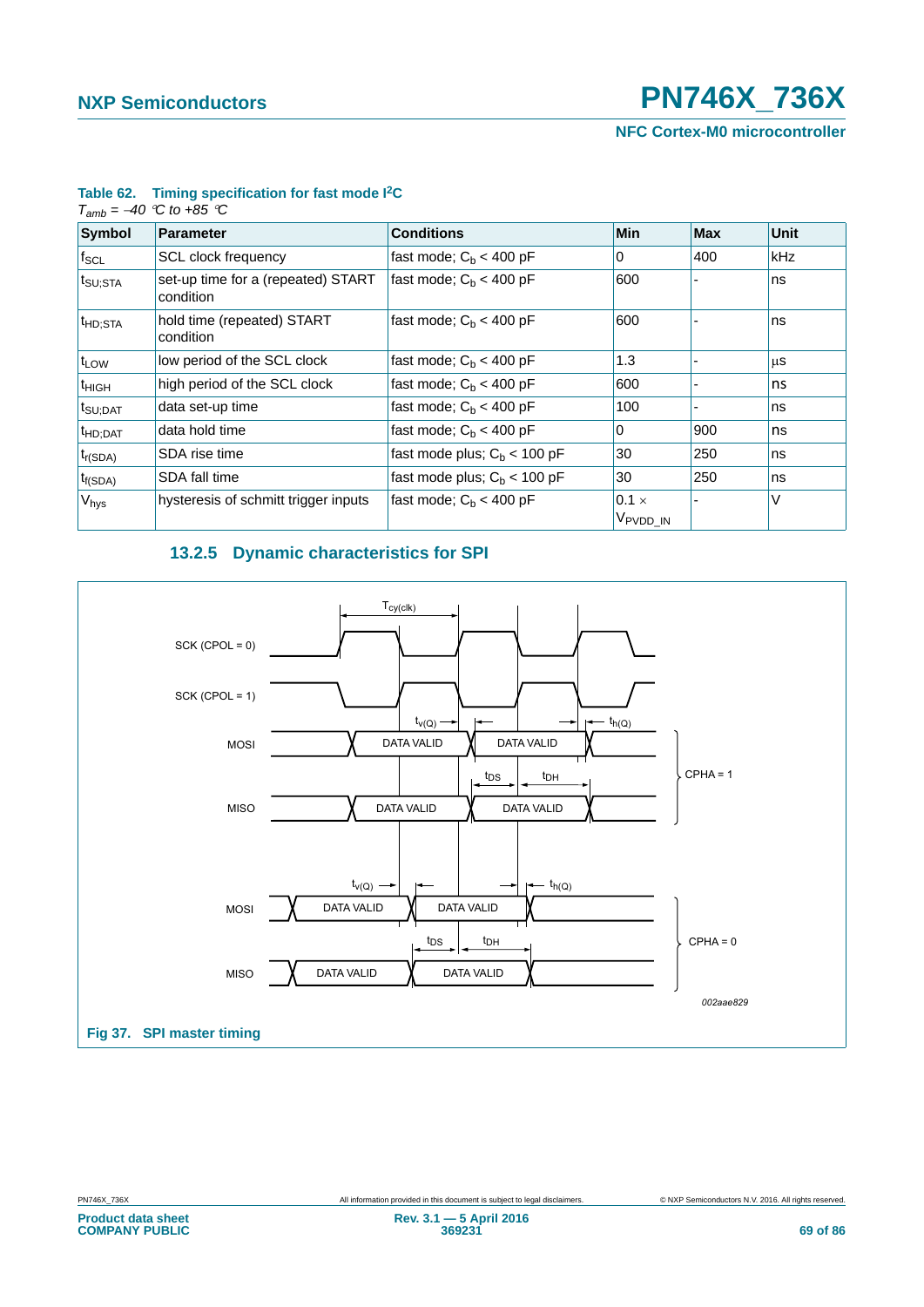**NFC Cortex-M0 microcontroller**

| $T_{amb} = -40$ °C to +85 °C |                                                 |                                |                                      |            |            |  |  |  |
|------------------------------|-------------------------------------------------|--------------------------------|--------------------------------------|------------|------------|--|--|--|
| <b>Symbol</b>                | <b>Parameter</b>                                | <b>Conditions</b>              | <b>Min</b>                           | <b>Max</b> | Unit       |  |  |  |
| $t_{\sf SCL}$                | SCL clock frequency                             | fast mode; $Cb < 400$ pF       | 0                                    | 400        | <b>kHz</b> |  |  |  |
| t <sub>SU;STA</sub>          | set-up time for a (repeated) START<br>condition | fast mode; $C_h < 400$ pF      | 600                                  |            | ns         |  |  |  |
| $t_{HD;STA}$                 | hold time (repeated) START<br>condition         | fast mode; $C_b < 400$ pF      | 600                                  |            | ns         |  |  |  |
| $t_{LOW}$                    | low period of the SCL clock                     | fast mode; $C_h < 400$ pF      | 1.3                                  |            | μS         |  |  |  |
| $t_{HIGH}$                   | high period of the SCL clock                    | fast mode; $C_h < 400$ pF      | 600                                  |            | ns         |  |  |  |
| t <sub>SU;DAT</sub>          | data set-up time                                | fast mode; $C_h < 400$ pF      | 100                                  |            | ns         |  |  |  |
| $t_{HD;DAT}$                 | data hold time                                  | fast mode; $C_h < 400$ pF      | 0                                    | 900        | ns         |  |  |  |
| $t_{r(SDA)}$                 | SDA rise time                                   | fast mode plus; $C_h$ < 100 pF | 30                                   | 250        | ns         |  |  |  |
| $t_{f(SDA)}$                 | SDA fall time                                   | fast mode plus; $C_h$ < 100 pF | 30                                   | 250        | ns         |  |  |  |
| $V_{\text{hys}}$             | hysteresis of schmitt trigger inputs            | fast mode; $C_h < 400$ pF      | $0.1 \times$<br>V <sub>PVDD_IN</sub> |            | V          |  |  |  |

### **Table 62. Timing specification for fast mode I2C**

### **13.2.5 Dynamic characteristics for SPI**

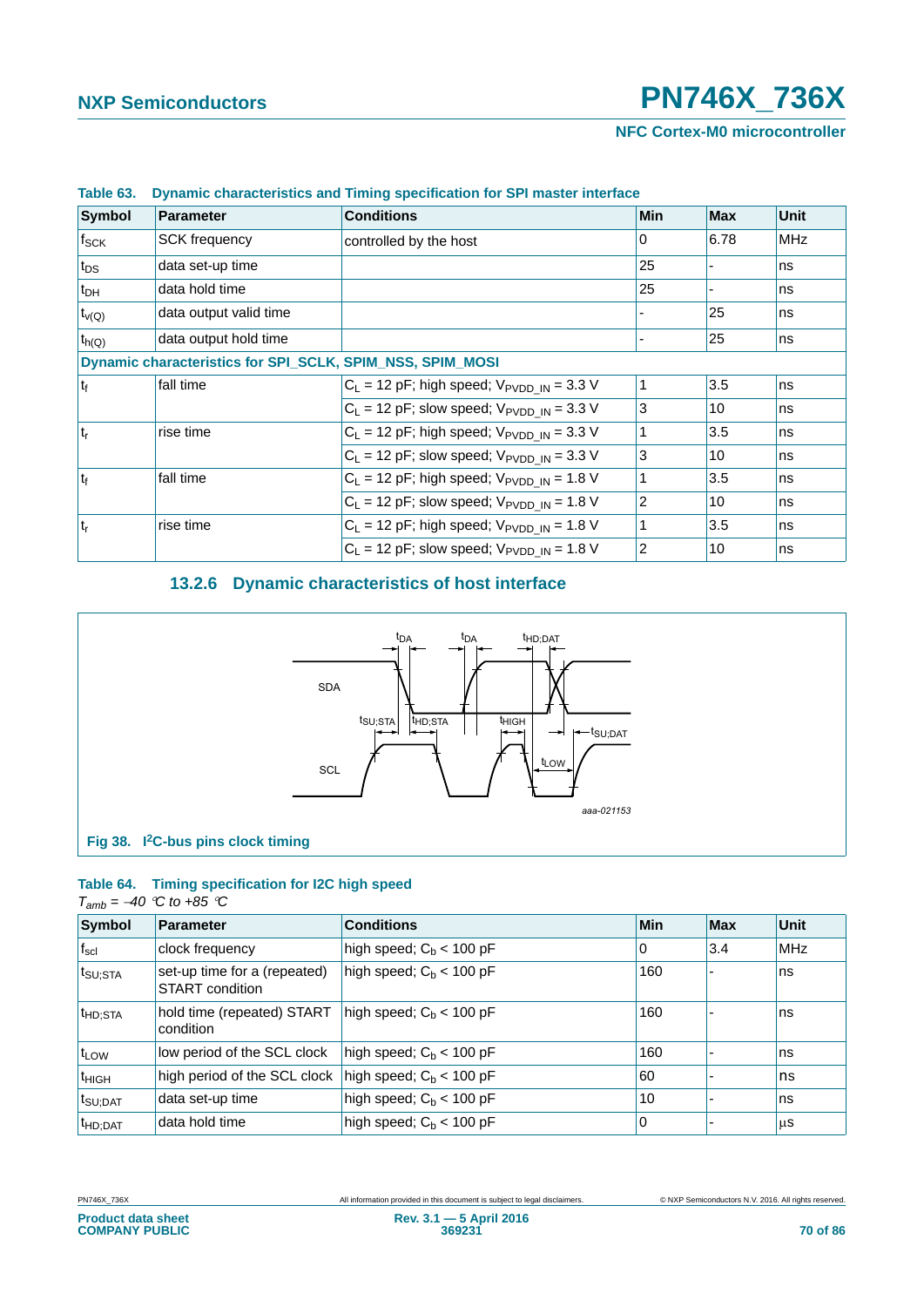| Symbol             | <b>Parameter</b>       | <b>Conditions</b>                                         | <b>Min</b>     | <b>Max</b> | <b>Unit</b> |
|--------------------|------------------------|-----------------------------------------------------------|----------------|------------|-------------|
| $f_{\mathsf{SCK}}$ | <b>SCK frequency</b>   | controlled by the host                                    | 0              | 6.78       | <b>MHz</b>  |
| $t_{DS}$           | data set-up time       |                                                           | 25             |            | ns          |
| $t_{DH}$           | data hold time         |                                                           | 25             |            | ns          |
| $t_{\nu(Q)}$       | data output valid time |                                                           |                | 25         | ns          |
| $t_{h(Q)}$         | data output hold time  |                                                           |                | 25         | ns          |
|                    |                        | Dynamic characteristics for SPI_SCLK, SPIM_NSS, SPIM_MOSI |                |            |             |
| $t_{f}$            | fall time              | $C_L$ = 12 pF; high speed; $V_{\text{PVDD IN}}$ = 3.3 V   |                | 3.5        | ns          |
|                    |                        | $C_L$ = 12 pF; slow speed; $V_{\text{PVDD IN}}$ = 3.3 V   | 3              | 10         | ns          |
| $ t_r$             | rise time              | $C_L$ = 12 pF; high speed; $V_{\text{PVDD IN}}$ = 3.3 V   |                | 3.5        | ns          |
|                    |                        | $C_L$ = 12 pF; slow speed; $V_{\text{PVDD IN}}$ = 3.3 V   | 3              | 10         | ns          |
| t <sub>f</sub>     | fall time              | $C_L$ = 12 pF; high speed; $V_{PVDD IN}$ = 1.8 V          |                | 3.5        | ns          |
|                    |                        | $C_L$ = 12 pF; slow speed; $V_{\text{PVDD IN}}$ = 1.8 V   | $\overline{2}$ | 10         | ns          |
| $ t_r$             | rise time              | $C_L$ = 12 pF; high speed; $V_{\text{PVDD IN}}$ = 1.8 V   |                | 3.5        | ns          |
|                    |                        | $C_L$ = 12 pF; slow speed; $V_{\text{PVDD IN}}$ = 1.8 V   | $\overline{2}$ | 10         | ns          |

### **Table 63. Dynamic characteristics and Timing specification for SPI master interface**

### **13.2.6 Dynamic characteristics of host interface**



### **Table 64. Timing specification for I2C high speed**

### $T_{amb} = -40$  <sup> $\degree$ </sup>C to +85  $\degree$ C

| Symbol                             | <b>Parameter</b>                                        | <b>Conditions</b>          | Min | Max | <b>Unit</b> |
|------------------------------------|---------------------------------------------------------|----------------------------|-----|-----|-------------|
| $f_{\rm scl}$                      | clock frequency                                         | high speed; $C_b$ < 100 pF | l 0 | 3.4 | <b>MHz</b>  |
| $t_{\text{SU;STA}}$                | set-up time for a (repeated)<br>START condition         | high speed; $C_b$ < 100 pF | 160 |     | ns          |
| $ t_{\mathsf{HD} ; \mathsf{STA}} $ | hold time (repeated) START<br>condition                 | high speed; $C_b$ < 100 pF | 160 |     | ns          |
| $ t_{LOW} $                        | low period of the SCL clock                             | high speed; $C_b$ < 100 pF | 160 |     | ns          |
| $t_{HIGH}$                         | high period of the SCL clock $ high speed; Cb < 100 pF$ |                            | 60  |     | ns          |
| ∣ <sup>t</sup> SU;DAT              | data set-up time                                        | high speed; $C_b < 100$ pF | 10  |     | ns          |
| $t_{HD;DAT}$                       | data hold time                                          | high speed; $C_b$ < 100 pF | 10  |     | μS          |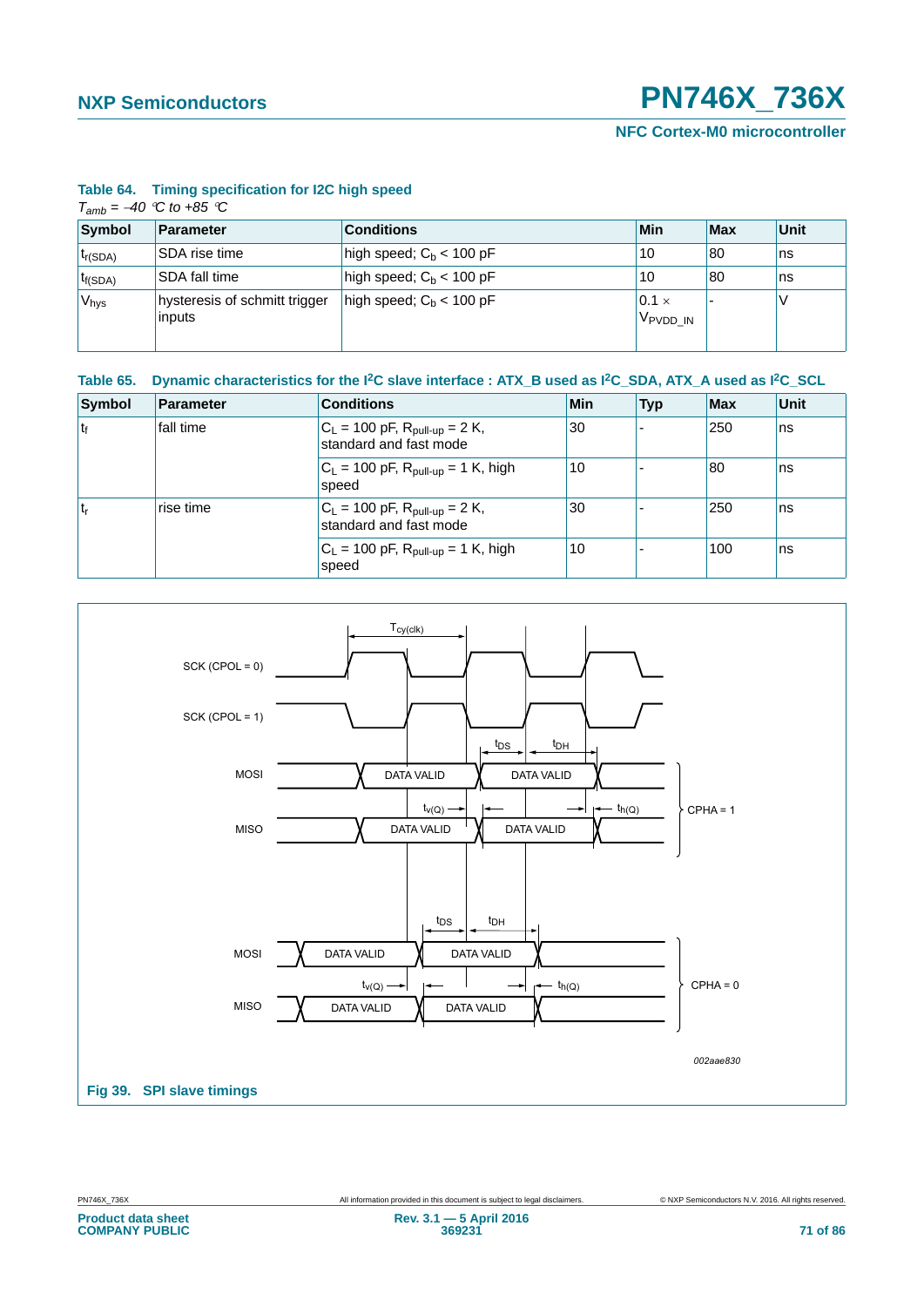**NFC Cortex-M0 microcontroller**

| Table 64. |  | Timing specification for I2C high speed |  |  |  |  |
|-----------|--|-----------------------------------------|--|--|--|--|
|-----------|--|-----------------------------------------|--|--|--|--|

| $T_{amb} = -40$ °C to +85 °C |  |  |  |
|------------------------------|--|--|--|
|------------------------------|--|--|--|

| Symbol            | Parameter                               | <b>Conditions</b>          | <b>Min</b>                           | Max | Unit |
|-------------------|-----------------------------------------|----------------------------|--------------------------------------|-----|------|
| $t_{r(SDA)}$      | SDA rise time                           | high speed; $C_b$ < 100 pF | 10                                   | 80  | Ins  |
| $t_{f(SDA)}$      | SDA fall time                           | high speed; $C_b$ < 100 pF | 10                                   | 80  | Ins  |
| 'V <sub>hys</sub> | hysteresis of schmitt trigger<br>inputs | high speed; $C_b$ < 100 pF | $0.1 \times$<br>V <sub>PVDD</sub> IN |     |      |

| Table 65. Dynamic characteristics for the <sup>2</sup> C slave interface : ATX_B used as <sup>2</sup> C_SDA, ATX_A used as <sup>2</sup> C_SCL |  |  |
|-----------------------------------------------------------------------------------------------------------------------------------------------|--|--|
|                                                                                                                                               |  |  |

| Symbol         | Parameter | <b>Conditions</b>                                                                | <b>Min</b> | <b>Typ</b> | Max | <b>Unit</b> |
|----------------|-----------|----------------------------------------------------------------------------------|------------|------------|-----|-------------|
| t <sub>f</sub> | fall time | $C_L$ = 100 pF, R <sub>pull-up</sub> = 2 K,<br>standard and fast mode            | 30         |            | 250 | ns          |
|                |           | $ C_L = 100 \text{ pF}, R_{\text{pull-up}} = 1 \text{ K}, \text{ high}$<br>speed | 10         |            | 80  | ns          |
| t <sub>r</sub> | rise time | $C_L$ = 100 pF, $R_{pull-up}$ = 2 K,<br>standard and fast mode                   | 30         |            | 250 | ns          |
|                |           | $C_L$ = 100 pF, $R_{\text{pull-up}}$ = 1 K, high<br>speed                        | 10         |            | 100 | ns          |

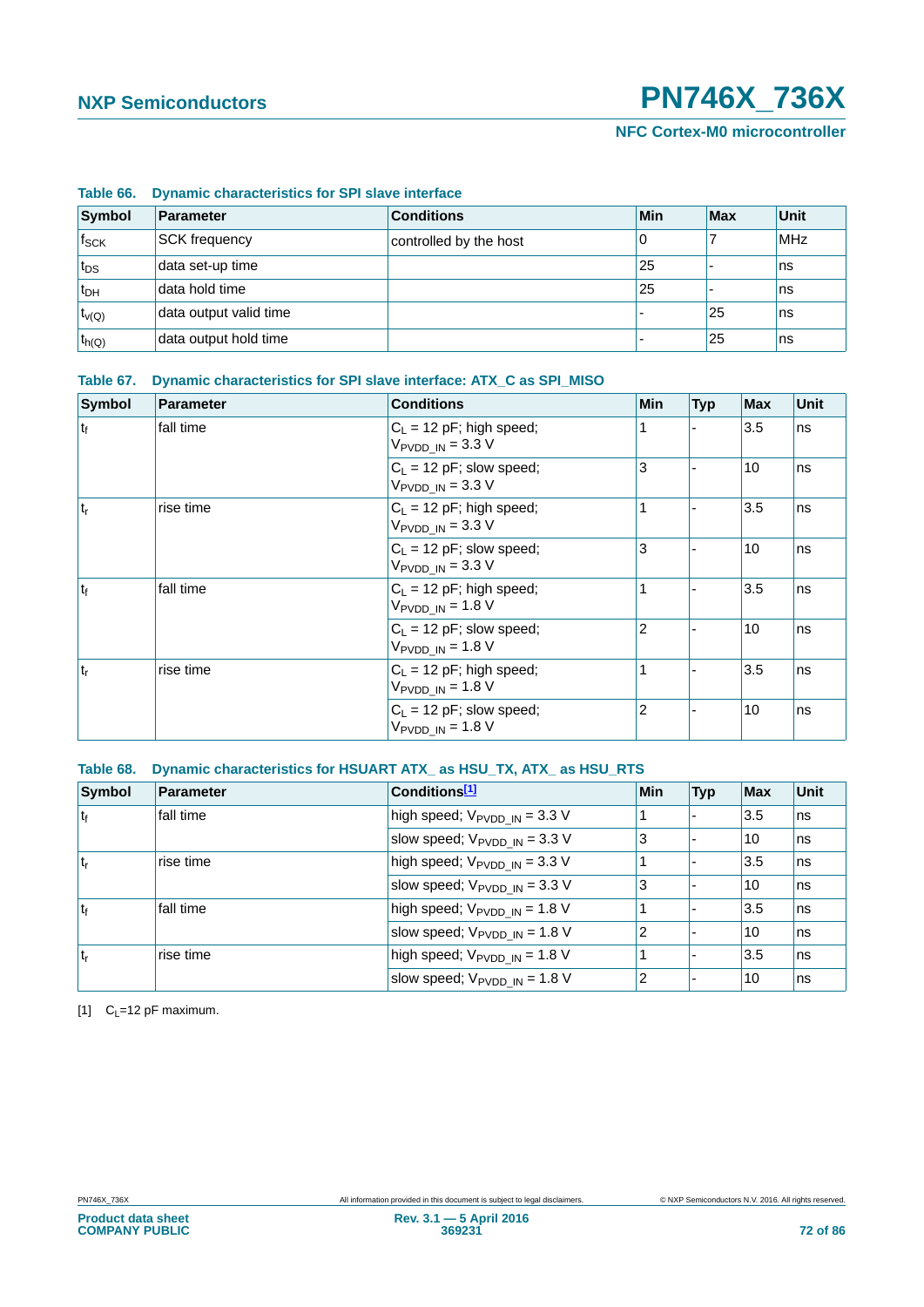### **Table 66. Dynamic characteristics for SPI slave interface**

| Symbol           | Parameter              | <b>Conditions</b>      | Min           | Max | <b>Unit</b> |
|------------------|------------------------|------------------------|---------------|-----|-------------|
| f <sub>SCK</sub> | <b>SCK frequency</b>   | controlled by the host |               |     | <b>MHz</b>  |
| $t_{DS}$         | data set-up time       |                        | 25            |     | ns          |
| $t_{DH}$         | data hold time         |                        | $^{\prime}25$ |     | ns          |
| $t_{v(Q)}$       | data output valid time |                        |               | 25  | ns          |
| $t_{h(Q)}$       | data output hold time  |                        |               | 25  | ns          |

### **Table 67. Dynamic characteristics for SPI slave interface: ATX\_C as SPI\_MISO**

| <b>Symbol</b>  | <b>Parameter</b> | <b>Conditions</b>                                                  | <b>Min</b>     | <b>Typ</b> | <b>Max</b> | Unit |
|----------------|------------------|--------------------------------------------------------------------|----------------|------------|------------|------|
| t <sub>f</sub> | fall time        | $C_L$ = 12 pF; high speed;<br>$V_{\text{PVDD IN}} = 3.3 \text{ V}$ |                |            | 3.5        | ns   |
|                |                  | $C_1$ = 12 pF; slow speed;<br>$V_{\text{PVDD IN}} = 3.3 \text{ V}$ | 3              |            | 10         | ns   |
| ۱t,            | rise time        | $C_L$ = 12 pF; high speed;<br>$V_{\text{PVDD IN}} = 3.3 \text{ V}$ |                |            | 3.5        | ns   |
|                |                  | $C_L$ = 12 pF; slow speed;<br>$V_{\text{PVDD IN}} = 3.3 \text{ V}$ | 3              |            | 10         | ns   |
| $ t_f $        | fall time        | $C_1 = 12$ pF; high speed;<br>$V_{PVDD IN} = 1.8 V$                |                |            | 3.5        | ns   |
|                |                  | $C_1 = 12$ pF; slow speed;<br>$V_{\text{PVDD}IN}$ = 1.8 V          | $\overline{2}$ |            | 10         | ns   |
| t <sub>r</sub> | rise time        | $C_L$ = 12 pF; high speed;<br>$V_{\text{PVDD IN}} = 1.8 \text{ V}$ |                |            | 3.5        | ns   |
|                |                  | $ C_L = 12$ pF; slow speed;<br>$V_{PVDD IN} = 1.8 V$               | $\overline{2}$ |            | 10         | ns   |

### **Table 68. Dynamic characteristics for HSUART ATX\_ as HSU\_TX, ATX\_ as HSU\_RTS**

| Symbol         | Parameter | Conditions <sup>[1]</sup>                                 | <b>Min</b>     | <b>Typ</b> | Max | Unit |
|----------------|-----------|-----------------------------------------------------------|----------------|------------|-----|------|
| $ t_f $        | fall time | high speed; $V_{\text{PVDD}\_ \text{IN}} = 3.3 \text{ V}$ |                |            | 3.5 | ns   |
|                |           | slow speed; $V_{\text{PVDD IN}} = 3.3 \text{ V}$          | 3              |            | 10  | ns   |
| t <sub>r</sub> | rise time | high speed; $V_{\text{PVDD IN}} = 3.3 \text{ V}$          |                |            | 3.5 | ns   |
|                |           | slow speed; $V_{\text{PVDD IN}} = 3.3 \text{ V}$          | 3              |            | 10  | ns   |
| ۱t             | fall time | high speed; $V_{\text{PVDD IN}} = 1.8 \text{ V}$          |                |            | 3.5 | ns   |
|                |           | slow speed; $V_{\text{PVDD IN}} = 1.8 \text{ V}$          | $\overline{2}$ |            | 10  | ns   |
| ۱t,            | rise time | high speed; $V_{PVDD IN} = 1.8 V$                         |                |            | 3.5 | ns   |
|                |           | slow speed; $V_{\text{PVDD IN}} = 1.8 \text{ V}$          | 2              |            | 10  | ns   |

<span id="page-71-0"></span>[1]  $C_L=12$  pF maximum.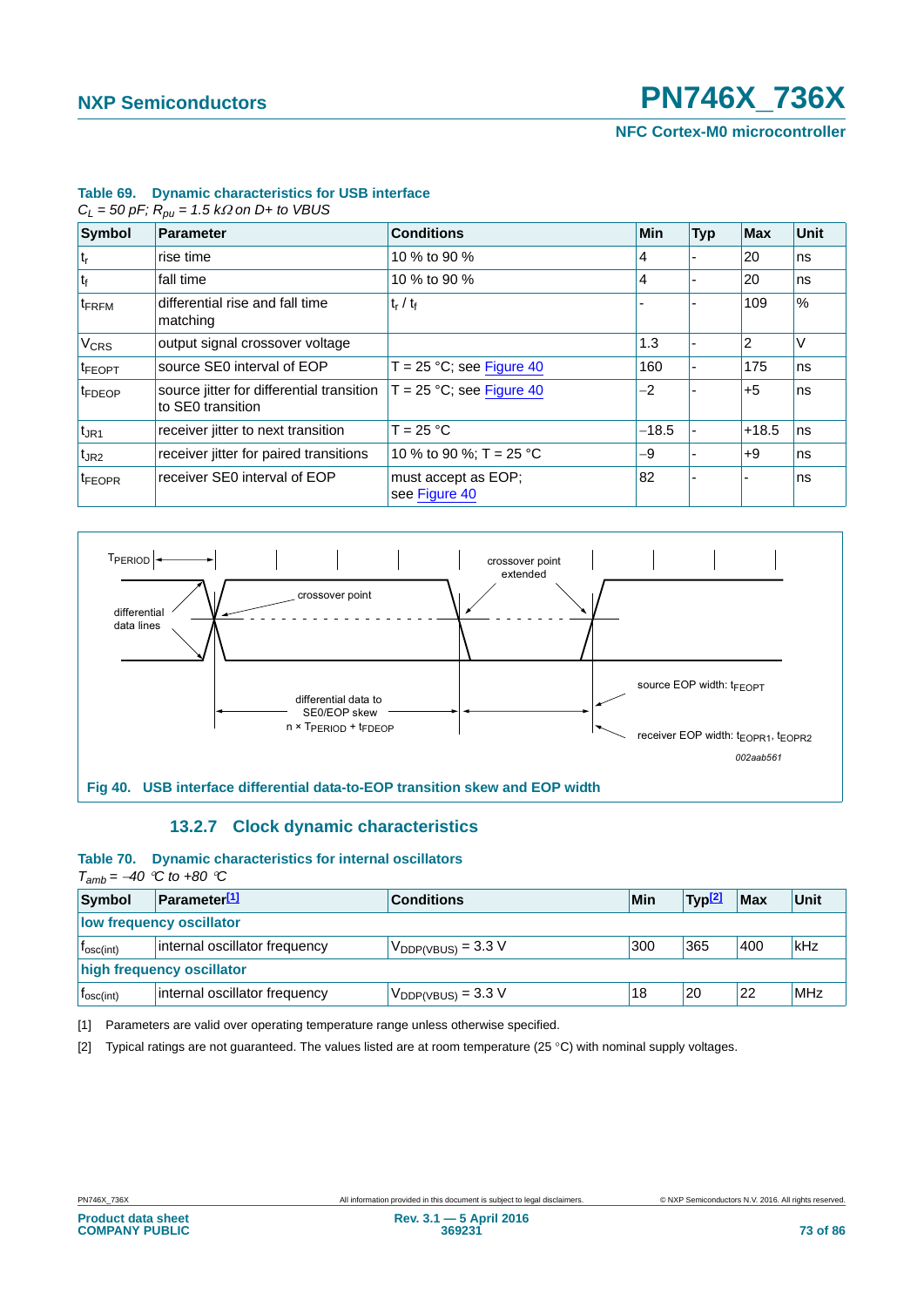**NFC Cortex-M0 microcontroller**

82 - - ns

|                        | $C_L$ = 50 pF; $R_{ou}$ = 1.5 kΩ on D+ to VBUS                       |                             |            |            |            |      |  |
|------------------------|----------------------------------------------------------------------|-----------------------------|------------|------------|------------|------|--|
| <b>Symbol</b>          | <b>Parameter</b>                                                     | <b>Conditions</b>           | <b>Min</b> | <b>Typ</b> | <b>Max</b> | Unit |  |
| $ t_{r} $              | rise time                                                            | 10 % to 90 %                | 4          |            | 20         | ns   |  |
| $ t_{f} $              | fall time                                                            | 10 % to 90 %                | 4          |            | 20         | ns   |  |
| $t_{\text{FRFM}}$      | differential rise and fall time<br>matching                          | $t_r / t_f$                 |            |            | 109        | $\%$ |  |
| <b>V<sub>CRS</sub></b> | output signal crossover voltage                                      |                             | 1.3        |            |            | V    |  |
| $t_{\text{FEOPT}}$     | source SE0 interval of EOP                                           | $T = 25 °C$ ; see Figure 40 | 160        |            | 175        | ns   |  |
| tFDEOP                 | source jitter for differential transition $T = 25$ °C; see Figure 40 |                             | $-2$       |            | $+5$       | ns   |  |

#### <span id="page-72-3"></span>**Table 69. Dynamic characteristics for USB interface**

to SE0 transition



 $t_{\text{JR1}}$  receiver jitter to next transition  $|T = 25 \text{ °C}$   $-18.5$   $-148.5$  ns t<sub>JR2</sub> Preceiver jitter for paired transitions  $\begin{vmatrix} 10 & 90 & 90 \\ 9 & 70 & 25 \end{vmatrix}$  or  $\begin{vmatrix} -9 & -9 \\ -9 & -1 \end{vmatrix}$  +9 ns

see [Figure 40](#page-72-0)

## **13.2.7 Clock dynamic characteristics**

 $t_{\text{FEOPR}}$  receiver SE0 interval of EOP must accept as EOP;

## <span id="page-72-5"></span><span id="page-72-4"></span><span id="page-72-0"></span>**Table 70. Dynamic characteristics for internal oscillators**

 $T_{amb} = -40$   $^{\circ}$ C to +80  $^{\circ}$ C

| Symbol                    | <b>Parameter</b> <sup>[1]</sup> | <b>Conditions</b>              | Min | 'Typ <sup>[2]</sup> | <b>Max</b> | Unit       |
|---------------------------|---------------------------------|--------------------------------|-----|---------------------|------------|------------|
| low frequency oscillator  |                                 |                                |     |                     |            |            |
| T <sub>osc(int)</sub>     | internal oscillator frequency   | $V_{\text{DDP(VBUS)}} = 3.3 V$ | 300 | 365                 | 400        | kHz        |
| high frequency oscillator |                                 |                                |     |                     |            |            |
| $T_{\text{osc(int)}}$     | internal oscillator frequency   | $V_{DDP(VBUS)} = 3.3 V$        | 18  | 20                  | 22         | <b>MHz</b> |

<span id="page-72-1"></span>[1] Parameters are valid over operating temperature range unless otherwise specified.

<span id="page-72-2"></span>[2] Typical ratings are not guaranteed. The values listed are at room temperature (25 °C) with nominal supply voltages.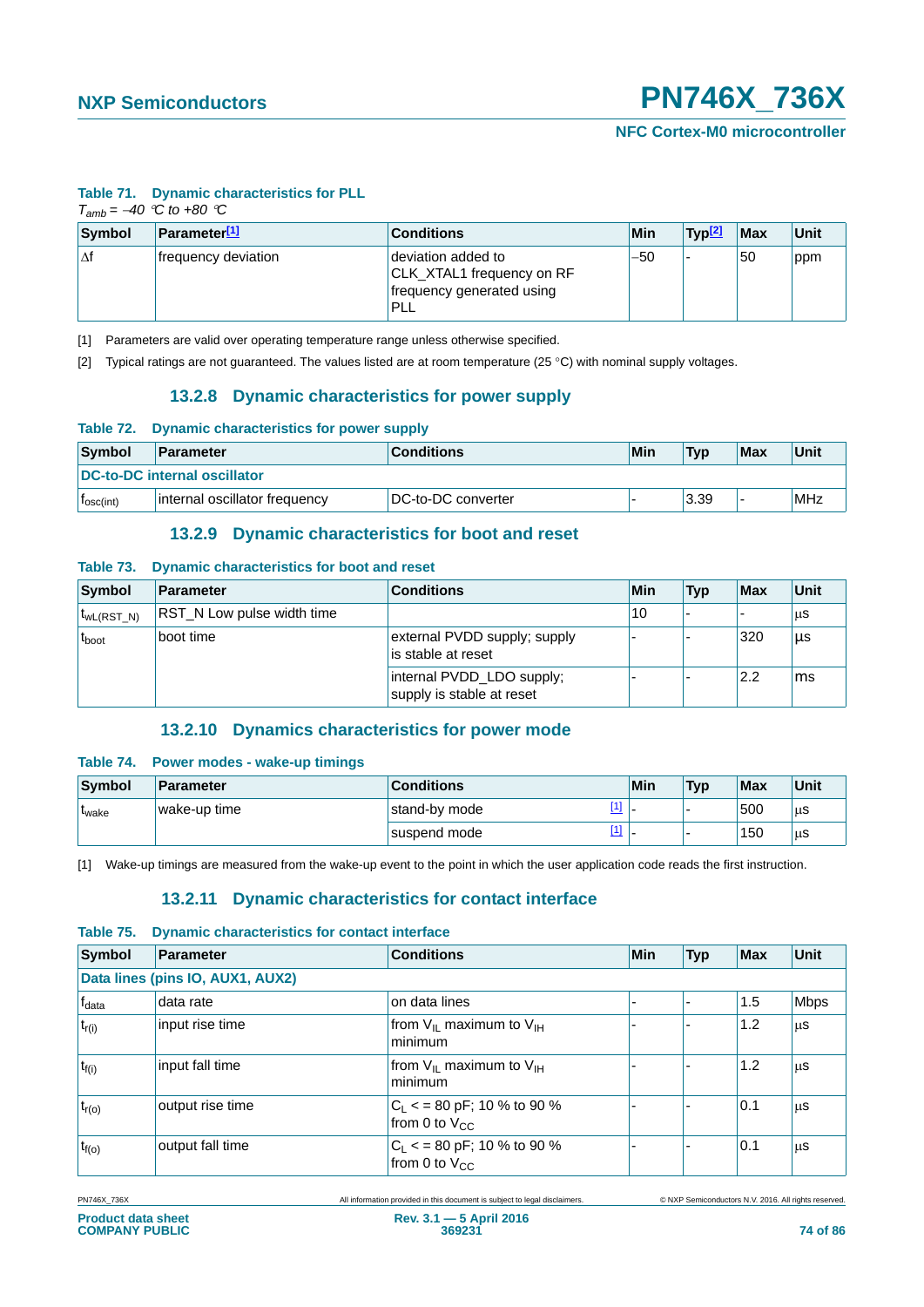**NFC Cortex-M0 microcontroller**

#### <span id="page-73-3"></span>**Table 71. Dynamic characteristics for PLL**

| $T_{amb} = -40$ °C to +80 °C |                                |                                                                                            |       |                    |            |      |
|------------------------------|--------------------------------|--------------------------------------------------------------------------------------------|-------|--------------------|------------|------|
| Symbol                       | <b>Parameter<sup>[1]</sup></b> | <b>Conditions</b>                                                                          | Min   | Typ <sup>[2]</sup> | <b>Max</b> | Unit |
| l∆f                          | frequency deviation            | deviation added to<br>CLK_XTAL1 frequency on RF<br>frequency generated using<br><b>PLL</b> | $-50$ |                    | 50         | ppm  |

<span id="page-73-0"></span>[1] Parameters are valid over operating temperature range unless otherwise specified.

<span id="page-73-8"></span><span id="page-73-1"></span>[2] Typical ratings are not guaranteed. The values listed are at room temperature (25 °C) with nominal supply voltages.

# **13.2.8 Dynamic characteristics for power supply**

#### <span id="page-73-4"></span>**Table 72. Dynamic characteristics for power supply**

| Symbol<br>Parameter   |                                     | <b>Conditions</b>  | Min | <b>Typ</b> | <b>Max</b> | Unit |  |
|-----------------------|-------------------------------------|--------------------|-----|------------|------------|------|--|
|                       | <b>DC-to-DC internal oscillator</b> |                    |     |            |            |      |  |
| I <sub>osc(int)</sub> | internal oscillator frequency       | DC-to-DC converter |     | 3.39       |            | MHz  |  |

## **13.2.9 Dynamic characteristics for boot and reset**

#### <span id="page-73-9"></span><span id="page-73-5"></span>**Table 73. Dynamic characteristics for boot and reset**

| Symbol            | Parameter                         | <b>Conditions</b>                                      | Min | <b>Typ</b> | Max | Unit |
|-------------------|-----------------------------------|--------------------------------------------------------|-----|------------|-----|------|
| $t_{WL(RST N)}$   | <b>RST N Low pulse width time</b> |                                                        | 10  |            |     | μS   |
| t <sub>boot</sub> | boot time                         | external PVDD supply; supply<br>is stable at reset     |     |            | 320 | μs   |
|                   |                                   | internal PVDD_LDO supply;<br>supply is stable at reset |     |            | 2.2 | ms   |

## **13.2.10 Dynamics characteristics for power mode**

#### <span id="page-73-10"></span><span id="page-73-6"></span>**Table 74. Power modes - wake-up timings**

| Symbol        | Parameter    | <b>Conditions</b>      | Min | <b>Typ</b> | Max | Unit |
|---------------|--------------|------------------------|-----|------------|-----|------|
| <b>L</b> wake | wake-up time | $[1]$<br>stand-by mode |     |            | 500 | μS   |
|               |              | $[1]$<br>suspend mode  |     |            | 150 | μS   |

<span id="page-73-11"></span><span id="page-73-2"></span>[1] Wake-up timings are measured from the wake-up event to the point in which the user application code reads the first instruction.

## **13.2.11 Dynamic characteristics for contact interface**

#### <span id="page-73-7"></span>**Table 75. Dynamic characteristics for contact interface**

| <b>Symbol</b>     | Parameter                        | <b>Conditions</b>                                   | Min | <b>Typ</b> | <b>Max</b> | Unit        |
|-------------------|----------------------------------|-----------------------------------------------------|-----|------------|------------|-------------|
|                   | Data lines (pins IO, AUX1, AUX2) |                                                     |     |            |            |             |
| f <sub>data</sub> | data rate                        | on data lines                                       |     |            | 1.5        | <b>Mbps</b> |
| $t_{r(i)}$        | input rise time                  | from $V_{II}$ maximum to $V_{II}$<br>minimum        |     |            | 1.2        | μS          |
| $t_{f(i)}$        | input fall time                  | from $V_{IL}$ maximum to $V_{IH}$<br>minimum        |     |            | 1.2        | μS          |
| $t_{r(o)}$        | output rise time                 | $C_L$ < = 80 pF; 10 % to 90 %<br>from 0 to $V_{CC}$ |     |            | 0.1        | μS          |
| $t_{f(o)}$        | output fall time                 | $C_L$ < = 80 pF; 10 % to 90 %<br>from 0 to $V_{CC}$ |     |            | 0.1        | μS          |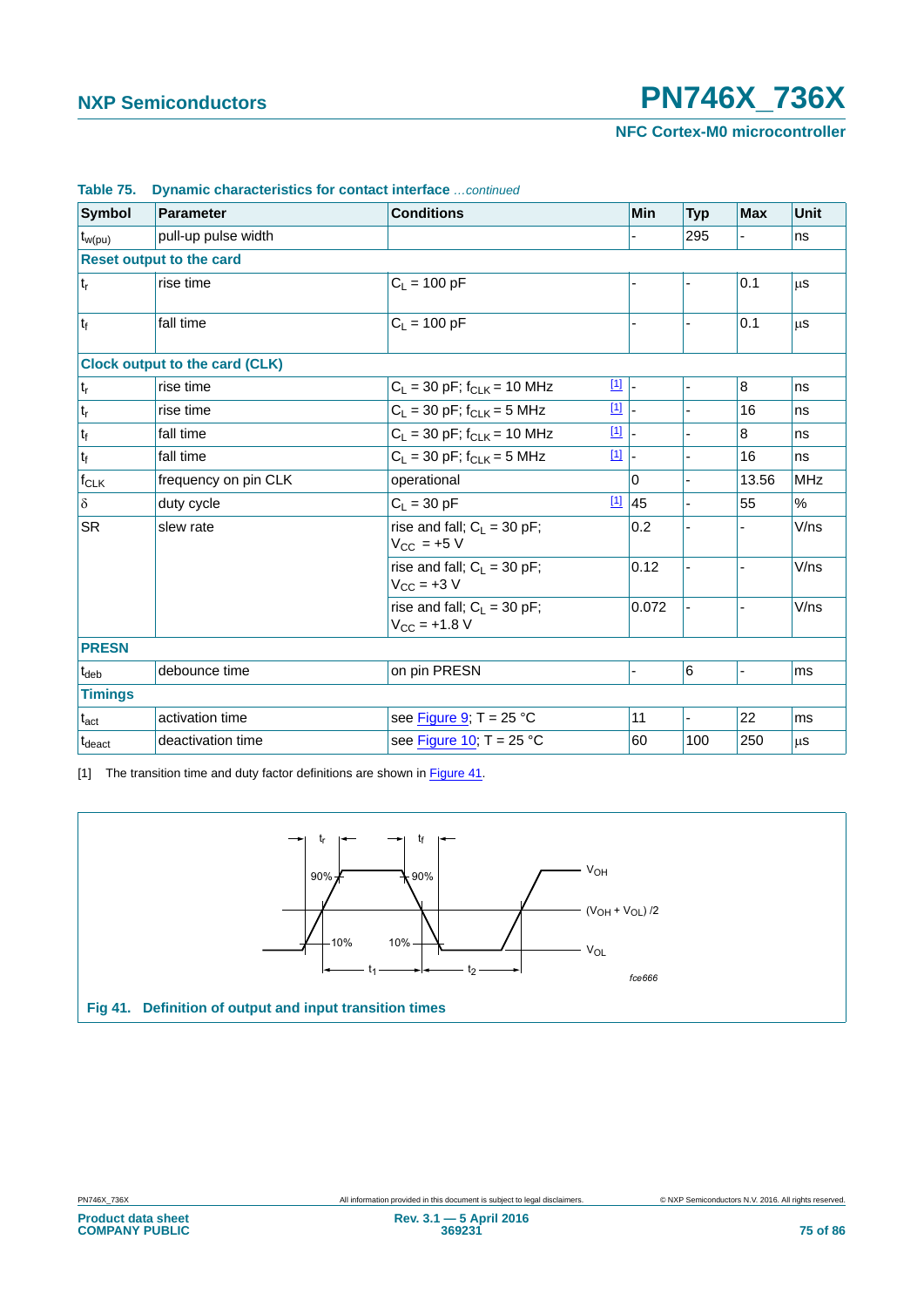**NFC Cortex-M0 microcontroller**

| <b>Symbol</b>               | Parameter                             | <b>Conditions</b>                                       | Min      | <b>Typ</b> | <b>Max</b> | Unit       |
|-----------------------------|---------------------------------------|---------------------------------------------------------|----------|------------|------------|------------|
| ∣ <sup>t</sup> w(pu)        | pull-up pulse width                   |                                                         |          | 295        |            | ns         |
|                             | <b>Reset output to the card</b>       |                                                         |          |            |            |            |
| $ t_r $                     | rise time                             | $C_L = 100 pF$                                          |          |            | 0.1        | μS         |
| $t_f$                       | fall time                             | $C_1 = 100 pF$                                          |          |            | 0.1        | μS         |
|                             | <b>Clock output to the card (CLK)</b> |                                                         |          |            |            |            |
| $ t_r $                     | rise time                             | $\boxed{1}$<br>$C_L$ = 30 pF; f <sub>CLK</sub> = 10 MHz |          |            | 8          | ns         |
| $\mathfrak{t}_{\mathsf{r}}$ | rise time                             | $\boxed{1}$<br>$C_L$ = 30 pF; $f_{CLK}$ = 5 MHz         |          |            | 16         | ns         |
| $t_f$                       | fall time                             | $[1]$<br>$C_L$ = 30 pF; f <sub>CLK</sub> = 10 MHz       |          |            | 8          | ns         |
| $t_f$                       | fall time                             | $[1]$<br>$C_L$ = 30 pF; $f_{CLK}$ = 5 MHz               |          |            | 16         | ns         |
| $f_{CLK}$                   | frequency on pin CLK                  | operational                                             | $\Omega$ |            | 13.56      | <b>MHz</b> |
| $\delta$                    | duty cycle                            | $[1]$<br>$C_L = 30$ pF                                  | 45       |            | 55         | %          |
| <b>SR</b>                   | slew rate                             | rise and fall; $C_L = 30$ pF;<br>$V_{CC}$ = +5 V        | 0.2      |            |            | V/ns       |
|                             |                                       | rise and fall; $C_L = 30$ pF;<br>$V_{CC}$ = +3 V        | 0.12     |            |            | V/ns       |
|                             |                                       | rise and fall; $C_1 = 30$ pF;<br>$V_{CC} = +1.8 V$      | 0.072    |            |            | V/ns       |
| <b>PRESN</b>                |                                       |                                                         |          |            |            |            |
| $t_{\text{deb}}$            | debounce time                         | on pin PRESN                                            |          | 6          |            | ms         |
| <b>Timings</b>              |                                       |                                                         |          |            |            |            |
| $t_{\rm act}$               | activation time                       | see Figure 9; $T = 25 °C$                               | 11       |            | 22         | ms         |
| t <sub>deact</sub>          | deactivation time                     | see Figure 10; $T = 25 °C$                              | 60       | 100        | 250        | μs         |

### **Table 75. Dynamic characteristics for contact interface** *…continued*

<span id="page-74-0"></span>[1] The transition time and duty factor definitions are shown in [Figure 41.](#page-74-1)

<span id="page-74-1"></span>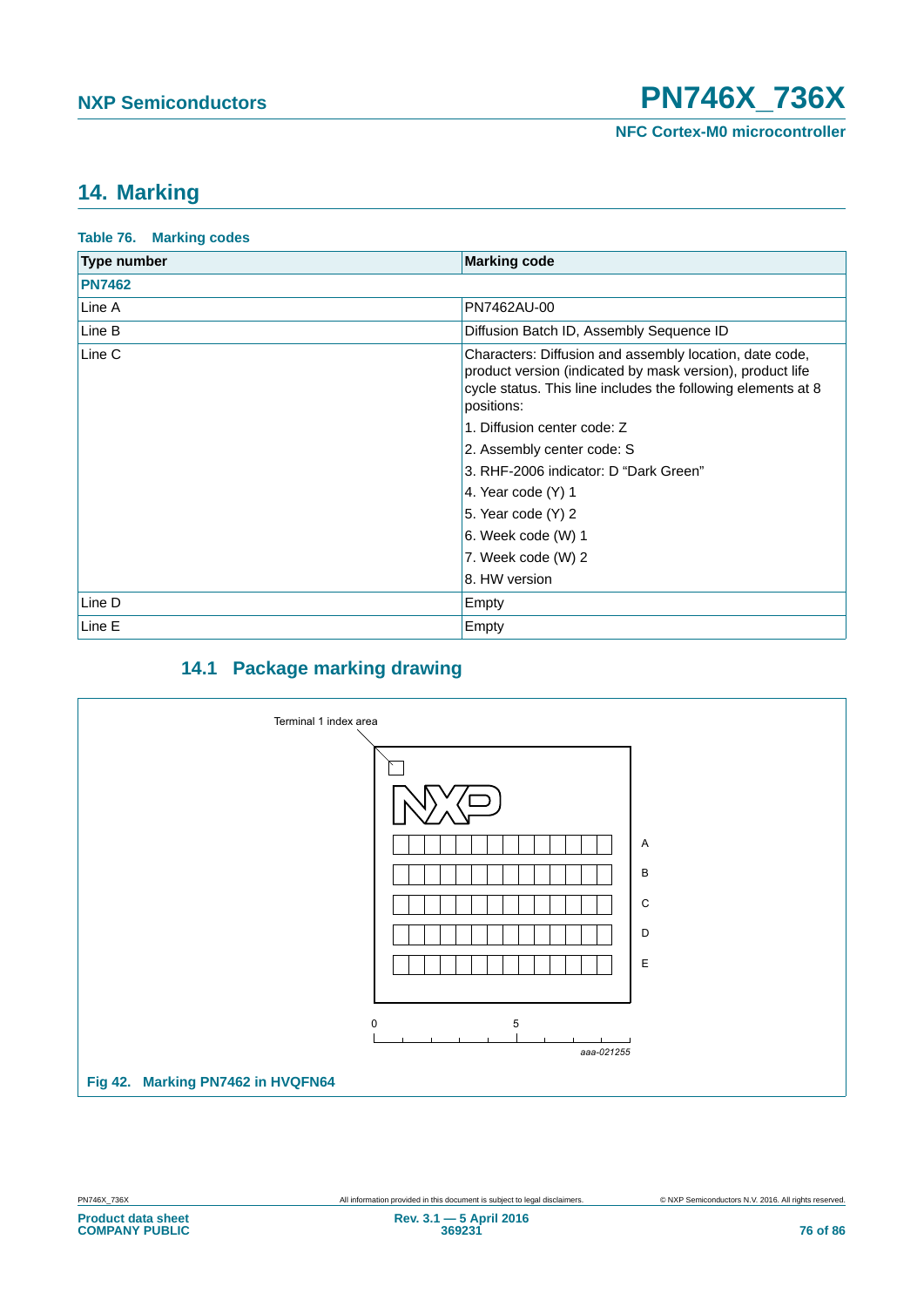**NFC Cortex-M0 microcontroller**

# <span id="page-75-2"></span>**14. Marking**

<span id="page-75-0"></span>

| <b>Table 76. Marking codes</b> |                                                                                                                                                                                                    |
|--------------------------------|----------------------------------------------------------------------------------------------------------------------------------------------------------------------------------------------------|
| <b>Type number</b>             | <b>Marking code</b>                                                                                                                                                                                |
| <b>PN7462</b>                  |                                                                                                                                                                                                    |
| Line A                         | PN7462AU-00                                                                                                                                                                                        |
| Line B                         | Diffusion Batch ID, Assembly Sequence ID                                                                                                                                                           |
| Line C                         | Characters: Diffusion and assembly location, date code,<br>product version (indicated by mask version), product life<br>cycle status. This line includes the following elements at 8<br>positions: |
|                                | 1. Diffusion center code: Z                                                                                                                                                                        |
|                                | 2. Assembly center code: S                                                                                                                                                                         |
|                                | 3. RHF-2006 indicator: D "Dark Green"                                                                                                                                                              |
|                                | 4. Year code $(Y)$ 1                                                                                                                                                                               |
|                                | 5. Year code (Y) 2                                                                                                                                                                                 |
|                                | 6. Week code (W) 1                                                                                                                                                                                 |
|                                | 7. Week code (W) 2                                                                                                                                                                                 |
|                                | 8. HW version                                                                                                                                                                                      |
| Line D                         | Empty                                                                                                                                                                                              |
| Line E                         | Empty                                                                                                                                                                                              |

# **14.1 Package marking drawing**

<span id="page-75-3"></span><span id="page-75-1"></span>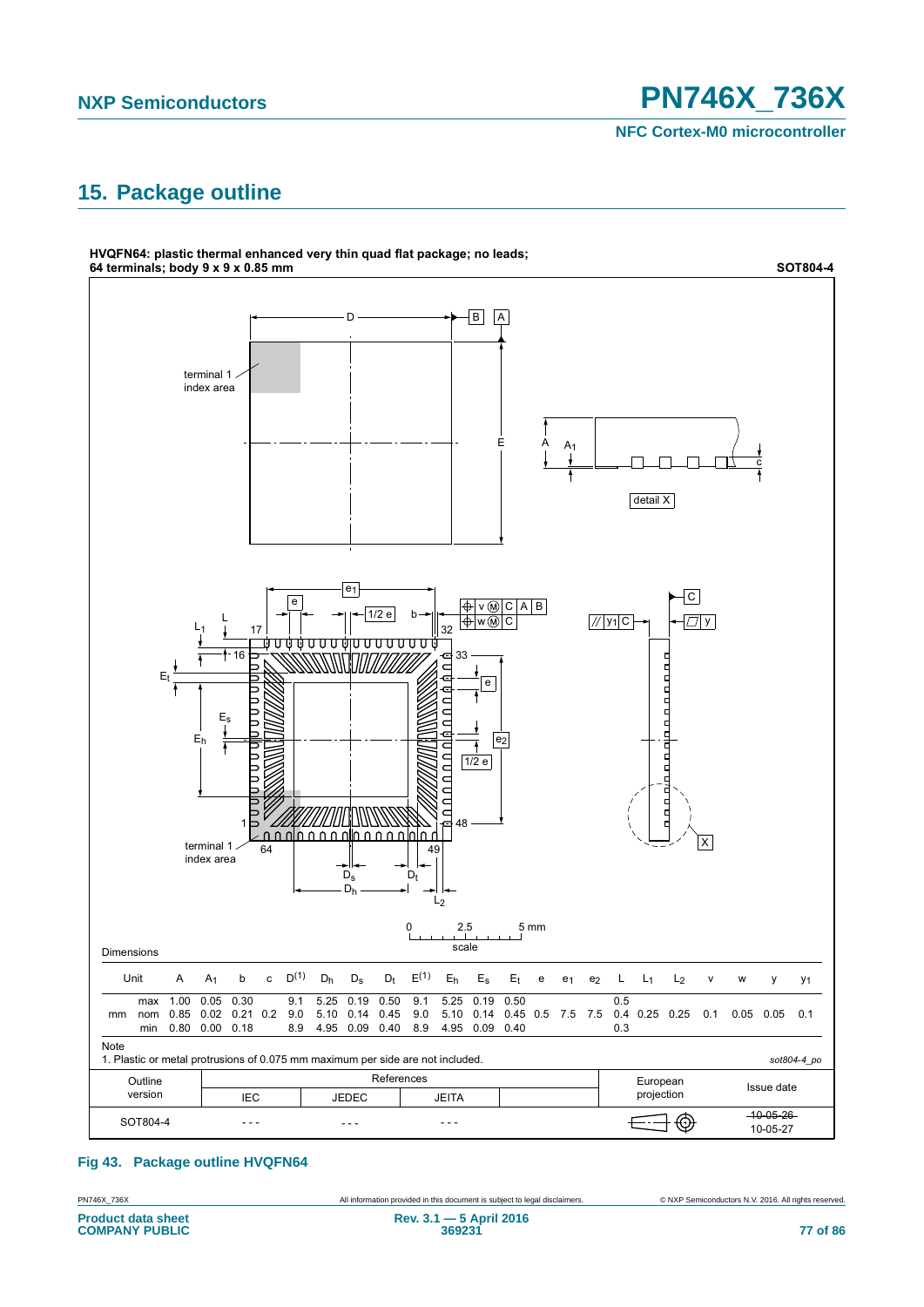**NFC Cortex-M0 microcontroller**

# <span id="page-76-1"></span>**15. Package outline**



## <span id="page-76-0"></span>**Fig 43. Package outline HVQFN64**

**Product data sheet COMPANY PUBLIC**

PN746X\_736X All information provided in this document is subject to legal disclaimers. © NXP Semiconductors N.V. 2016. All rights reserved.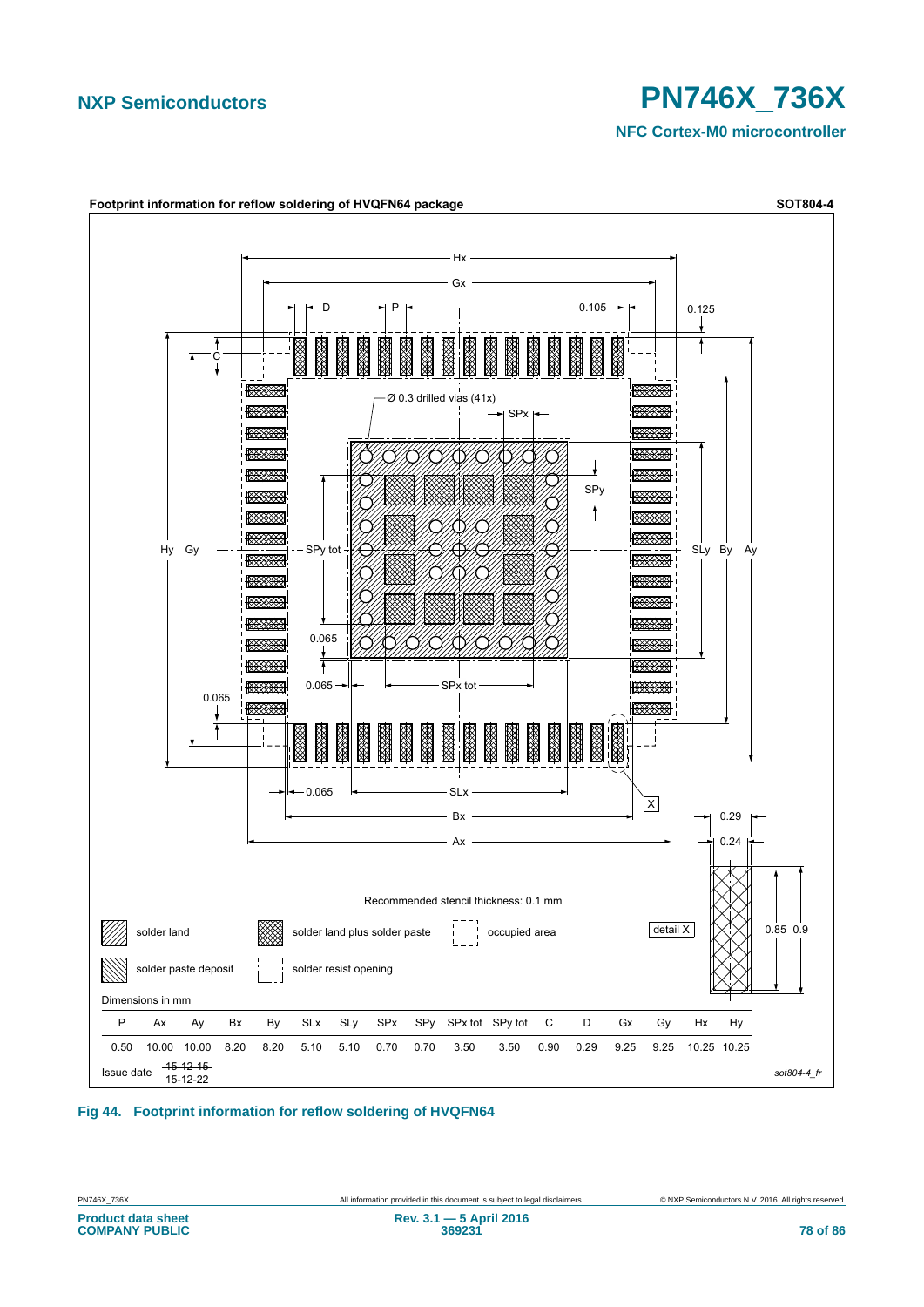**NFC Cortex-M0 microcontroller**



## <span id="page-77-0"></span>**Fig 44. Footprint information for reflow soldering of HVQFN64**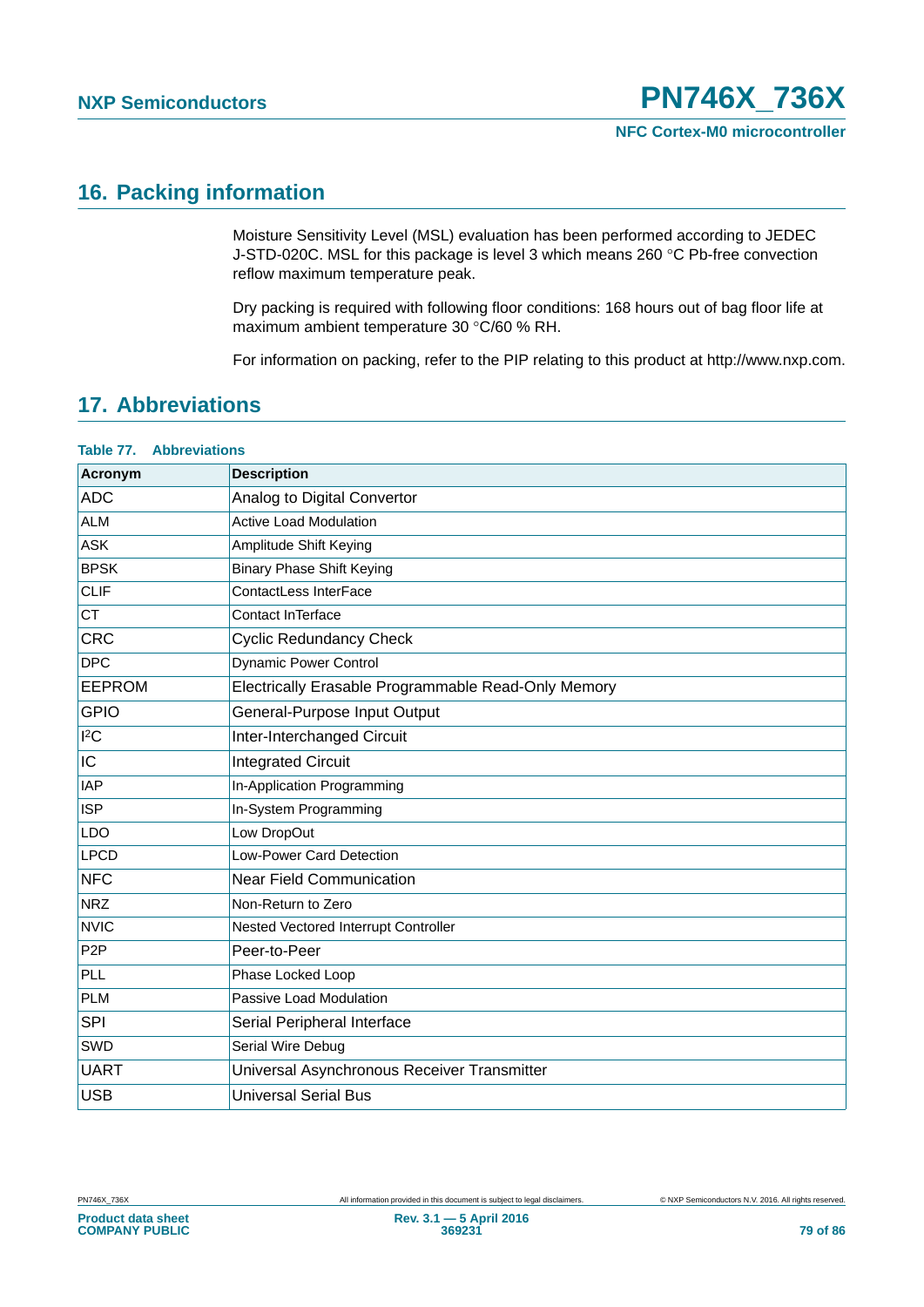# <span id="page-78-1"></span>**16. Packing information**

Moisture Sensitivity Level (MSL) evaluation has been performed according to JEDEC J-STD-020C. MSL for this package is level 3 which means 260 °C Pb-free convection reflow maximum temperature peak.

Dry packing is required with following floor conditions: 168 hours out of bag floor life at maximum ambient temperature 30 °C/60 % RH.

For information on packing, refer to the PIP relating to this product at http://www.nxp.com.

# <span id="page-78-2"></span>**17. Abbreviations**

## <span id="page-78-0"></span>**Table 77. Abbreviations**

| Acronym          | <b>Description</b>                                  |
|------------------|-----------------------------------------------------|
| <b>ADC</b>       | Analog to Digital Convertor                         |
| <b>ALM</b>       | <b>Active Load Modulation</b>                       |
| <b>ASK</b>       | Amplitude Shift Keying                              |
| <b>BPSK</b>      | <b>Binary Phase Shift Keying</b>                    |
| <b>CLIF</b>      | ContactLess InterFace                               |
| <b>CT</b>        | Contact InTerface                                   |
| CRC              | <b>Cyclic Redundancy Check</b>                      |
| <b>DPC</b>       | <b>Dynamic Power Control</b>                        |
| <b>EEPROM</b>    | Electrically Erasable Programmable Read-Only Memory |
| <b>GPIO</b>      | General-Purpose Input Output                        |
| $I^2C$           | Inter-Interchanged Circuit                          |
| IC               | <b>Integrated Circuit</b>                           |
| <b>IAP</b>       | In-Application Programming                          |
| <b>ISP</b>       | In-System Programming                               |
| <b>LDO</b>       | Low DropOut                                         |
| <b>LPCD</b>      | Low-Power Card Detection                            |
| <b>NFC</b>       | <b>Near Field Communication</b>                     |
| <b>NRZ</b>       | Non-Return to Zero                                  |
| <b>NVIC</b>      | Nested Vectored Interrupt Controller                |
| P <sub>2</sub> P | Peer-to-Peer                                        |
| PLL              | Phase Locked Loop                                   |
| <b>PLM</b>       | Passive Load Modulation                             |
| SPI              | Serial Peripheral Interface                         |
| SWD              | Serial Wire Debug                                   |
| <b>UART</b>      | Universal Asynchronous Receiver Transmitter         |
| <b>USB</b>       | <b>Universal Serial Bus</b>                         |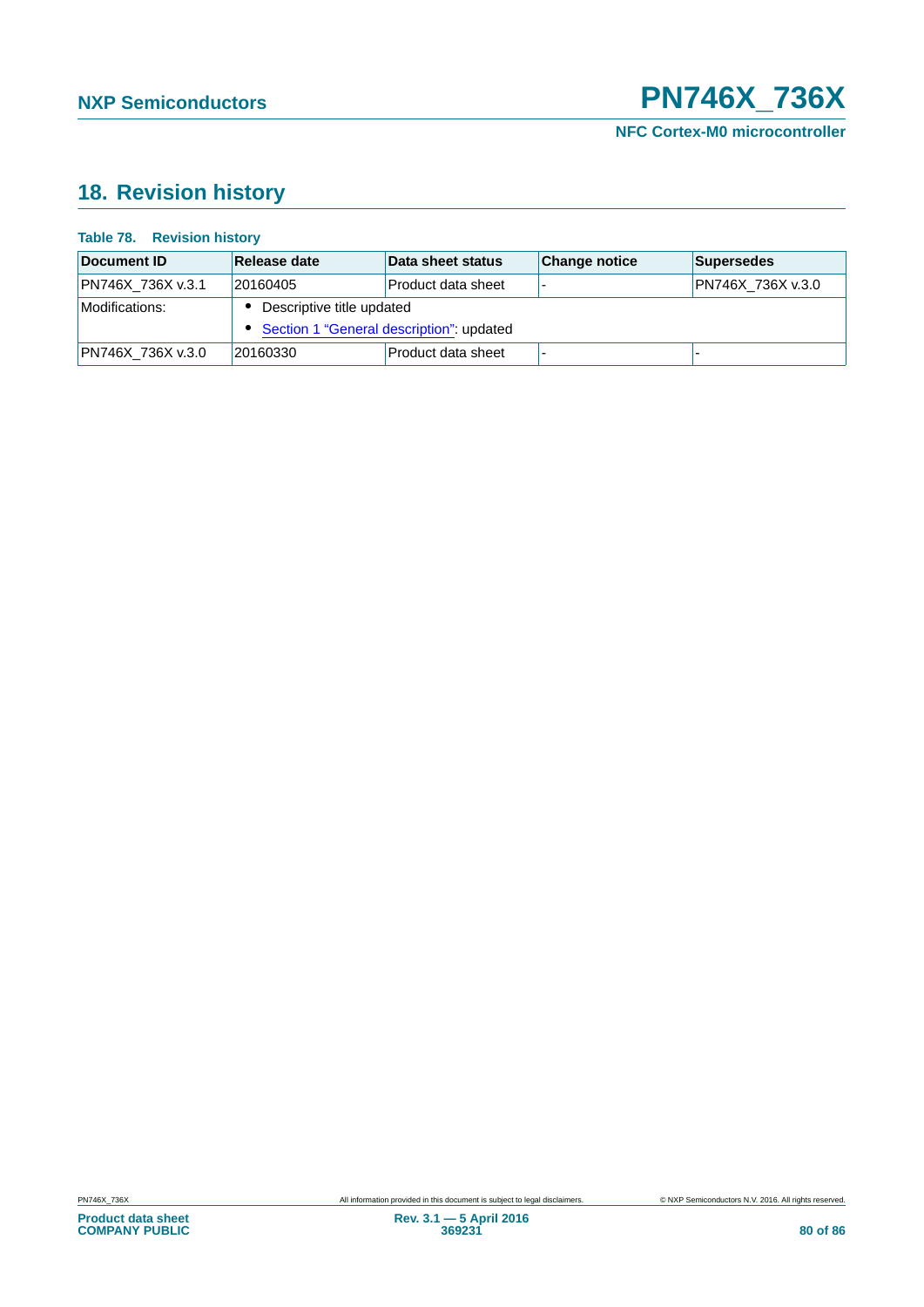# <span id="page-79-1"></span>**18. Revision history**

#### <span id="page-79-0"></span>**Table 78. Revision history**

| Document ID       | Release date                               | Data sheet status  | <b>Change notice</b> | Supersedes        |  |
|-------------------|--------------------------------------------|--------------------|----------------------|-------------------|--|
| PN746X 736X v.3.1 | 20160405                                   | Product data sheet |                      | PN746X 736X v.3.0 |  |
| Modifications:    | Descriptive title updated                  |                    |                      |                   |  |
|                   | • Section 1 "General description": updated |                    |                      |                   |  |
| PN746X 736X v.3.0 | 20160330                                   | Product data sheet |                      |                   |  |

**Product data sheet COMPANY PUBLIC**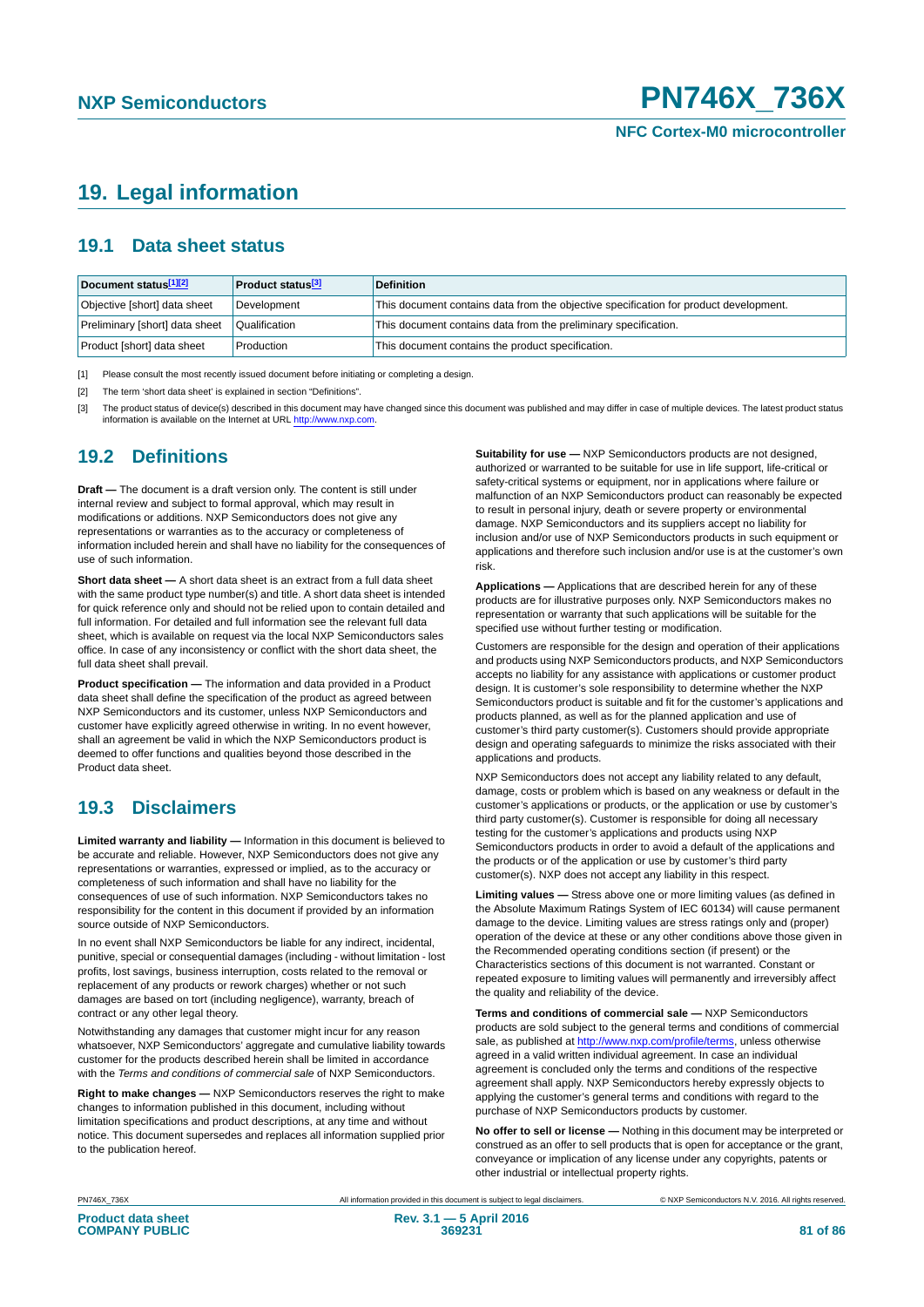# <span id="page-80-3"></span>**19. Legal information**

# <span id="page-80-4"></span>**19.1 Data sheet status**

| Document status[1][2]          | <b>Product status</b> <sup>[3]</sup> | <b>Definition</b>                                                                     |
|--------------------------------|--------------------------------------|---------------------------------------------------------------------------------------|
| Objective [short] data sheet   | Development                          | This document contains data from the objective specification for product development. |
| Preliminary [short] data sheet | Qualification                        | This document contains data from the preliminary specification.                       |
| Product [short] data sheet     | Production                           | This document contains the product specification.                                     |

<span id="page-80-0"></span>[1] Please consult the most recently issued document before initiating or completing a design.

<span id="page-80-1"></span>[2] The term 'short data sheet' is explained in section "Definitions".

<span id="page-80-2"></span>[3] The product status of device(s) described in this document may have changed since this document was published and may differ in case of multiple devices. The latest product status<br>information is available on the Intern

# <span id="page-80-5"></span>**19.2 Definitions**

**Draft —** The document is a draft version only. The content is still under internal review and subject to formal approval, which may result in modifications or additions. NXP Semiconductors does not give any representations or warranties as to the accuracy or completeness of information included herein and shall have no liability for the consequences of use of such information.

**Short data sheet —** A short data sheet is an extract from a full data sheet with the same product type number(s) and title. A short data sheet is intended for quick reference only and should not be relied upon to contain detailed and full information. For detailed and full information see the relevant full data sheet, which is available on request via the local NXP Semiconductors sales office. In case of any inconsistency or conflict with the short data sheet, the full data sheet shall prevail.

**Product specification —** The information and data provided in a Product data sheet shall define the specification of the product as agreed between NXP Semiconductors and its customer, unless NXP Semiconductors and customer have explicitly agreed otherwise in writing. In no event however, shall an agreement be valid in which the NXP Semiconductors product is deemed to offer functions and qualities beyond those described in the Product data sheet.

# <span id="page-80-6"></span>**19.3 Disclaimers**

**Limited warranty and liability —** Information in this document is believed to be accurate and reliable. However, NXP Semiconductors does not give any representations or warranties, expressed or implied, as to the accuracy or completeness of such information and shall have no liability for the consequences of use of such information. NXP Semiconductors takes no responsibility for the content in this document if provided by an information source outside of NXP Semiconductors.

In no event shall NXP Semiconductors be liable for any indirect, incidental, punitive, special or consequential damages (including - without limitation - lost profits, lost savings, business interruption, costs related to the removal or replacement of any products or rework charges) whether or not such damages are based on tort (including negligence), warranty, breach of contract or any other legal theory.

Notwithstanding any damages that customer might incur for any reason whatsoever, NXP Semiconductors' aggregate and cumulative liability towards customer for the products described herein shall be limited in accordance with the *Terms and conditions of commercial sale* of NXP Semiconductors.

**Right to make changes —** NXP Semiconductors reserves the right to make changes to information published in this document, including without limitation specifications and product descriptions, at any time and without notice. This document supersedes and replaces all information supplied prior to the publication hereof.

**Suitability for use —** NXP Semiconductors products are not designed, authorized or warranted to be suitable for use in life support, life-critical or safety-critical systems or equipment, nor in applications where failure or malfunction of an NXP Semiconductors product can reasonably be expected to result in personal injury, death or severe property or environmental damage. NXP Semiconductors and its suppliers accept no liability for inclusion and/or use of NXP Semiconductors products in such equipment or applications and therefore such inclusion and/or use is at the customer's own risk.

**Applications —** Applications that are described herein for any of these products are for illustrative purposes only. NXP Semiconductors makes no representation or warranty that such applications will be suitable for the specified use without further testing or modification.

Customers are responsible for the design and operation of their applications and products using NXP Semiconductors products, and NXP Semiconductors accepts no liability for any assistance with applications or customer product design. It is customer's sole responsibility to determine whether the NXP Semiconductors product is suitable and fit for the customer's applications and products planned, as well as for the planned application and use of customer's third party customer(s). Customers should provide appropriate design and operating safeguards to minimize the risks associated with their applications and products.

NXP Semiconductors does not accept any liability related to any default, damage, costs or problem which is based on any weakness or default in the customer's applications or products, or the application or use by customer's third party customer(s). Customer is responsible for doing all necessary testing for the customer's applications and products using NXP Semiconductors products in order to avoid a default of the applications and the products or of the application or use by customer's third party customer(s). NXP does not accept any liability in this respect.

**Limiting values —** Stress above one or more limiting values (as defined in the Absolute Maximum Ratings System of IEC 60134) will cause permanent damage to the device. Limiting values are stress ratings only and (proper) operation of the device at these or any other conditions above those given in the Recommended operating conditions section (if present) or the Characteristics sections of this document is not warranted. Constant or repeated exposure to limiting values will permanently and irreversibly affect the quality and reliability of the device.

**Terms and conditions of commercial sale —** NXP Semiconductors products are sold subject to the general terms and conditions of commercial sale, as published at<http://www.nxp.com/profile/terms>, unless otherwise agreed in a valid written individual agreement. In case an individual agreement is concluded only the terms and conditions of the respective agreement shall apply. NXP Semiconductors hereby expressly objects to applying the customer's general terms and conditions with regard to the purchase of NXP Semiconductors products by customer.

**No offer to sell or license —** Nothing in this document may be interpreted or construed as an offer to sell products that is open for acceptance or the grant, conveyance or implication of any license under any copyrights, patents or other industrial or intellectual property rights.

PN746X\_736X All information provided in this document is subject to legal disclaimers. © NXP Semiconductors N.V. 2016. All rights reserved.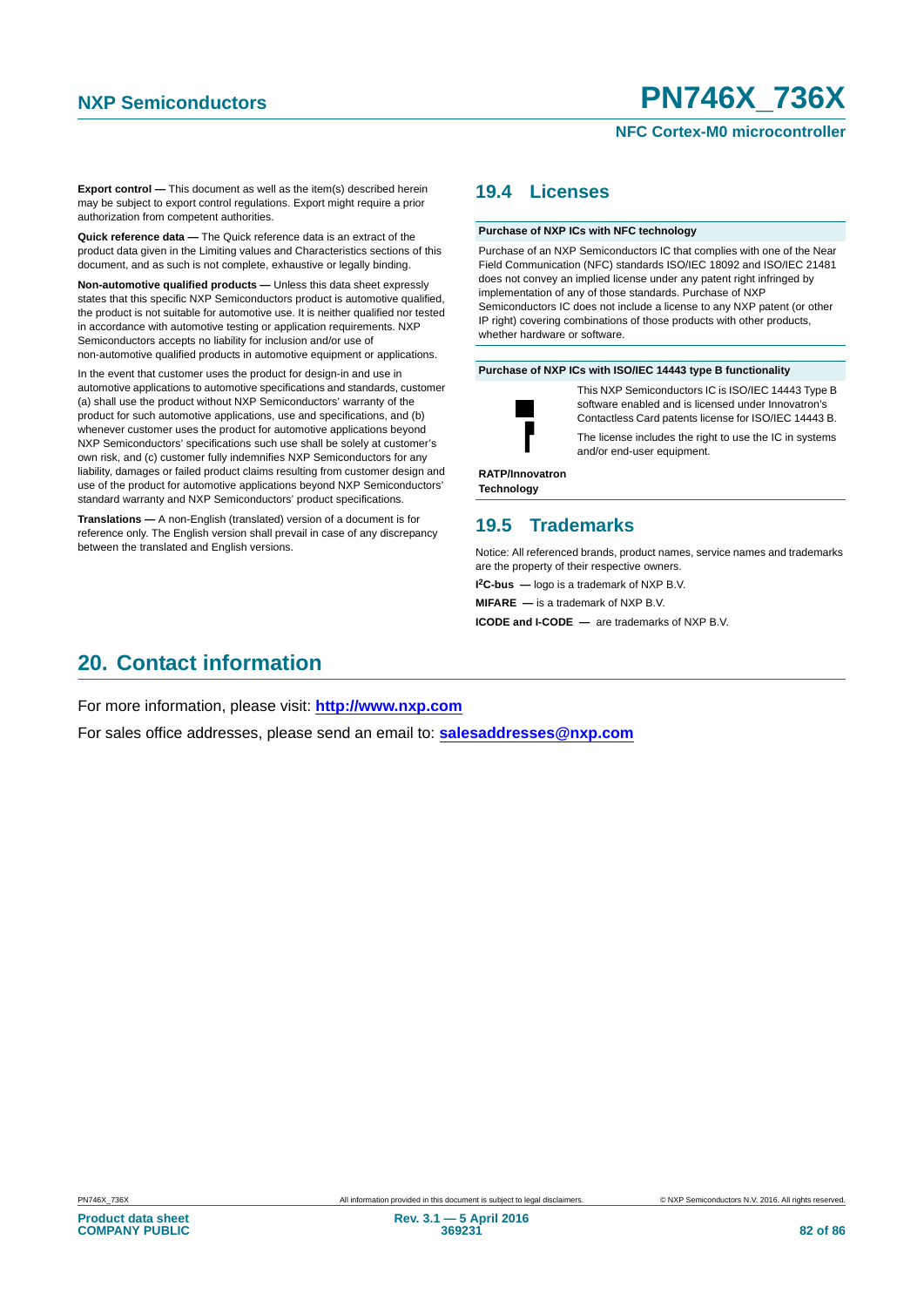## **NFC Cortex-M0 microcontroller**

**Export control —** This document as well as the item(s) described herein may be subject to export control regulations. Export might require a prior authorization from competent authorities.

**Quick reference data —** The Quick reference data is an extract of the product data given in the Limiting values and Characteristics sections of this document, and as such is not complete, exhaustive or legally binding.

**Non-automotive qualified products —** Unless this data sheet expressly states that this specific NXP Semiconductors product is automotive qualified, the product is not suitable for automotive use. It is neither qualified nor tested in accordance with automotive testing or application requirements. NXP Semiconductors accepts no liability for inclusion and/or use of non-automotive qualified products in automotive equipment or applications.

In the event that customer uses the product for design-in and use in automotive applications to automotive specifications and standards, customer (a) shall use the product without NXP Semiconductors' warranty of the product for such automotive applications, use and specifications, and (b) whenever customer uses the product for automotive applications beyond NXP Semiconductors' specifications such use shall be solely at customer's own risk, and (c) customer fully indemnifies NXP Semiconductors for any liability, damages or failed product claims resulting from customer design and use of the product for automotive applications beyond NXP Semiconductors' standard warranty and NXP Semiconductors' product specifications.

**Translations —** A non-English (translated) version of a document is for reference only. The English version shall prevail in case of any discrepancy between the translated and English versions.

# <span id="page-81-0"></span>**19.4 Licenses**

#### **Purchase of NXP ICs with NFC technology**

Purchase of an NXP Semiconductors IC that complies with one of the Near Field Communication (NFC) standards ISO/IEC 18092 and ISO/IEC 21481 does not convey an implied license under any patent right infringed by implementation of any of those standards. Purchase of NXP Semiconductors IC does not include a license to any NXP patent (or other IP right) covering combinations of those products with other products, whether hardware or software.

#### **Purchase of NXP ICs with ISO/IEC 14443 type B functionality**



This NXP Semiconductors IC is ISO/IEC 14443 Type B software enabled and is licensed under Innovatron's Contactless Card patents license for ISO/IEC 14443 B. The license includes the right to use the IC in systems and/or end-user equipment.

**RATP/Innovatron Technology**

# <span id="page-81-1"></span>**19.5 Trademarks**

Notice: All referenced brands, product names, service names and trademarks are the property of their respective owners.

**I 2C-bus —** logo is a trademark of NXP B.V.

**MIFARE —** is a trademark of NXP B.V.

**ICODE and I-CODE —** are trademarks of NXP B.V.

# <span id="page-81-2"></span>**20. Contact information**

For more information, please visit: **http://www.nxp.com**

For sales office addresses, please send an email to: **salesaddresses@nxp.com**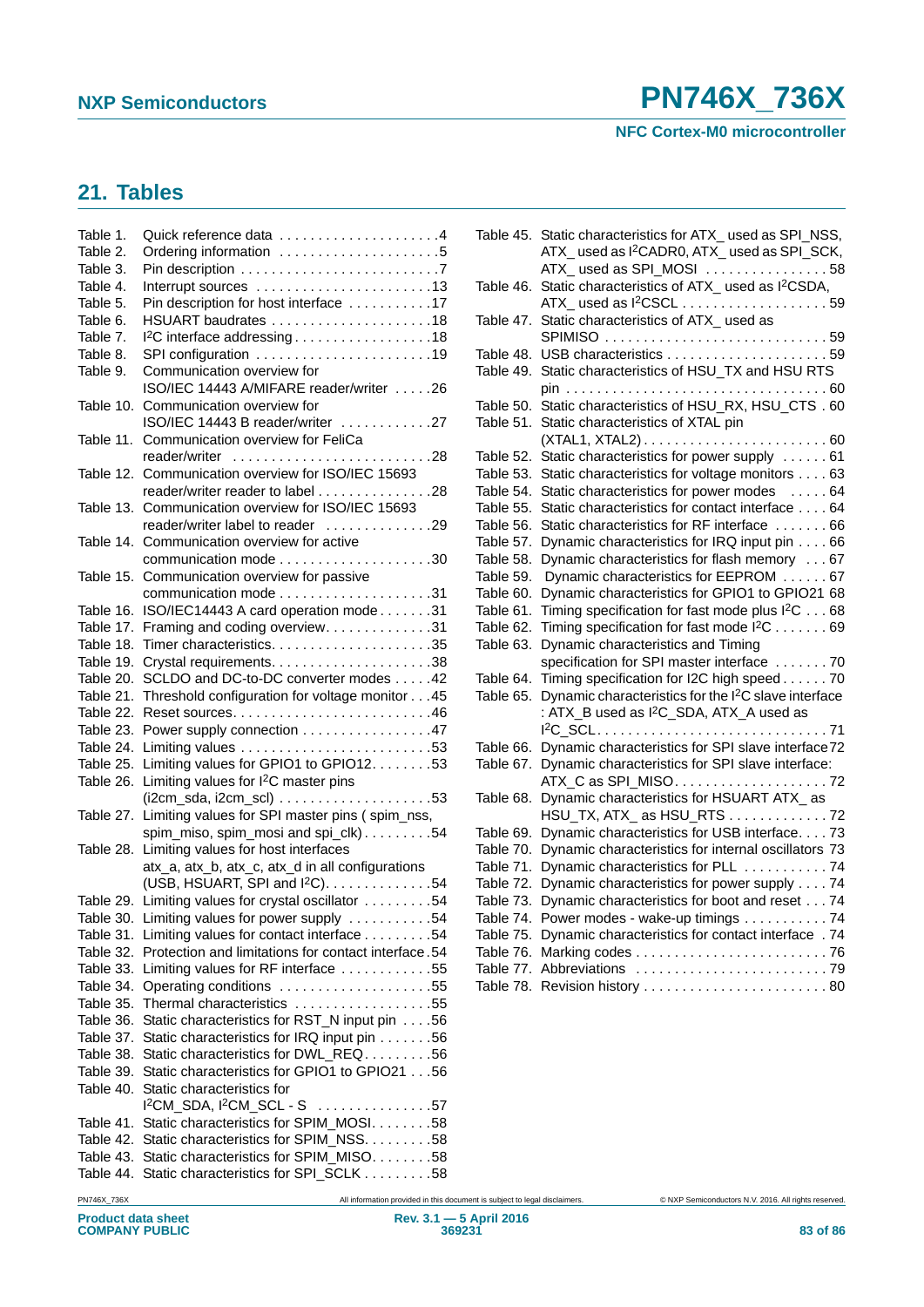**NFC Cortex-M0 microcontroller**

# <span id="page-82-0"></span>**21. Tables**

| Table 1.  | Quick reference data 4                              |
|-----------|-----------------------------------------------------|
| Table 2.  | Ordering information 5                              |
| Table 3.  |                                                     |
| Table 4.  | Interrupt sources 13                                |
| Table 5.  | Pin description for host interface 17               |
| Table 6.  | HSUART baudrates 18                                 |
| Table 7.  | I <sup>2</sup> C interface addressing18             |
| Table 8.  | SPI configuration 19                                |
| Table 9.  | Communication overview for                          |
|           | ISO/IEC 14443 A/MIFARE reader/writer 26             |
|           | Table 10. Communication overview for                |
|           | ISO/IEC 14443 B reader/writer 27                    |
|           | Table 11. Communication overview for FeliCa         |
|           | reader/writer 28                                    |
|           | Table 12. Communication overview for ISO/IEC 15693  |
|           | reader/writer reader to label 28                    |
|           | Table 13. Communication overview for ISO/IEC 15693  |
|           | reader/writer label to reader 29                    |
|           | Table 14. Communication overview for active         |
|           |                                                     |
| Table 15. | Communication overview for passive                  |
|           |                                                     |
|           | Table 16. ISO/IEC14443 A card operation mode31      |
|           | Table 17. Framing and coding overview31             |
| Table 18. |                                                     |
| Table 19. |                                                     |
| Table 20. | SCLDO and DC-to-DC converter modes 42               |
| Table 21. | Threshold configuration for voltage monitor 45      |
| Table 22. |                                                     |
| Table 23. | Power supply connection 47                          |
| Table 24. |                                                     |
| Table 25. | Limiting values for GPIO1 to GPIO12. 53             |
| Table 26. | Limiting values for I <sup>2</sup> C master pins    |
|           | $($ i2cm_sda, i2cm_scl) 53                          |
| Table 27. | Limiting values for SPI master pins (spim_nss,      |
|           | spim_miso, spim_mosi and spi_clk)54                 |
| Table 28. | Limiting values for host interfaces                 |
|           | atx_a, atx_b, atx_c, atx_d in all configurations    |
|           | (USB, HSUART, SPI and I <sup>2</sup> C). 54         |
|           | Table 29. Limiting values for crystal oscillator 54 |
| Table 30. | Limiting values for power supply 54                 |
| Table 31. | Limiting values for contact interface 54            |
| Table 32. | Protection and limitations for contact interface.54 |
| Table 33. | Limiting values for RF interface 55                 |
| Table 34. | Operating conditions 55                             |
| Table 35. | Thermal characteristics 55                          |
| Table 36. | Static characteristics for RST_N input pin 56       |
| Table 37. | Static characteristics for IRQ input pin 56         |
| Table 38. | Static characteristics for DWL REQ56                |
| Table 39. | Static characteristics for GPIO1 to GPIO21 56       |
| Table 40. | Static characteristics for                          |
|           | $I2CM$ SDA, $I2CM$ SCL - S<br>. <b>.57</b>          |
| Table 41. | Static characteristics for SPIM_MOSI. 58            |
| Table 42. | Static characteristics for SPIM_NSS. 58             |
| Table 43. | Static characteristics for SPIM_MISO. 58            |
|           |                                                     |
| Table 44. | Static characteristics for SPI_SCLK 58              |

| Table 45. | Static characteristics for ATX_used as SPI_NSS,                  |  |
|-----------|------------------------------------------------------------------|--|
|           | ATX_used as I <sup>2</sup> CADR0, ATX_used as SPI_SCK,           |  |
|           | ATX_used as SPI_MOSI 58                                          |  |
| Table 46. | Static characteristics of ATX_ used as I <sup>2</sup> CSDA,      |  |
|           | ATX_used as I <sup>2</sup> CSCL 59                               |  |
| Table 47. | Static characteristics of ATX_ used as                           |  |
|           | SPIMISO 59                                                       |  |
| Table 48. |                                                                  |  |
| Table 49. | Static characteristics of HSU_TX and HSU RTS                     |  |
|           |                                                                  |  |
| Table 50. | Static characteristics of HSU_RX, HSU_CTS . 60                   |  |
| Table 51. | Static characteristics of XTAL pin                               |  |
|           |                                                                  |  |
| Table 52. | Static characteristics for power supply  61                      |  |
| Table 53. | Static characteristics for voltage monitors 63                   |  |
| Table 54. | Static characteristics for power modes  64                       |  |
| Table 55. | Static characteristics for contact interface 64                  |  |
| Table 56. | Static characteristics for RF interface  66                      |  |
| Table 57. | Dynamic characteristics for IRQ input pin 66                     |  |
| Table 58. | Dynamic characteristics for flash memory 67                      |  |
| Table 59. | Dynamic characteristics for EEPROM  67                           |  |
| Table 60. | Dynamic characteristics for GPIO1 to GPIO21 68                   |  |
| Table 61. | Timing specification for fast mode plus I <sup>2</sup> C 68      |  |
| Table 62. | Timing specification for fast mode I <sup>2</sup> C 69           |  |
| Table 63. | Dynamic characteristics and Timing                               |  |
|           | specification for SPI master interface  70                       |  |
| Table 64. | Timing specification for I2C high speed70                        |  |
| Table 65. | Dynamic characteristics for the I <sup>2</sup> C slave interface |  |
|           | : ATX_B used as I <sup>2</sup> C_SDA, ATX_A used as              |  |
|           | 1 <sup>2</sup> C_SCL71                                           |  |
| Table 66. | Dynamic characteristics for SPI slave interface72                |  |
| Table 67. | Dynamic characteristics for SPI slave interface:                 |  |
|           | ATX_C as SPI_MISO72                                              |  |
| Table 68. | Dynamic characteristics for HSUART ATX_as                        |  |
|           | HSU_TX, ATX_ as HSU_RTS 72                                       |  |
| Table 69. | Dynamic characteristics for USB interface. 73                    |  |
| Table 70. | Dynamic characteristics for internal oscillators 73              |  |
| Table 71. | Dynamic characteristics for PLL 74                               |  |
| Table 72. | Dynamic characteristics for power supply 74                      |  |
| Table 73. | Dynamic characteristics for boot and reset 74                    |  |
| Table 74. | Power modes - wake-up timings 74                                 |  |
| Table 75. | Dynamic characteristics for contact interface . 74               |  |
| Table 76. |                                                                  |  |
| Table 77. | Abbreviations 79                                                 |  |
| Table 78. |                                                                  |  |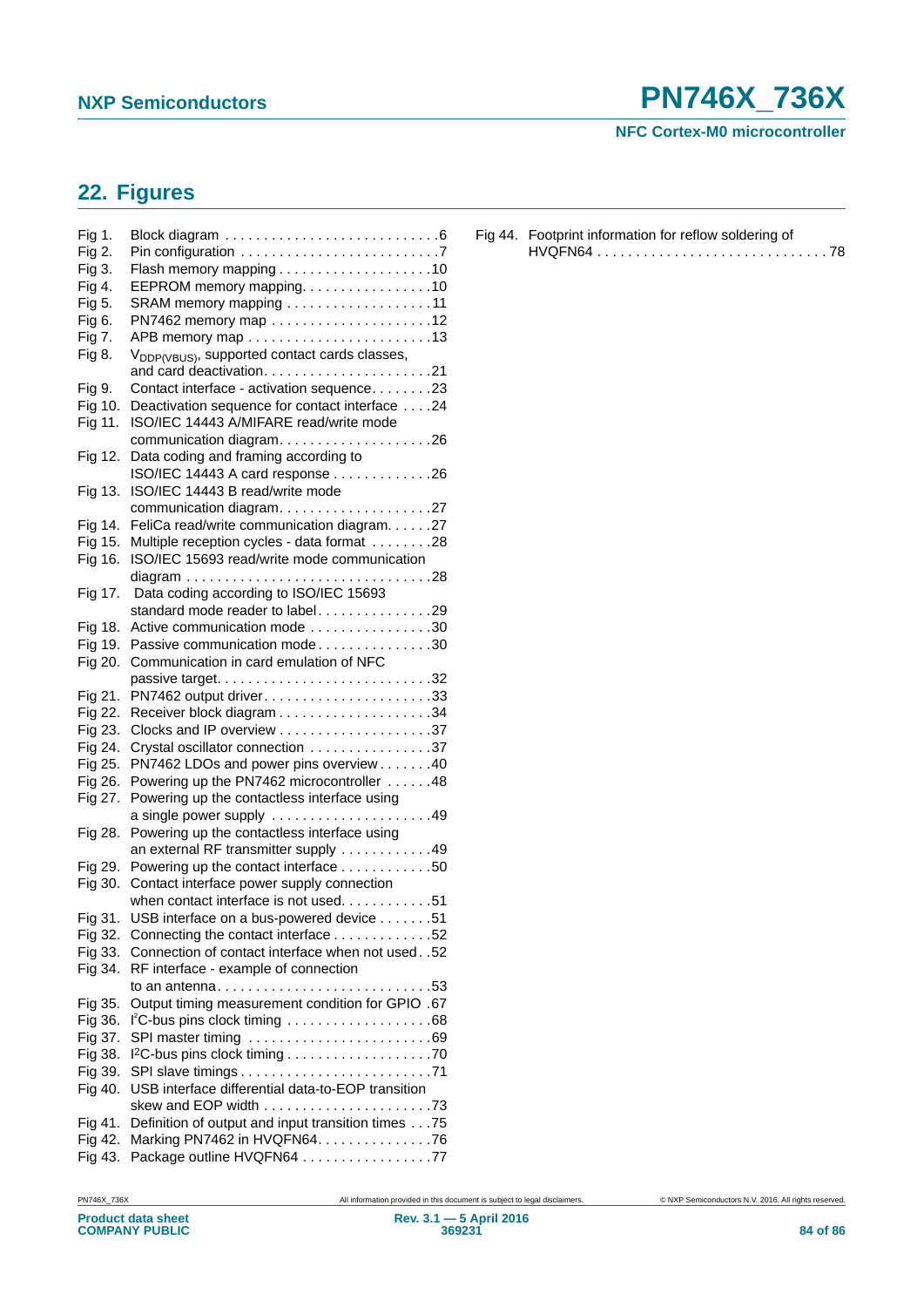**NFC Cortex-M0 microcontroller**

# <span id="page-83-0"></span>**22. Figures**

| Fig 1.  |                                                                                     |
|---------|-------------------------------------------------------------------------------------|
| Fig 2.  | Pin configuration $\ldots \ldots \ldots \ldots \ldots \ldots \ldots \ldots$ .       |
| Fig 3.  |                                                                                     |
| Fig 4.  | EEPROM memory mapping. 10                                                           |
| Fig 5.  | SRAM memory mapping 11                                                              |
| Fig 6.  |                                                                                     |
| Fig 7.  | APB memory map 13                                                                   |
| Fig 8.  | V <sub>DDP(VBUS)</sub> , supported contact cards classes,                           |
| Fig 9.  | Contact interface - activation sequence23                                           |
| Fig 10. | Deactivation sequence for contact interface 24                                      |
| Fig 11. | ISO/IEC 14443 A/MIFARE read/write mode                                              |
|         |                                                                                     |
|         | communication diagram26                                                             |
| Fig 12. | Data coding and framing according to                                                |
|         | ISO/IEC 14443 A card response 26                                                    |
| Fig 13. | ISO/IEC 14443 B read/write mode                                                     |
|         | communication diagram27                                                             |
| Fig 14. | FeliCa read/write communication diagram. 27                                         |
| Fig 15. | Multiple reception cycles - data format 28                                          |
| Fig 16. | ISO/IEC 15693 read/write mode communication                                         |
|         |                                                                                     |
| Fig 17. | Data coding according to ISO/IEC 15693                                              |
|         | standard mode reader to label29                                                     |
| Fig 18. | Active communication mode 30                                                        |
| Fig 19. | Passive communication mode30                                                        |
| Fig 20. | Communication in card emulation of NFC                                              |
|         |                                                                                     |
|         |                                                                                     |
| Fig 21. |                                                                                     |
| Fig 22. |                                                                                     |
| Fig 23. |                                                                                     |
| Fig 24. | Crystal oscillator connection 37                                                    |
| Fig 25. | PN7462 LDOs and power pins overview 40                                              |
| Fig 26. | Powering up the PN7462 microcontroller 48                                           |
| Fig 27. | Powering up the contactless interface using                                         |
|         |                                                                                     |
| Fig 28. | Powering up the contactless interface using                                         |
|         | an external RF transmitter supply 49                                                |
| Fig 29. | Powering up the contact interface 50                                                |
| Fig 30. | Contact interface power supply connection                                           |
|         | when contact interface is not used. 51                                              |
| Fig 31. | USB interface on a bus-powered device 51                                            |
| Fig 32. | Connecting the contact interface 52                                                 |
| Fig 33. | Connection of contact interface when not used. .52                                  |
| Fig 34. | RF interface - example of connection                                                |
|         | to an antenna. $\ldots \ldots \ldots \ldots \ldots \ldots \ldots \ldots \ldots$ .53 |
|         | Output timing measurement condition for GPIO .67                                    |
| Fig 35. |                                                                                     |
| Fig 36. | $l^2C$ -bus pins clock timing 68                                                    |
| Fig 37. | SPI master timing 69                                                                |
| Fig 38. |                                                                                     |
| Fig 39. |                                                                                     |
| Fig 40. | USB interface differential data-to-EOP transition                                   |
|         |                                                                                     |
| Fig 41. | Definition of output and input transition times75                                   |
| Fig 42. | Marking PN7462 in HVQFN64. 76                                                       |
| Fig 43. | Package outline HVQFN64 77                                                          |

| Fig 44. Footprint information for reflow soldering of |
|-------------------------------------------------------|
| HVQFN6478                                             |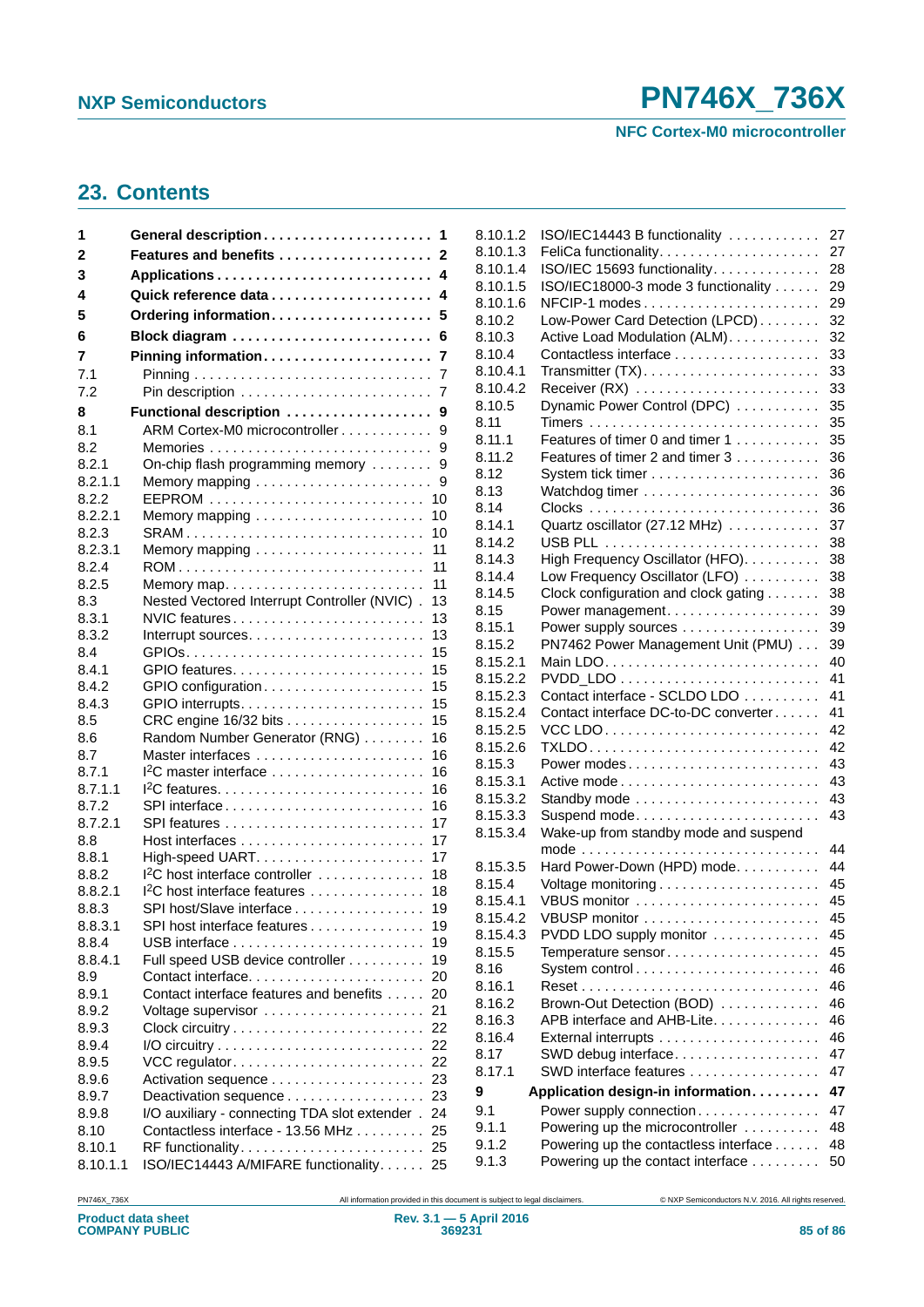**NFC Cortex-M0 microcontroller**

# <span id="page-84-0"></span>**23. Contents**

| 1              |                                                    |
|----------------|----------------------------------------------------|
| 2              | Features and benefits  2                           |
| 3              |                                                    |
| 4              | 4                                                  |
| 5              | Ordering information<br>5                          |
| 6              | Block diagram<br>6                                 |
| 7              | Pinning information<br>7                           |
| 7.1            | 7                                                  |
| 7.2            | 7                                                  |
| 8              | Functional description<br>9                        |
| 8.1            | ARM Cortex-M0 microcontroller<br>9                 |
| 8.2            | 9                                                  |
| 8.2.1          | On-chip flash programming memory<br>9              |
| 8.2.1.1        | Memory mapping<br>9                                |
| 8.2.2          | 10                                                 |
| 8.2.2.1        | 10                                                 |
| 8.2.3          | SRAM<br>10                                         |
| 8.2.3.1        | 11                                                 |
| 8.2.4          | 11                                                 |
| 8.2.5          | 11<br>Memory map                                   |
| 8.3            | Nested Vectored Interrupt Controller (NVIC).<br>13 |
| 8.3.1          | NVIC features<br>13                                |
| 8.3.2          | 13                                                 |
| 8.4            | 15                                                 |
| 8.4.1<br>8.4.2 | 15<br>15                                           |
| 8.4.3          | 15                                                 |
| 8.5            | CRC engine 16/32 bits<br>15                        |
| 8.6            | Random Number Generator (RNG)<br>16                |
| 8.7            | Master interfaces<br>16                            |
| 8.7.1          | $12C$ master interface<br>16                       |
| 8.7.1.1        | 16                                                 |
| 8.7.2          | SPI interface<br>16                                |
| 8.7.2.1        | 17                                                 |
| 8.8            | 17                                                 |
| 8.8.1          | 17                                                 |
| 8.8.2          | 1 <sup>2</sup> C host interface controller<br>18   |
| 8.8.2.1        | I <sup>2</sup> C host interface features<br>18     |
| 8.8.3          | SPI host/Slave interface<br>19                     |
| 8.8.3.1        | 19<br>SPI host interface features                  |
| 8.8.4          | 19                                                 |
| 8.8.4.1        | Full speed USB device controller<br>19             |
| 8.9            | Contact interface<br>20                            |
| 8.9.1          | Contact interface features and benefits<br>20      |
| 8.9.2          | Voltage supervisor<br>21                           |
| 8.9.3          |                                                    |
| 8.9.4          | 22<br>22                                           |
| 8.9.5<br>8.9.6 | 23                                                 |
| 8.9.7          | Deactivation sequence<br>23                        |
| 8.9.8          | I/O auxiliary - connecting TDA slot extender . 24  |
| 8.10           | Contactless interface - 13.56 MHz<br>25            |
| 8.10.1         | 25                                                 |
| 8.10.1.1       | ISO/IEC14443 A/MIFARE functionality. 25            |

| 8.10.1.2           | ISO/IEC14443 B functionality          | 27       |
|--------------------|---------------------------------------|----------|
| 8.10.1.3           |                                       | 27       |
| 8.10.1.4           | ISO/IEC 15693 functionality.          | 28       |
| 8.10.1.5           | ISO/IEC18000-3 mode 3 functionality   | 29       |
| 8.10.1.6           | NFCIP-1 modes                         | 29       |
| 8.10.2             | Low-Power Card Detection (LPCD)       | 32       |
| 8.10.3             | Active Load Modulation (ALM).         | 32       |
| 8.10.4<br>8.10.4.1 |                                       | 33       |
| 8.10.4.2           |                                       | 33<br>33 |
| 8.10.5             | Dynamic Power Control (DPC)           | 35       |
| 8.11               |                                       | 35       |
| 8.11.1             | Features of timer 0 and timer 1       | 35       |
| 8.11.2             | Features of timer 2 and timer 3       | 36       |
| 8.12               |                                       | 36       |
| 8.13               |                                       | 36       |
| 8.14               |                                       | 36       |
| 8.14.1             | Quartz oscillator (27.12 MHz)         | 37       |
| 8.14.2             |                                       | 38       |
| 8.14.3             | High Frequency Oscillator (HFO).      | 38       |
| 8.14.4             | Low Frequency Oscillator (LFO)        | 38       |
| 8.14.5             | Clock configuration and clock gating  | 38       |
| 8.15               | Power management.                     | 39       |
| 8.15.1             | Power supply sources                  | 39       |
| 8.15.2             | PN7462 Power Management Unit (PMU)    | 39       |
| 8.15.2.1           |                                       | 40       |
| 8.15.2.2           |                                       | 41       |
| 8.15.2.3           | Contact interface - SCLDO LDO         | 41       |
| 8.15.2.4           | Contact interface DC-to-DC converter  | 41       |
| 8.15.2.5           |                                       | 42       |
| 8.15.2.6           |                                       | 42       |
| 8.15.3             | Power modes                           | 43       |
| 8.15.3.1           |                                       | 43       |
| 8.15.3.2           | Standby mode                          | 43       |
| 8.15.3.3           | Suspend mode                          | 43       |
| 8.15.3.4           | Wake-up from standby mode and suspend |          |
|                    |                                       | 44       |
| 8.15.3.5           | Hard Power-Down (HPD) mode.           | 44       |
| 8.15.4             |                                       | 45       |
| 8.15.4.1           | VBUS monitor                          | 45       |
| 8.15.4.2           | VBUSP monitor                         | 45       |
| 8.15.4.3           | PVDD LDO supply monitor               | 45       |
| 8.15.5             | Temperature sensor                    | 45       |
| 8.16               | System control                        | 46       |
| 8.16.1             |                                       | 46       |
| 8.16.2             | Brown-Out Detection (BOD)             | 46       |
| 8.16.3             | APB interface and AHB-Lite.           | 46       |
| 8.16.4             |                                       | 46       |
| 8.17               | SWD debug interface                   | 47       |
| 8.17.1             | SWD interface features                | 47       |
| 9                  | Application design-in information     | 47       |
| 9.1                | Power supply connection               | 47       |
| 9.1.1              | Powering up the microcontroller       | 48       |
| 9.1.2              | Powering up the contactless interface | 48       |
| 9.1.3              | Powering up the contact interface     | 50       |